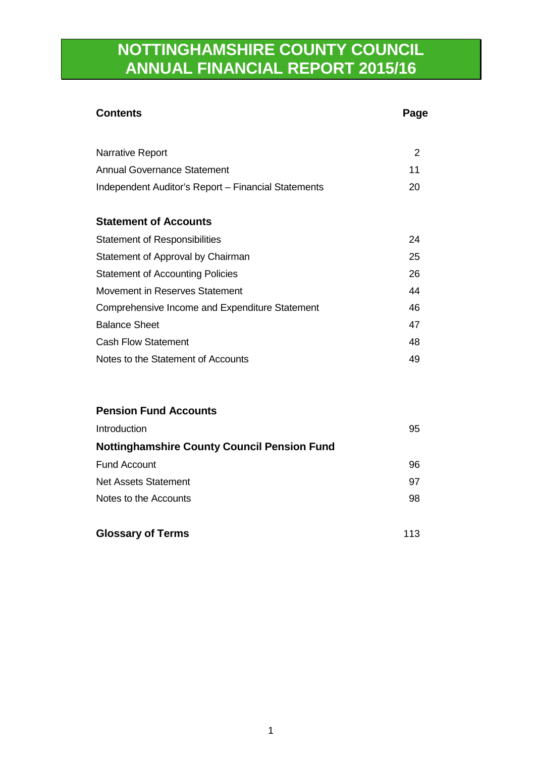## **NOTTINGHAMSHIRE COUNTY COUNCIL ANNUAL FINANCIAL REPORT 2015/16**

# **Contents** Page Narrative Report 2 Annual Governance Statement 11 Independent Auditor's Report – Financial Statements 20 **Statement of Accounts**  Statement of Responsibilities 24 Statement of Approval by Chairman 25 Statement of Accounting Policies 26 Movement in Reserves Statement **44** Movement in Reserves Statement Comprehensive Income and Expenditure Statement 46 Balance Sheet 47 Cash Flow Statement 48 Notes to the Statement of Accounts 49 **Pension Fund Accounts**  Introduction 95 **Nottinghamshire County Council Pension Fund** Fund Account 96

Net Assets Statement 1997 Notes to the Accounts and the Second Second Second Second Second Second Second Second Second Second Second Second Second Second Second Second Second Second Second Second Second Second Second Second Second Second Second Sec

| <b>Glossary of Terms</b> | 113 |  |
|--------------------------|-----|--|
|                          |     |  |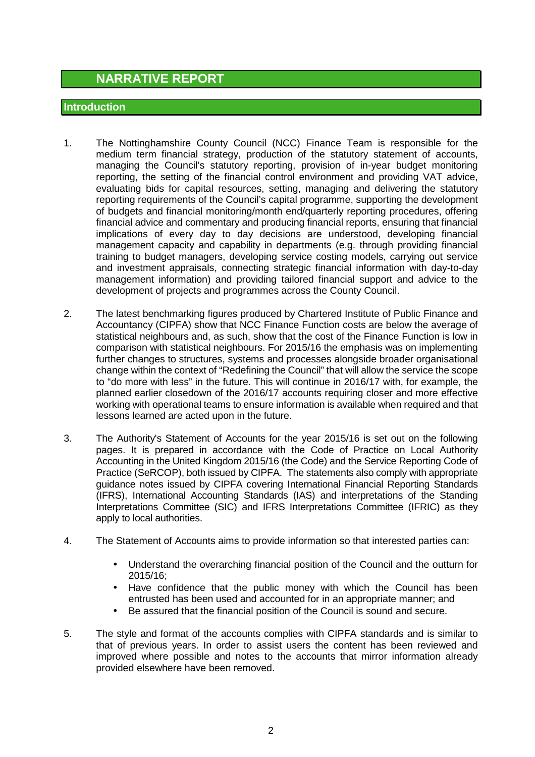## **NARRATIVE REPORT**

#### **Introduction**

- 1. The Nottinghamshire County Council (NCC) Finance Team is responsible for the medium term financial strategy, production of the statutory statement of accounts, managing the Council's statutory reporting, provision of in-year budget monitoring reporting, the setting of the financial control environment and providing VAT advice, evaluating bids for capital resources, setting, managing and delivering the statutory reporting requirements of the Council's capital programme, supporting the development of budgets and financial monitoring/month end/quarterly reporting procedures, offering financial advice and commentary and producing financial reports, ensuring that financial implications of every day to day decisions are understood, developing financial management capacity and capability in departments (e.g. through providing financial training to budget managers, developing service costing models, carrying out service and investment appraisals, connecting strategic financial information with day-to-day management information) and providing tailored financial support and advice to the development of projects and programmes across the County Council.
- 2. The latest benchmarking figures produced by Chartered Institute of Public Finance and Accountancy (CIPFA) show that NCC Finance Function costs are below the average of statistical neighbours and, as such, show that the cost of the Finance Function is low in comparison with statistical neighbours. For 2015/16 the emphasis was on implementing further changes to structures, systems and processes alongside broader organisational change within the context of "Redefining the Council" that will allow the service the scope to "do more with less" in the future. This will continue in 2016/17 with, for example, the planned earlier closedown of the 2016/17 accounts requiring closer and more effective working with operational teams to ensure information is available when required and that lessons learned are acted upon in the future.
- 3. The Authority's Statement of Accounts for the year 2015/16 is set out on the following pages. It is prepared in accordance with the Code of Practice on Local Authority Accounting in the United Kingdom 2015/16 (the Code) and the Service Reporting Code of Practice (SeRCOP), both issued by CIPFA. The statements also comply with appropriate guidance notes issued by CIPFA covering International Financial Reporting Standards (IFRS), International Accounting Standards (IAS) and interpretations of the Standing Interpretations Committee (SIC) and IFRS Interpretations Committee (IFRIC) as they apply to local authorities.
- 4. The Statement of Accounts aims to provide information so that interested parties can:
	- Understand the overarching financial position of the Council and the outturn for 2015/16;
	- Have confidence that the public money with which the Council has been entrusted has been used and accounted for in an appropriate manner; and
	- Be assured that the financial position of the Council is sound and secure.
- 5. The style and format of the accounts complies with CIPFA standards and is similar to that of previous years. In order to assist users the content has been reviewed and improved where possible and notes to the accounts that mirror information already provided elsewhere have been removed.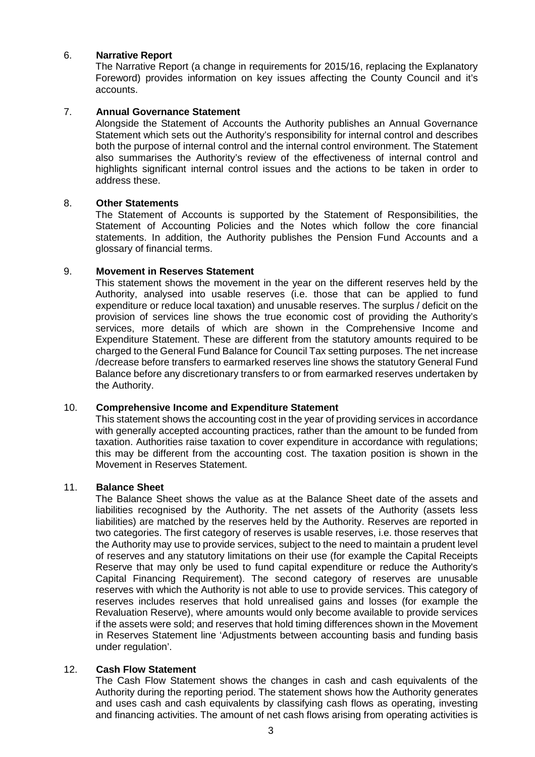#### 6. **Narrative Report**

The Narrative Report (a change in requirements for 2015/16, replacing the Explanatory Foreword) provides information on key issues affecting the County Council and it's accounts.

#### 7. **Annual Governance Statement**

Alongside the Statement of Accounts the Authority publishes an Annual Governance Statement which sets out the Authority's responsibility for internal control and describes both the purpose of internal control and the internal control environment. The Statement also summarises the Authority's review of the effectiveness of internal control and highlights significant internal control issues and the actions to be taken in order to address these.

#### 8. **Other Statements**

The Statement of Accounts is supported by the Statement of Responsibilities, the Statement of Accounting Policies and the Notes which follow the core financial statements. In addition, the Authority publishes the Pension Fund Accounts and a glossary of financial terms.

#### 9. **Movement in Reserves Statement**

This statement shows the movement in the year on the different reserves held by the Authority, analysed into usable reserves (i.e. those that can be applied to fund expenditure or reduce local taxation) and unusable reserves. The surplus / deficit on the provision of services line shows the true economic cost of providing the Authority's services, more details of which are shown in the Comprehensive Income and Expenditure Statement. These are different from the statutory amounts required to be charged to the General Fund Balance for Council Tax setting purposes. The net increase /decrease before transfers to earmarked reserves line shows the statutory General Fund Balance before any discretionary transfers to or from earmarked reserves undertaken by the Authority.

#### 10. **Comprehensive Income and Expenditure Statement**

This statement shows the accounting cost in the year of providing services in accordance with generally accepted accounting practices, rather than the amount to be funded from taxation. Authorities raise taxation to cover expenditure in accordance with regulations; this may be different from the accounting cost. The taxation position is shown in the Movement in Reserves Statement.

#### 11. **Balance Sheet**

The Balance Sheet shows the value as at the Balance Sheet date of the assets and liabilities recognised by the Authority. The net assets of the Authority (assets less liabilities) are matched by the reserves held by the Authority. Reserves are reported in two categories. The first category of reserves is usable reserves, i.e. those reserves that the Authority may use to provide services, subject to the need to maintain a prudent level of reserves and any statutory limitations on their use (for example the Capital Receipts Reserve that may only be used to fund capital expenditure or reduce the Authority's Capital Financing Requirement). The second category of reserves are unusable reserves with which the Authority is not able to use to provide services. This category of reserves includes reserves that hold unrealised gains and losses (for example the Revaluation Reserve), where amounts would only become available to provide services if the assets were sold; and reserves that hold timing differences shown in the Movement in Reserves Statement line 'Adjustments between accounting basis and funding basis under regulation'.

#### 12. **Cash Flow Statement**

The Cash Flow Statement shows the changes in cash and cash equivalents of the Authority during the reporting period. The statement shows how the Authority generates and uses cash and cash equivalents by classifying cash flows as operating, investing and financing activities. The amount of net cash flows arising from operating activities is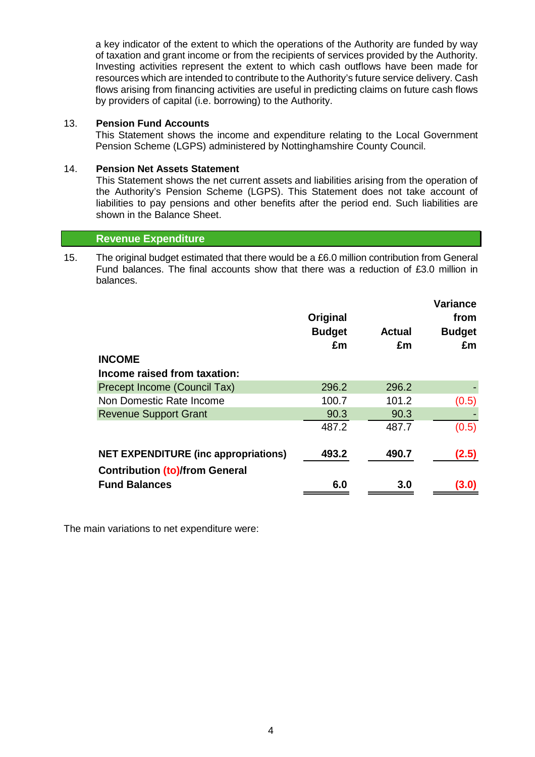a key indicator of the extent to which the operations of the Authority are funded by way of taxation and grant income or from the recipients of services provided by the Authority. Investing activities represent the extent to which cash outflows have been made for resources which are intended to contribute to the Authority's future service delivery. Cash flows arising from financing activities are useful in predicting claims on future cash flows by providers of capital (i.e. borrowing) to the Authority.

#### 13. **Pension Fund Accounts**

This Statement shows the income and expenditure relating to the Local Government Pension Scheme (LGPS) administered by Nottinghamshire County Council.

#### 14. **Pension Net Assets Statement**

This Statement shows the net current assets and liabilities arising from the operation of the Authority's Pension Scheme (LGPS). This Statement does not take account of liabilities to pay pensions and other benefits after the period end. Such liabilities are shown in the Balance Sheet.

#### **Revenue Expenditure**

15. The original budget estimated that there would be a £6.0 million contribution from General Fund balances. The final accounts show that there was a reduction of £3.0 million in balances.

|                                             | Original<br><b>Budget</b><br>£m | <b>Actual</b><br>£m | <b>Variance</b><br>from<br><b>Budget</b><br>£m |
|---------------------------------------------|---------------------------------|---------------------|------------------------------------------------|
| <b>INCOME</b>                               |                                 |                     |                                                |
| Income raised from taxation:                |                                 |                     |                                                |
| Precept Income (Council Tax)                | 296.2                           | 296.2               |                                                |
| Non Domestic Rate Income                    | 100.7                           | 101.2               | (0.5)                                          |
| <b>Revenue Support Grant</b>                | 90.3                            | 90.3                |                                                |
|                                             | 487.2                           | 487.7               | (0.5)                                          |
| <b>NET EXPENDITURE (inc appropriations)</b> | 493.2                           | 490.7               | (2.5)                                          |
| <b>Contribution (to)/from General</b>       |                                 |                     |                                                |
| <b>Fund Balances</b>                        | 6.0                             | 3.0                 | (3.0)                                          |

The main variations to net expenditure were: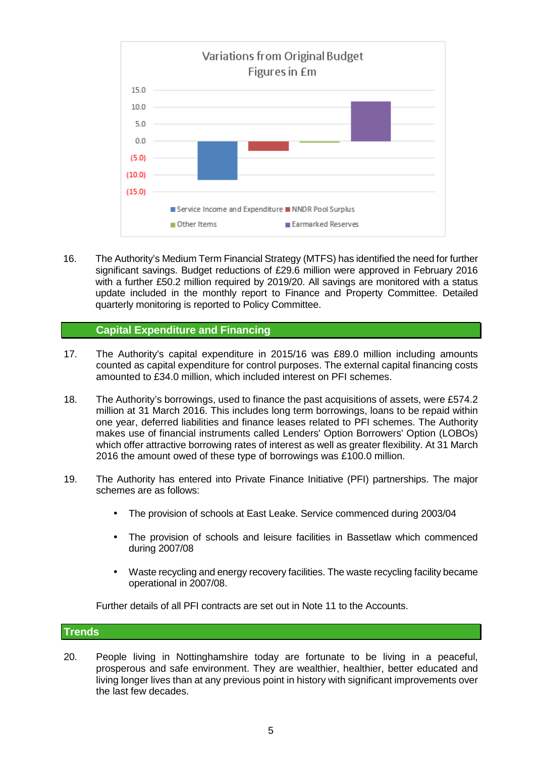

16. The Authority's Medium Term Financial Strategy (MTFS) has identified the need for further significant savings. Budget reductions of £29.6 million were approved in February 2016 with a further £50.2 million required by 2019/20. All savings are monitored with a status update included in the monthly report to Finance and Property Committee. Detailed quarterly monitoring is reported to Policy Committee.

#### **Capital Expenditure and Financing**

- 17. The Authority's capital expenditure in 2015/16 was £89.0 million including amounts counted as capital expenditure for control purposes. The external capital financing costs amounted to £34.0 million, which included interest on PFI schemes.
- 18. The Authority's borrowings, used to finance the past acquisitions of assets, were £574.2 million at 31 March 2016. This includes long term borrowings, loans to be repaid within one year, deferred liabilities and finance leases related to PFI schemes. The Authority makes use of financial instruments called Lenders' Option Borrowers' Option (LOBOs) which offer attractive borrowing rates of interest as well as greater flexibility. At 31 March 2016 the amount owed of these type of borrowings was £100.0 million.
- 19. The Authority has entered into Private Finance Initiative (PFI) partnerships. The major schemes are as follows:
	- The provision of schools at East Leake. Service commenced during 2003/04
	- The provision of schools and leisure facilities in Bassetlaw which commenced during 2007/08
	- Waste recycling and energy recovery facilities. The waste recycling facility became operational in 2007/08.

Further details of all PFI contracts are set out in Note 11 to the Accounts.

#### **Trends**

20. People living in Nottinghamshire today are fortunate to be living in a peaceful, prosperous and safe environment. They are wealthier, healthier, better educated and living longer lives than at any previous point in history with significant improvements over the last few decades.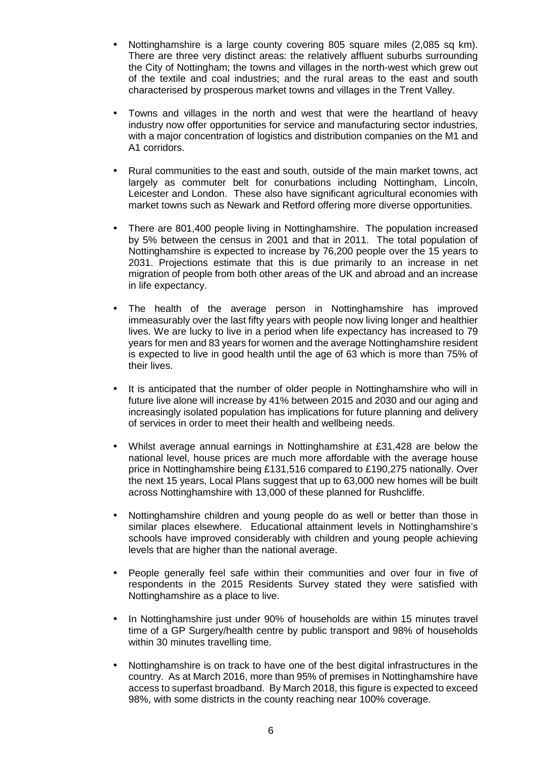- Nottinghamshire is a large county covering 805 square miles (2,085 sq km). There are three very distinct areas: the relatively affluent suburbs surrounding the City of Nottingham; the towns and villages in the north-west which grew out of the textile and coal industries; and the rural areas to the east and south characterised by prosperous market towns and villages in the Trent Valley.
- Towns and villages in the north and west that were the heartland of heavy industry now offer opportunities for service and manufacturing sector industries, with a major concentration of logistics and distribution companies on the M1 and A1 corridors.
- Rural communities to the east and south, outside of the main market towns, act largely as commuter belt for conurbations including Nottingham, Lincoln, Leicester and London. These also have significant agricultural economies with market towns such as Newark and Retford offering more diverse opportunities.
- There are 801,400 people living in Nottinghamshire. The population increased by 5% between the census in 2001 and that in 2011. The total population of Nottinghamshire is expected to increase by 76,200 people over the 15 years to 2031. Projections estimate that this is due primarily to an increase in net migration of people from both other areas of the UK and abroad and an increase in life expectancy.
- The health of the average person in Nottinghamshire has improved immeasurably over the last fifty years with people now living longer and healthier lives. We are lucky to live in a period when life expectancy has increased to 79 years for men and 83 years for women and the average Nottinghamshire resident is expected to live in good health until the age of 63 which is more than 75% of their lives.
- It is anticipated that the number of older people in Nottinghamshire who will in future live alone will increase by 41% between 2015 and 2030 and our aging and increasingly isolated population has implications for future planning and delivery of services in order to meet their health and wellbeing needs.
- Whilst average annual earnings in Nottinghamshire at £31,428 are below the national level, house prices are much more affordable with the average house price in Nottinghamshire being £131,516 compared to £190,275 nationally. Over the next 15 years, Local Plans suggest that up to 63,000 new homes will be built across Nottinghamshire with 13,000 of these planned for Rushcliffe.
- Nottinghamshire children and young people do as well or better than those in similar places elsewhere. Educational attainment levels in Nottinghamshire's schools have improved considerably with children and young people achieving levels that are higher than the national average.
- People generally feel safe within their communities and over four in five of respondents in the 2015 Residents Survey stated they were satisfied with Nottinghamshire as a place to live.
- In Nottinghamshire just under 90% of households are within 15 minutes travel time of a GP Surgery/health centre by public transport and 98% of households within 30 minutes travelling time.
- Nottinghamshire is on track to have one of the best digital infrastructures in the country. As at March 2016, more than 95% of premises in Nottinghamshire have access to superfast broadband. By March 2018, this figure is expected to exceed 98%, with some districts in the county reaching near 100% coverage.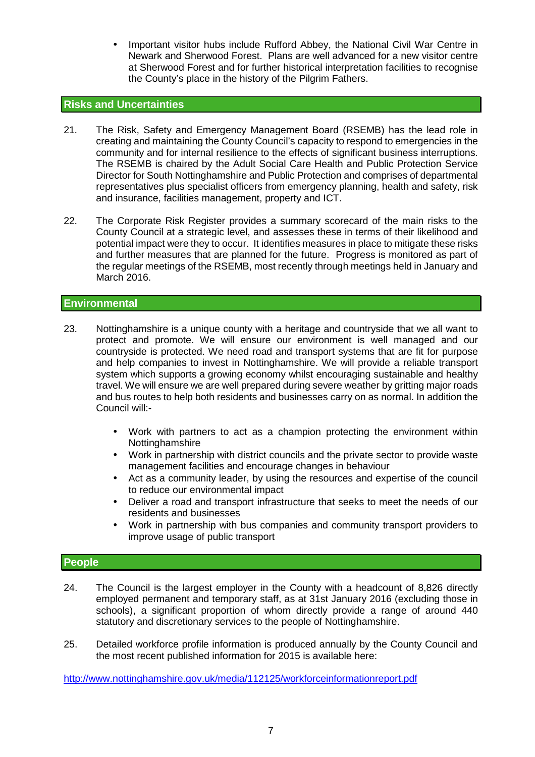• Important visitor hubs include Rufford Abbey, the National Civil War Centre in Newark and Sherwood Forest. Plans are well advanced for a new visitor centre at Sherwood Forest and for further historical interpretation facilities to recognise the County's place in the history of the Pilgrim Fathers.

#### **Risks and Uncertainties**

- 21. The Risk, Safety and Emergency Management Board (RSEMB) has the lead role in creating and maintaining the County Council's capacity to respond to emergencies in the community and for internal resilience to the effects of significant business interruptions. The RSEMB is chaired by the Adult Social Care Health and Public Protection Service Director for South Nottinghamshire and Public Protection and comprises of departmental representatives plus specialist officers from emergency planning, health and safety, risk and insurance, facilities management, property and ICT.
- 22. The Corporate Risk Register provides a summary scorecard of the main risks to the County Council at a strategic level, and assesses these in terms of their likelihood and potential impact were they to occur. It identifies measures in place to mitigate these risks and further measures that are planned for the future. Progress is monitored as part of the regular meetings of the RSEMB, most recently through meetings held in January and March 2016.

#### **Environmental**

- 23. Nottinghamshire is a unique county with a heritage and countryside that we all want to protect and promote. We will ensure our environment is well managed and our countryside is protected. We need road and transport systems that are fit for purpose and help companies to invest in Nottinghamshire. We will provide a reliable transport system which supports a growing economy whilst encouraging sustainable and healthy travel. We will ensure we are well prepared during severe weather by gritting major roads and bus routes to help both residents and businesses carry on as normal. In addition the Council will:-
	- Work with partners to act as a champion protecting the environment within **Nottinghamshire**
	- Work in partnership with district councils and the private sector to provide waste management facilities and encourage changes in behaviour
	- Act as a community leader, by using the resources and expertise of the council to reduce our environmental impact
	- Deliver a road and transport infrastructure that seeks to meet the needs of our residents and businesses
	- Work in partnership with bus companies and community transport providers to improve usage of public transport

#### **People**

- 24. The Council is the largest employer in the County with a headcount of 8,826 directly employed permanent and temporary staff, as at 31st January 2016 (excluding those in schools), a significant proportion of whom directly provide a range of around 440 statutory and discretionary services to the people of Nottinghamshire.
- 25. Detailed workforce profile information is produced annually by the County Council and the most recent published information for 2015 is available here:

http://www.nottinghamshire.gov.uk/media/112125/workforceinformationreport.pdf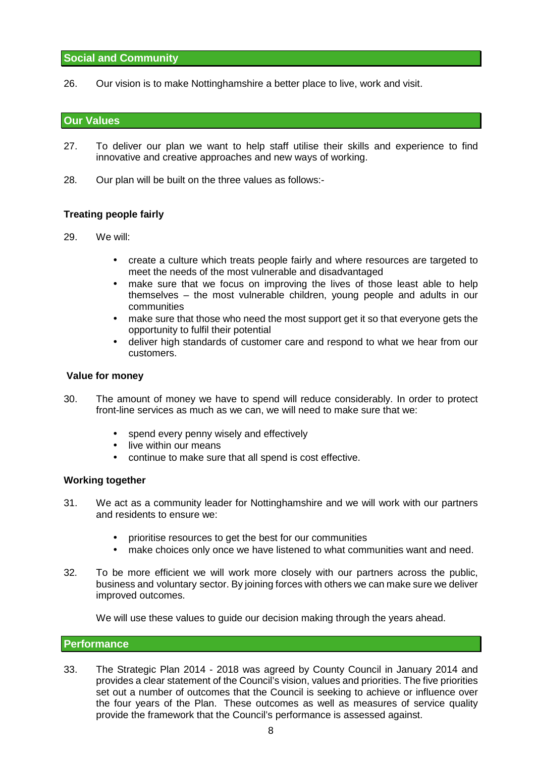#### **Social and Community**

26. Our vision is to make Nottinghamshire a better place to live, work and visit.

#### **Our Values**

- 27. To deliver our plan we want to help staff utilise their skills and experience to find innovative and creative approaches and new ways of working.
- 28. Our plan will be built on the three values as follows:-

#### **Treating people fairly**

- 29. We will:
	- create a culture which treats people fairly and where resources are targeted to meet the needs of the most vulnerable and disadvantaged
	- make sure that we focus on improving the lives of those least able to help themselves – the most vulnerable children, young people and adults in our communities
	- make sure that those who need the most support get it so that everyone gets the opportunity to fulfil their potential
	- deliver high standards of customer care and respond to what we hear from our customers.

#### **Value for money**

- 30. The amount of money we have to spend will reduce considerably. In order to protect front-line services as much as we can, we will need to make sure that we:
	- spend every penny wisely and effectively
	- live within our means
	- continue to make sure that all spend is cost effective.

#### **Working together**

- 31. We act as a community leader for Nottinghamshire and we will work with our partners and residents to ensure we:
	- prioritise resources to get the best for our communities
	- make choices only once we have listened to what communities want and need.
- 32. To be more efficient we will work more closely with our partners across the public, business and voluntary sector. By joining forces with others we can make sure we deliver improved outcomes.

We will use these values to quide our decision making through the years ahead.

#### **Performance**

33. The Strategic Plan 2014 - 2018 was agreed by County Council in January 2014 and provides a clear statement of the Council's vision, values and priorities. The five priorities set out a number of outcomes that the Council is seeking to achieve or influence over the four years of the Plan. These outcomes as well as measures of service quality provide the framework that the Council's performance is assessed against.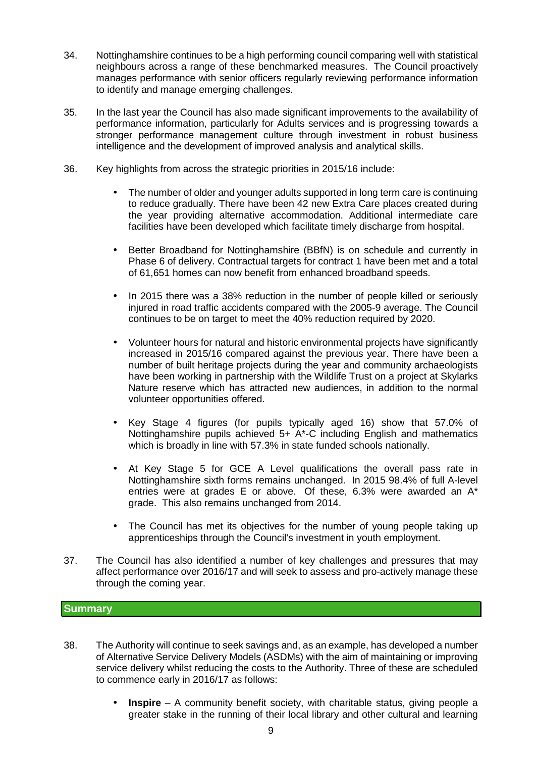- 34. Nottinghamshire continues to be a high performing council comparing well with statistical neighbours across a range of these benchmarked measures. The Council proactively manages performance with senior officers regularly reviewing performance information to identify and manage emerging challenges.
- 35. In the last year the Council has also made significant improvements to the availability of performance information, particularly for Adults services and is progressing towards a stronger performance management culture through investment in robust business intelligence and the development of improved analysis and analytical skills.
- 36. Key highlights from across the strategic priorities in 2015/16 include:
	- The number of older and vounger adults supported in long term care is continuing to reduce gradually. There have been 42 new Extra Care places created during the year providing alternative accommodation. Additional intermediate care facilities have been developed which facilitate timely discharge from hospital.
	- Better Broadband for Nottinghamshire (BBfN) is on schedule and currently in Phase 6 of delivery. Contractual targets for contract 1 have been met and a total of 61,651 homes can now benefit from enhanced broadband speeds.
	- In 2015 there was a 38% reduction in the number of people killed or seriously injured in road traffic accidents compared with the 2005-9 average. The Council continues to be on target to meet the 40% reduction required by 2020.
	- Volunteer hours for natural and historic environmental projects have significantly increased in 2015/16 compared against the previous year. There have been a number of built heritage projects during the year and community archaeologists have been working in partnership with the Wildlife Trust on a project at Skylarks Nature reserve which has attracted new audiences, in addition to the normal volunteer opportunities offered.
	- Key Stage 4 figures (for pupils typically aged 16) show that 57.0% of Nottinghamshire pupils achieved 5+ A\*-C including English and mathematics which is broadly in line with 57.3% in state funded schools nationally.
	- At Key Stage 5 for GCE A Level qualifications the overall pass rate in Nottinghamshire sixth forms remains unchanged. In 2015 98.4% of full A-level entries were at grades E or above. Of these,  $6.3\%$  were awarded an  $A^*$ grade. This also remains unchanged from 2014.
	- The Council has met its objectives for the number of young people taking up apprenticeships through the Council's investment in youth employment.
- 37. The Council has also identified a number of key challenges and pressures that may affect performance over 2016/17 and will seek to assess and pro-actively manage these through the coming year.

#### **Summary**

- 38. The Authority will continue to seek savings and, as an example, has developed a number of Alternative Service Delivery Models (ASDMs) with the aim of maintaining or improving service delivery whilst reducing the costs to the Authority. Three of these are scheduled to commence early in 2016/17 as follows:
	- **Inspire** A community benefit society, with charitable status, giving people a greater stake in the running of their local library and other cultural and learning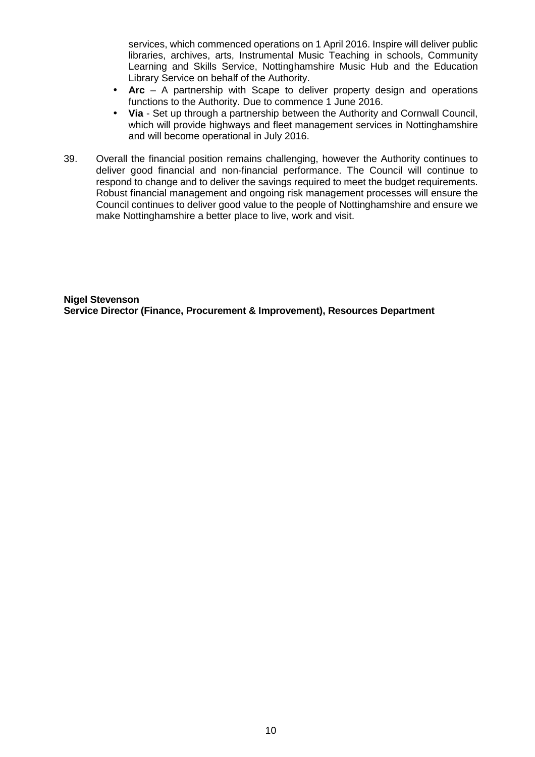services, which commenced operations on 1 April 2016. Inspire will deliver public libraries, archives, arts, Instrumental Music Teaching in schools, Community Learning and Skills Service, Nottinghamshire Music Hub and the Education Library Service on behalf of the Authority.

- **Arc** A partnership with Scape to deliver property design and operations functions to the Authority. Due to commence 1 June 2016.
- **Via** Set up through a partnership between the Authority and Cornwall Council, which will provide highways and fleet management services in Nottinghamshire and will become operational in July 2016.
- 39. Overall the financial position remains challenging, however the Authority continues to deliver good financial and non-financial performance. The Council will continue to respond to change and to deliver the savings required to meet the budget requirements. Robust financial management and ongoing risk management processes will ensure the Council continues to deliver good value to the people of Nottinghamshire and ensure we make Nottinghamshire a better place to live, work and visit.

**Nigel Stevenson Service Director (Finance, Procurement & Improvement), Resources Department**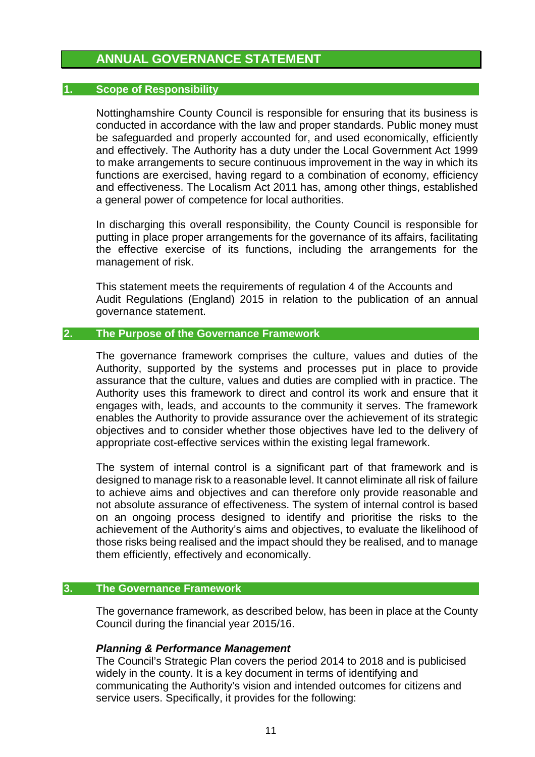### **ANNUAL GOVERNANCE STATEMENT**

#### **1. Scope of Responsibility**

Nottinghamshire County Council is responsible for ensuring that its business is conducted in accordance with the law and proper standards. Public money must be safeguarded and properly accounted for, and used economically, efficiently and effectively. The Authority has a duty under the Local Government Act 1999 to make arrangements to secure continuous improvement in the way in which its functions are exercised, having regard to a combination of economy, efficiency and effectiveness. The Localism Act 2011 has, among other things, established a general power of competence for local authorities.

In discharging this overall responsibility, the County Council is responsible for putting in place proper arrangements for the governance of its affairs, facilitating the effective exercise of its functions, including the arrangements for the management of risk.

This statement meets the requirements of regulation 4 of the Accounts and Audit Regulations (England) 2015 in relation to the publication of an annual governance statement.

#### **2. The Purpose of the Governance Framework**

The governance framework comprises the culture, values and duties of the Authority, supported by the systems and processes put in place to provide assurance that the culture, values and duties are complied with in practice. The Authority uses this framework to direct and control its work and ensure that it engages with, leads, and accounts to the community it serves. The framework enables the Authority to provide assurance over the achievement of its strategic objectives and to consider whether those objectives have led to the delivery of appropriate cost-effective services within the existing legal framework.

The system of internal control is a significant part of that framework and is designed to manage risk to a reasonable level. It cannot eliminate all risk of failure to achieve aims and objectives and can therefore only provide reasonable and not absolute assurance of effectiveness. The system of internal control is based on an ongoing process designed to identify and prioritise the risks to the achievement of the Authority's aims and objectives, to evaluate the likelihood of those risks being realised and the impact should they be realised, and to manage them efficiently, effectively and economically.

#### **3. The Governance Framework**

The governance framework, as described below, has been in place at the County Council during the financial year 2015/16.

#### **Planning & Performance Management**

The Council's Strategic Plan covers the period 2014 to 2018 and is publicised widely in the county. It is a key document in terms of identifying and communicating the Authority's vision and intended outcomes for citizens and service users. Specifically, it provides for the following: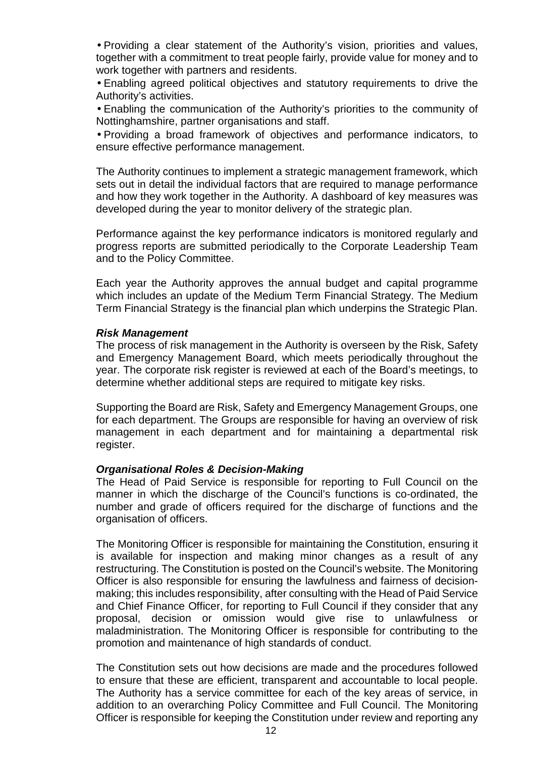• Providing a clear statement of the Authority's vision, priorities and values, together with a commitment to treat people fairly, provide value for money and to work together with partners and residents.

• Enabling agreed political objectives and statutory requirements to drive the Authority's activities.

• Enabling the communication of the Authority's priorities to the community of Nottinghamshire, partner organisations and staff.

• Providing a broad framework of objectives and performance indicators, to ensure effective performance management.

The Authority continues to implement a strategic management framework, which sets out in detail the individual factors that are required to manage performance and how they work together in the Authority. A dashboard of key measures was developed during the year to monitor delivery of the strategic plan.

Performance against the key performance indicators is monitored regularly and progress reports are submitted periodically to the Corporate Leadership Team and to the Policy Committee.

Each year the Authority approves the annual budget and capital programme which includes an update of the Medium Term Financial Strategy. The Medium Term Financial Strategy is the financial plan which underpins the Strategic Plan.

#### **Risk Management**

The process of risk management in the Authority is overseen by the Risk, Safety and Emergency Management Board, which meets periodically throughout the year. The corporate risk register is reviewed at each of the Board's meetings, to determine whether additional steps are required to mitigate key risks.

Supporting the Board are Risk, Safety and Emergency Management Groups, one for each department. The Groups are responsible for having an overview of risk management in each department and for maintaining a departmental risk register.

#### **Organisational Roles & Decision-Making**

The Head of Paid Service is responsible for reporting to Full Council on the manner in which the discharge of the Council's functions is co-ordinated, the number and grade of officers required for the discharge of functions and the organisation of officers.

The Monitoring Officer is responsible for maintaining the Constitution, ensuring it is available for inspection and making minor changes as a result of any restructuring. The Constitution is posted on the Council's website. The Monitoring Officer is also responsible for ensuring the lawfulness and fairness of decisionmaking; this includes responsibility, after consulting with the Head of Paid Service and Chief Finance Officer, for reporting to Full Council if they consider that any proposal, decision or omission would give rise to unlawfulness or maladministration. The Monitoring Officer is responsible for contributing to the promotion and maintenance of high standards of conduct.

The Constitution sets out how decisions are made and the procedures followed to ensure that these are efficient, transparent and accountable to local people. The Authority has a service committee for each of the key areas of service, in addition to an overarching Policy Committee and Full Council. The Monitoring Officer is responsible for keeping the Constitution under review and reporting any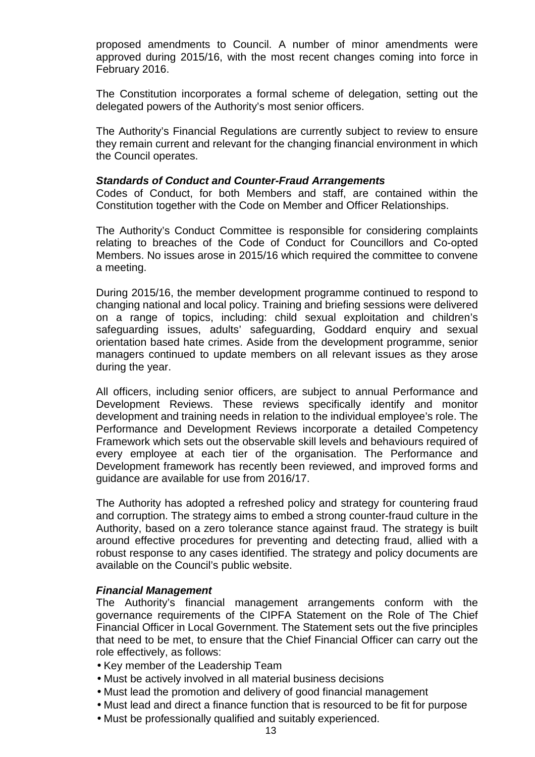proposed amendments to Council. A number of minor amendments were approved during 2015/16, with the most recent changes coming into force in February 2016.

The Constitution incorporates a formal scheme of delegation, setting out the delegated powers of the Authority's most senior officers.

The Authority's Financial Regulations are currently subject to review to ensure they remain current and relevant for the changing financial environment in which the Council operates.

#### **Standards of Conduct and Counter-Fraud Arrangements**

Codes of Conduct, for both Members and staff, are contained within the Constitution together with the Code on Member and Officer Relationships.

The Authority's Conduct Committee is responsible for considering complaints relating to breaches of the Code of Conduct for Councillors and Co-opted Members. No issues arose in 2015/16 which required the committee to convene a meeting.

During 2015/16, the member development programme continued to respond to changing national and local policy. Training and briefing sessions were delivered on a range of topics, including: child sexual exploitation and children's safeguarding issues, adults' safeguarding, Goddard enquiry and sexual orientation based hate crimes. Aside from the development programme, senior managers continued to update members on all relevant issues as they arose during the year.

All officers, including senior officers, are subject to annual Performance and Development Reviews. These reviews specifically identify and monitor development and training needs in relation to the individual employee's role. The Performance and Development Reviews incorporate a detailed Competency Framework which sets out the observable skill levels and behaviours required of every employee at each tier of the organisation. The Performance and Development framework has recently been reviewed, and improved forms and guidance are available for use from 2016/17.

The Authority has adopted a refreshed policy and strategy for countering fraud and corruption. The strategy aims to embed a strong counter-fraud culture in the Authority, based on a zero tolerance stance against fraud. The strategy is built around effective procedures for preventing and detecting fraud, allied with a robust response to any cases identified. The strategy and policy documents are available on the Council's public website.

#### **Financial Management**

The Authority's financial management arrangements conform with the governance requirements of the CIPFA Statement on the Role of The Chief Financial Officer in Local Government. The Statement sets out the five principles that need to be met, to ensure that the Chief Financial Officer can carry out the role effectively, as follows:

- Key member of the Leadership Team
- Must be actively involved in all material business decisions
- Must lead the promotion and delivery of good financial management
- Must lead and direct a finance function that is resourced to be fit for purpose
- Must be professionally qualified and suitably experienced.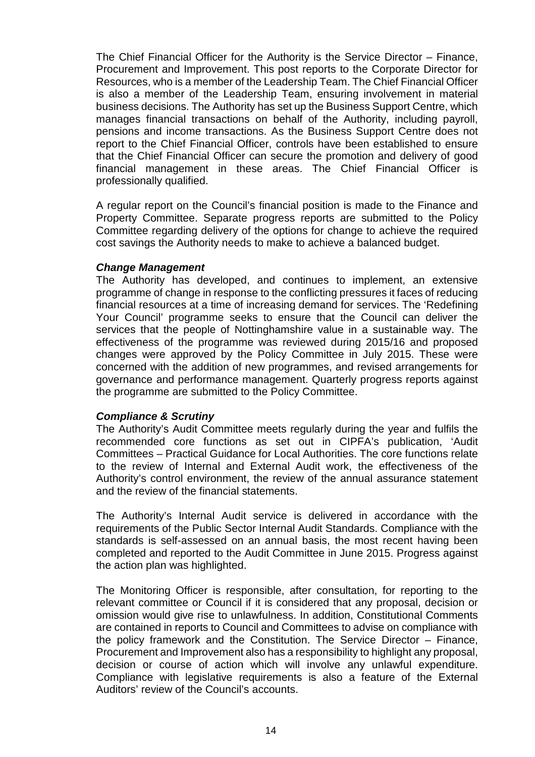The Chief Financial Officer for the Authority is the Service Director – Finance, Procurement and Improvement. This post reports to the Corporate Director for Resources, who is a member of the Leadership Team. The Chief Financial Officer is also a member of the Leadership Team, ensuring involvement in material business decisions. The Authority has set up the Business Support Centre, which manages financial transactions on behalf of the Authority, including payroll, pensions and income transactions. As the Business Support Centre does not report to the Chief Financial Officer, controls have been established to ensure that the Chief Financial Officer can secure the promotion and delivery of good financial management in these areas. The Chief Financial Officer is professionally qualified.

A regular report on the Council's financial position is made to the Finance and Property Committee. Separate progress reports are submitted to the Policy Committee regarding delivery of the options for change to achieve the required cost savings the Authority needs to make to achieve a balanced budget.

#### **Change Management**

The Authority has developed, and continues to implement, an extensive programme of change in response to the conflicting pressures it faces of reducing financial resources at a time of increasing demand for services. The 'Redefining Your Council' programme seeks to ensure that the Council can deliver the services that the people of Nottinghamshire value in a sustainable way. The effectiveness of the programme was reviewed during 2015/16 and proposed changes were approved by the Policy Committee in July 2015. These were concerned with the addition of new programmes, and revised arrangements for governance and performance management. Quarterly progress reports against the programme are submitted to the Policy Committee.

#### **Compliance & Scrutiny**

The Authority's Audit Committee meets regularly during the year and fulfils the recommended core functions as set out in CIPFA's publication, 'Audit Committees – Practical Guidance for Local Authorities. The core functions relate to the review of Internal and External Audit work, the effectiveness of the Authority's control environment, the review of the annual assurance statement and the review of the financial statements.

The Authority's Internal Audit service is delivered in accordance with the requirements of the Public Sector Internal Audit Standards. Compliance with the standards is self-assessed on an annual basis, the most recent having been completed and reported to the Audit Committee in June 2015. Progress against the action plan was highlighted.

The Monitoring Officer is responsible, after consultation, for reporting to the relevant committee or Council if it is considered that any proposal, decision or omission would give rise to unlawfulness. In addition, Constitutional Comments are contained in reports to Council and Committees to advise on compliance with the policy framework and the Constitution. The Service Director – Finance, Procurement and Improvement also has a responsibility to highlight any proposal, decision or course of action which will involve any unlawful expenditure. Compliance with legislative requirements is also a feature of the External Auditors' review of the Council's accounts.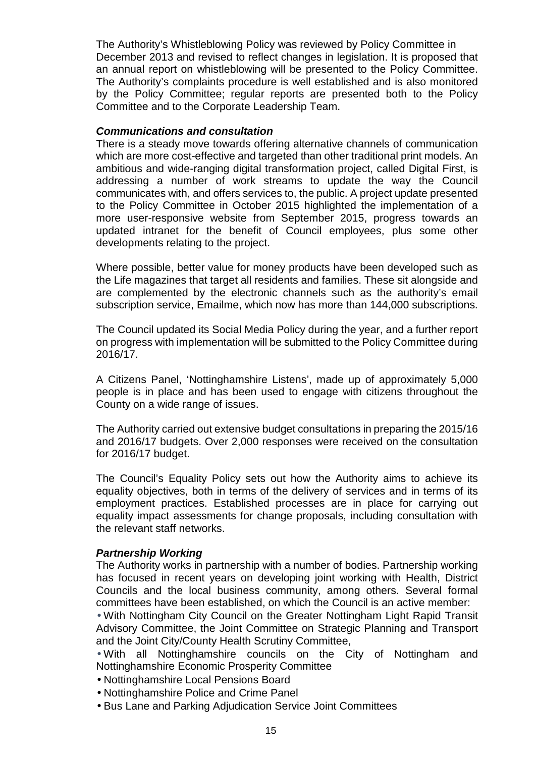The Authority's Whistleblowing Policy was reviewed by Policy Committee in December 2013 and revised to reflect changes in legislation. It is proposed that an annual report on whistleblowing will be presented to the Policy Committee. The Authority's complaints procedure is well established and is also monitored by the Policy Committee; regular reports are presented both to the Policy Committee and to the Corporate Leadership Team.

#### **Communications and consultation**

There is a steady move towards offering alternative channels of communication which are more cost-effective and targeted than other traditional print models. An ambitious and wide-ranging digital transformation project, called Digital First, is addressing a number of work streams to update the way the Council communicates with, and offers services to, the public. A project update presented to the Policy Committee in October 2015 highlighted the implementation of a more user-responsive website from September 2015, progress towards an updated intranet for the benefit of Council employees, plus some other developments relating to the project.

Where possible, better value for money products have been developed such as the Life magazines that target all residents and families. These sit alongside and are complemented by the electronic channels such as the authority's email subscription service, Emailme, which now has more than 144,000 subscriptions.

The Council updated its Social Media Policy during the year, and a further report on progress with implementation will be submitted to the Policy Committee during 2016/17.

A Citizens Panel, 'Nottinghamshire Listens', made up of approximately 5,000 people is in place and has been used to engage with citizens throughout the County on a wide range of issues.

The Authority carried out extensive budget consultations in preparing the 2015/16 and 2016/17 budgets. Over 2,000 responses were received on the consultation for 2016/17 budget.

The Council's Equality Policy sets out how the Authority aims to achieve its equality objectives, both in terms of the delivery of services and in terms of its employment practices. Established processes are in place for carrying out equality impact assessments for change proposals, including consultation with the relevant staff networks.

#### **Partnership Working**

The Authority works in partnership with a number of bodies. Partnership working has focused in recent years on developing joint working with Health, District Councils and the local business community, among others. Several formal committees have been established, on which the Council is an active member:

• With Nottingham City Council on the Greater Nottingham Light Rapid Transit Advisory Committee, the Joint Committee on Strategic Planning and Transport and the Joint City/County Health Scrutiny Committee,

• With all Nottinghamshire councils on the City of Nottingham and Nottinghamshire Economic Prosperity Committee

- Nottinghamshire Local Pensions Board
- Nottinghamshire Police and Crime Panel
- Bus Lane and Parking Adjudication Service Joint Committees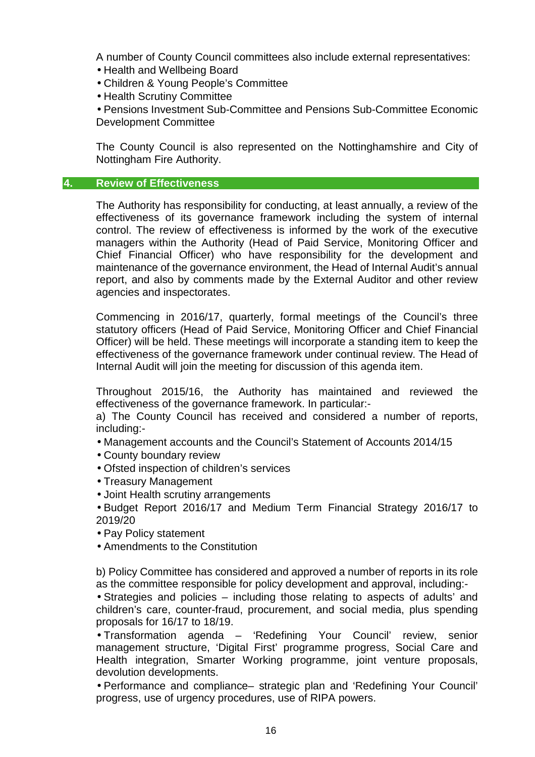A number of County Council committees also include external representatives:

- Health and Wellbeing Board
- Children & Young People's Committee
- Health Scrutiny Committee

• Pensions Investment Sub-Committee and Pensions Sub-Committee Economic Development Committee

The County Council is also represented on the Nottinghamshire and City of Nottingham Fire Authority.

#### **4. Review of Effectiveness**

The Authority has responsibility for conducting, at least annually, a review of the effectiveness of its governance framework including the system of internal control. The review of effectiveness is informed by the work of the executive managers within the Authority (Head of Paid Service, Monitoring Officer and Chief Financial Officer) who have responsibility for the development and maintenance of the governance environment, the Head of Internal Audit's annual report, and also by comments made by the External Auditor and other review agencies and inspectorates.

Commencing in 2016/17, quarterly, formal meetings of the Council's three statutory officers (Head of Paid Service, Monitoring Officer and Chief Financial Officer) will be held. These meetings will incorporate a standing item to keep the effectiveness of the governance framework under continual review. The Head of Internal Audit will join the meeting for discussion of this agenda item.

Throughout 2015/16, the Authority has maintained and reviewed the effectiveness of the governance framework. In particular:-

a) The County Council has received and considered a number of reports, including:-

- Management accounts and the Council's Statement of Accounts 2014/15
- County boundary review
- Ofsted inspection of children's services
- Treasury Management
- Joint Health scrutiny arrangements

• Budget Report 2016/17 and Medium Term Financial Strategy 2016/17 to 2019/20

- Pay Policy statement
- Amendments to the Constitution

b) Policy Committee has considered and approved a number of reports in its role as the committee responsible for policy development and approval, including:-

• Strategies and policies – including those relating to aspects of adults' and children's care, counter-fraud, procurement, and social media, plus spending proposals for 16/17 to 18/19.

• Transformation agenda – 'Redefining Your Council' review, senior management structure, 'Digital First' programme progress, Social Care and Health integration, Smarter Working programme, joint venture proposals, devolution developments.

• Performance and compliance– strategic plan and 'Redefining Your Council' progress, use of urgency procedures, use of RIPA powers.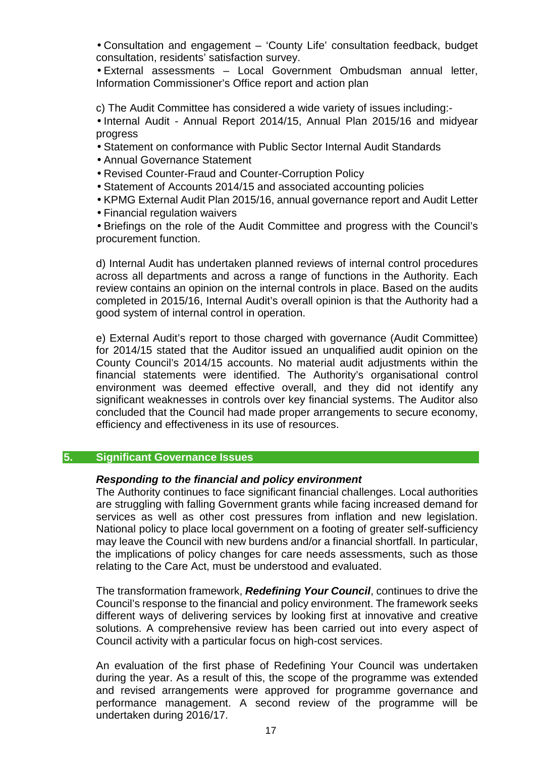• Consultation and engagement – 'County Life' consultation feedback, budget consultation, residents' satisfaction survey.

• External assessments – Local Government Ombudsman annual letter, Information Commissioner's Office report and action plan

c) The Audit Committee has considered a wide variety of issues including:-

• Internal Audit - Annual Report 2014/15, Annual Plan 2015/16 and midyear progress

- Statement on conformance with Public Sector Internal Audit Standards
- Annual Governance Statement
- Revised Counter-Fraud and Counter-Corruption Policy
- Statement of Accounts 2014/15 and associated accounting policies
- KPMG External Audit Plan 2015/16, annual governance report and Audit Letter
- Financial regulation waivers

• Briefings on the role of the Audit Committee and progress with the Council's procurement function.

d) Internal Audit has undertaken planned reviews of internal control procedures across all departments and across a range of functions in the Authority. Each review contains an opinion on the internal controls in place. Based on the audits completed in 2015/16, Internal Audit's overall opinion is that the Authority had a good system of internal control in operation.

e) External Audit's report to those charged with governance (Audit Committee) for 2014/15 stated that the Auditor issued an unqualified audit opinion on the County Council's 2014/15 accounts. No material audit adjustments within the financial statements were identified. The Authority's organisational control environment was deemed effective overall, and they did not identify any significant weaknesses in controls over key financial systems. The Auditor also concluded that the Council had made proper arrangements to secure economy, efficiency and effectiveness in its use of resources.

#### **5. Significant Governance Issues**

#### **Responding to the financial and policy environment**

The Authority continues to face significant financial challenges. Local authorities are struggling with falling Government grants while facing increased demand for services as well as other cost pressures from inflation and new legislation. National policy to place local government on a footing of greater self-sufficiency may leave the Council with new burdens and/or a financial shortfall. In particular, the implications of policy changes for care needs assessments, such as those relating to the Care Act, must be understood and evaluated.

The transformation framework, **Redefining Your Council**, continues to drive the Council's response to the financial and policy environment. The framework seeks different ways of delivering services by looking first at innovative and creative solutions. A comprehensive review has been carried out into every aspect of Council activity with a particular focus on high-cost services.

An evaluation of the first phase of Redefining Your Council was undertaken during the year. As a result of this, the scope of the programme was extended and revised arrangements were approved for programme governance and performance management. A second review of the programme will be undertaken during 2016/17.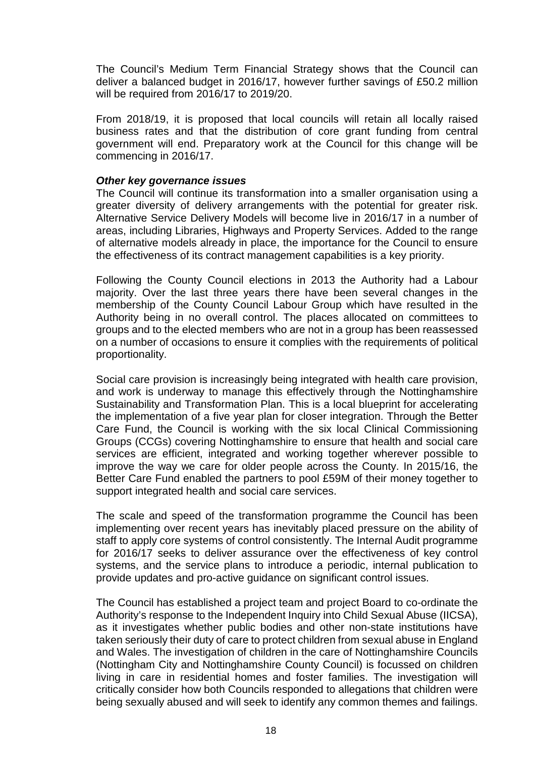The Council's Medium Term Financial Strategy shows that the Council can deliver a balanced budget in 2016/17, however further savings of £50.2 million will be required from 2016/17 to 2019/20.

From 2018/19, it is proposed that local councils will retain all locally raised business rates and that the distribution of core grant funding from central government will end. Preparatory work at the Council for this change will be commencing in 2016/17.

#### **Other key governance issues**

The Council will continue its transformation into a smaller organisation using a greater diversity of delivery arrangements with the potential for greater risk. Alternative Service Delivery Models will become live in 2016/17 in a number of areas, including Libraries, Highways and Property Services. Added to the range of alternative models already in place, the importance for the Council to ensure the effectiveness of its contract management capabilities is a key priority.

Following the County Council elections in 2013 the Authority had a Labour majority. Over the last three years there have been several changes in the membership of the County Council Labour Group which have resulted in the Authority being in no overall control. The places allocated on committees to groups and to the elected members who are not in a group has been reassessed on a number of occasions to ensure it complies with the requirements of political proportionality.

Social care provision is increasingly being integrated with health care provision, and work is underway to manage this effectively through the Nottinghamshire Sustainability and Transformation Plan. This is a local blueprint for accelerating the implementation of a five year plan for closer integration. Through the Better Care Fund, the Council is working with the six local Clinical Commissioning Groups (CCGs) covering Nottinghamshire to ensure that health and social care services are efficient, integrated and working together wherever possible to improve the way we care for older people across the County. In 2015/16, the Better Care Fund enabled the partners to pool £59M of their money together to support integrated health and social care services.

The scale and speed of the transformation programme the Council has been implementing over recent years has inevitably placed pressure on the ability of staff to apply core systems of control consistently. The Internal Audit programme for 2016/17 seeks to deliver assurance over the effectiveness of key control systems, and the service plans to introduce a periodic, internal publication to provide updates and pro-active guidance on significant control issues.

The Council has established a project team and project Board to co-ordinate the Authority's response to the Independent Inquiry into Child Sexual Abuse (IICSA), as it investigates whether public bodies and other non-state institutions have taken seriously their duty of care to protect children from sexual abuse in England and Wales. The investigation of children in the care of Nottinghamshire Councils (Nottingham City and Nottinghamshire County Council) is focussed on children living in care in residential homes and foster families. The investigation will critically consider how both Councils responded to allegations that children were being sexually abused and will seek to identify any common themes and failings.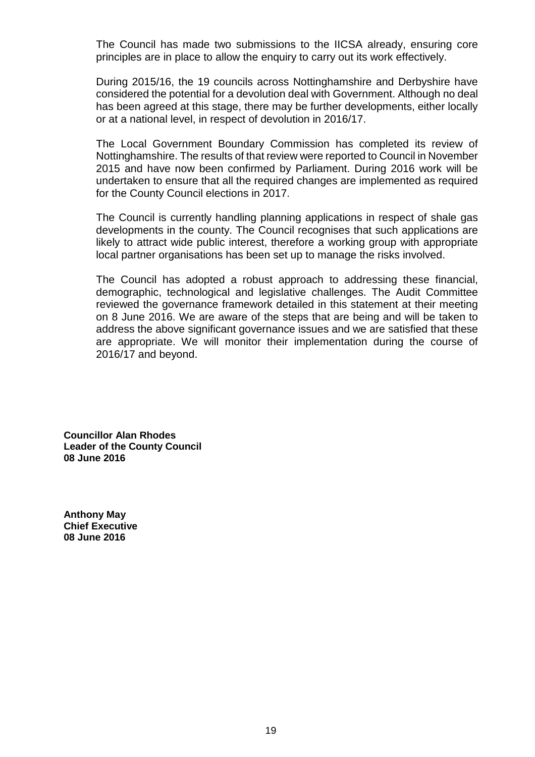The Council has made two submissions to the IICSA already, ensuring core principles are in place to allow the enquiry to carry out its work effectively.

During 2015/16, the 19 councils across Nottinghamshire and Derbyshire have considered the potential for a devolution deal with Government. Although no deal has been agreed at this stage, there may be further developments, either locally or at a national level, in respect of devolution in 2016/17.

The Local Government Boundary Commission has completed its review of Nottinghamshire. The results of that review were reported to Council in November 2015 and have now been confirmed by Parliament. During 2016 work will be undertaken to ensure that all the required changes are implemented as required for the County Council elections in 2017.

The Council is currently handling planning applications in respect of shale gas developments in the county. The Council recognises that such applications are likely to attract wide public interest, therefore a working group with appropriate local partner organisations has been set up to manage the risks involved.

The Council has adopted a robust approach to addressing these financial, demographic, technological and legislative challenges. The Audit Committee reviewed the governance framework detailed in this statement at their meeting on 8 June 2016. We are aware of the steps that are being and will be taken to address the above significant governance issues and we are satisfied that these are appropriate. We will monitor their implementation during the course of 2016/17 and beyond.

**Councillor Alan Rhodes Leader of the County Council 08 June 2016** 

**Anthony May Chief Executive 08 June 2016**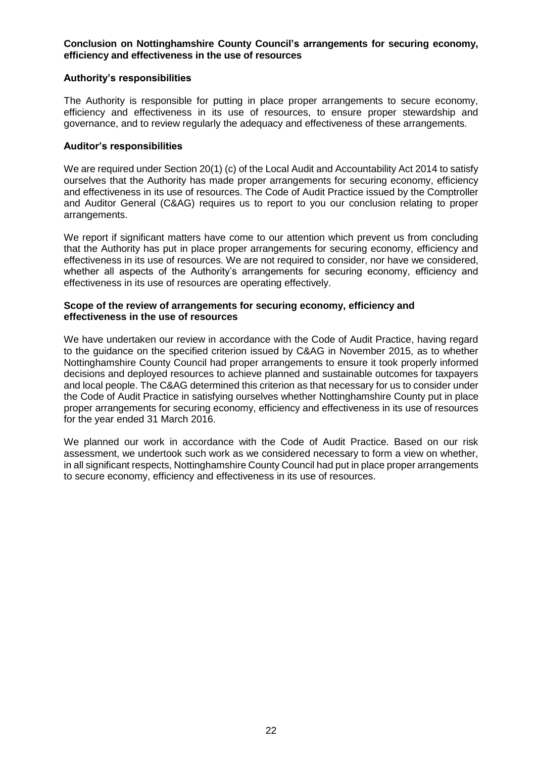#### **Conclusion on Nottinghamshire County Council's arrangements for securing economy, efficiency and effectiveness in the use of resources**

#### **Authority's responsibilities**

The Authority is responsible for putting in place proper arrangements to secure economy, efficiency and effectiveness in its use of resources, to ensure proper stewardship and governance, and to review regularly the adequacy and effectiveness of these arrangements.

#### **Auditor's responsibilities**

We are required under Section 20(1) (c) of the Local Audit and Accountability Act 2014 to satisfy ourselves that the Authority has made proper arrangements for securing economy, efficiency and effectiveness in its use of resources. The Code of Audit Practice issued by the Comptroller and Auditor General (C&AG) requires us to report to you our conclusion relating to proper arrangements.

We report if significant matters have come to our attention which prevent us from concluding that the Authority has put in place proper arrangements for securing economy, efficiency and effectiveness in its use of resources. We are not required to consider, nor have we considered, whether all aspects of the Authority's arrangements for securing economy, efficiency and effectiveness in its use of resources are operating effectively.

#### **Scope of the review of arrangements for securing economy, efficiency and effectiveness in the use of resources**

We have undertaken our review in accordance with the Code of Audit Practice, having regard to the guidance on the specified criterion issued by C&AG in November 2015, as to whether Nottinghamshire County Council had proper arrangements to ensure it took properly informed decisions and deployed resources to achieve planned and sustainable outcomes for taxpayers and local people. The C&AG determined this criterion as that necessary for us to consider under the Code of Audit Practice in satisfying ourselves whether Nottinghamshire County put in place proper arrangements for securing economy, efficiency and effectiveness in its use of resources for the year ended 31 March 2016.

We planned our work in accordance with the Code of Audit Practice. Based on our risk assessment, we undertook such work as we considered necessary to form a view on whether, in all significant respects, Nottinghamshire County Council had put in place proper arrangements to secure economy, efficiency and effectiveness in its use of resources.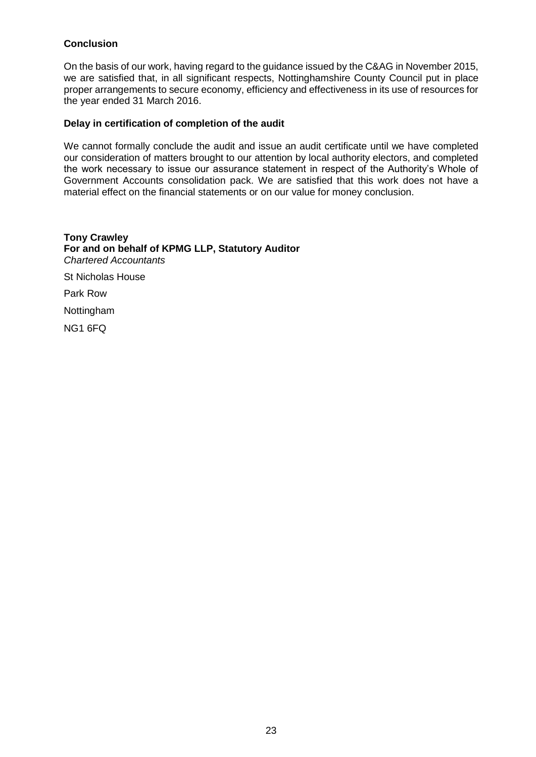#### **Conclusion**

On the basis of our work, having regard to the guidance issued by the C&AG in November 2015, we are satisfied that, in all significant respects, Nottinghamshire County Council put in place proper arrangements to secure economy, efficiency and effectiveness in its use of resources for the year ended 31 March 2016.

#### **Delay in certification of completion of the audit**

We cannot formally conclude the audit and issue an audit certificate until we have completed our consideration of matters brought to our attention by local authority electors, and completed the work necessary to issue our assurance statement in respect of the Authority's Whole of Government Accounts consolidation pack. We are satisfied that this work does not have a material effect on the financial statements or on our value for money conclusion.

**Tony Crawley For and on behalf of KPMG LLP, Statutory Auditor** *Chartered Accountants* St Nicholas House Park Row Nottingham NG1 6FQ 28 September 2016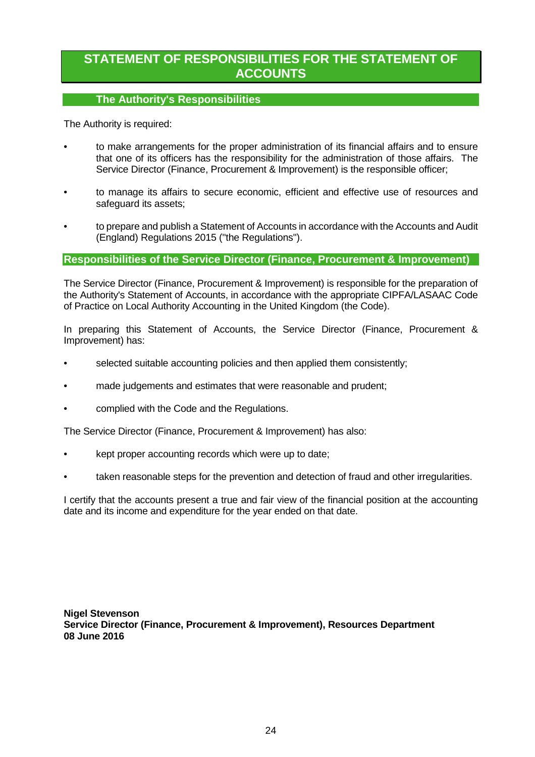## **STATEMENT OF RESPONSIBILITIES FOR THE STATEMENT OF ACCOUNTS**

#### **The Authority's Responsibilities**

The Authority is required:

- to make arrangements for the proper administration of its financial affairs and to ensure that one of its officers has the responsibility for the administration of those affairs. The Service Director (Finance, Procurement & Improvement) is the responsible officer;
- to manage its affairs to secure economic, efficient and effective use of resources and safeguard its assets;
- to prepare and publish a Statement of Accounts in accordance with the Accounts and Audit (England) Regulations 2015 ("the Regulations").

#### **Responsibilities of the Service Director (Finance, Procurement & Improvement)**

The Service Director (Finance, Procurement & Improvement) is responsible for the preparation of the Authority's Statement of Accounts, in accordance with the appropriate CIPFA/LASAAC Code of Practice on Local Authority Accounting in the United Kingdom (the Code).

In preparing this Statement of Accounts, the Service Director (Finance, Procurement & Improvement) has:

- selected suitable accounting policies and then applied them consistently;
- made judgements and estimates that were reasonable and prudent;
- complied with the Code and the Regulations.

The Service Director (Finance, Procurement & Improvement) has also:

- kept proper accounting records which were up to date;
- taken reasonable steps for the prevention and detection of fraud and other irregularities.

I certify that the accounts present a true and fair view of the financial position at the accounting date and its income and expenditure for the year ended on that date.

**Nigel Stevenson Service Director (Finance, Procurement & Improvement), Resources Department 08 June 2016**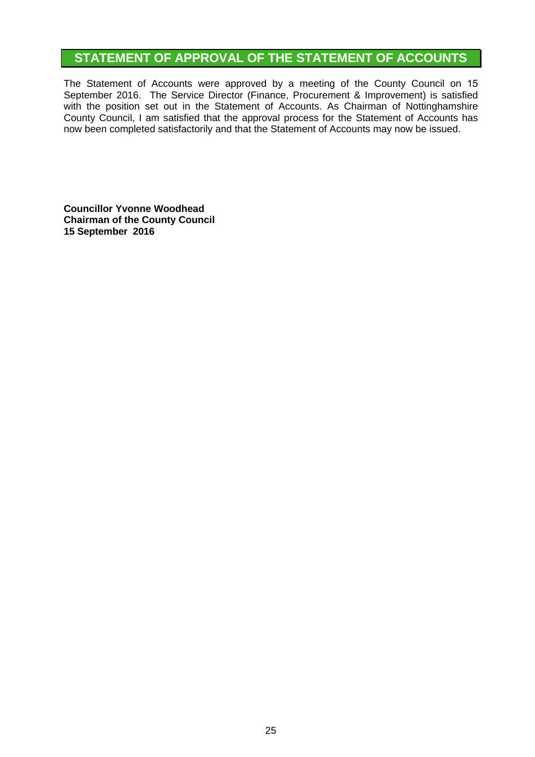## **STATEMENT OF APPROVAL OF THE STATEMENT OF ACCOUNTS**

The Statement of Accounts were approved by a meeting of the County Council on 15 September 2016. The Service Director (Finance, Procurement & Improvement) is satisfied with the position set out in the Statement of Accounts. As Chairman of Nottinghamshire County Council, I am satisfied that the approval process for the Statement of Accounts has now been completed satisfactorily and that the Statement of Accounts may now be issued.

**Councillor Yvonne Woodhead Chairman of the County Council 15 September 2016**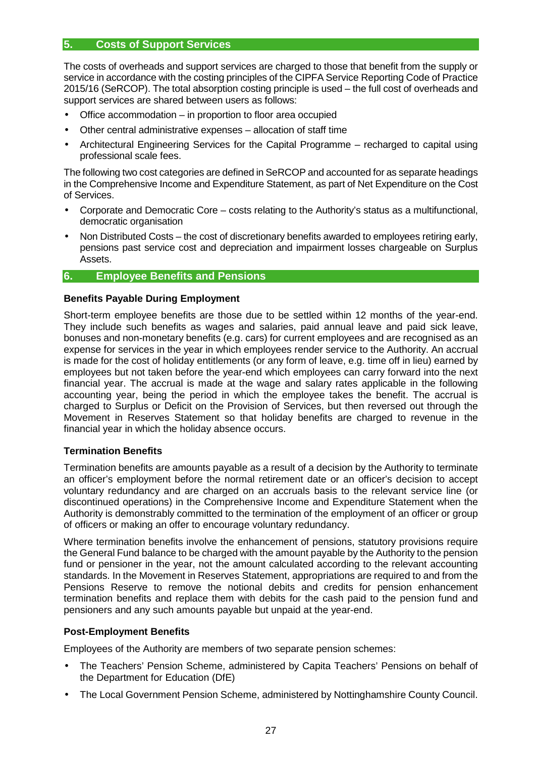#### **5. Costs of Support Services**

The costs of overheads and support services are charged to those that benefit from the supply or service in accordance with the costing principles of the CIPFA Service Reporting Code of Practice 2015/16 (SeRCOP). The total absorption costing principle is used – the full cost of overheads and support services are shared between users as follows:

- Office accommodation in proportion to floor area occupied
- Other central administrative expenses allocation of staff time
- Architectural Engineering Services for the Capital Programme recharged to capital using professional scale fees.

The following two cost categories are defined in SeRCOP and accounted for as separate headings in the Comprehensive Income and Expenditure Statement, as part of Net Expenditure on the Cost of Services.

- Corporate and Democratic Core costs relating to the Authority's status as a multifunctional, democratic organisation
- Non Distributed Costs the cost of discretionary benefits awarded to employees retiring early, pensions past service cost and depreciation and impairment losses chargeable on Surplus Assets.

#### **6. Employee Benefits and Pensions**

#### **Benefits Payable During Employment**

Short-term employee benefits are those due to be settled within 12 months of the year-end. They include such benefits as wages and salaries, paid annual leave and paid sick leave, bonuses and non-monetary benefits (e.g. cars) for current employees and are recognised as an expense for services in the year in which employees render service to the Authority. An accrual is made for the cost of holiday entitlements (or any form of leave, e.g. time off in lieu) earned by employees but not taken before the year-end which employees can carry forward into the next financial year. The accrual is made at the wage and salary rates applicable in the following accounting year, being the period in which the employee takes the benefit. The accrual is charged to Surplus or Deficit on the Provision of Services, but then reversed out through the Movement in Reserves Statement so that holiday benefits are charged to revenue in the financial year in which the holiday absence occurs.

#### **Termination Benefits**

Termination benefits are amounts payable as a result of a decision by the Authority to terminate an officer's employment before the normal retirement date or an officer's decision to accept voluntary redundancy and are charged on an accruals basis to the relevant service line (or discontinued operations) in the Comprehensive Income and Expenditure Statement when the Authority is demonstrably committed to the termination of the employment of an officer or group of officers or making an offer to encourage voluntary redundancy.

Where termination benefits involve the enhancement of pensions, statutory provisions require the General Fund balance to be charged with the amount payable by the Authority to the pension fund or pensioner in the year, not the amount calculated according to the relevant accounting standards. In the Movement in Reserves Statement, appropriations are required to and from the Pensions Reserve to remove the notional debits and credits for pension enhancement termination benefits and replace them with debits for the cash paid to the pension fund and pensioners and any such amounts payable but unpaid at the year-end.

#### **Post-Employment Benefits**

Employees of the Authority are members of two separate pension schemes:

- The Teachers' Pension Scheme, administered by Capita Teachers' Pensions on behalf of the Department for Education (DfE)
- The Local Government Pension Scheme, administered by Nottinghamshire County Council.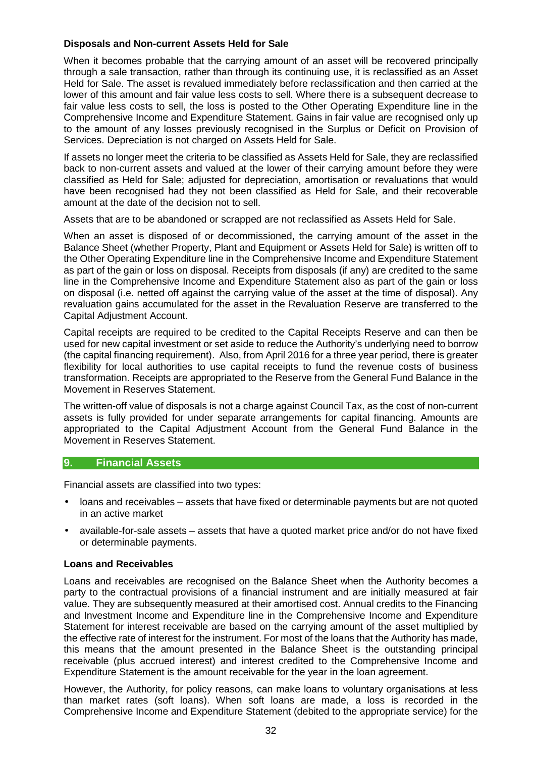#### **Disposals and Non-current Assets Held for Sale**

When it becomes probable that the carrying amount of an asset will be recovered principally through a sale transaction, rather than through its continuing use, it is reclassified as an Asset Held for Sale. The asset is revalued immediately before reclassification and then carried at the lower of this amount and fair value less costs to sell. Where there is a subsequent decrease to fair value less costs to sell, the loss is posted to the Other Operating Expenditure line in the Comprehensive Income and Expenditure Statement. Gains in fair value are recognised only up to the amount of any losses previously recognised in the Surplus or Deficit on Provision of Services. Depreciation is not charged on Assets Held for Sale.

If assets no longer meet the criteria to be classified as Assets Held for Sale, they are reclassified back to non-current assets and valued at the lower of their carrying amount before they were classified as Held for Sale; adjusted for depreciation, amortisation or revaluations that would have been recognised had they not been classified as Held for Sale, and their recoverable amount at the date of the decision not to sell.

Assets that are to be abandoned or scrapped are not reclassified as Assets Held for Sale.

When an asset is disposed of or decommissioned, the carrying amount of the asset in the Balance Sheet (whether Property, Plant and Equipment or Assets Held for Sale) is written off to the Other Operating Expenditure line in the Comprehensive Income and Expenditure Statement as part of the gain or loss on disposal. Receipts from disposals (if any) are credited to the same line in the Comprehensive Income and Expenditure Statement also as part of the gain or loss on disposal (i.e. netted off against the carrying value of the asset at the time of disposal). Any revaluation gains accumulated for the asset in the Revaluation Reserve are transferred to the Capital Adjustment Account.

Capital receipts are required to be credited to the Capital Receipts Reserve and can then be used for new capital investment or set aside to reduce the Authority's underlying need to borrow (the capital financing requirement). Also, from April 2016 for a three year period, there is greater flexibility for local authorities to use capital receipts to fund the revenue costs of business transformation. Receipts are appropriated to the Reserve from the General Fund Balance in the Movement in Reserves Statement.

The written-off value of disposals is not a charge against Council Tax, as the cost of non-current assets is fully provided for under separate arrangements for capital financing. Amounts are appropriated to the Capital Adjustment Account from the General Fund Balance in the Movement in Reserves Statement.

#### **9. Financial Assets**

Financial assets are classified into two types:

- loans and receivables assets that have fixed or determinable payments but are not quoted in an active market
- available-for-sale assets assets that have a quoted market price and/or do not have fixed or determinable payments.

#### **Loans and Receivables**

Loans and receivables are recognised on the Balance Sheet when the Authority becomes a party to the contractual provisions of a financial instrument and are initially measured at fair value. They are subsequently measured at their amortised cost. Annual credits to the Financing and Investment Income and Expenditure line in the Comprehensive Income and Expenditure Statement for interest receivable are based on the carrying amount of the asset multiplied by the effective rate of interest for the instrument. For most of the loans that the Authority has made, this means that the amount presented in the Balance Sheet is the outstanding principal receivable (plus accrued interest) and interest credited to the Comprehensive Income and Expenditure Statement is the amount receivable for the year in the loan agreement.

However, the Authority, for policy reasons, can make loans to voluntary organisations at less than market rates (soft loans). When soft loans are made, a loss is recorded in the Comprehensive Income and Expenditure Statement (debited to the appropriate service) for the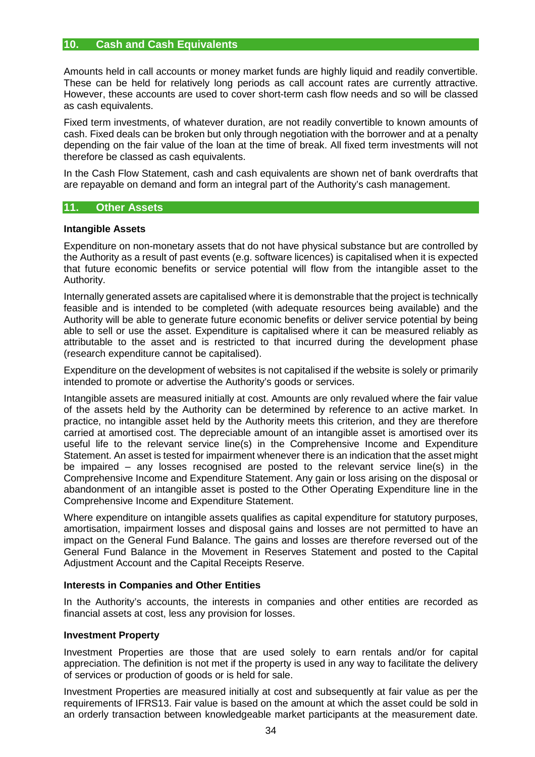#### **10. Cash and Cash Equivalents**

Amounts held in call accounts or money market funds are highly liquid and readily convertible. These can be held for relatively long periods as call account rates are currently attractive. However, these accounts are used to cover short-term cash flow needs and so will be classed as cash equivalents.

Fixed term investments, of whatever duration, are not readily convertible to known amounts of cash. Fixed deals can be broken but only through negotiation with the borrower and at a penalty depending on the fair value of the loan at the time of break. All fixed term investments will not therefore be classed as cash equivalents.

In the Cash Flow Statement, cash and cash equivalents are shown net of bank overdrafts that are repayable on demand and form an integral part of the Authority's cash management.

#### **11. Other Assets**

#### **Intangible Assets**

Expenditure on non-monetary assets that do not have physical substance but are controlled by the Authority as a result of past events (e.g. software licences) is capitalised when it is expected that future economic benefits or service potential will flow from the intangible asset to the Authority.

Internally generated assets are capitalised where it is demonstrable that the project is technically feasible and is intended to be completed (with adequate resources being available) and the Authority will be able to generate future economic benefits or deliver service potential by being able to sell or use the asset. Expenditure is capitalised where it can be measured reliably as attributable to the asset and is restricted to that incurred during the development phase (research expenditure cannot be capitalised).

Expenditure on the development of websites is not capitalised if the website is solely or primarily intended to promote or advertise the Authority's goods or services.

Intangible assets are measured initially at cost. Amounts are only revalued where the fair value of the assets held by the Authority can be determined by reference to an active market. In practice, no intangible asset held by the Authority meets this criterion, and they are therefore carried at amortised cost. The depreciable amount of an intangible asset is amortised over its useful life to the relevant service line(s) in the Comprehensive Income and Expenditure Statement. An asset is tested for impairment whenever there is an indication that the asset might be impaired – any losses recognised are posted to the relevant service line(s) in the Comprehensive Income and Expenditure Statement. Any gain or loss arising on the disposal or abandonment of an intangible asset is posted to the Other Operating Expenditure line in the Comprehensive Income and Expenditure Statement.

Where expenditure on intangible assets qualifies as capital expenditure for statutory purposes, amortisation, impairment losses and disposal gains and losses are not permitted to have an impact on the General Fund Balance. The gains and losses are therefore reversed out of the General Fund Balance in the Movement in Reserves Statement and posted to the Capital Adjustment Account and the Capital Receipts Reserve.

#### **Interests in Companies and Other Entities**

In the Authority's accounts, the interests in companies and other entities are recorded as financial assets at cost, less any provision for losses.

#### **Investment Property**

Investment Properties are those that are used solely to earn rentals and/or for capital appreciation. The definition is not met if the property is used in any way to facilitate the delivery of services or production of goods or is held for sale.

Investment Properties are measured initially at cost and subsequently at fair value as per the requirements of IFRS13. Fair value is based on the amount at which the asset could be sold in an orderly transaction between knowledgeable market participants at the measurement date.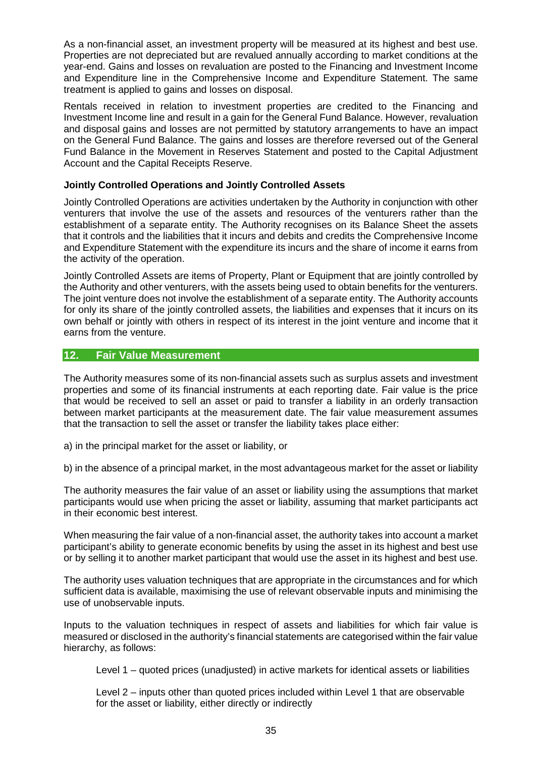As a non-financial asset, an investment property will be measured at its highest and best use. Properties are not depreciated but are revalued annually according to market conditions at the year-end. Gains and losses on revaluation are posted to the Financing and Investment Income and Expenditure line in the Comprehensive Income and Expenditure Statement. The same treatment is applied to gains and losses on disposal.

Rentals received in relation to investment properties are credited to the Financing and Investment Income line and result in a gain for the General Fund Balance. However, revaluation and disposal gains and losses are not permitted by statutory arrangements to have an impact on the General Fund Balance. The gains and losses are therefore reversed out of the General Fund Balance in the Movement in Reserves Statement and posted to the Capital Adjustment Account and the Capital Receipts Reserve.

#### **Jointly Controlled Operations and Jointly Controlled Assets**

Jointly Controlled Operations are activities undertaken by the Authority in conjunction with other venturers that involve the use of the assets and resources of the venturers rather than the establishment of a separate entity. The Authority recognises on its Balance Sheet the assets that it controls and the liabilities that it incurs and debits and credits the Comprehensive Income and Expenditure Statement with the expenditure its incurs and the share of income it earns from the activity of the operation.

Jointly Controlled Assets are items of Property, Plant or Equipment that are jointly controlled by the Authority and other venturers, with the assets being used to obtain benefits for the venturers. The joint venture does not involve the establishment of a separate entity. The Authority accounts for only its share of the jointly controlled assets, the liabilities and expenses that it incurs on its own behalf or jointly with others in respect of its interest in the joint venture and income that it earns from the venture.

#### **12. Fair Value Measurement**

The Authority measures some of its non-financial assets such as surplus assets and investment properties and some of its financial instruments at each reporting date. Fair value is the price that would be received to sell an asset or paid to transfer a liability in an orderly transaction between market participants at the measurement date. The fair value measurement assumes that the transaction to sell the asset or transfer the liability takes place either:

a) in the principal market for the asset or liability, or

b) in the absence of a principal market, in the most advantageous market for the asset or liability

The authority measures the fair value of an asset or liability using the assumptions that market participants would use when pricing the asset or liability, assuming that market participants act in their economic best interest.

When measuring the fair value of a non-financial asset, the authority takes into account a market participant's ability to generate economic benefits by using the asset in its highest and best use or by selling it to another market participant that would use the asset in its highest and best use.

The authority uses valuation techniques that are appropriate in the circumstances and for which sufficient data is available, maximising the use of relevant observable inputs and minimising the use of unobservable inputs.

Inputs to the valuation techniques in respect of assets and liabilities for which fair value is measured or disclosed in the authority's financial statements are categorised within the fair value hierarchy, as follows:

Level 1 – quoted prices (unadjusted) in active markets for identical assets or liabilities

Level 2 – inputs other than quoted prices included within Level 1 that are observable for the asset or liability, either directly or indirectly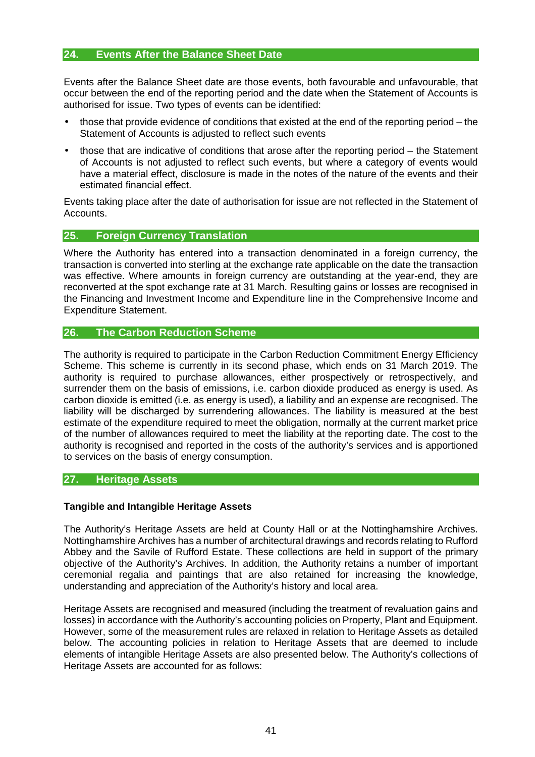# **24. Events After the Balance Sheet Date**

Events after the Balance Sheet date are those events, both favourable and unfavourable, that occur between the end of the reporting period and the date when the Statement of Accounts is authorised for issue. Two types of events can be identified:

- those that provide evidence of conditions that existed at the end of the reporting period the Statement of Accounts is adjusted to reflect such events
- those that are indicative of conditions that arose after the reporting period the Statement of Accounts is not adjusted to reflect such events, but where a category of events would have a material effect, disclosure is made in the notes of the nature of the events and their estimated financial effect.

Events taking place after the date of authorisation for issue are not reflected in the Statement of **Accounts** 

# **25. Foreign Currency Translation**

Where the Authority has entered into a transaction denominated in a foreign currency, the transaction is converted into sterling at the exchange rate applicable on the date the transaction was effective. Where amounts in foreign currency are outstanding at the year-end, they are reconverted at the spot exchange rate at 31 March. Resulting gains or losses are recognised in the Financing and Investment Income and Expenditure line in the Comprehensive Income and Expenditure Statement.

# **26. The Carbon Reduction Scheme**

The authority is required to participate in the Carbon Reduction Commitment Energy Efficiency Scheme. This scheme is currently in its second phase, which ends on 31 March 2019. The authority is required to purchase allowances, either prospectively or retrospectively, and surrender them on the basis of emissions, i.e. carbon dioxide produced as energy is used. As carbon dioxide is emitted (i.e. as energy is used), a liability and an expense are recognised. The liability will be discharged by surrendering allowances. The liability is measured at the best estimate of the expenditure required to meet the obligation, normally at the current market price of the number of allowances required to meet the liability at the reporting date. The cost to the authority is recognised and reported in the costs of the authority's services and is apportioned to services on the basis of energy consumption.

# **27. Heritage Assets**

# **Tangible and Intangible Heritage Assets**

The Authority's Heritage Assets are held at County Hall or at the Nottinghamshire Archives. Nottinghamshire Archives has a number of architectural drawings and records relating to Rufford Abbey and the Savile of Rufford Estate. These collections are held in support of the primary objective of the Authority's Archives. In addition, the Authority retains a number of important ceremonial regalia and paintings that are also retained for increasing the knowledge, understanding and appreciation of the Authority's history and local area.

Heritage Assets are recognised and measured (including the treatment of revaluation gains and losses) in accordance with the Authority's accounting policies on Property, Plant and Equipment. However, some of the measurement rules are relaxed in relation to Heritage Assets as detailed below. The accounting policies in relation to Heritage Assets that are deemed to include elements of intangible Heritage Assets are also presented below. The Authority's collections of Heritage Assets are accounted for as follows: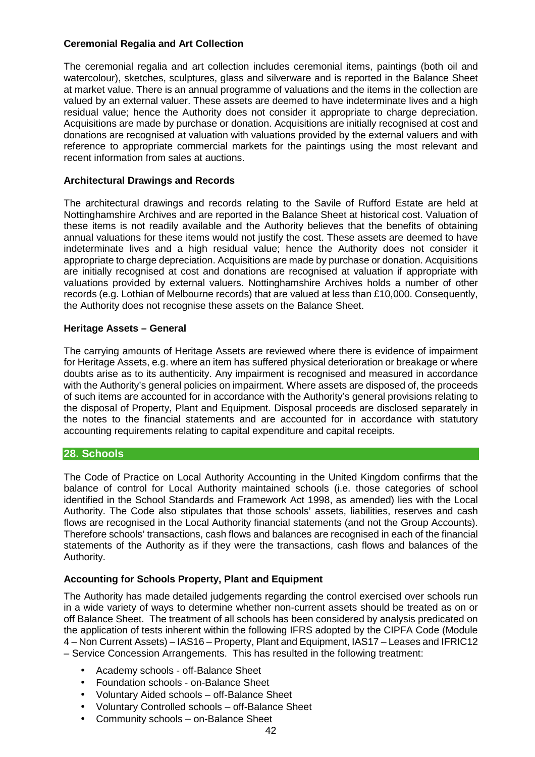# **Ceremonial Regalia and Art Collection**

The ceremonial regalia and art collection includes ceremonial items, paintings (both oil and watercolour), sketches, sculptures, glass and silverware and is reported in the Balance Sheet at market value. There is an annual programme of valuations and the items in the collection are valued by an external valuer. These assets are deemed to have indeterminate lives and a high residual value; hence the Authority does not consider it appropriate to charge depreciation. Acquisitions are made by purchase or donation. Acquisitions are initially recognised at cost and donations are recognised at valuation with valuations provided by the external valuers and with reference to appropriate commercial markets for the paintings using the most relevant and recent information from sales at auctions.

# **Architectural Drawings and Records**

The architectural drawings and records relating to the Savile of Rufford Estate are held at Nottinghamshire Archives and are reported in the Balance Sheet at historical cost. Valuation of these items is not readily available and the Authority believes that the benefits of obtaining annual valuations for these items would not justify the cost. These assets are deemed to have indeterminate lives and a high residual value; hence the Authority does not consider it appropriate to charge depreciation. Acquisitions are made by purchase or donation. Acquisitions are initially recognised at cost and donations are recognised at valuation if appropriate with valuations provided by external valuers. Nottinghamshire Archives holds a number of other records (e.g. Lothian of Melbourne records) that are valued at less than £10,000. Consequently, the Authority does not recognise these assets on the Balance Sheet.

# **Heritage Assets – General**

The carrying amounts of Heritage Assets are reviewed where there is evidence of impairment for Heritage Assets, e.g. where an item has suffered physical deterioration or breakage or where doubts arise as to its authenticity. Any impairment is recognised and measured in accordance with the Authority's general policies on impairment. Where assets are disposed of, the proceeds of such items are accounted for in accordance with the Authority's general provisions relating to the disposal of Property, Plant and Equipment. Disposal proceeds are disclosed separately in the notes to the financial statements and are accounted for in accordance with statutory accounting requirements relating to capital expenditure and capital receipts.

# **28. Schools**

The Code of Practice on Local Authority Accounting in the United Kingdom confirms that the balance of control for Local Authority maintained schools (i.e. those categories of school identified in the School Standards and Framework Act 1998, as amended) lies with the Local Authority. The Code also stipulates that those schools' assets, liabilities, reserves and cash flows are recognised in the Local Authority financial statements (and not the Group Accounts). Therefore schools' transactions, cash flows and balances are recognised in each of the financial statements of the Authority as if they were the transactions, cash flows and balances of the Authority.

# **Accounting for Schools Property, Plant and Equipment**

The Authority has made detailed judgements regarding the control exercised over schools run in a wide variety of ways to determine whether non-current assets should be treated as on or off Balance Sheet. The treatment of all schools has been considered by analysis predicated on the application of tests inherent within the following IFRS adopted by the CIPFA Code (Module 4 – Non Current Assets) – IAS16 – Property, Plant and Equipment, IAS17 – Leases and IFRIC12 – Service Concession Arrangements. This has resulted in the following treatment:

- Academy schools off-Balance Sheet
- Foundation schools on-Balance Sheet
- Voluntary Aided schools off-Balance Sheet
- Voluntary Controlled schools off-Balance Sheet
- Community schools on-Balance Sheet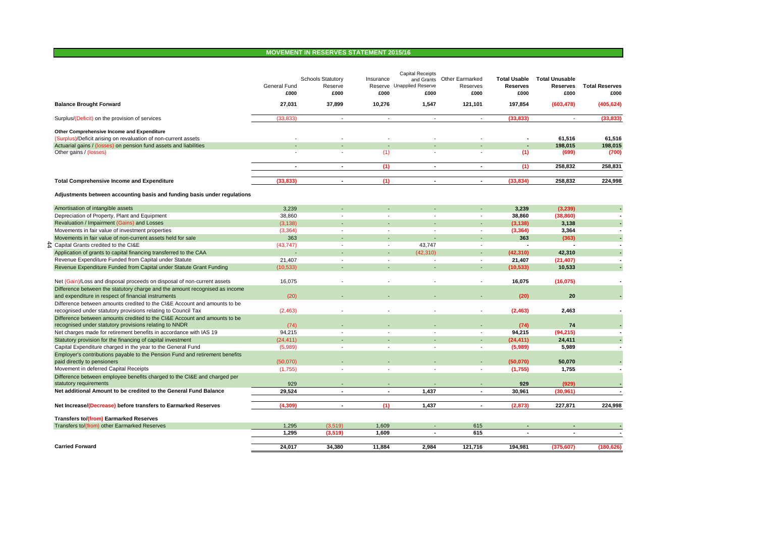# **MOVEMENT IN RESERVES STATEMENT 2015/16**

|                                                                                                                                            | General Fund<br>£000 | <b>Schools Statutory</b><br>Reserve<br>£000 | Insurance<br>£000        | <b>Capital Receipts</b><br>Reserve Unapplied Reserve<br>£000 | and Grants Other Earmarked<br>Reserves<br>£000 | <b>Total Usable</b><br><b>Reserves</b><br>£000 | <b>Total Unusable</b><br><b>Reserves</b><br>£000 | <b>Total Reserves</b><br>£000 |
|--------------------------------------------------------------------------------------------------------------------------------------------|----------------------|---------------------------------------------|--------------------------|--------------------------------------------------------------|------------------------------------------------|------------------------------------------------|--------------------------------------------------|-------------------------------|
| <b>Balance Brought Forward</b>                                                                                                             | 27,031               | 37,899                                      | 10,276                   | 1,547                                                        | 121,101                                        | 197,854                                        | (603, 478)                                       | (405, 624)                    |
| Surplus/(Deficit) on the provision of services                                                                                             | (33.833)             | $\blacksquare$                              | $\overline{\phantom{a}}$ | $\sim$                                                       | $\sim$                                         | (33.833)                                       | $\sim$                                           | (33, 833)                     |
| Other Comprehensive Income and Expenditure                                                                                                 |                      |                                             |                          |                                                              |                                                |                                                |                                                  |                               |
| (Surplus)/Deficit arising on revaluation of non-current assets                                                                             |                      |                                             |                          |                                                              |                                                |                                                | 61.516                                           | 61,516                        |
| Actuarial gains / (losses) on pension fund assets and liabilities                                                                          |                      |                                             |                          |                                                              |                                                |                                                | 198,015                                          | 198,015                       |
| Other gains / (losses)                                                                                                                     |                      |                                             | (1)                      |                                                              |                                                | (1)                                            | (699)                                            | (700)                         |
|                                                                                                                                            | $\blacksquare$       | $\blacksquare$                              | (1)                      | $\blacksquare$                                               | $\blacksquare$                                 | (1)                                            | 258.832                                          | 258.831                       |
| <b>Total Comprehensive Income and Expenditure</b>                                                                                          | (33, 833)            | $\blacksquare$                              | (1)                      | $\blacksquare$                                               | $\sim$                                         | (33, 834)                                      | 258,832                                          | 224,998                       |
| Adjustments between accounting basis and funding basis under regulations                                                                   |                      |                                             |                          |                                                              |                                                |                                                |                                                  |                               |
|                                                                                                                                            |                      |                                             |                          |                                                              |                                                |                                                |                                                  |                               |
| Amortisation of intangible assets<br>Depreciation of Property, Plant and Equipment                                                         | 3,239<br>38,860      |                                             |                          |                                                              | $\overline{a}$<br>$\overline{a}$               | 3,239<br>38,860                                | (3, 239)<br>(38, 860)                            |                               |
| Revaluation / Impairment (Gains) and Losses                                                                                                | (3, 138)             |                                             |                          |                                                              |                                                | (3, 138)                                       | 3,138                                            |                               |
| Movements in fair value of investment properties                                                                                           | (3,364)              | $\overline{\phantom{a}}$                    | $\sim$                   | $\sim$                                                       | $\blacksquare$                                 | (3, 364)                                       | 3,364                                            |                               |
| Movements in fair value of non-current assets held for sale                                                                                | 363                  |                                             |                          |                                                              |                                                | 363                                            | (363)                                            |                               |
| $\hat{\mathcal{L}}$ Capital Grants credited to the CI&E                                                                                    | (43, 747)            |                                             | ÷,                       | 43,747                                                       | $\overline{a}$                                 |                                                |                                                  |                               |
| Application of grants to capital financing transferred to the CAA                                                                          |                      |                                             |                          | (42.310)                                                     | $\overline{\phantom{a}}$                       | (42, 310)                                      | 42.310                                           |                               |
| Revenue Expenditure Funded from Capital under Statute                                                                                      | 21,407               |                                             | $\overline{\phantom{a}}$ | $\overline{\phantom{a}}$                                     | $\blacksquare$                                 | 21,407                                         | (21, 407)                                        |                               |
| Revenue Expenditure Funded from Capital under Statute Grant Funding                                                                        | (10, 533)            |                                             |                          |                                                              |                                                | (10, 533)                                      | 10,533                                           |                               |
| Net (Gain)/Loss and disposal proceeds on disposal of non-current assets                                                                    | 16,075               |                                             |                          |                                                              | ٠                                              | 16,075                                         | (16, 075)                                        |                               |
| Difference between the statutory charge and the amount recognised as income                                                                |                      |                                             |                          |                                                              |                                                |                                                |                                                  |                               |
| and expenditure in respect of financial instruments                                                                                        | (20)                 |                                             |                          |                                                              |                                                | (20)                                           | 20                                               |                               |
| Difference between amounts credited to the CI&E Account and amounts to be<br>recognised under statutory provisions relating to Council Tax | (2,463)              |                                             |                          |                                                              | ٠                                              | (2, 463)                                       | 2.463                                            |                               |
| Difference between amounts credited to the CI&E Account and amounts to be                                                                  |                      |                                             |                          |                                                              |                                                |                                                |                                                  |                               |
| recognised under statutory provisions relating to NNDR                                                                                     | (74)                 |                                             |                          |                                                              |                                                | (74)                                           | 74                                               |                               |
| Net charges made for retirement benefits in accordance with IAS 19                                                                         | 94.215               |                                             |                          |                                                              | $\blacksquare$                                 | 94,215                                         | (94, 215)                                        |                               |
| Statutory provision for the financing of capital investment                                                                                | (24, 411)            |                                             |                          |                                                              |                                                | (24, 411)                                      | 24,411                                           |                               |
| Capital Expenditure charged in the year to the General Fund                                                                                | (5,989)              | $\overline{\phantom{a}}$                    | $\overline{\phantom{a}}$ | $\overline{\phantom{a}}$                                     | $\overline{\phantom{a}}$                       | (5,989)                                        | 5,989                                            |                               |
| Employer's contributions payable to the Pension Fund and retirement benefits                                                               |                      |                                             |                          |                                                              |                                                |                                                |                                                  |                               |
| paid directly to pensioners                                                                                                                | (50,070)             |                                             |                          |                                                              |                                                | (50,070)                                       | 50,070                                           |                               |
| Movement in deferred Capital Receipts                                                                                                      | (1,755)              | $\overline{a}$                              | $\overline{a}$           | $\overline{a}$                                               | $\blacksquare$                                 | (1,755)                                        | 1,755                                            |                               |
| Difference between employee benefits charged to the CI&E and charged per                                                                   |                      |                                             |                          |                                                              |                                                |                                                |                                                  |                               |
| statutory requirements                                                                                                                     | 929                  |                                             |                          |                                                              |                                                | 929                                            | (929)                                            |                               |
| Net additional Amount to be credited to the General Fund Balance                                                                           | 29.524               |                                             |                          | 1.437                                                        | ٠                                              | 30,961                                         | (30, 961)                                        |                               |
| Net Increase/(Decrease) before transfers to Earmarked Reserves                                                                             | (4,309)              | $\sim$                                      | (1)                      | 1,437                                                        | $\sim$                                         | (2, 873)                                       | 227,871                                          | 224,998                       |
| <b>Transfers to/(from) Earmarked Reserves</b>                                                                                              |                      |                                             |                          |                                                              |                                                |                                                |                                                  |                               |
| Transfers to/(from) other Earmarked Reserves                                                                                               | 1,295                | (3,519)                                     | 1,609                    |                                                              | 615                                            |                                                |                                                  |                               |
|                                                                                                                                            | 1,295                | (3,519)                                     | 1,609                    | $\blacksquare$                                               | 615                                            | $\blacksquare$                                 | $\overline{\phantom{a}}$                         |                               |
| <b>Carried Forward</b>                                                                                                                     | 24,017               | 34,380                                      | 11,884                   | 2,984                                                        | 121,716                                        | 194,981                                        | (375, 607)                                       | (180, 626)                    |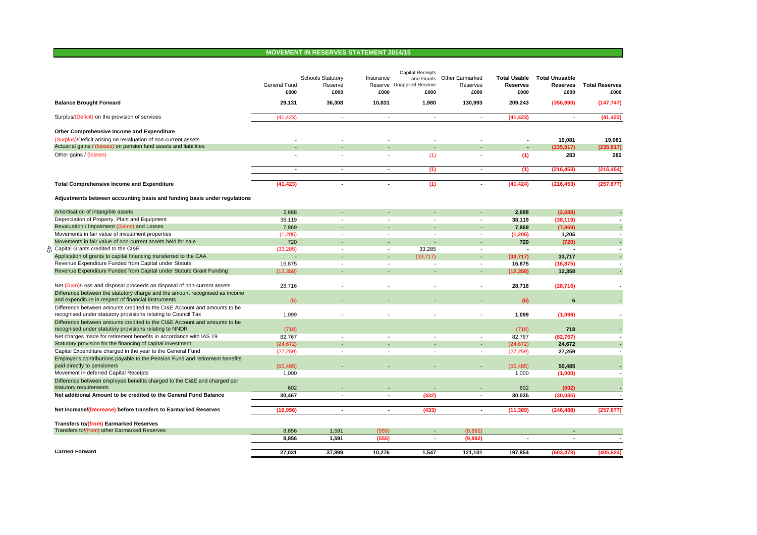# **MOVEMENT IN RESERVES STATEMENT 2014/15**

|    |                                                                              | General Fund<br>£000 | <b>Schools Statutory</b><br>Reserve<br>£000 | Insurance<br>£000        | <b>Capital Receipts</b><br>and Grants<br>Reserve Unapplied Reserve<br>£000 | <b>Other Earmarked</b><br>Reserves<br>£000 | <b>Total Usable</b><br><b>Reserves</b><br>£000 | <b>Total Unusable</b><br><b>Reserves</b><br>£000 | <b>Total Reserves</b><br>£000 |
|----|------------------------------------------------------------------------------|----------------------|---------------------------------------------|--------------------------|----------------------------------------------------------------------------|--------------------------------------------|------------------------------------------------|--------------------------------------------------|-------------------------------|
|    | <b>Balance Brought Forward</b>                                               | 29,131               | 36,308                                      | 10,831                   | 1,980                                                                      | 130,993                                    | 209,243                                        | (356,990)                                        | (147, 747)                    |
|    | Surplus/(Deficit) on the provision of services                               | (41, 423)            | $\sim$                                      | ÷                        | $\sim$                                                                     | ÷.                                         | (41, 423)                                      | $\sim$                                           | (41, 423)                     |
|    | Other Comprehensive Income and Expenditure                                   |                      |                                             |                          |                                                                            |                                            |                                                |                                                  |                               |
|    | (Surplus)/Deficit arising on revaluation of non-current assets               |                      |                                             |                          |                                                                            |                                            |                                                | 19.081                                           | 19.081                        |
|    | Actuarial gains / (losses) on pension fund assets and liabilities            |                      |                                             |                          |                                                                            |                                            | $\overline{\phantom{a}}$                       | (235, 817)                                       | (235, 817)                    |
|    | Other gains / (losses)                                                       |                      |                                             |                          | (1)                                                                        |                                            | (1)                                            | 283                                              | 282                           |
|    |                                                                              | $\blacksquare$       | ä,                                          | ٠                        | (1)                                                                        | $\blacksquare$                             | (1)                                            | (216, 453)                                       | (216, 454)                    |
|    | <b>Total Comprehensive Income and Expenditure</b>                            | (41, 423)            | ٠                                           | $\blacksquare$           | (1)                                                                        | $\blacksquare$                             | (41, 424)                                      | (216, 453)                                       | (257, 877)                    |
|    | Adjustments between accounting basis and funding basis under regulations     |                      |                                             |                          |                                                                            |                                            |                                                |                                                  |                               |
|    | Amortisation of intangible assets                                            | 2,688                |                                             |                          |                                                                            |                                            | 2,688                                          | (2,688)                                          |                               |
|    | Depreciation of Property, Plant and Equipment                                | 38,119               |                                             |                          | $\blacksquare$                                                             | ٠                                          | 38,119                                         | (38, 119)                                        |                               |
|    | Revaluation / Impairment (Gains) and Losses                                  | 7,869                |                                             |                          |                                                                            | ٠                                          | 7,869                                          | (7, 869)                                         |                               |
|    | Movements in fair value of investment properties                             | (1,205)              |                                             |                          |                                                                            | $\blacksquare$                             | (1, 205)                                       | 1,205                                            |                               |
|    | Movements in fair value of non-current assets held for sale                  | 720                  | ÷.                                          | ÷                        | ÷.                                                                         | ÷.                                         | 720                                            | (720)                                            |                               |
| ਨੰ | Capital Grants credited to the CI&E                                          | (33, 285)            | $\overline{a}$                              | $\sim$                   | 33,285                                                                     | $\overline{\phantom{a}}$                   |                                                |                                                  |                               |
|    | Application of grants to capital financing transferred to the CAA            |                      |                                             |                          | (33.717)                                                                   |                                            | (33, 717)                                      | 33,717                                           |                               |
|    | Revenue Expenditure Funded from Capital under Statute                        | 16,875               | $\overline{\phantom{a}}$                    | $\sim$                   | $\overline{a}$                                                             | $\overline{\phantom{a}}$                   | 16,875                                         | (16, 875)                                        |                               |
|    | Revenue Expenditure Funded from Capital under Statute Grant Funding          | (12, 358)            |                                             |                          |                                                                            | $\overline{\phantom{a}}$                   | (12, 358)                                      | 12,358                                           |                               |
|    | Net (Gain)/Loss and disposal proceeds on disposal of non-current assets      | 28.716               | $\overline{\phantom{a}}$                    | ÷                        | ÷,                                                                         | $\blacksquare$                             | 28.716                                         | (28, 716)                                        |                               |
|    | Difference between the statutory charge and the amount recognised as income  |                      |                                             |                          |                                                                            |                                            |                                                |                                                  |                               |
|    | and expenditure in respect of financial instruments                          | (6)                  |                                             |                          |                                                                            |                                            | (6)                                            | 6                                                |                               |
|    | Difference between amounts credited to the CI&E Account and amounts to be    |                      |                                             |                          |                                                                            |                                            |                                                |                                                  |                               |
|    | recognised under statutory provisions relating to Council Tax                | 1,099                |                                             |                          |                                                                            | ÷,                                         | 1,099                                          | (1,099)                                          |                               |
|    | Difference between amounts credited to the CI&E Account and amounts to be    |                      |                                             |                          |                                                                            |                                            |                                                |                                                  |                               |
|    | recognised under statutory provisions relating to NNDR                       | (718)                |                                             |                          |                                                                            |                                            | (718)                                          | 718                                              |                               |
|    | Net charges made for retirement benefits in accordance with IAS 19           | 82,767               | $\overline{\phantom{a}}$                    | $\sim$                   | $\sim$                                                                     | $\overline{\phantom{a}}$                   | 82,767                                         | (82, 767)                                        |                               |
|    | Statutory provision for the financing of capital investment                  | (24, 672)            |                                             |                          |                                                                            | $\overline{\phantom{a}}$                   | (24, 672)                                      | 24,672                                           |                               |
|    | Capital Expenditure charged in the year to the General Fund                  | (27, 259)            | $\blacksquare$                              | $\overline{\phantom{a}}$ | $\blacksquare$                                                             | $\overline{\phantom{a}}$                   | (27, 259)                                      | 27,259                                           |                               |
|    | Employer's contributions payable to the Pension Fund and retirement benefits |                      |                                             |                          |                                                                            |                                            |                                                |                                                  |                               |
|    | paid directly to pensioners<br>Movement in deferred Capital Receipts         | (50, 485)<br>1,000   |                                             |                          |                                                                            |                                            | (50, 485)                                      | 50,485                                           |                               |
|    | Difference between employee benefits charged to the CI&E and charged per     |                      |                                             |                          |                                                                            |                                            | 1,000                                          | (1,000)                                          |                               |
|    | statutory requirements                                                       | 602                  |                                             |                          |                                                                            |                                            | 602                                            | (602)                                            |                               |
|    | Net additional Amount to be credited to the General Fund Balance             | 30,467               | ÷,                                          | ٠                        | (432)                                                                      | $\overline{a}$                             | 30,035                                         | (30, 035)                                        |                               |
|    | Net Increase/(Decrease) before transfers to Earmarked Reserves               | (10, 956)            | $\sim$                                      | $\sim$                   | (433)                                                                      | $\sim$                                     | (11, 389)                                      | (246, 488)                                       | (257, 877)                    |
|    | <b>Transfers to/(from) Earmarked Reserves</b>                                |                      |                                             |                          |                                                                            |                                            |                                                |                                                  |                               |
|    | Transfers to/(from) other Earmarked Reserves                                 | 8,856                | 1,591                                       | (555)                    | $\overline{\phantom{a}}$                                                   | (9,892)                                    |                                                |                                                  |                               |
|    |                                                                              | 8,856                | 1,591                                       | (555)                    | $\blacksquare$                                                             | (9,892)                                    | $\blacksquare$                                 | $\sim$                                           |                               |
|    | <b>Carried Forward</b>                                                       | 27,031               | 37,899                                      | 10,276                   | 1,547                                                                      | 121,101                                    | 197,854                                        | (603, 478)                                       | (405, 624)                    |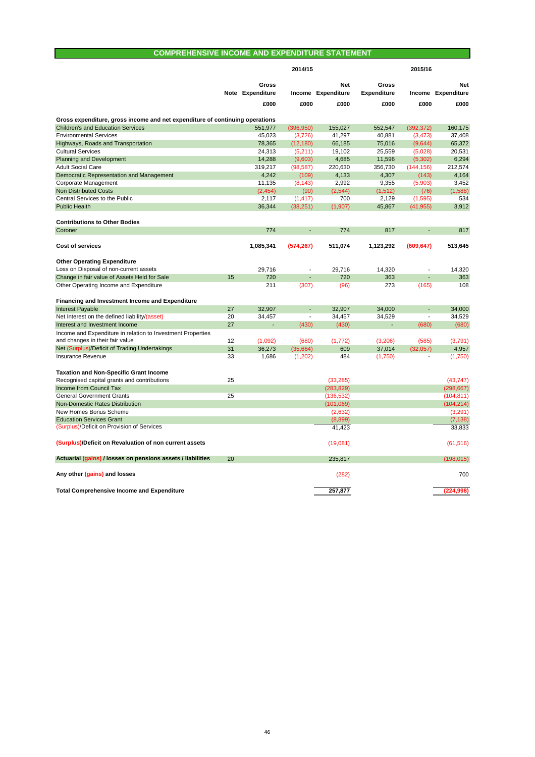# **COMPREHENSIVE INCOME AND EXPENDITURE STATEMENT**

| <b>Gross</b><br>Net<br>Gross<br>Note Expenditure<br>Income Expenditure<br><b>Expenditure</b><br>Income Expenditure   | <b>Net</b> |
|----------------------------------------------------------------------------------------------------------------------|------------|
|                                                                                                                      |            |
|                                                                                                                      |            |
| £000<br>£000<br>£000<br>£000<br>£000                                                                                 | £000       |
| Gross expenditure, gross income and net expenditure of continuing operations                                         |            |
| <b>Children's and Education Services</b><br>551,977<br>(396, 950)<br>155.027<br>552,547<br>(392, 372)                | 160.175    |
| <b>Environmental Services</b><br>45,023<br>(3,726)<br>41.297<br>40.881<br>(3, 473)                                   | 37.408     |
| Highways, Roads and Transportation<br>78,365<br>66,185<br>75,016<br>(12, 180)<br>(9,644)                             | 65,372     |
| <b>Cultural Services</b><br>24,313<br>19,102<br>25,559<br>(5,211)<br>(5,028)                                         | 20,531     |
| <b>Planning and Development</b><br>14,288<br>(9,603)<br>4,685<br>11,596<br>(5, 302)                                  | 6,294      |
| <b>Adult Social Care</b><br>319,217<br>220,630<br>356,730<br>(98, 587)<br>(144, 156)                                 | 212,574    |
| Democratic Representation and Management<br>4.242<br>(109)<br>4,133<br>4.307<br>(143)                                | 4,164      |
| (8, 143)<br>2,992<br>Corporate Management<br>11,135<br>9,355<br>(5,903)                                              | 3,452      |
| <b>Non Distributed Costs</b><br>(2, 454)<br>(90)<br>(2, 544)<br>(1, 512)<br>(76)                                     | (1,588)    |
| Central Services to the Public<br>2,117<br>(1, 417)<br>700<br>2,129<br>(1.595)                                       | 534        |
| <b>Public Health</b><br>36,344<br>(38, 251)<br>(1,907)<br>45,867<br>(41, 955)                                        | 3,912      |
| <b>Contributions to Other Bodies</b>                                                                                 |            |
| Coroner<br>774<br>774<br>817                                                                                         | 817        |
| 1,085,341<br><b>Cost of services</b><br>(574, 267)<br>511,074<br>1,123,292<br>(609, 647)                             | 513,645    |
| <b>Other Operating Expenditure</b>                                                                                   |            |
| Loss on Disposal of non-current assets<br>29.716<br>29.716<br>14,320                                                 | 14.320     |
| 720<br>Change in fair value of Assets Held for Sale<br>15<br>720<br>363                                              | 363        |
| Other Operating Income and Expenditure<br>211<br>(307)<br>(96)<br>273<br>(165)                                       | 108        |
| Financing and Investment Income and Expenditure                                                                      |            |
| <b>Interest Payable</b><br>27<br>32,907<br>32,907<br>34,000                                                          | 34,000     |
| Net Interest on the defined liability/(asset)<br>20<br>34,457<br>34,457<br>34,529<br>$\frac{1}{2}$<br>$\blacksquare$ | 34,529     |
| 27<br>Interest and Investment Income<br>(430)<br>(430)<br>(680)                                                      | (680)      |
| Income and Expenditure in relation to Investment Properties                                                          |            |
| 12<br>and changes in their fair value<br>(1,092)<br>(680)<br>(1, 772)<br>(3,206)<br>(585)                            | (3,791)    |
| Net (Surplus)/Deficit of Trading Undertakings<br>31<br>37,014<br>36,273<br>(35,664)<br>609<br>(32,057)               | 4,957      |
| 33<br>Insurance Revenue<br>1,686<br>(1,202)<br>484<br>(1,750)                                                        | (1,750)    |
| <b>Taxation and Non-Specific Grant Income</b>                                                                        |            |
| 25<br>(33.285)<br>Recognised capital grants and contributions                                                        | (43.747)   |
| Income from Council Tax<br>(283, 829)                                                                                | (298, 667) |
| 25<br><b>General Government Grants</b><br>(136, 532)                                                                 | (104, 811) |
| Non-Domestic Rates Distribution<br>(101,069)                                                                         | (104, 214) |
| New Homes Bonus Scheme<br>(2,632)                                                                                    | (3,291)    |
| <b>Education Services Grant</b><br>(8,899)                                                                           | (7, 138)   |
| (Surplus)/Deficit on Provision of Services<br>41,423                                                                 | 33,833     |
| (Surplus)/Deficit on Revaluation of non current assets<br>(19,081)                                                   | (61, 516)  |
| Actuarial (gains) / losses on pensions assets / liabilities<br>20<br>235,817                                         | (198, 015) |
| Any other (gains) and losses<br>(282)                                                                                | 700        |
| 257,877<br><b>Total Comprehensive Income and Expenditure</b>                                                         | (224, 998) |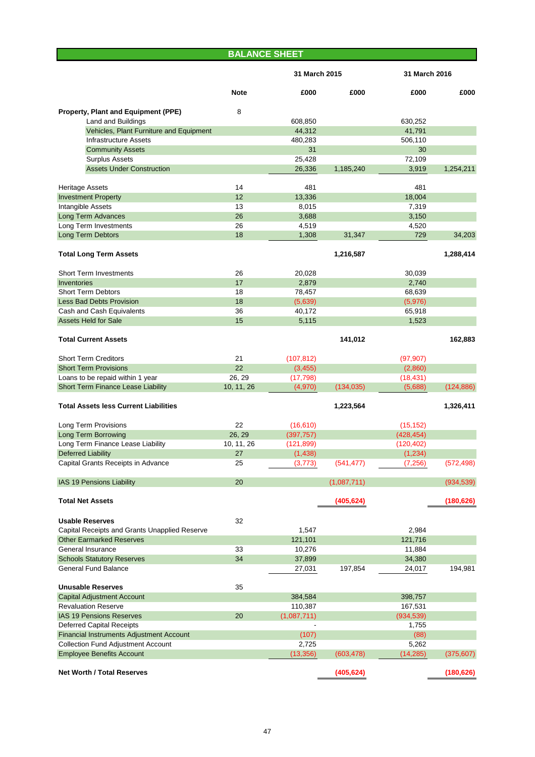|                                                 | <b>BALANCE SHEET</b> |               |             |               |            |
|-------------------------------------------------|----------------------|---------------|-------------|---------------|------------|
|                                                 |                      | 31 March 2015 |             | 31 March 2016 |            |
|                                                 | <b>Note</b>          | £000          | £000        | £000          | £000       |
| Property, Plant and Equipment (PPE)             | 8                    |               |             |               |            |
| <b>Land and Buildings</b>                       |                      | 608,850       |             | 630,252       |            |
| Vehicles, Plant Furniture and Equipment         |                      | 44,312        |             | 41,791        |            |
| <b>Infrastructure Assets</b>                    |                      | 480,283       |             | 506,110       |            |
| <b>Community Assets</b>                         |                      | 31            |             | 30            |            |
| <b>Surplus Assets</b>                           |                      | 25,428        |             | 72,109        |            |
| <b>Assets Under Construction</b>                |                      | 26,336        | 1,185,240   | 3,919         | 1,254,211  |
| <b>Heritage Assets</b>                          | 14                   | 481           |             | 481           |            |
| <b>Investment Property</b>                      | 12                   | 13,336        |             | 18,004        |            |
| Intangible Assets                               | 13                   | 8,015         |             | 7,319         |            |
| <b>Long Term Advances</b>                       | 26                   | 3,688         |             | 3,150         |            |
| Long Term Investments                           | 26                   | 4,519         |             | 4,520         |            |
| Long Term Debtors                               | 18                   | 1,308         | 31,347      | 729           | 34,203     |
| <b>Total Long Term Assets</b>                   |                      |               | 1,216,587   |               | 1,288,414  |
| <b>Short Term Investments</b>                   | 26                   | 20,028        |             | 30,039        |            |
| <b>Inventories</b>                              | 17                   | 2,879         |             | 2,740         |            |
| <b>Short Term Debtors</b>                       | 18                   | 78,457        |             | 68,639        |            |
| <b>Less Bad Debts Provision</b>                 | 18                   | (5,639)       |             | (5,976)       |            |
| Cash and Cash Equivalents                       | 36                   | 40,172        |             | 65,918        |            |
| <b>Assets Held for Sale</b>                     | 15                   | 5,115         |             | 1,523         |            |
| <b>Total Current Assets</b>                     |                      |               | 141,012     |               | 162,883    |
| <b>Short Term Creditors</b>                     | 21                   | (107, 812)    |             | (97, 907)     |            |
| <b>Short Term Provisions</b>                    | 22                   | (3, 455)      |             | (2,860)       |            |
| Loans to be repaid within 1 year                | 26, 29               | (17, 798)     |             | (18, 431)     |            |
| Short Term Finance Lease Liability              | 10, 11, 26           | (4,970)       | (134, 035)  | (5,688)       | (124, 886) |
|                                                 |                      |               |             |               |            |
| <b>Total Assets less Current Liabilities</b>    |                      |               | 1,223,564   |               | 1,326,411  |
| <b>Long Term Provisions</b>                     | 22                   | (16, 610)     |             | (15, 152)     |            |
| Long Term Borrowing                             | 26, 29               | (397, 757)    |             | (428, 454)    |            |
| Long Term Finance Lease Liability               | 10, 11, 26           | (121, 899)    |             | (120, 402)    |            |
| Deferred Liability                              | 27                   | (1,438)       |             | (1,234)       |            |
| Capital Grants Receipts in Advance              | 25                   | (3,773)       | (541, 477)  | (7, 256)      | (572, 498) |
| IAS 19 Pensions Liability                       | 20                   |               | (1,087,711) |               | (934, 539) |
| <b>Total Net Assets</b>                         |                      |               | (405, 624)  |               | (180, 626) |
|                                                 |                      |               |             |               |            |
| <b>Usable Reserves</b>                          | 32                   |               |             |               |            |
| Capital Receipts and Grants Unapplied Reserve   |                      | 1,547         |             | 2.984         |            |
| <b>Other Earmarked Reserves</b>                 |                      | 121,101       |             | 121,716       |            |
| General Insurance                               | 33                   | 10,276        |             | 11,884        |            |
| <b>Schools Statutory Reserves</b>               | 34                   | 37,899        |             | 34,380        |            |
| <b>General Fund Balance</b>                     |                      | 27,031        | 197,854     | 24,017        | 194,981    |
| <b>Unusable Reserves</b>                        | 35                   |               |             |               |            |
| <b>Capital Adjustment Account</b>               |                      | 384,584       |             | 398,757       |            |
| <b>Revaluation Reserve</b>                      |                      | 110,387       |             | 167,531       |            |
| <b>IAS 19 Pensions Reserves</b>                 | 20                   | (1,087,711)   |             | (934, 539)    |            |
| <b>Deferred Capital Receipts</b>                |                      |               |             | 1,755         |            |
| <b>Financial Instruments Adjustment Account</b> |                      | (107)         |             | (88)          |            |
| <b>Collection Fund Adjustment Account</b>       |                      | 2,725         |             | 5,262         |            |
| <b>Employee Benefits Account</b>                |                      | (13, 356)     | (603, 478)  | (14, 285)     | (375, 607) |
| <b>Net Worth / Total Reserves</b>               |                      |               | (405, 624)  |               | (180, 626) |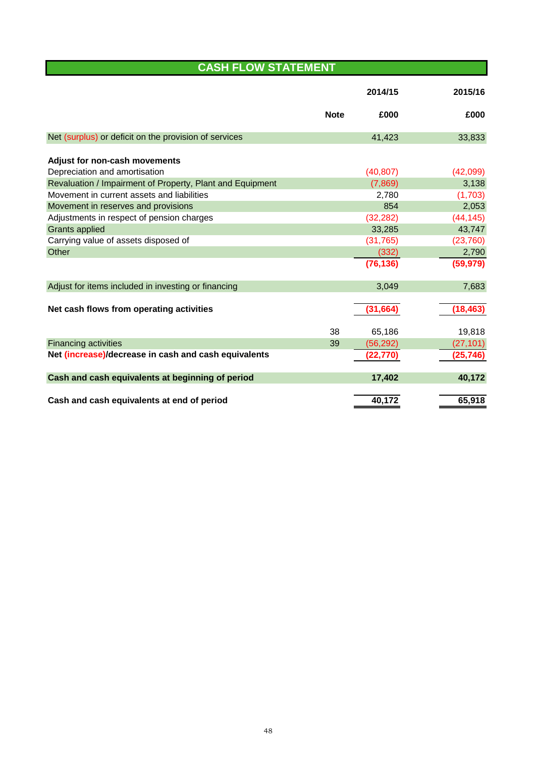# **CASH FLOW STATEMENT**

|                                                           |             | 2014/15   | 2015/16   |
|-----------------------------------------------------------|-------------|-----------|-----------|
|                                                           | <b>Note</b> | £000      | £000      |
| Net (surplus) or deficit on the provision of services     |             | 41,423    | 33,833    |
| Adjust for non-cash movements                             |             |           |           |
| Depreciation and amortisation                             |             | (40, 807) | (42,099)  |
| Revaluation / Impairment of Property, Plant and Equipment |             | (7,869)   | 3,138     |
| Movement in current assets and liabilities                |             | 2,780     | (1,703)   |
| Movement in reserves and provisions                       |             | 854       | 2,053     |
| Adjustments in respect of pension charges                 |             | (32, 282) | (44, 145) |
| <b>Grants applied</b>                                     |             | 33,285    | 43,747    |
| Carrying value of assets disposed of                      |             | (31, 765) | (23, 760) |
| Other                                                     |             | (332)     | 2,790     |
|                                                           |             | (76, 136) | (59, 979) |
| Adjust for items included in investing or financing       |             | 3,049     | 7,683     |
| Net cash flows from operating activities                  |             | (31, 664) | (18, 463) |
|                                                           | 38          | 65,186    | 19,818    |
| <b>Financing activities</b>                               | 39          | (56, 292) | (27, 101) |
| Net (increase)/decrease in cash and cash equivalents      |             | (22, 770) | (25, 746) |
| Cash and cash equivalents at beginning of period          |             | 17,402    | 40,172    |
| Cash and cash equivalents at end of period                |             | 40,172    | 65,918    |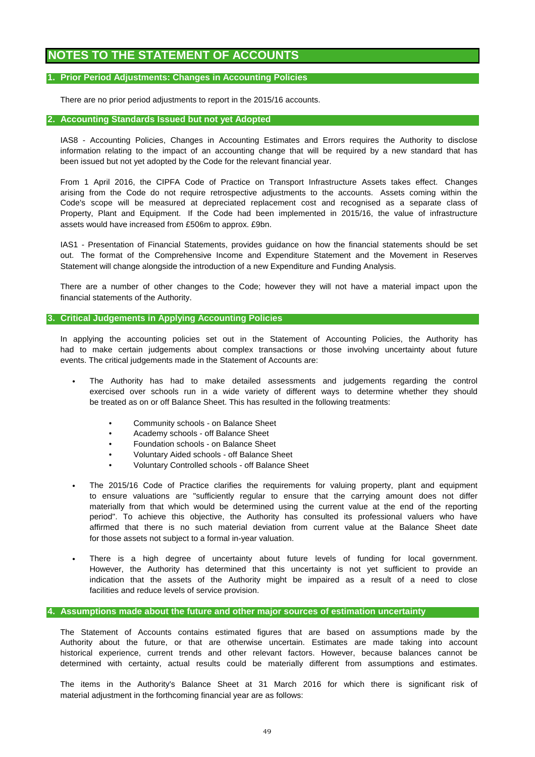# **NOTES TO THE STATEMENT OF ACCOUNTS**

# **1. Prior Period Adjustments: Changes in Accounting Policies**

There are no prior period adjustments to report in the 2015/16 accounts.

## **2. Accounting Standards Issued but not yet Adopted**

been issued but not yet adopted by the Code for the relevant financial year. information relating to the impact of an accounting change that will be required by a new standard that has IAS8 - Accounting Policies, Changes in Accounting Estimates and Errors requires the Authority to disclose

From 1 April 2016, the CIPFA Code of Practice on Transport Infrastructure Assets takes effect. Changes arising from the Code do not require retrospective adjustments to the accounts. Assets coming within the Code's scope will be measured at depreciated replacement cost and recognised as a separate class of Property, Plant and Equipment. If the Code had been implemented in 2015/16, the value of infrastructure assets would have increased from £506m to approx. £9bn.

Statement will change alongside the introduction of a new Expenditure and Funding Analysis. IAS1 - Presentation of Financial Statements, provides guidance on how the financial statements should be set out. The format of the Comprehensive Income and Expenditure Statement and the Movement in Reserves

There are a number of other changes to the Code; however they will not have a material impact upon the financial statements of the Authority.

# **3. Critical Judgements in Applying Accounting Policies**

events. The critical judgements made in the Statement of Accounts are: In applying the accounting policies set out in the Statement of Accounting Policies, the Authority has had to make certain judgements about complex transactions or those involving uncertainty about future

- be treated as on or off Balance Sheet. This has resulted in the following treatments: The Authority has had to make detailed assessments and judgements regarding the control exercised over schools run in a wide variety of different ways to determine whether they should
	- Community schools on Balance Sheet
	- Academy schools off Balance Sheet
	- Foundation schools on Balance Sheet
	- Voluntary Aided schools off Balance Sheet
	- Voluntary Controlled schools off Balance Sheet
- to ensure valuations are "sufficiently regular to ensure that the carrying amount does not differ materially from that which would be determined using the current value at the end of the reporting period". To achieve this objective, the Authority has consulted its professional valuers who have affirmed that there is no such material deviation from current value at the Balance Sheet date for those assets not subject to a formal in-year valuation. The 2015/16 Code of Practice clarifies the requirements for valuing property, plant and equipment
- facilities and reduce levels of service provision. There is a high degree of uncertainty about future levels of funding for local government. However, the Authority has determined that this uncertainty is not yet sufficient to provide an indication that the assets of the Authority might be impaired as a result of a need to close

## **4. Assumptions made about the future and other major sources of estimation uncertainty**

The Statement of Accounts contains estimated figures that are based on assumptions made by the Authority about the future, or that are otherwise uncertain. Estimates are made taking into account historical experience, current trends and other relevant factors. However, because balances cannot be determined with certainty, actual results could be materially different from assumptions and estimates.

material adjustment in the forthcoming financial year are as follows: The items in the Authority's Balance Sheet at 31 March 2016 for which there is significant risk of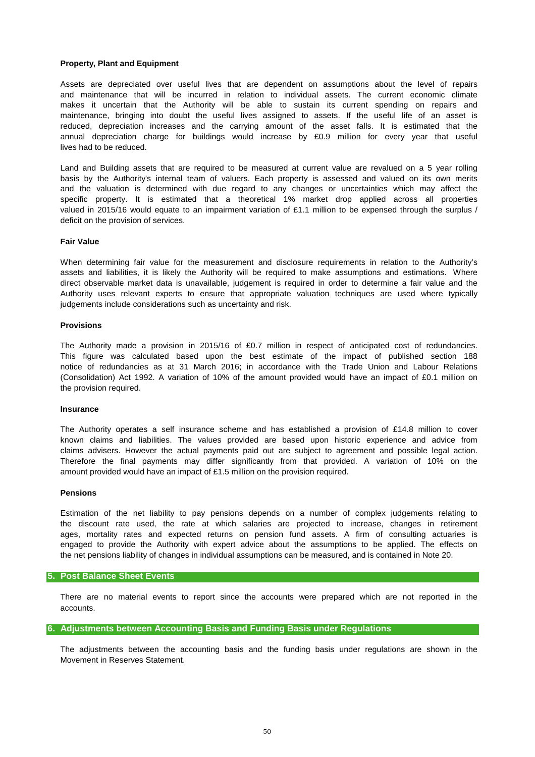## **Property, Plant and Equipment**

lives had to be reduced. Assets are depreciated over useful lives that are dependent on assumptions about the level of repairs reduced, depreciation increases and the carrying amount of the asset falls. It is estimated that the annual depreciation charge for buildings would increase by £0.9 million for every year that useful and maintenance that will be incurred in relation to individual assets. The current economic climate makes it uncertain that the Authority will be able to sustain its current spending on repairs and maintenance, bringing into doubt the useful lives assigned to assets. If the useful life of an asset is

basis by the Authority's internal team of valuers. Each property is assessed and valued on its own merits and the valuation is determined with due regard to any changes or uncertainties which may affect the specific property. It is estimated that a theoretical 1% market drop applied across all properties valued in 2015/16 would equate to an impairment variation of £1.1 million to be expensed through the surplus / deficit on the provision of services. Land and Building assets that are required to be measured at current value are revalued on a 5 year rolling

#### **Fair Value**

When determining fair value for the measurement and disclosure requirements in relation to the Authority's assets and liabilities, it is likely the Authority will be required to make assumptions and estimations. Where direct observable market data is unavailable, judgement is required in order to determine a fair value and the Authority uses relevant experts to ensure that appropriate valuation techniques are used where typically judgements include considerations such as uncertainty and risk.

#### **Provisions**

The Authority made a provision in 2015/16 of £0.7 million in respect of anticipated cost of redundancies. (Consolidation) Act 1992. A variation of 10% of the amount provided would have an impact of £0.1 million on the provision required. This figure was calculated based upon the best estimate of the impact of published section 188 notice of redundancies as at 31 March 2016; in accordance with the Trade Union and Labour Relations

# **Insurance**

amount provided would have an impact of £1.5 million on the provision required. Therefore the final payments may differ significantly from that provided. A variation of 10% on the known claims and liabilities. The values provided are based upon historic experience and advice from claims advisers. However the actual payments paid out are subject to agreement and possible legal action. The Authority operates a self insurance scheme and has established a provision of £14.8 million to cover

## **Pensions**

the net pensions liability of changes in individual assumptions can be measured, and is contained in Note 20. the discount rate used, the rate at which salaries are projected to increase, changes in retirement ages, mortality rates and expected returns on pension fund assets. A firm of consulting actuaries is engaged to provide the Authority with expert advice about the assumptions to be applied. The effects on Estimation of the net liability to pay pensions depends on a number of complex judgements relating to

# **5. Post Balance Sheet Events**

accounts. There are no material events to report since the accounts were prepared which are not reported in the

## **6. Adjustments between Accounting Basis and Funding Basis under Regulations**

Movement in Reserves Statement. The adjustments between the accounting basis and the funding basis under regulations are shown in the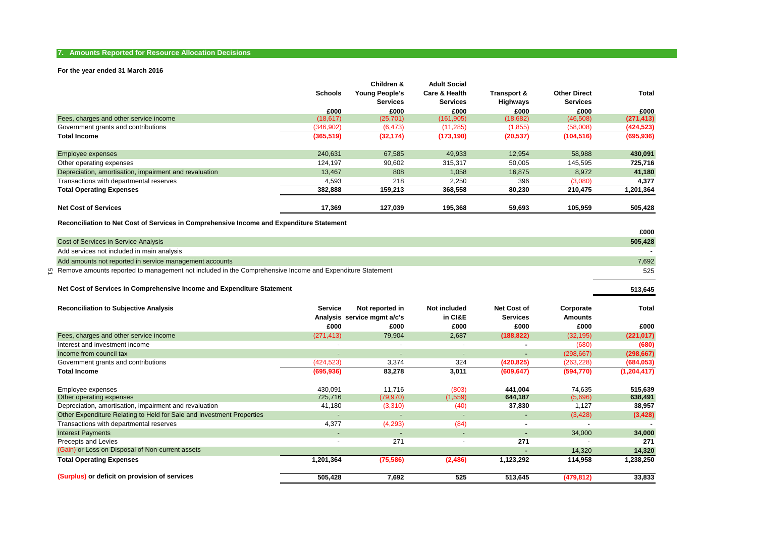### **7. Amounts Reported for Resource Allocation Decisions**

### **For the year ended 31 March 2016**

|                                                        |                | Children &      | <b>Adult Social</b> |             |                     |            |
|--------------------------------------------------------|----------------|-----------------|---------------------|-------------|---------------------|------------|
|                                                        | <b>Schools</b> | Young People's  | Care & Health       | Transport & | <b>Other Direct</b> | Total      |
|                                                        |                | <b>Services</b> | <b>Services</b>     | Highways    | <b>Services</b>     |            |
|                                                        | £000           | £000            | £000                | £000        | £000                | £000       |
| Fees, charges and other service income                 | (18, 617)      | (25, 701)       | (161, 905)          | (18, 682)   | (46, 508)           | (271, 413) |
| Government grants and contributions                    | (346, 902)     | (6, 473)        | (11, 285)           | (1,855)     | (58,008)            | (424, 523) |
| <b>Total Income</b>                                    | (365, 519)     | (32, 174)       | (173, 190)          | (20, 537)   | (104, 516)          | (695, 936) |
| <b>Employee expenses</b>                               | 240,631        | 67,585          | 49,933              | 12,954      | 58,988              | 430,091    |
| Other operating expenses                               | 124.197        | 90,602          | 315,317             | 50,005      | 145,595             | 725,716    |
| Depreciation, amortisation, impairment and revaluation | 13,467         | 808             | 1,058               | 16,875      | 8,972               | 41,180     |
| Transactions with departmental reserves                | 4,593          | 218             | 2,250               | 396         | (3,080)             | 4,377      |
| <b>Total Operating Expenses</b>                        | 382,888        | 159.213         | 368,558             | 80,230      | 210,475             | 1,201,364  |
| <b>Net Cost of Services</b>                            | 17,369         | 127,039         | 195,368             | 59,693      | 105,959             | 505,428    |

**Reconciliation to Net Cost of Services in Comprehensive Income and Expenditure Statement**

|                                            |                                                                                                             | £000    |
|--------------------------------------------|-------------------------------------------------------------------------------------------------------------|---------|
| Cost of Services in Service Analysis       |                                                                                                             | 505,428 |
| Add services not included in main analysis |                                                                                                             |         |
|                                            | Add amounts not reported in service management accounts                                                     | 7,692   |
|                                            | on Remove amounts reported to management not included in the Comprehensive Income and Expenditure Statement | 525     |
|                                            |                                                                                                             |         |

**513,645**

#### **Net Cost of Services in Comprehensive Income and Expenditure Statement**

| <b>Reconciliation to Subjective Analysis</b>                          | <b>Service</b><br>£000   | Not reported in<br>Analysis service mgmt a/c's<br>£000 | Not included<br>in CI&E<br>£000 | <b>Net Cost of</b><br><b>Services</b><br>£000 | Corporate<br><b>Amounts</b><br>£000 | Total<br>£000 |
|-----------------------------------------------------------------------|--------------------------|--------------------------------------------------------|---------------------------------|-----------------------------------------------|-------------------------------------|---------------|
| Fees, charges and other service income                                | (271, 413)               | 79,904                                                 | 2,687                           | (188, 822)                                    | (32, 195)                           | (221, 017)    |
| Interest and investment income                                        | $\overline{\phantom{a}}$ | $\overline{\phantom{a}}$                               | $\overline{\phantom{a}}$        | ٠                                             | (680)                               | (680)         |
| Income from council tax                                               | $\overline{\phantom{a}}$ | $\overline{\phantom{a}}$                               | $\overline{\phantom{0}}$        | ٠                                             | (298, 667)                          | (298, 667)    |
| Government grants and contributions                                   | (424, 523)               | 3,374                                                  | 324                             | (420, 825)                                    | (263,228)                           | (684, 053)    |
| <b>Total Income</b>                                                   | (695, 936)               | 83,278                                                 | 3,011                           | (609, 647)                                    | (594, 770)                          | (1, 204, 417) |
| Employee expenses                                                     | 430.091                  | 11,716                                                 | (803)                           | 441,004                                       | 74,635                              | 515,639       |
| Other operating expenses                                              | 725,716                  | (79, 970)                                              | (1, 559)                        | 644,187                                       | (5,696)                             | 638,491       |
| Depreciation, amortisation, impairment and revaluation                | 41,180                   | (3,310)                                                | (40)                            | 37,830                                        | 1,127                               | 38,957        |
| Other Expenditure Relating to Held for Sale and Investment Properties | $\overline{\phantom{a}}$ | $\overline{\phantom{a}}$                               | $\overline{\phantom{a}}$        | ۰                                             | (3,428)                             | (3, 428)      |
| Transactions with departmental reserves                               | 4,377                    | (4,293)                                                | (84)                            | $\blacksquare$                                |                                     |               |
| <b>Interest Payments</b>                                              | $\overline{\phantom{a}}$ | $\overline{\phantom{a}}$                               | $\overline{\phantom{0}}$        | ۰                                             | 34,000                              | 34,000        |
| Precepts and Levies                                                   | $\overline{\phantom{a}}$ | 271                                                    | ٠                               | 271                                           | $\overline{\phantom{a}}$            | 271           |
| (Gain) or Loss on Disposal of Non-current assets                      | $\overline{\phantom{0}}$ | $\overline{a}$                                         |                                 |                                               | 14,320                              | 14,320        |
| <b>Total Operating Expenses</b>                                       | 1,201,364                | (75, 586)                                              | (2, 486)                        | 1,123,292                                     | 114,958                             | 1,238,250     |
| (Surplus) or deficit on provision of services                         | 505,428                  | 7,692                                                  | 525                             | 513,645                                       | (479, 812)                          | 33,833        |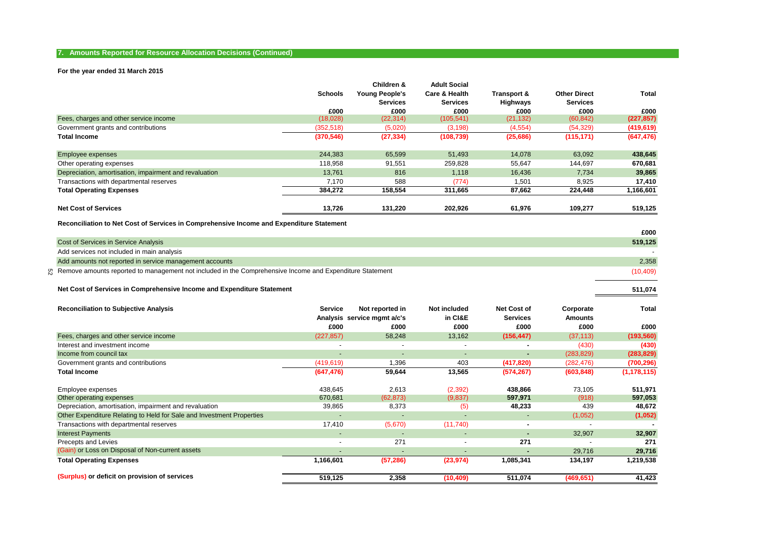## **7. Amounts Reported for Resource Allocation Decisions (Continued)**

#### **For the year ended 31 March 2015**

|                                                        |                | Children &            | <b>Adult Social</b> |             |                     |            |
|--------------------------------------------------------|----------------|-----------------------|---------------------|-------------|---------------------|------------|
|                                                        | <b>Schools</b> | <b>Young People's</b> | Care & Health       | Transport & | <b>Other Direct</b> | Total      |
|                                                        |                | <b>Services</b>       | <b>Services</b>     | Highways    | <b>Services</b>     |            |
|                                                        | £000           | £000                  | £000                | £000        | £000                | £000       |
| Fees, charges and other service income                 | (18,028)       | (22, 314)             | (105, 541)          | (21, 132)   | (60, 842)           | (227, 857) |
| Government grants and contributions                    | (352, 518)     | (5,020)               | (3, 198)            | (4, 554)    | (54, 329)           | (419, 619) |
| <b>Total Income</b>                                    | (370, 546)     | (27, 334)             | (108, 739)          | (25, 686)   | (115, 171)          | (647, 476) |
| Employee expenses                                      | 244,383        | 65,599                | 51,493              | 14,078      | 63,092              | 438,645    |
| Other operating expenses                               | 118,958        | 91,551                | 259,828             | 55,647      | 144,697             | 670,681    |
| Depreciation, amortisation, impairment and revaluation | 13.761         | 816                   | 1,118               | 16,436      | 7,734               | 39,865     |
| Transactions with departmental reserves                | 7.170          | 588                   | (774)               | 1,501       | 8,925               | 17,410     |
| <b>Total Operating Expenses</b>                        | 384,272        | 158,554               | 311,665             | 87,662      | 224,448             | 1,166,601  |
| <b>Net Cost of Services</b>                            | 13,726         | 131,220               | 202,926             | 61,976      | 109,277             | 519,125    |

**Reconciliation to Net Cost of Services in Comprehensive Income and Expenditure Statement**

|                                                                                                            | £000      |
|------------------------------------------------------------------------------------------------------------|-----------|
| Cost of Services in Service Analysis                                                                       | 519,125   |
| Add services not included in main analysis                                                                 |           |
| Add amounts not reported in service management accounts                                                    | 2,358     |
| ू Remove amounts reported to management not included in the Comprehensive Income and Expenditure Statement | (10, 409) |
|                                                                                                            |           |

**511,074**

#### **Net Cost of Services in Comprehensive Income and Expenditure Statement**

| <b>Reconciliation to Subjective Analysis</b>                          | Service                  | Not reported in<br>Analysis service mamt a/c's | Not included<br>in CI&E  | <b>Net Cost of</b><br><b>Services</b> | Corporate<br>Amounts     | Total         |
|-----------------------------------------------------------------------|--------------------------|------------------------------------------------|--------------------------|---------------------------------------|--------------------------|---------------|
|                                                                       | £000                     | £000                                           | £000                     | £000                                  | £000                     | £000          |
| Fees, charges and other service income                                | (227, 857)               | 58,248                                         | 13,162                   | (156, 447)                            | (37, 113)                | (193, 560)    |
| Interest and investment income                                        | $\overline{\phantom{0}}$ | $\overline{\phantom{a}}$                       | $\overline{\phantom{a}}$ | ۰                                     | (430)                    | (430)         |
| Income from council tax                                               | $\overline{\phantom{a}}$ | $\overline{\phantom{0}}$                       | $\overline{\phantom{a}}$ | ٠                                     | (283, 829)               | (283, 829)    |
| Government grants and contributions                                   | (419, 619)               | 1,396                                          | 403                      | (417, 820)                            | (282, 476)               | (700, 296)    |
| <b>Total Income</b>                                                   | (647, 476)               | 59,644                                         | 13,565                   | (574, 267)                            | (603, 848)               | (1, 178, 115) |
| Employee expenses                                                     | 438.645                  | 2,613                                          | (2,392)                  | 438,866                               | 73,105                   | 511,971       |
| Other operating expenses                                              | 670,681                  | (62, 873)                                      | (9,837)                  | 597,971                               | (918)                    | 597,053       |
| Depreciation, amortisation, impairment and revaluation                | 39,865                   | 8,373                                          | (5)                      | 48,233                                | 439                      | 48,672        |
| Other Expenditure Relating to Held for Sale and Investment Properties | $\overline{a}$           | $\overline{\phantom{a}}$                       | <b>-</b>                 | ٠                                     | (1,052)                  | (1,052)       |
| Transactions with departmental reserves                               | 17,410                   | (5,670)                                        | (11,740)                 | $\blacksquare$                        |                          |               |
| <b>Interest Payments</b>                                              | $\overline{\phantom{a}}$ | $\overline{\phantom{a}}$                       | $\overline{\phantom{a}}$ | ٠                                     | 32,907                   | 32,907        |
| Precepts and Levies                                                   | $\overline{\phantom{0}}$ | 271                                            | $\overline{\phantom{a}}$ | 271                                   | $\overline{\phantom{0}}$ | 271           |
| (Gain) or Loss on Disposal of Non-current assets                      | $\overline{a}$           | $\overline{\phantom{0}}$                       | <b>-</b>                 |                                       | 29,716                   | 29,716        |
| <b>Total Operating Expenses</b>                                       | 1,166,601                | (57, 286)                                      | (23, 974)                | 1,085,341                             | 134,197                  | 1,219,538     |
| (Surplus) or deficit on provision of services                         | 519,125                  | 2,358                                          | (10, 409)                | 511,074                               | (469, 651)               | 41,423        |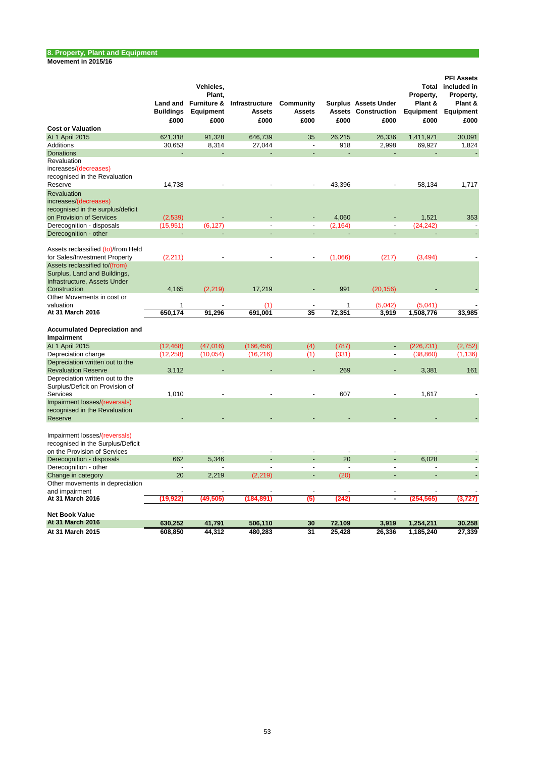#### **Movement in 2015/16**

|                                                                                                               | Land and<br><b>Buildings</b><br>£000 | Vehicles,<br>Plant.<br><b>Furniture &amp;</b><br>Equipment<br>£000 | Infrastructure<br><b>Assets</b><br>£000 | Community<br><b>Assets</b><br>£000 | £000           | <b>Surplus Assets Under</b><br><b>Assets Construction</b><br>£000 | Total<br>Property,<br>Plant &<br>Equipment<br>£000 | <b>PFI Assets</b><br>included in<br>Property,<br>Plant &<br>Equipment<br>£000 |
|---------------------------------------------------------------------------------------------------------------|--------------------------------------|--------------------------------------------------------------------|-----------------------------------------|------------------------------------|----------------|-------------------------------------------------------------------|----------------------------------------------------|-------------------------------------------------------------------------------|
| <b>Cost or Valuation</b>                                                                                      |                                      |                                                                    |                                         |                                    |                |                                                                   |                                                    |                                                                               |
| At 1 April 2015                                                                                               | 621,318                              | 91,328                                                             | 646,739                                 | 35                                 | 26,215         | 26,336                                                            | 1,411,971                                          | 30,091                                                                        |
| <b>Additions</b>                                                                                              | 30,653                               | 8,314                                                              | 27,044                                  | $\overline{a}$                     | 918            | 2,998                                                             | 69,927                                             | 1,824                                                                         |
| <b>Donations</b>                                                                                              |                                      |                                                                    |                                         |                                    |                |                                                                   |                                                    |                                                                               |
| Revaluation<br>increases/(decreases)<br>recognised in the Revaluation                                         |                                      |                                                                    |                                         |                                    |                |                                                                   |                                                    |                                                                               |
| Reserve                                                                                                       | 14,738                               |                                                                    |                                         |                                    | 43,396         |                                                                   | 58,134                                             | 1,717                                                                         |
| Revaluation                                                                                                   |                                      |                                                                    |                                         |                                    |                |                                                                   |                                                    |                                                                               |
| increases/(decreases)<br>recognised in the surplus/deficit                                                    |                                      |                                                                    |                                         |                                    |                |                                                                   |                                                    |                                                                               |
| on Provision of Services                                                                                      | (2,539)                              |                                                                    |                                         |                                    | 4,060          |                                                                   | 1,521                                              | 353                                                                           |
| Derecognition - disposals                                                                                     | (15, 951)                            | (6, 127)                                                           | $\overline{a}$                          | $\overline{a}$                     | (2, 164)       | $\overline{\phantom{a}}$                                          | (24, 242)                                          |                                                                               |
| Derecognition - other                                                                                         |                                      |                                                                    |                                         |                                    |                |                                                                   |                                                    |                                                                               |
| Assets reclassified (to)/from Held<br>for Sales/Investment Property                                           | (2, 211)                             |                                                                    |                                         |                                    | (1,066)        | (217)                                                             | (3, 494)                                           |                                                                               |
| Assets reclassified to/(from)<br>Surplus, Land and Buildings,<br>Infrastructure, Assets Under<br>Construction | 4,165                                | (2, 219)                                                           | 17.219                                  |                                    | 991            | (20, 156)                                                         |                                                    |                                                                               |
| Other Movements in cost or                                                                                    |                                      |                                                                    |                                         |                                    |                |                                                                   |                                                    |                                                                               |
| valuation                                                                                                     | 1                                    |                                                                    | (1)                                     |                                    | 1              | (5,042)                                                           | (5,041)                                            |                                                                               |
| At 31 March 2016                                                                                              | 650,174                              | 91,296                                                             | 691.001                                 | $\overline{35}$                    | 72,351         | 3,919                                                             | 1.508.776                                          | 33,985                                                                        |
| <b>Accumulated Depreciation and</b><br>Impairment                                                             |                                      |                                                                    |                                         |                                    |                |                                                                   |                                                    |                                                                               |
| At 1 April 2015                                                                                               | (12, 468)                            | (47,016)                                                           | (166, 456)                              | (4)                                | (787)          | $\blacksquare$                                                    | (226, 731)                                         | (2,752)                                                                       |
| Depreciation charge                                                                                           | (12, 258)                            | (10, 054)                                                          | (16, 216)                               | (1)                                | (331)          | ÷,                                                                | (38, 860)                                          | (1, 136)                                                                      |
| Depreciation written out to the                                                                               |                                      |                                                                    |                                         |                                    |                |                                                                   |                                                    |                                                                               |
| <b>Revaluation Reserve</b>                                                                                    | 3,112                                |                                                                    |                                         |                                    | 269            | ÷                                                                 | 3,381                                              | 161                                                                           |
| Depreciation written out to the<br>Surplus/Deficit on Provision of                                            |                                      |                                                                    |                                         |                                    |                |                                                                   |                                                    |                                                                               |
| <b>Services</b>                                                                                               | 1,010                                |                                                                    |                                         |                                    | 607            |                                                                   | 1,617                                              |                                                                               |
| Impairment losses/(reversals)<br>recognised in the Revaluation<br>Reserve                                     |                                      |                                                                    |                                         |                                    |                |                                                                   |                                                    |                                                                               |
| Impairment losses/(reversals)<br>recognised in the Surplus/Deficit<br>on the Provision of Services            | $\overline{a}$                       |                                                                    |                                         |                                    | $\overline{a}$ |                                                                   |                                                    |                                                                               |
| Derecognition - disposals                                                                                     | 662                                  | 5,346                                                              |                                         |                                    | 20             |                                                                   | 6,028                                              |                                                                               |
| Derecognition - other                                                                                         | $\overline{a}$                       |                                                                    |                                         |                                    |                | $\overline{a}$                                                    | $\overline{a}$                                     |                                                                               |
| Change in category                                                                                            | 20                                   | 2,219                                                              | (2, 219)                                | L,                                 | (20)           | $\overline{a}$                                                    |                                                    |                                                                               |
| Other movements in depreciation<br>and impairment                                                             |                                      |                                                                    |                                         | ÷,                                 |                | $\sim$                                                            |                                                    |                                                                               |
| At 31 March 2016                                                                                              | (19.922)                             | (49,505)                                                           | (184,891)                               | (5)                                | (242)          | $\blacksquare$                                                    | (254.565)                                          | (3.727)                                                                       |
| <b>Net Book Value</b><br>At 31 March 2016                                                                     |                                      |                                                                    |                                         |                                    |                |                                                                   |                                                    |                                                                               |
|                                                                                                               | 630,252                              | 41,791                                                             | 506,110                                 | 30<br>$\overline{31}$              | 72,109         | 3,919                                                             | 1,254,211                                          | 30,258                                                                        |
| At 31 March 2015                                                                                              | 608,850                              | 44,312                                                             | 480,283                                 |                                    | 25,428         | 26,336                                                            | 1,185,240                                          | 27,339                                                                        |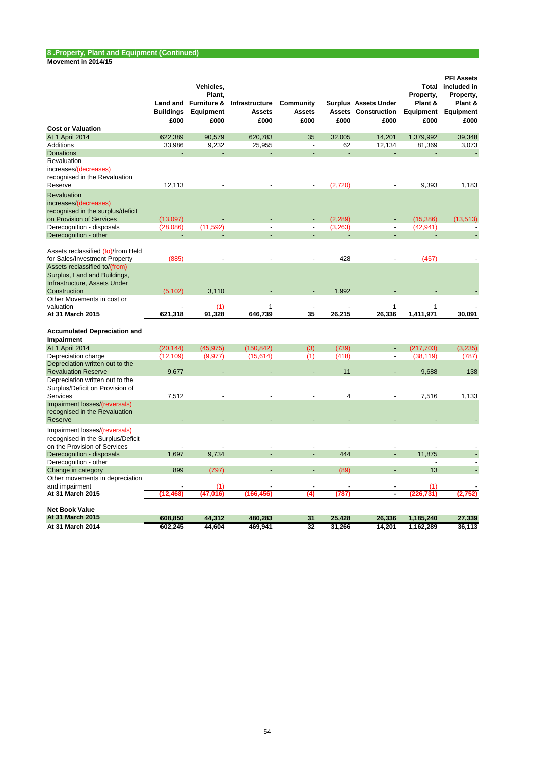# **8 .Property, Plant and Equipment (Continued)**

| Movement in 2014/15 |  |
|---------------------|--|
|---------------------|--|

|                                                                                                               | <b>Buildings</b><br>£000 | Vehicles,<br>Plant.<br>Land and Furniture &<br>Equipment<br>£000 | Infrastructure<br><b>Assets</b><br>£000 | Community<br><b>Assets</b><br>£000 | £000             | <b>Surplus Assets Under</b><br><b>Assets Construction</b><br>£000 | Total<br>Property,<br>Plant &<br>Equipment<br>£000 | <b>PFI Assets</b><br>included in<br>Property,<br>Plant &<br>Equipment<br>£000 |
|---------------------------------------------------------------------------------------------------------------|--------------------------|------------------------------------------------------------------|-----------------------------------------|------------------------------------|------------------|-------------------------------------------------------------------|----------------------------------------------------|-------------------------------------------------------------------------------|
| <b>Cost or Valuation</b>                                                                                      |                          |                                                                  |                                         |                                    |                  |                                                                   |                                                    |                                                                               |
| At 1 April 2014                                                                                               | 622,389                  | 90,579                                                           | 620,783                                 | 35                                 | 32,005           | 14,201                                                            | 1,379,992                                          | 39,348                                                                        |
| <b>Additions</b>                                                                                              | 33,986                   | 9,232                                                            | 25,955                                  | $\overline{a}$                     | 62               | 12,134                                                            | 81,369                                             | 3,073                                                                         |
| <b>Donations</b>                                                                                              |                          |                                                                  |                                         |                                    |                  |                                                                   |                                                    |                                                                               |
| Revaluation<br>increases/(decreases)<br>recognised in the Revaluation<br>Reserve                              | 12,113                   |                                                                  |                                         |                                    | (2,720)          |                                                                   | 9,393                                              | 1,183                                                                         |
| Revaluation<br>increases/(decreases)<br>recognised in the surplus/deficit                                     |                          |                                                                  |                                         |                                    |                  |                                                                   |                                                    |                                                                               |
| on Provision of Services                                                                                      | (13,097)                 |                                                                  |                                         |                                    | (2, 289)         |                                                                   | (15, 386)                                          | (13, 513)                                                                     |
| Derecognition - disposals                                                                                     | (28,086)                 | (11, 592)                                                        | $\overline{a}$                          | $\overline{a}$                     | (3,263)          | $\overline{\phantom{a}}$                                          | (42, 941)                                          |                                                                               |
| Derecognition - other                                                                                         |                          |                                                                  |                                         |                                    |                  |                                                                   |                                                    |                                                                               |
| Assets reclassified (to)/from Held<br>for Sales/Investment Property                                           | (885)                    |                                                                  |                                         |                                    | 428              |                                                                   | (457)                                              |                                                                               |
| Assets reclassified to/(from)<br>Surplus, Land and Buildings,<br>Infrastructure, Assets Under<br>Construction | (5, 102)                 | 3,110                                                            |                                         |                                    | 1,992            |                                                                   |                                                    |                                                                               |
| Other Movements in cost or                                                                                    |                          |                                                                  |                                         |                                    |                  |                                                                   |                                                    |                                                                               |
| valuation                                                                                                     |                          | (1)                                                              | 1                                       |                                    |                  | 1                                                                 | 1                                                  |                                                                               |
| At 31 March 2015                                                                                              | 621,318                  | 91,328                                                           | 646.739                                 | 35                                 | 26,215           | 26,336                                                            | 1,411,971                                          | 30,091                                                                        |
| <b>Accumulated Depreciation and</b>                                                                           |                          |                                                                  |                                         |                                    |                  |                                                                   |                                                    |                                                                               |
| Impairment                                                                                                    |                          |                                                                  |                                         |                                    |                  |                                                                   |                                                    |                                                                               |
| At 1 April 2014                                                                                               | (20, 144)                | (45, 975)                                                        | (150, 842)                              | (3)                                | (739)            |                                                                   | (217, 703)                                         | (3, 235)                                                                      |
| Depreciation charge                                                                                           | (12, 109)                | (9, 977)                                                         | (15, 614)                               | (1)                                | (418)            | $\overline{a}$                                                    | (38, 119)                                          | (787)                                                                         |
| Depreciation written out to the<br><b>Revaluation Reserve</b>                                                 | 9,677                    |                                                                  |                                         |                                    | 11               |                                                                   | 9,688                                              | 138                                                                           |
| Depreciation written out to the<br>Surplus/Deficit on Provision of                                            |                          |                                                                  |                                         |                                    |                  |                                                                   |                                                    |                                                                               |
| <b>Services</b>                                                                                               | 7,512                    |                                                                  |                                         |                                    | 4                |                                                                   | 7,516                                              | 1,133                                                                         |
| Impairment losses/(reversals)<br>recognised in the Revaluation<br>Reserve                                     |                          |                                                                  |                                         |                                    |                  |                                                                   |                                                    |                                                                               |
| Impairment losses/(reversals)<br>recognised in the Surplus/Deficit<br>on the Provision of Services            |                          |                                                                  |                                         |                                    |                  |                                                                   |                                                    |                                                                               |
| Derecognition - disposals                                                                                     | 1,697                    | 9,734                                                            |                                         |                                    | 444              |                                                                   | 11,875                                             |                                                                               |
| Derecognition - other                                                                                         |                          |                                                                  |                                         |                                    |                  |                                                                   | $\overline{\phantom{a}}$                           |                                                                               |
| Change in category                                                                                            | 899                      | (797)                                                            |                                         | ÷.                                 | (89)             | ÷,                                                                | 13                                                 |                                                                               |
| Other movements in depreciation                                                                               |                          |                                                                  |                                         |                                    |                  |                                                                   |                                                    |                                                                               |
| and impairment                                                                                                |                          | (1)                                                              |                                         |                                    |                  |                                                                   | (1)                                                |                                                                               |
| At 31 March 2015                                                                                              | (12, 468)                | (47, 016)                                                        | (166, 456)                              | (4)                                | (787)            | $\blacksquare$                                                    | (226, 731)                                         | (2,752)                                                                       |
| <b>Net Book Value</b>                                                                                         |                          |                                                                  |                                         |                                    |                  |                                                                   |                                                    |                                                                               |
| At 31 March 2015<br>At 31 March 2014                                                                          | 608,850<br>602,245       | 44,312<br>44,604                                                 | 480,283<br>469,941                      | 31<br>32                           | 25.428<br>31,266 | 26,336<br>14,201                                                  | 1,185,240<br>1,162,289                             | 27,339<br>36,113                                                              |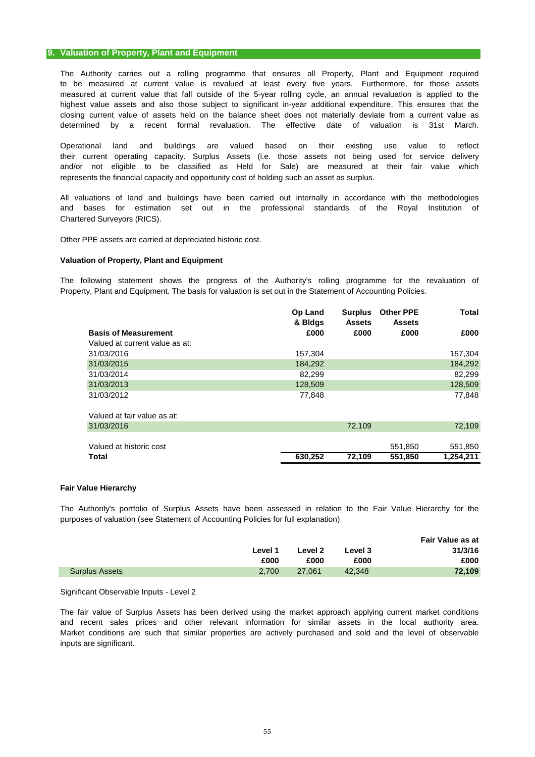# **9. Valuation of Property, Plant and Equipment**

The Authority carries out a rolling programme that ensures all Property, Plant and Equipment required measured at current value that fall outside of the 5-year rolling cycle, an annual revaluation is applied to the highest value assets and also those subject to significant in-year additional expenditure. This ensures that the to be measured at current value is revalued at least every five years. Furthermore, for those assets closing current value of assets held on the balance sheet does not materially deviate from a current value as determined by a recent formal revaluation. The effective date of valuation is 31st March.

their current operating capacity. Surplus Assets (i.e. those assets not being used for service delivery and/or not eligible to be classified as Held for Sale) are measured at their fair value which represents the financial capacity and opportunity cost of holding such an asset as surplus. Operational land and buildings are valued based on their existing use value to reflect

All valuations of land and buildings have been carried out internally in accordance with the methodologies Chartered Surveyors (RICS). and bases for estimation set out in the professional standards of the Royal Institution of

Other PPE assets are carried at depreciated historic cost.

# **Valuation of Property, Plant and Equipment**

The following statement shows the progress of the Authority's rolling programme for the revaluation of Property, Plant and Equipment. The basis for valuation is set out in the Statement of Accounting Policies.

|                                | <b>Op Land</b><br>& Bldgs | <b>Surplus</b><br><b>Assets</b> | <b>Other PPE</b><br><b>Assets</b> | Total   |
|--------------------------------|---------------------------|---------------------------------|-----------------------------------|---------|
| <b>Basis of Measurement</b>    | £000                      | £000                            | £000                              | £000    |
| Valued at current value as at: |                           |                                 |                                   |         |
| 31/03/2016                     | 157,304                   |                                 |                                   | 157,304 |
| 31/03/2015                     | 184,292                   |                                 |                                   | 184,292 |
| 31/03/2014                     | 82.299                    |                                 |                                   | 82.299  |
| 31/03/2013                     | 128,509                   |                                 |                                   | 128,509 |
| 31/03/2012                     | 77,848                    |                                 |                                   | 77,848  |

| Total                       | 630.252 | 72.109 | 551.850 | 1.254.211 |
|-----------------------------|---------|--------|---------|-----------|
| Valued at historic cost     |         |        | 551.850 | 551.850   |
| 31/03/2016                  |         | 72.109 |         | 72.109    |
| Valued at fair value as at: |         |        |         |           |

#### **Fair Value Hierarchy**

The Authority's portfolio of Surplus Assets have been assessed in relation to the Fair Value Hierarchy for the purposes of valuation (see Statement of Accounting Policies for full explanation)

|                       |         |         |         | <b>Fair Value as at</b> |
|-----------------------|---------|---------|---------|-------------------------|
|                       | Level 1 | Level 2 | Level 3 | 31/3/16                 |
|                       | £000    | £000    | £000    | £000                    |
| <b>Surplus Assets</b> | 2.700   | 27.061  | 42.348  | 72.109                  |

Significant Observable Inputs - Level 2

The fair value of Surplus Assets has been derived using the market approach applying current market conditions and recent sales prices and other relevant information for similar assets in the local authority area. Market conditions are such that similar properties are actively purchased and sold and the level of observable inputs are significant.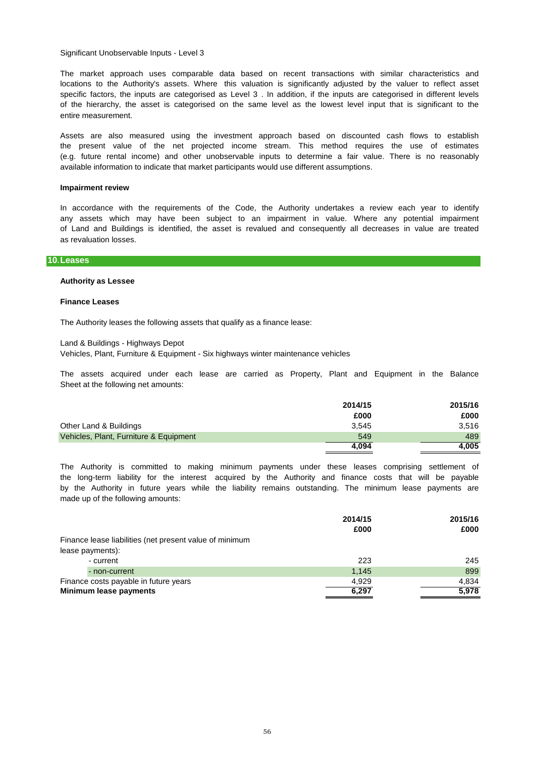Significant Unobservable Inputs - Level 3

The market approach uses comparable data based on recent transactions with similar characteristics and locations to the Authority's assets. Where this valuation is significantly adjusted by the valuer to reflect asset specific factors, the inputs are categorised as Level 3 . In addition, if the inputs are categorised in different levels of the hierarchy, the asset is categorised on the same level as the lowest level input that is significant to the entire measurement.

the present value of the net projected income stream. This method requires the use of estimates (e.g. future rental income) and other unobservable inputs to determine a fair value. There is no reasonably available information to indicate that market participants would use different assumptions. Assets are also measured using the investment approach based on discounted cash flows to establish

#### **Impairment review**

as revaluation losses. of Land and Buildings is identified, the asset is revalued and consequently all decreases in value are treated In accordance with the requirements of the Code, the Authority undertakes a review each year to identify any assets which may have been subject to an impairment in value. Where any potential impairment

## **10.Leases**

#### **Authority as Lessee**

#### **Finance Leases**

The Authority leases the following assets that qualify as a finance lease:

Land & Buildings - Highways Depot

Vehicles, Plant, Furniture & Equipment - Six highways winter maintenance vehicles

The assets acquired under each lease are carried as Property, Plant and Equipment in the Balance Sheet at the following net amounts:

|                                        | 2014/15 | 2015/16 |
|----------------------------------------|---------|---------|
|                                        | £000    | £000    |
| Other Land & Buildings                 | 3.545   | 3.516   |
| Vehicles, Plant, Furniture & Equipment | 549     | 489     |
|                                        | 4.094   | 4,005   |

made up of the following amounts: by the Authority in future years while the liability remains outstanding. The minimum lease payments are the long-term liability for the interest acquired by the Authority and finance costs that will be payable The Authority is committed to making minimum payments under these leases comprising settlement of

|                                                         | 2014/15 | 2015/16 |
|---------------------------------------------------------|---------|---------|
|                                                         | £000    | £000    |
| Finance lease liabilities (net present value of minimum |         |         |
| lease payments):                                        |         |         |
| - current                                               | 223     | 245     |
| - non-current                                           | 1,145   | 899     |
| Finance costs payable in future years                   | 4.929   | 4.834   |
| Minimum lease payments                                  | 6,297   | 5,978   |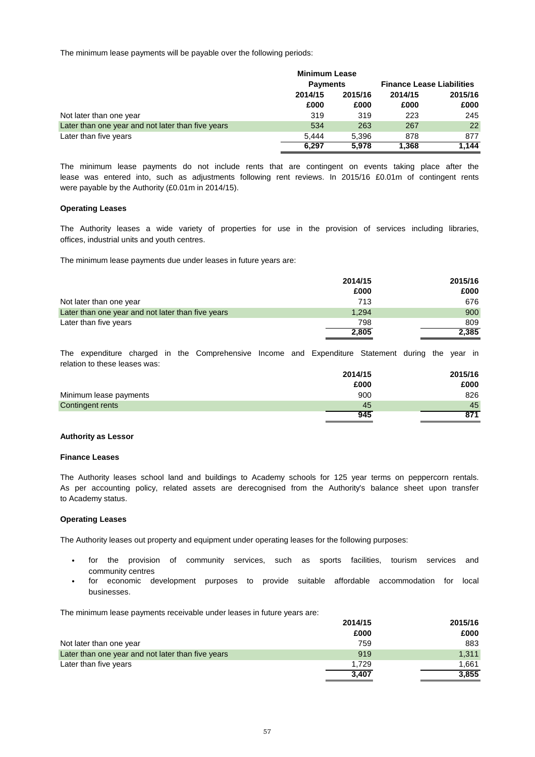The minimum lease payments will be payable over the following periods:

|                                                   | <b>Minimum Lease</b> |                 |         |                                  |
|---------------------------------------------------|----------------------|-----------------|---------|----------------------------------|
|                                                   |                      | <b>Payments</b> |         | <b>Finance Lease Liabilities</b> |
|                                                   | 2014/15              | 2015/16         | 2014/15 | 2015/16                          |
|                                                   | £000                 | £000            | £000    | £000                             |
| Not later than one year                           | 319                  | 319             | 223     | 245                              |
| Later than one year and not later than five years | 534                  | 263             | 267     | 22                               |
| Later than five years                             | 5.444                | 5.396           | 878     | 877                              |
|                                                   | 6.297                | 5.978           | 1.368   | 1.144                            |

were payable by the Authority (£0.01m in 2014/15). The minimum lease payments do not include rents that are contingent on events taking place after the lease was entered into, such as adjustments following rent reviews. In 2015/16 £0.01m of contingent rents

#### **Operating Leases**

offices, industrial units and youth centres. The Authority leases a wide variety of properties for use in the provision of services including libraries,

The minimum lease payments due under leases in future years are:

|                                                   | 2014/15 | 2015/16 |
|---------------------------------------------------|---------|---------|
|                                                   | £000    | £000    |
| Not later than one year                           | 713     | 676     |
| Later than one year and not later than five years | 1.294   | 900     |
| Later than five years                             | 798     | 809     |
|                                                   | 2,805   | 2,385   |

relation to these leases was: The expenditure charged in the Comprehensive Income and Expenditure Statement during the year in

|                        | 2014/15 | 2015/16 |
|------------------------|---------|---------|
|                        | £000    | £000    |
| Minimum lease payments | 900     | 826     |
| Contingent rents       | 45      | 45      |
|                        | 945     | 871     |

# **Authority as Lessor**

## **Finance Leases**

to Academy status. The Authority leases school land and buildings to Academy schools for 125 year terms on peppercorn rentals. As per accounting policy, related assets are derecognised from the Authority's balance sheet upon transfer

#### **Operating Leases**

The Authority leases out property and equipment under operating leases for the following purposes:

- community centres for the provision of community services, such as sports facilities, tourism services and
- businesses. for economic development purposes to provide suitable affordable accommodation for local

The minimum lease payments receivable under leases in future years are:

|                                                   | 2014/15 | 2015/16 |
|---------------------------------------------------|---------|---------|
|                                                   | £000    | £000    |
| Not later than one year                           | 759     | 883     |
| Later than one year and not later than five years | 919     | 1.311   |
| Later than five years                             | 1.729   | 1.661   |
|                                                   | 3.407   | 3,855   |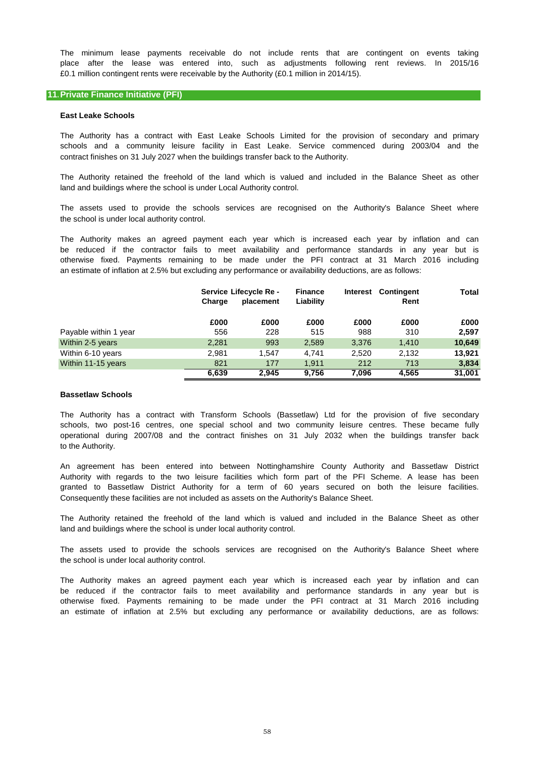£0.1 million contingent rents were receivable by the Authority (£0.1 million in 2014/15). The minimum lease payments receivable do not include rents that are contingent on events taking place after the lease was entered into, such as adjustments following rent reviews. In 2015/16

#### **11.Private Finance Initiative (PFI)**

#### **East Leake Schools**

contract finishes on 31 July 2027 when the buildings transfer back to the Authority. The Authority has a contract with East Leake Schools Limited for the provision of secondary and primary schools and a community leisure facility in East Leake. Service commenced during 2003/04 and the

land and buildings where the school is under Local Authority control. The Authority retained the freehold of the land which is valued and included in the Balance Sheet as other

The assets used to provide the schools services are recognised on the Authority's Balance Sheet where the school is under local authority control.

The Authority makes an agreed payment each year which is increased each year by inflation and can be reduced if the contractor fails to meet availability and performance standards in any year but is otherwise fixed. Payments remaining to be made under the PFI contract at 31 March 2016 including an estimate of inflation at 2.5% but excluding any performance or availability deductions, are as follows:

|                       | Charge | Service Lifecycle Re -<br>placement | <b>Finance</b><br>Liability | Interest | <b>Contingent</b><br>Rent | Total  |
|-----------------------|--------|-------------------------------------|-----------------------------|----------|---------------------------|--------|
|                       | £000   | £000                                | £000                        | £000     | £000                      | £000   |
| Payable within 1 year | 556    | 228                                 | 515                         | 988      | 310                       | 2,597  |
| Within 2-5 years      | 2,281  | 993                                 | 2,589                       | 3.376    | 1,410                     | 10,649 |
| Within 6-10 years     | 2.981  | 1.547                               | 4.741                       | 2.520    | 2.132                     | 13,921 |
| Within 11-15 years    | 821    | 177                                 | 1.911                       | 212      | 713                       | 3,834  |
|                       | 6,639  | 2.945                               | 9.756                       | 7.096    | 4.565                     | 31,001 |

#### **Bassetlaw Schools**

to the Authority. The Authority has a contract with Transform Schools (Bassetlaw) Ltd for the provision of five secondary schools, two post-16 centres, one special school and two community leisure centres. These became fully operational during 2007/08 and the contract finishes on 31 July 2032 when the buildings transfer back

An agreement has been entered into between Nottinghamshire County Authority and Bassetlaw District Authority with regards to the two leisure facilities which form part of the PFI Scheme. A lease has been granted to Bassetlaw District Authority for a term of 60 years secured on both the leisure facilities. Consequently these facilities are not included as assets on the Authority's Balance Sheet.

land and buildings where the school is under local authority control. The Authority retained the freehold of the land which is valued and included in the Balance Sheet as other

The assets used to provide the schools services are recognised on the Authority's Balance Sheet where the school is under local authority control.

The Authority makes an agreed payment each year which is increased each year by inflation and can be reduced if the contractor fails to meet availability and performance standards in any year but is otherwise fixed. Payments remaining to be made under the PFI contract at 31 March 2016 including an estimate of inflation at 2.5% but excluding any performance or availability deductions, are as follows: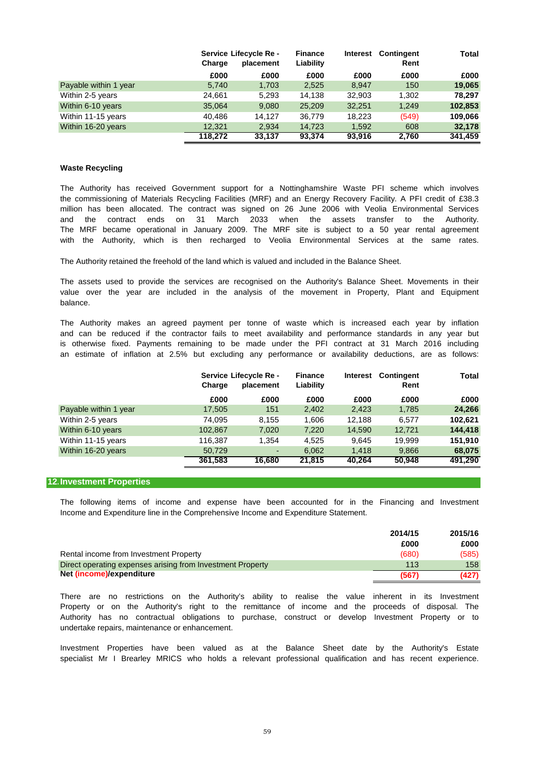|                       | Service Lifecycle Re - |           | <b>Finance</b><br>Interest |        | <b>Contingent</b> | Total   |
|-----------------------|------------------------|-----------|----------------------------|--------|-------------------|---------|
|                       | Charge                 | placement | Liability                  |        | Rent              |         |
|                       | £000                   | £000      | £000                       | £000   | £000              | £000    |
| Payable within 1 year | 5,740                  | 1,703     | 2,525                      | 8.947  | 150               | 19,065  |
| Within 2-5 years      | 24,661                 | 5,293     | 14.138                     | 32.903 | 1,302             | 78.297  |
| Within 6-10 years     | 35,064                 | 9,080     | 25,209                     | 32.251 | 1,249             | 102,853 |
| Within 11-15 years    | 40.486                 | 14.127    | 36,779                     | 18.223 | (549)             | 109,066 |
| Within 16-20 years    | 12.321                 | 2,934     | 14,723                     | 1,592  | 608               | 32,178  |
|                       | 118.272                | 33.137    | 93,374                     | 93.916 | 2.760             | 341.459 |

### **Waste Recycling**

and the contract ends on 31 March 2033 when the assets transfer to the Authority. the commissioning of Materials Recycling Facilities (MRF) and an Energy Recovery Facility. A PFI credit of £38.3 million has been allocated. The contract was signed on 26 June 2006 with Veolia Environmental Services The Authority has received Government support for a Nottinghamshire Waste PFI scheme which involves The MRF became operational in January 2009. The MRF site is subject to a 50 year rental agreement with the Authority, which is then recharged to Veolia Environmental Services at the same rates.

The Authority retained the freehold of the land which is valued and included in the Balance Sheet.

balance. The assets used to provide the services are recognised on the Authority's Balance Sheet. Movements in their value over the year are included in the analysis of the movement in Property, Plant and Equipment

The Authority makes an agreed payment per tonne of waste which is increased each year by inflation an estimate of inflation at 2.5% but excluding any performance or availability deductions, are as follows: and can be reduced if the contractor fails to meet availability and performance standards in any year but is otherwise fixed. Payments remaining to be made under the PFI contract at 31 March 2016 including

|                       | Charge  | Service Lifecycle Re -<br>placement |        | <b>Contingent</b><br><b>Finance</b><br><b>Interest</b><br>Liability |        | Total   |
|-----------------------|---------|-------------------------------------|--------|---------------------------------------------------------------------|--------|---------|
|                       | £000    | £000                                | £000   | £000                                                                | £000   | £000    |
| Payable within 1 year | 17,505  | 151                                 | 2,402  | 2.423                                                               | 1,785  | 24,266  |
| Within 2-5 years      | 74,095  | 8.155                               | 1,606  | 12.188                                                              | 6,577  | 102,621 |
| Within 6-10 years     | 102.867 | 7,020                               | 7,220  | 14,590                                                              | 12.721 | 144,418 |
| Within 11-15 years    | 116,387 | 1.354                               | 4.525  | 9.645                                                               | 19.999 | 151,910 |
| Within 16-20 years    | 50.729  | ۰                                   | 6,062  | 1.418                                                               | 9,866  | 68,075  |
|                       | 361.583 | 16.680                              | 21,815 | 40.264                                                              | 50,948 | 491.290 |

#### **12.Investment Properties**

Income and Expenditure line in the Comprehensive Income and Expenditure Statement. The following items of income and expense have been accounted for in the Financing and Investment

|                                                            | 2014/15 | 2015/16 |
|------------------------------------------------------------|---------|---------|
|                                                            | £000    | £000    |
| Rental income from Investment Property                     | (680)   | (585)   |
| Direct operating expenses arising from Investment Property | 113     | 158     |
| Net (income)/expenditure                                   | (567)   | (427)   |

undertake repairs, maintenance or enhancement. There are no restrictions on the Authority's ability to realise the value inherent in its Investment Property or on the Authority's right to the remittance of income and the proceeds of disposal. The Authority has no contractual obligations to purchase, construct or develop Investment Property or to

specialist Mr I Brearley MRICS who holds a relevant professional qualification and has recent experience. Investment Properties have been valued as at the Balance Sheet date by the Authority's Estate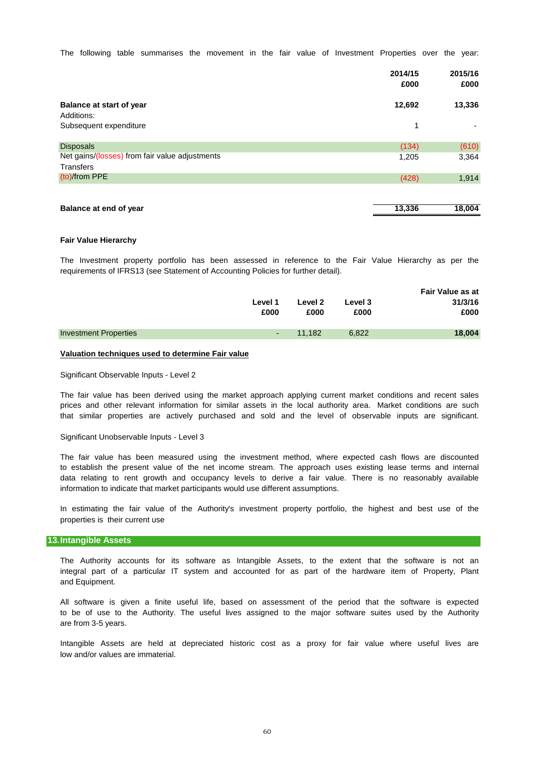The following table summarises the movement in the fair value of Investment Properties over the year:

|                                                                    | 2014/15<br>£000 | 2015/16<br>£000 |
|--------------------------------------------------------------------|-----------------|-----------------|
| <b>Balance at start of year</b><br>Additions:                      | 12,692          | 13,336          |
| Subsequent expenditure                                             | 1               |                 |
| <b>Disposals</b><br>Net gains/(losses) from fair value adjustments | (134)           | (610)           |
| <b>Transfers</b>                                                   | 1,205           | 3,364           |
| (to)/from PPE                                                      | (428)           | 1,914           |
|                                                                    |                 |                 |
| Balance at end of year                                             | 13,336          | 18,004          |

#### **Fair Value Hierarchy**

The Investment property portfolio has been assessed in reference to the Fair Value Hierarchy as per the requirements of IFRS13 (see Statement of Accounting Policies for further detail).

|                              | Level 1<br>£000 | Level 2<br>£000 | Level 3<br>£000 | <b>Fair Value as at</b><br>31/3/16<br>£000 |
|------------------------------|-----------------|-----------------|-----------------|--------------------------------------------|
| <b>Investment Properties</b> | 14 T            | 11.182          | 6,822           | 18,004                                     |
|                              |                 |                 |                 |                                            |

#### **Valuation techniques used to determine Fair value**

Significant Observable Inputs - Level 2

The fair value has been derived using the market approach applying current market conditions and recent sales prices and other relevant information for similar assets in the local authority area. Market conditions are such that similar properties are actively purchased and sold and the level of observable inputs are significant.

## Significant Unobservable Inputs - Level 3

information to indicate that market participants would use different assumptions. The fair value has been measured using the investment method, where expected cash flows are discounted to establish the present value of the net income stream. The approach uses existing lease terms and internal data relating to rent growth and occupancy levels to derive a fair value. There is no reasonably available

properties is their current use In estimating the fair value of the Authority's investment property portfolio, the highest and best use of the

#### **13.Intangible Assets**

and Equipment. The Authority accounts for its software as Intangible Assets, to the extent that the software is not an integral part of a particular IT system and accounted for as part of the hardware item of Property, Plant

are from 3-5 years. All software is given a finite useful life, based on assessment of the period that the software is expected to be of use to the Authority. The useful lives assigned to the major software suites used by the Authority

low and/or values are immaterial. Intangible Assets are held at depreciated historic cost as a proxy for fair value where useful lives are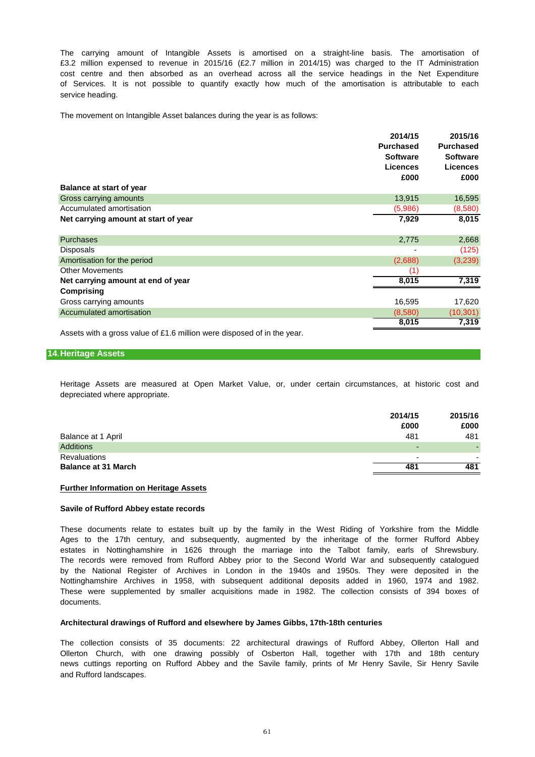service heading. £3.2 million expensed to revenue in 2015/16 (£2.7 million in 2014/15) was charged to the IT Administration The carrying amount of Intangible Assets is amortised on a straight-line basis. The amortisation of of Services. It is not possible to quantify exactly how much of the amortisation is attributable to each cost centre and then absorbed as an overhead across all the service headings in the Net Expenditure

The movement on Intangible Asset balances during the year is as follows:

| <b>Balance at start of year</b>      | 2014/15<br><b>Purchased</b><br><b>Software</b><br><b>Licences</b><br>£000 | 2015/16<br><b>Purchased</b><br><b>Software</b><br><b>Licences</b><br>£000 |
|--------------------------------------|---------------------------------------------------------------------------|---------------------------------------------------------------------------|
| Gross carrying amounts               | 13,915                                                                    | 16,595                                                                    |
| Accumulated amortisation             | (5,986)                                                                   | (8,580)                                                                   |
| Net carrying amount at start of year | 7,929                                                                     | 8,015                                                                     |
| <b>Purchases</b>                     | 2,775                                                                     | 2,668                                                                     |
| Disposals                            |                                                                           | (125)                                                                     |
| Amortisation for the period          | (2,688)                                                                   | (3,239)                                                                   |
| <b>Other Movements</b>               | (1)                                                                       |                                                                           |
| Net carrying amount at end of year   | 8,015                                                                     | 7,319                                                                     |
| Comprising                           |                                                                           |                                                                           |
| Gross carrying amounts               | 16,595                                                                    | 17,620                                                                    |
| Accumulated amortisation             | (8,580)                                                                   | (10, 301)                                                                 |
|                                      | 8,015                                                                     | 7,319                                                                     |

Assets with a gross value of £1.6 million were disposed of in the year.

# **14.Heritage Assets**

Heritage Assets are measured at Open Market Value, or, under certain circumstances, at historic cost and depreciated where appropriate.

|                            | 2014/15<br>£000          | 2015/16<br>£000 |
|----------------------------|--------------------------|-----------------|
| Balance at 1 April         | 481                      | 481             |
| <b>Additions</b>           | $\overline{\phantom{0}}$ |                 |
| <b>Revaluations</b>        | $\overline{\phantom{0}}$ | -               |
| <b>Balance at 31 March</b> | 481                      | 481             |

## **Further Information on Heritage Assets**

#### **Savile of Rufford Abbey estate records**

These documents relate to estates built up by the family in the West Riding of Yorkshire from the Middle Nottinghamshire Archives in 1958, with subsequent additional deposits added in 1960, 1974 and 1982. These were supplemented by smaller acquisitions made in 1982. The collection consists of 394 boxes of documents. Ages to the 17th century, and subsequently, augmented by the inheritage of the former Rufford Abbey estates in Nottinghamshire in 1626 through the marriage into the Talbot family, earls of Shrewsbury. The records were removed from Rufford Abbey prior to the Second World War and subsequently catalogued by the National Register of Archives in London in the 1940s and 1950s. They were deposited in the

#### **Architectural drawings of Rufford and elsewhere by James Gibbs, 17th-18th centuries**

The collection consists of 35 documents: 22 architectural drawings of Rufford Abbey, Ollerton Hall and Ollerton Church, with one drawing possibly of Osberton Hall, together with 17th and 18th century news cuttings reporting on Rufford Abbey and the Savile family, prints of Mr Henry Savile, Sir Henry Savile and Rufford landscapes.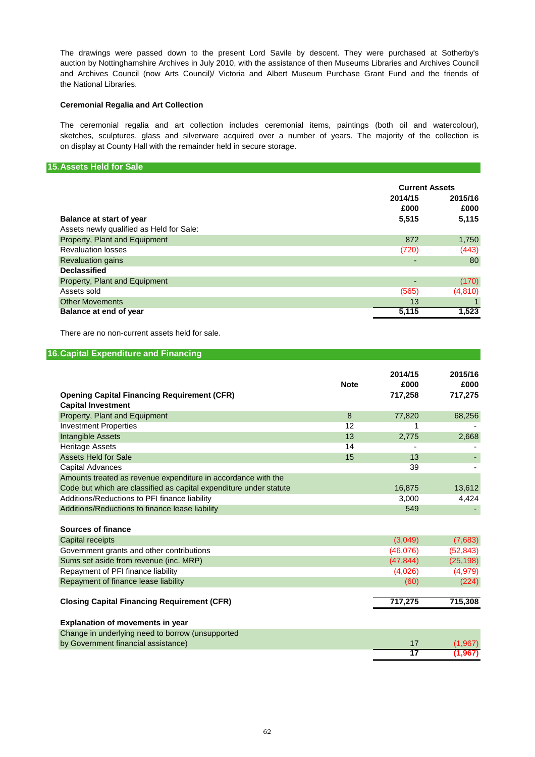The drawings were passed down to the present Lord Savile by descent. They were purchased at Sotherby's auction by Nottinghamshire Archives in July 2010, with the assistance of then Museums Libraries and Archives Council the National Libraries. and Archives Council (now Arts Council)/ Victoria and Albert Museum Purchase Grant Fund and the friends of

# **Ceremonial Regalia and Art Collection**

The ceremonial regalia and art collection includes ceremonial items, paintings (both oil and watercolour), sketches, sculptures, glass and silverware acquired over a number of years. The majority of the collection is on display at County Hall with the remainder held in secure storage.

## **15.Assets Held for Sale**

|                                          | <b>Current Assets</b> |         |
|------------------------------------------|-----------------------|---------|
|                                          | 2014/15               | 2015/16 |
|                                          | £000                  | £000    |
| Balance at start of year                 | 5,515                 | 5,115   |
| Assets newly qualified as Held for Sale: |                       |         |
| Property, Plant and Equipment            | 872                   | 1,750   |
| <b>Revaluation losses</b>                | (720)                 | (443)   |
| <b>Revaluation gains</b>                 |                       | 80      |
| <b>Declassified</b>                      |                       |         |
| Property, Plant and Equipment            |                       | (170)   |
| Assets sold                              | (565)                 | (4,810) |
| <b>Other Movements</b>                   | 13                    |         |
| Balance at end of year                   | 5,115                 | 1,523   |

There are no non-current assets held for sale.

| <b>16. Capital Expenditure and Financing</b>                                    |             |                            |                            |
|---------------------------------------------------------------------------------|-------------|----------------------------|----------------------------|
| <b>Opening Capital Financing Requirement (CFR)</b><br><b>Capital Investment</b> | <b>Note</b> | 2014/15<br>£000<br>717,258 | 2015/16<br>£000<br>717,275 |
| Property, Plant and Equipment                                                   | 8           | 77,820                     | 68,256                     |
| <b>Investment Properties</b>                                                    | 12          | 1                          |                            |
| Intangible Assets                                                               | 13          | 2,775                      | 2,668                      |
| <b>Heritage Assets</b>                                                          | 14          |                            |                            |
| <b>Assets Held for Sale</b>                                                     | 15          | 13                         |                            |
| <b>Capital Advances</b>                                                         |             | 39                         |                            |
| Amounts treated as revenue expenditure in accordance with the                   |             |                            |                            |
| Code but which are classified as capital expenditure under statute              |             | 16,875                     | 13,612                     |
| Additions/Reductions to PFI finance liability                                   |             | 3,000                      | 4,424                      |
| Additions/Reductions to finance lease liability                                 |             | 549                        |                            |
| Sources of finance                                                              |             |                            |                            |
| Capital receipts                                                                |             | (3,049)                    | (7,683)                    |
| Government grants and other contributions                                       |             | (46,076)                   | (52, 843)                  |
| Sums set aside from revenue (inc. MRP)                                          |             | (47, 844)                  | (25, 198)                  |
| Repayment of PFI finance liability                                              |             | (4,026)                    | (4,979)                    |
| Repayment of finance lease liability                                            |             | (60)                       | (224)                      |
| <b>Closing Capital Financing Requirement (CFR)</b>                              |             | 717,275                    | 715,308                    |
| <b>Explanation of movements in year</b>                                         |             |                            |                            |
| Change in underlying need to borrow (unsupported                                |             |                            |                            |
| by Government financial assistance)                                             |             | 17                         | (1, 967)                   |
|                                                                                 |             | 17                         | 1.967                      |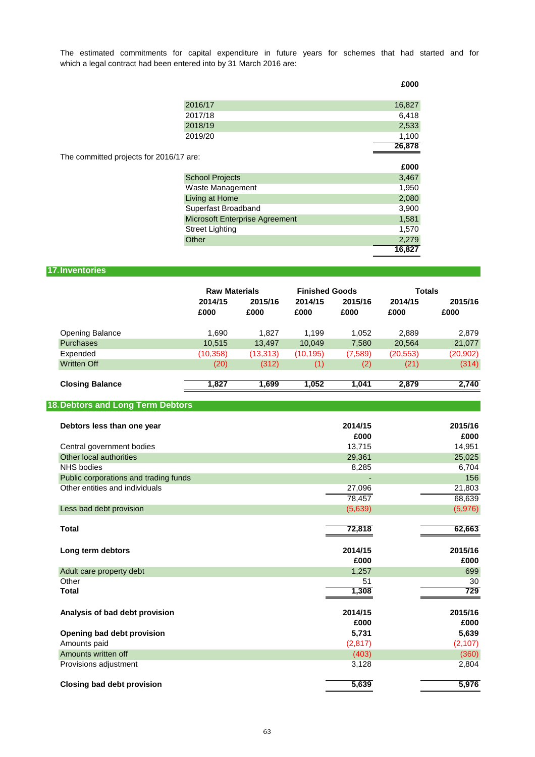which a legal contract had been entered into by 31 March 2016 are: The estimated commitments for capital expenditure in future years for schemes that had started and for

**£000**

|                                         | 2016/17                        | 16,827 |
|-----------------------------------------|--------------------------------|--------|
|                                         | 2017/18                        | 6,418  |
|                                         | 2018/19                        | 2,533  |
|                                         | 2019/20                        | 1,100  |
|                                         |                                | 26,878 |
| The committed projects for 2016/17 are: |                                |        |
|                                         |                                | £000   |
|                                         | <b>School Projects</b>         | 3,467  |
|                                         | Waste Management               | 1,950  |
|                                         | Living at Home                 | 2,080  |
|                                         | Superfast Broadband            | 3,900  |
|                                         | Microsoft Enterprise Agreement | 1,581  |
|                                         | <b>Street Lighting</b>         | 1,570  |
|                                         | Other                          | 2,279  |
|                                         |                                | 16,827 |
|                                         |                                |        |

# **17.Inventories**

|                        | <b>Raw Materials</b> |                 | <b>Finished Goods</b> |                 | <b>Totals</b>   |                 |
|------------------------|----------------------|-----------------|-----------------------|-----------------|-----------------|-----------------|
|                        | 2014/15<br>£000      | 2015/16<br>£000 | 2014/15<br>£000       | 2015/16<br>£000 | 2014/15<br>£000 | 2015/16<br>£000 |
| <b>Opening Balance</b> | 1.690                | 1.827           | 1.199                 | 1,052           | 2.889           | 2.879           |
| <b>Purchases</b>       | 10,515               | 13,497          | 10,049                | 7,580           | 20,564          | 21,077          |
| Expended               | (10, 358)            | (13,313)        | (10, 195)             | (7,589)         | (20, 553)       | (20, 902)       |
| <b>Written Off</b>     | (20)                 | (312)           | (1)                   | (2)             | (21)            | (314)           |
| <b>Closing Balance</b> | 1,827                | 1.699           | 1.052                 | 1,041           | 2,879           | 2.740           |

# **18.Debtors and Long Term Debtors**

| Debtors less than one year            | 2014/15<br>£000 | 2015/16<br>£000 |
|---------------------------------------|-----------------|-----------------|
| Central government bodies             | 13,715          | 14,951          |
| Other local authorities               | 29,361          | 25,025          |
| <b>NHS</b> bodies                     | 8,285           | 6,704           |
| Public corporations and trading funds |                 | 156             |
| Other entities and individuals        | 27,096          | 21,803          |
|                                       | 78,457          | 68,639          |
| Less bad debt provision               | (5,639)         | (5,976)         |
| <b>Total</b>                          | 72,818          | 62,663          |
| Long term debtors                     | 2014/15<br>£000 | 2015/16<br>£000 |
| Adult care property debt              | 1,257           | 699             |
| Other                                 | 51              | 30              |
| <b>Total</b>                          | 1,308           | 729             |
| Analysis of bad debt provision        | 2014/15<br>£000 | 2015/16<br>£000 |
| Opening bad debt provision            | 5,731           | 5,639           |
| Amounts paid                          | (2, 817)        | (2, 107)        |
| Amounts written off                   | (403)           | (360)           |
| Provisions adjustment                 | 3,128           | 2,804           |
| <b>Closing bad debt provision</b>     | 5,639           | 5,976           |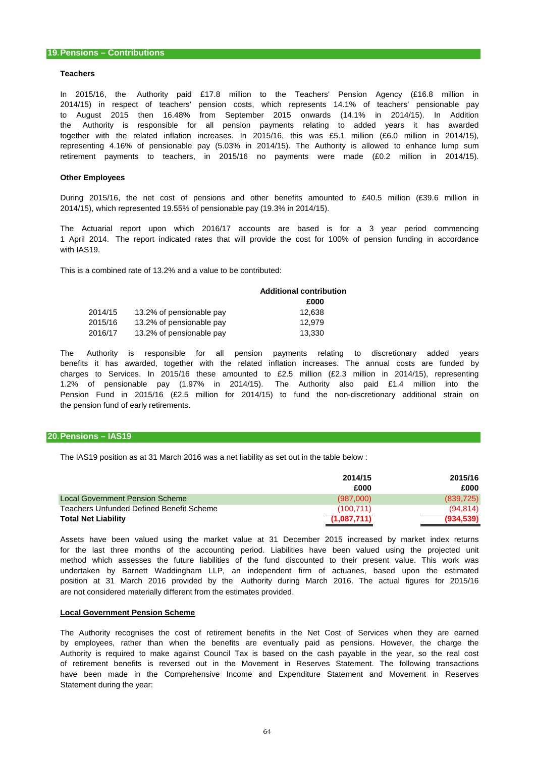#### **Teachers**

2014/15) in respect of teachers' pension costs, which represents 14.1% of teachers' pensionable pay In 2015/16, the Authority paid £17.8 million to the Teachers' Pension Agency (£16.8 million in the Authority is responsible for all pension payments relating to added years it has awarded together with the related inflation increases. In 2015/16, this was £5.1 million (£6.0 million in 2014/15), to August 2015 then 16.48% from September 2015 onwards (14.1% in 2014/15). In Addition representing 4.16% of pensionable pay (5.03% in 2014/15). The Authority is allowed to enhance lump sum retirement payments to teachers, in 2015/16 no payments were made (£0.2 million in 2014/15).

#### **Other Employees**

During 2015/16, the net cost of pensions and other benefits amounted to £40.5 million (£39.6 million in 2014/15), which represented 19.55% of pensionable pay (19.3% in 2014/15).

The Actuarial report upon which 2016/17 accounts are based is for a 3 year period commencing 1 April 2014. The report indicated rates that will provide the cost for 100% of pension funding in accordance with IAS19.

This is a combined rate of 13.2% and a value to be contributed:

|         |                          | <b>Additional contribution</b> |
|---------|--------------------------|--------------------------------|
|         |                          | £000                           |
| 2014/15 | 13.2% of pensionable pay | 12.638                         |
| 2015/16 | 13.2% of pensionable pay | 12.979                         |
| 2016/17 | 13.2% of pensionable pay | 13.330                         |

the pension fund of early retirements. benefits it has awarded, together with the related inflation increases. The annual costs are funded by charges to Services. In 2015/16 these amounted to £2.5 million (£2.3 million in 2014/15), representing 1.2% of pensionable pay (1.97% in 2014/15). The Authority also paid £1.4 million into the Pension Fund in 2015/16 (£2.5 million for 2014/15) to fund the non-discretionary additional strain on The Authority is responsible for all pension payments relating to discretionary added years

## **20.Pensions – IAS19**

The IAS19 position as at 31 March 2016 was a net liability as set out in the table below :

|                                          | 2014/15     | 2015/16    |
|------------------------------------------|-------------|------------|
|                                          | £000        | £000       |
| <b>Local Government Pension Scheme</b>   | (987.000)   | (839, 725) |
| Teachers Unfunded Defined Benefit Scheme | (100.711)   | (94.814)   |
| <b>Total Net Liability</b>               | (1,087,711) | (934, 539) |

are not considered materially different from the estimates provided. for the last three months of the accounting period. Liabilities have been valued using the projected unit method which assesses the future liabilities of the fund discounted to their present value. This work was undertaken by Barnett Waddingham LLP, an independent firm of actuaries, based upon the estimated position at 31 March 2016 provided by the Authority during March 2016. The actual figures for 2015/16 Assets have been valued using the market value at 31 December 2015 increased by market index returns

#### **Local Government Pension Scheme**

Statement during the year: of retirement benefits is reversed out in the Movement in Reserves Statement. The following transactions by employees, rather than when the benefits are eventually paid as pensions. However, the charge the The Authority recognises the cost of retirement benefits in the Net Cost of Services when they are earned Authority is required to make against Council Tax is based on the cash payable in the year, so the real cost have been made in the Comprehensive Income and Expenditure Statement and Movement in Reserves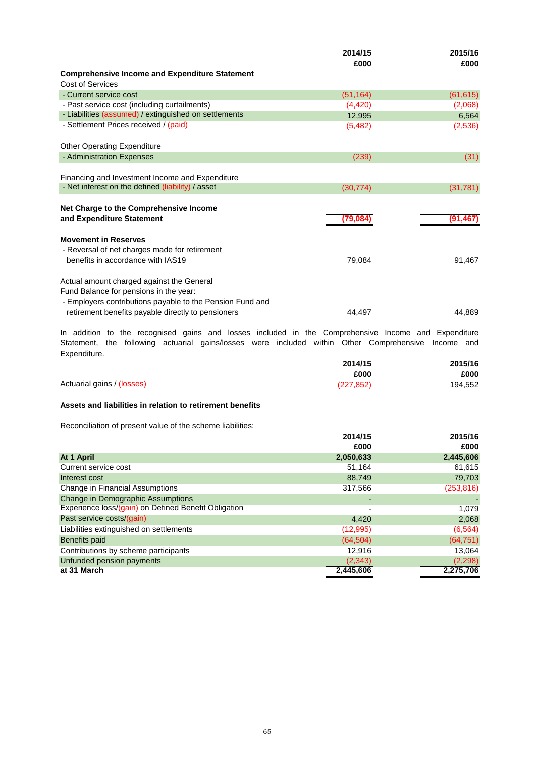|                                                                                                                   | 2014/15<br>£000 | 2015/16<br>£000 |
|-------------------------------------------------------------------------------------------------------------------|-----------------|-----------------|
| <b>Comprehensive Income and Expenditure Statement</b>                                                             |                 |                 |
| Cost of Services                                                                                                  |                 |                 |
| - Current service cost                                                                                            | (51, 164)       | (61, 615)       |
| - Past service cost (including curtailments)                                                                      | (4, 420)        | (2,068)         |
| - Liabilities (assumed) / extinguished on settlements                                                             | 12,995          | 6,564           |
| - Settlement Prices received / (paid)                                                                             | (5, 482)        | (2,536)         |
| <b>Other Operating Expenditure</b>                                                                                |                 |                 |
| - Administration Expenses                                                                                         | (239)           | (31)            |
|                                                                                                                   |                 |                 |
| Financing and Investment Income and Expenditure                                                                   |                 |                 |
| - Net interest on the defined (liability) / asset                                                                 | (30, 774)       | (31, 781)       |
| Net Charge to the Comprehensive Income<br>and Expenditure Statement                                               | (79,084         | (91, 467)       |
| <b>Movement in Reserves</b><br>- Reversal of net charges made for retirement<br>benefits in accordance with IAS19 | 79,084          | 91,467          |
|                                                                                                                   |                 |                 |
| Actual amount charged against the General                                                                         |                 |                 |
| Fund Balance for pensions in the year:                                                                            |                 |                 |
| - Employers contributions payable to the Pension Fund and<br>retirement benefits payable directly to pensioners   | 44.497          | 44.889          |

Expenditure. Statement, the following actuarial gains/losses were included within Other Comprehensive Income and In addition to the recognised gains and losses included in the Comprehensive Income and Expenditure

|                            | 2014/15    | 2015/16 |
|----------------------------|------------|---------|
|                            | £000       | £000    |
| Actuarial gains / (losses) | (227, 852) | 194,552 |

# **Assets and liabilities in relation to retirement benefits**

Reconciliation of present value of the scheme liabilities:

|                                                      | 2014/15<br>£000 | 2015/16<br>£000 |
|------------------------------------------------------|-----------------|-----------------|
|                                                      |                 |                 |
| At 1 April                                           | 2,050,633       | 2,445,606       |
| Current service cost                                 | 51,164          | 61,615          |
| Interest cost                                        | 88,749          | 79,703          |
| Change in Financial Assumptions                      | 317,566         | (253, 816)      |
| Change in Demographic Assumptions                    |                 |                 |
| Experience loss/(gain) on Defined Benefit Obligation |                 | 1,079           |
| Past service costs/(gain)                            | 4,420           | 2,068           |
| Liabilities extinguished on settlements              | (12,995)        | (6, 564)        |
| Benefits paid                                        | (64, 504)       | (64, 751)       |
| Contributions by scheme participants                 | 12,916          | 13,064          |
| Unfunded pension payments                            | (2,343)         | (2, 298)        |
| at 31 March                                          | 2,445,606       | 2,275,706       |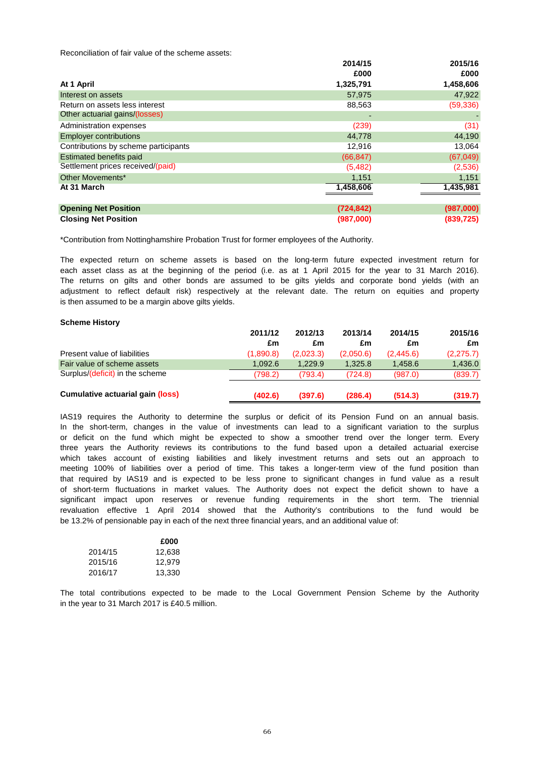Reconciliation of fair value of the scheme assets:

|                                      | 2014/15    | 2015/16   |
|--------------------------------------|------------|-----------|
|                                      | £000       | £000      |
| At 1 April                           | 1,325,791  | 1,458,606 |
| Interest on assets                   | 57,975     | 47,922    |
| Return on assets less interest       | 88,563     | (59, 336) |
| Other actuarial gains/(losses)       |            |           |
| Administration expenses              | (239)      | (31)      |
| <b>Employer contributions</b>        | 44,778     | 44,190    |
| Contributions by scheme participants | 12.916     | 13,064    |
| <b>Estimated benefits paid</b>       | (66, 847)  | (67, 049) |
| Settlement prices received/(paid)    | (5,482)    | (2,536)   |
| Other Movements*                     | 1,151      | 1,151     |
| At 31 March                          | 1,458,606  | 1,435,981 |
|                                      |            |           |
| <b>Opening Net Position</b>          | (724, 842) | (987,000) |

**Closing Net Position (987,000) (839,725)**

\*Contribution from Nottinghamshire Probation Trust for former employees of the Authority.

is then assumed to be a margin above gilts yields. The returns on gilts and other bonds are assumed to be gilts yields and corporate bond yields (with an adjustment to reflect default risk) respectively at the relevant date. The return on equities and property The expected return on scheme assets is based on the long-term future expected investment return for each asset class as at the beginning of the period (i.e. as at 1 April 2015 for the year to 31 March 2016).

#### **Scheme History**

|                                         | 2011/12   | 2012/13   | 2013/14   | 2014/15   | 2015/16   |
|-----------------------------------------|-----------|-----------|-----------|-----------|-----------|
|                                         | £m        | £m        | £m        | £m        | £m        |
| Present value of liabilities            | (1,890.8) | (2,023.3) | (2,050.6) | (2.445.6) | (2,275.7) |
| Fair value of scheme assets             | 1.092.6   | 1.229.9   | 1.325.8   | 1.458.6   | 1,436.0   |
| Surplus/(deficit) in the scheme         | (798.2)   | (793.4)   | (724.8)   | (987.0)   | (839.7)   |
| <b>Cumulative actuarial gain (loss)</b> | (402.6)   | (397.6)   | (286.4)   | (514.3)   | (319.7)   |

be 13.2% of pensionable pay in each of the next three financial years, and an additional value of: significant impact upon reserves or revenue funding requirements in the short term. The triennial that required by IAS19 and is expected to be less prone to significant changes in fund value as a result three years the Authority reviews its contributions to the fund based upon a detailed actuarial exercise or deficit on the fund which might be expected to show a smoother trend over the longer term. Every of short-term fluctuations in market values. The Authority does not expect the deficit shown to have a meeting 100% of liabilities over a period of time. This takes a longer-term view of the fund position than IAS19 requires the Authority to determine the surplus or deficit of its Pension Fund on an annual basis. revaluation effective 1 April 2014 showed that the Authority's contributions to the fund would be In the short-term, changes in the value of investments can lead to a significant variation to the surplus which takes account of existing liabilities and likely investment returns and sets out an approach to

|         | £000   |
|---------|--------|
| 2014/15 | 12,638 |
| 2015/16 | 12.979 |
| 2016/17 | 13,330 |

in the year to 31 March 2017 is £40.5 million. The total contributions expected to be made to the Local Government Pension Scheme by the Authority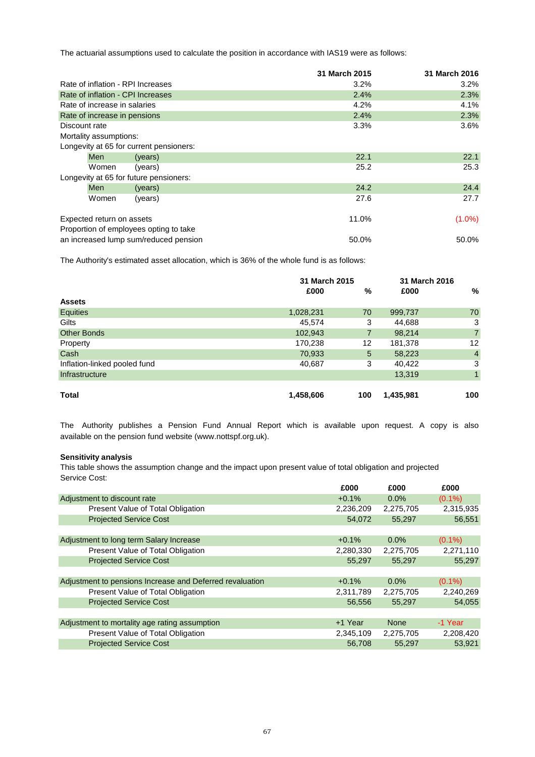The actuarial assumptions used to calculate the position in accordance with IAS19 were as follows:

|               |                              |                                         | 31 March 2015 | 31 March 2016 |
|---------------|------------------------------|-----------------------------------------|---------------|---------------|
|               |                              | Rate of inflation - RPI Increases       | 3.2%          | 3.2%          |
|               |                              | Rate of inflation - CPI Increases       | 2.4%          | 2.3%          |
|               | Rate of increase in salaries |                                         | 4.2%          | 4.1%          |
|               | Rate of increase in pensions |                                         | 2.4%          | 2.3%          |
| Discount rate |                              |                                         | 3.3%          | 3.6%          |
|               | Mortality assumptions:       |                                         |               |               |
|               |                              | Longevity at 65 for current pensioners: |               |               |
|               | <b>Men</b>                   | (years)                                 | 22.1          | 22.1          |
|               | Women                        | (years)                                 | 25.2          | 25.3          |
|               |                              | Longevity at 65 for future pensioners:  |               |               |
|               | <b>Men</b>                   | (years)                                 | 24.2          | 24.4          |
|               | Women                        | (years)                                 | 27.6          | 27.7          |
|               | Expected return on assets    |                                         | 11.0%         | $(1.0\%)$     |
|               |                              | Proportion of employees opting to take  |               |               |
|               |                              | an increased lump sum/reduced pension   | 50.0%         | 50.0%         |

The Authority's estimated asset allocation, which is 36% of the whole fund is as follows:

|                              | 31 March 2015 |                |           | 31 March 2016  |
|------------------------------|---------------|----------------|-----------|----------------|
|                              | £000          | %              | £000      | %              |
| <b>Assets</b>                |               |                |           |                |
| Equities                     | 1,028,231     | 70             | 999,737   | 70             |
| Gilts                        | 45,574        | 3              | 44,688    | 3              |
| <b>Other Bonds</b>           | 102,943       | $\overline{7}$ | 98,214    | $\overline{7}$ |
| Property                     | 170,238       | 12             | 181,378   | 12             |
| Cash                         | 70,933        | 5              | 58,223    | $\overline{4}$ |
| Inflation-linked pooled fund | 40,687        | 3              | 40,422    | 3              |
| Infrastructure               |               |                | 13,319    | $\mathbf{1}$   |
|                              |               |                |           |                |
| Total                        | 1,458,606     | 100            | 1,435,981 | 100            |

available on the pension fund website (www.nottspf.org.uk). The Authority publishes a Pension Fund Annual Report which is available upon request. A copy is also

# **Sensitivity analysis**

This table shows the assumption change and the impact upon present value of total obligation and projected Service Cost:

|                                                          | £000      | £000        | £000      |
|----------------------------------------------------------|-----------|-------------|-----------|
| Adjustment to discount rate                              | $+0.1%$   | 0.0%        | $(0.1\%)$ |
| Present Value of Total Obligation                        | 2,236,209 | 2,275,705   | 2,315,935 |
| <b>Projected Service Cost</b>                            | 54,072    | 55,297      | 56,551    |
|                                                          |           |             |           |
| Adjustment to long term Salary Increase                  | $+0.1%$   | $0.0\%$     | $(0.1\%)$ |
| Present Value of Total Obligation                        | 2,280,330 | 2,275,705   | 2,271,110 |
| <b>Projected Service Cost</b>                            | 55.297    | 55.297      | 55,297    |
|                                                          |           |             |           |
| Adjustment to pensions Increase and Deferred revaluation | $+0.1%$   | $0.0\%$     | $(0.1\%)$ |
| Present Value of Total Obligation                        | 2,311,789 | 2,275,705   | 2,240,269 |
| <b>Projected Service Cost</b>                            | 56,556    | 55,297      | 54,055    |
|                                                          |           |             |           |
| Adjustment to mortality age rating assumption            | +1 Year   | <b>None</b> | -1 Year   |
| Present Value of Total Obligation                        | 2,345,109 | 2,275,705   | 2,208,420 |
| <b>Projected Service Cost</b>                            | 56.708    | 55.297      | 53.921    |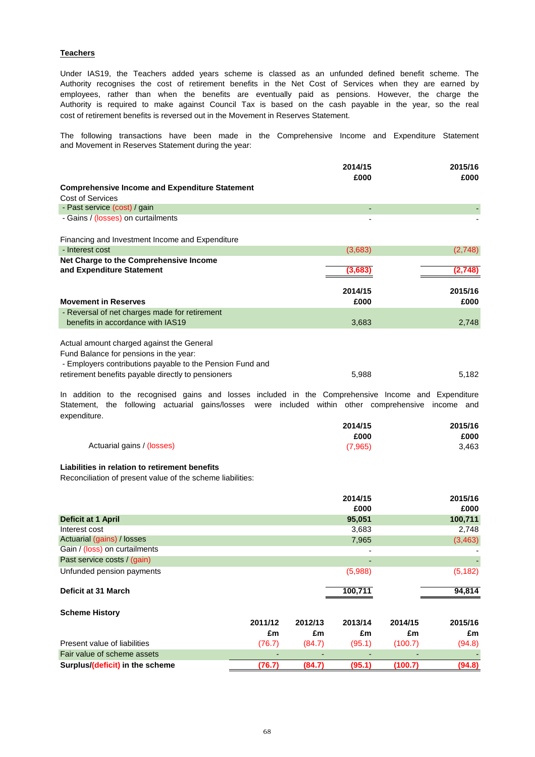# **Teachers**

cost of retirement benefits is reversed out in the Movement in Reserves Statement. Under IAS19, the Teachers added years scheme is classed as an unfunded defined benefit scheme. The Authority recognises the cost of retirement benefits in the Net Cost of Services when they are earned by employees, rather than when the benefits are eventually paid as pensions. However, the charge the Authority is required to make against Council Tax is based on the cash payable in the year, so the real

and Movement in Reserves Statement during the year: The following transactions have been made in the Comprehensive Income and Expenditure Statement

|                                                           | 2014/15<br>£000 | 2015/16<br>£000 |
|-----------------------------------------------------------|-----------------|-----------------|
|                                                           |                 |                 |
| <b>Comprehensive Income and Expenditure Statement</b>     |                 |                 |
| Cost of Services                                          |                 |                 |
| - Past service (cost) / gain                              |                 |                 |
| - Gains / (losses) on curtailments                        |                 |                 |
| Financing and Investment Income and Expenditure           |                 |                 |
| - Interest cost                                           | (3,683)         | (2,748)         |
| Net Charge to the Comprehensive Income                    |                 |                 |
| and Expenditure Statement                                 | (3,683          | (2,748)         |
|                                                           |                 |                 |
|                                                           | 2014/15         | 2015/16         |
| <b>Movement in Reserves</b>                               | £000            | £000            |
| - Reversal of net charges made for retirement             |                 |                 |
| benefits in accordance with IAS19                         | 3,683           | 2,748           |
| Actual amount charged against the General                 |                 |                 |
| Fund Balance for pensions in the year:                    |                 |                 |
|                                                           |                 |                 |
| - Employers contributions payable to the Pension Fund and |                 |                 |
| retirement benefits payable directly to pensioners        | 5,988           | 5,182           |

expenditure. In addition to the recognised gains and losses included in the Comprehensive Income and Expenditure Statement, the following actuarial gains/losses were included within other comprehensive income and

|                            | 2014/15 | 2015/16 |
|----------------------------|---------|---------|
|                            | £000    | £000    |
| Actuarial gains / (losses) | (7,965) | 3,463   |

# **Liabilities in relation to retirement benefits**

Reconciliation of present value of the scheme liabilities:

|                                 |         |         | 2014/15 |         | 2015/16  |
|---------------------------------|---------|---------|---------|---------|----------|
|                                 |         |         | £000    |         | £000     |
| <b>Deficit at 1 April</b>       |         |         | 95,051  |         | 100,711  |
| Interest cost                   |         |         | 3,683   |         | 2,748    |
| Actuarial (gains) / losses      |         |         | 7,965   |         | (3, 463) |
| Gain / (loss) on curtailments   |         |         |         |         |          |
| Past service costs / (gain)     |         |         |         |         |          |
| Unfunded pension payments       |         |         | (5,988) |         | (5, 182) |
| Deficit at 31 March             |         |         | 100,711 |         | 94,814   |
| <b>Scheme History</b>           |         |         |         |         |          |
|                                 | 2011/12 | 2012/13 | 2013/14 | 2014/15 | 2015/16  |
|                                 | £m      | £m      | £m      | £m      | £m       |
| Present value of liabilities    | (76.7)  | (84.7)  | (95.1)  | (100.7) | (94.8)   |
| Fair value of scheme assets     |         |         |         |         |          |
| Surplus/(deficit) in the scheme | (76.7)  | (84.7)  | (95.1)  | (100.7) | (94.8)   |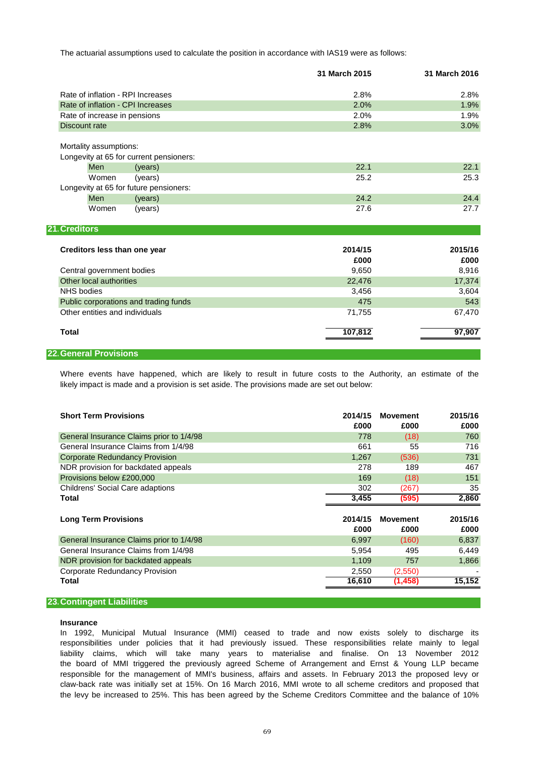The actuarial assumptions used to calculate the position in accordance with IAS19 were as follows:

|                                                                   | 31 March 2015   | 31 March 2016   |
|-------------------------------------------------------------------|-----------------|-----------------|
| Rate of inflation - RPI Increases                                 | 2.8%            | 2.8%            |
| Rate of inflation - CPI Increases                                 | 2.0%            | 1.9%            |
| Rate of increase in pensions                                      | 2.0%            | 1.9%            |
| Discount rate                                                     | 2.8%            | 3.0%            |
| Mortality assumptions:<br>Longevity at 65 for current pensioners: |                 |                 |
| Men<br>(years)                                                    | 22.1            | 22.1            |
| (years)<br>Women                                                  | 25.2            | 25.3            |
| Longevity at 65 for future pensioners:                            |                 |                 |
| Men<br>(years)                                                    | 24.2            | 24.4            |
| Women<br>(years)                                                  | 27.6            | 27.7            |
| 21. Creditors                                                     |                 |                 |
| Creditors less than one year                                      | 2014/15<br>£000 | 2015/16<br>£000 |
| Central government bodies                                         | 9,650           | 8,916           |
| Other local authorities                                           | 22,476          | 17,374          |
| <b>NHS bodies</b>                                                 | 3,456           | 3,604           |
| Public corporations and trading funds                             | 475             | 543             |
| Other entities and individuals                                    | 71,755          | 67,470          |
| <b>Total</b>                                                      | 107,812         | 97,907          |

#### **22.General Provisions**

likely impact is made and a provision is set aside. The provisions made are set out below: Where events have happened, which are likely to result in future costs to the Authority, an estimate of the

| <b>Short Term Provisions</b>             | 2014/15<br>£000 | <b>Movement</b><br>£000 | 2015/16<br>£000 |
|------------------------------------------|-----------------|-------------------------|-----------------|
| General Insurance Claims prior to 1/4/98 | 778             | (18)                    | 760             |
| General Insurance Claims from 1/4/98     | 661             | 55                      | 716             |
| <b>Corporate Redundancy Provision</b>    | 1,267           | (536)                   | 731             |
| NDR provision for backdated appeals      | 278             | 189                     | 467             |
| Provisions below £200,000                | 169             | (18)                    | 151             |
| <b>Childrens' Social Care adaptions</b>  | 302             | (267)                   | 35              |
| Total                                    | 3,455           | (595)                   | 2,860           |
|                                          |                 |                         |                 |
|                                          |                 |                         |                 |
| <b>Long Term Provisions</b>              | 2014/15         | <b>Movement</b>         | 2015/16         |
|                                          | £000            | £000                    | £000            |
| General Insurance Claims prior to 1/4/98 | 6,997           | (160)                   | 6,837           |
| General Insurance Claims from 1/4/98     | 5,954           | 495                     | 6,449           |
| NDR provision for backdated appeals      | 1,109           | 757                     | 1,866           |
| Corporate Redundancy Provision           | 2,550           | (2,550)                 |                 |
| Total                                    | 16,610          | (1,458)                 | 15,152          |

## **23.Contingent Liabilities**

#### **Insurance**

the board of MMI triggered the previously agreed Scheme of Arrangement and Ernst & Young LLP became In 1992, Municipal Mutual Insurance (MMI) ceased to trade and now exists solely to discharge its claw-back rate was initially set at 15%. On 16 March 2016, MMI wrote to all scheme creditors and proposed that the levy be increased to 25%. This has been agreed by the Scheme Creditors Committee and the balance of 10% responsibilities under policies that it had previously issued. These responsibilities relate mainly to legal liability claims, which will take many years to materialise and finalise. On 13 November 2012 responsible for the management of MMI's business, affairs and assets. In February 2013 the proposed levy or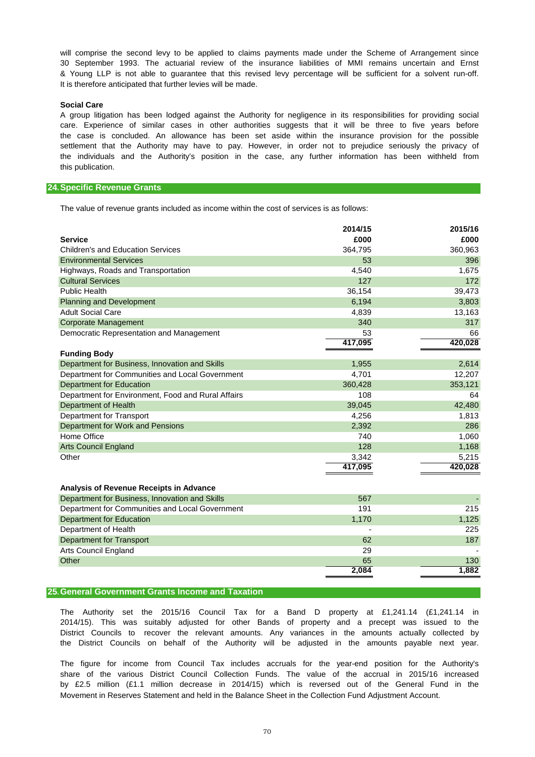30 September 1993. The actuarial review of the insurance liabilities of MMI remains uncertain and Ernst will comprise the second levy to be applied to claims payments made under the Scheme of Arrangement since & Young LLP is not able to guarantee that this revised levy percentage will be sufficient for a solvent run-off. It is therefore anticipated that further levies will be made.

#### **Social Care**

care. Experience of similar cases in other authorities suggests that it will be three to five years before this publication. A group litigation has been lodged against the Authority for negligence in its responsibilities for providing social the case is concluded. An allowance has been set aside within the insurance provision for the possible settlement that the Authority may have to pay. However, in order not to prejudice seriously the privacy of the individuals and the Authority's position in the case, any further information has been withheld from

### **24.Specific Revenue Grants**

The value of revenue grants included as income within the cost of services is as follows:

|                                                    | 2014/15 | 2015/16 |
|----------------------------------------------------|---------|---------|
| <b>Service</b>                                     | £000    | £000    |
| <b>Children's and Education Services</b>           | 364,795 | 360,963 |
| <b>Environmental Services</b>                      | 53      | 396     |
| Highways, Roads and Transportation                 | 4,540   | 1,675   |
| <b>Cultural Services</b>                           | 127     | 172     |
| <b>Public Health</b>                               | 36,154  | 39,473  |
| <b>Planning and Development</b>                    | 6,194   | 3,803   |
| <b>Adult Social Care</b>                           | 4,839   | 13,163  |
| <b>Corporate Management</b>                        | 340     | 317     |
| Democratic Representation and Management           | 53      | 66      |
|                                                    | 417,095 | 420,028 |
| <b>Funding Body</b>                                |         |         |
| Department for Business, Innovation and Skills     | 1,955   | 2,614   |
| Department for Communities and Local Government    | 4,701   | 12,207  |
| <b>Department for Education</b>                    | 360,428 | 353,121 |
| Department for Environment, Food and Rural Affairs | 108     | 64      |
| Department of Health                               | 39,045  | 42,480  |
| Department for Transport                           | 4,256   | 1,813   |
| Department for Work and Pensions                   | 2,392   | 286     |
| Home Office                                        | 740     | 1,060   |
| <b>Arts Council England</b>                        | 128     | 1,168   |
| Other                                              | 3,342   | 5,215   |
|                                                    | 417,095 | 420,028 |
|                                                    |         |         |
| Analysis of Revenue Receipts in Advance            |         |         |
| Department for Business, Innovation and Skills     | 567     |         |
| Department for Communities and Local Government    | 191     | 215     |
| <b>Department for Education</b>                    | 1,170   | 1,125   |
| Department of Health                               |         | 225     |
| <b>Department for Transport</b>                    | 62      | 187     |
| Arts Council England                               | 29      |         |
| Other                                              | 65      | 130     |
|                                                    | 2,084   | 1,882   |

#### **25.General Government Grants Income and Taxation**

The Authority set the 2015/16 Council Tax for a Band D property at £1,241.14 (£1,241.14 in District Councils to recover the relevant amounts. Any variances in the amounts actually collected by the District Councils on behalf of the Authority will be adjusted in the amounts payable next year. 2014/15). This was suitably adjusted for other Bands of property and a precept was issued to the

Movement in Reserves Statement and held in the Balance Sheet in the Collection Fund Adjustment Account. share of the various District Council Collection Funds. The value of the accrual in 2015/16 increased The figure for income from Council Tax includes accruals for the year-end position for the Authority's by £2.5 million (£1.1 million decrease in 2014/15) which is reversed out of the General Fund in the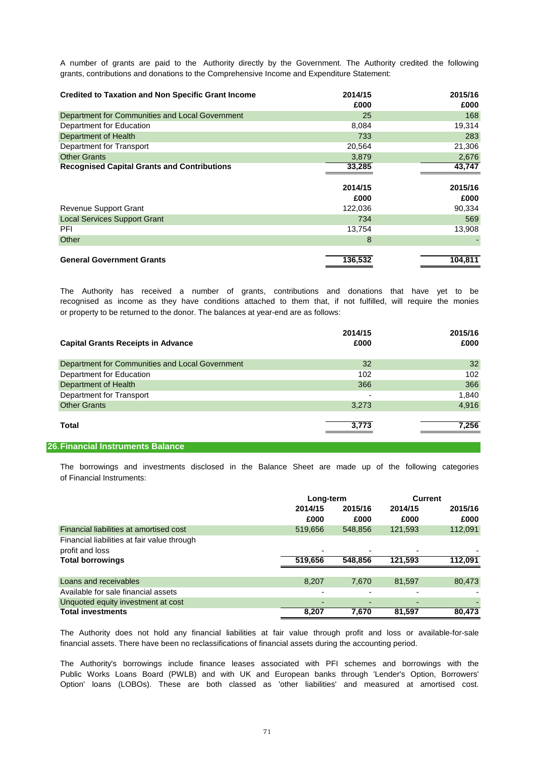A number of grants are paid to the Authority directly by the Government. The Authority credited the following grants, contributions and donations to the Comprehensive Income and Expenditure Statement:

| <b>Credited to Taxation and Non Specific Grant Income</b> | 2014/15<br>£000 | 2015/16<br>£000 |
|-----------------------------------------------------------|-----------------|-----------------|
| Department for Communities and Local Government           | 25              | 168             |
| Department for Education                                  | 8,084           | 19,314          |
| Department of Health                                      | 733             | 283             |
| Department for Transport                                  | 20,564          | 21,306          |
| <b>Other Grants</b>                                       | 3,879           | 2,676           |
| <b>Recognised Capital Grants and Contributions</b>        | 33.285          | 43.747          |
|                                                           |                 |                 |
|                                                           |                 |                 |
|                                                           | 2014/15         | 2015/16         |
|                                                           | £000            | £000            |
| <b>Revenue Support Grant</b>                              | 122,036         | 90,334          |
| <b>Local Services Support Grant</b>                       | 734             | 569             |
| <b>PFI</b>                                                | 13,754          | 13,908          |
| Other                                                     | 8               |                 |
|                                                           |                 |                 |

or property to be returned to the donor. The balances at year-end are as follows: recognised as income as they have conditions attached to them that, if not fulfilled, will require the monies The Authority has received a number of grants, contributions and donations that have yet to be

| <b>Capital Grants Receipts in Advance</b>       | 2014/15<br>£000 | 2015/16<br>£000 |
|-------------------------------------------------|-----------------|-----------------|
| Department for Communities and Local Government | 32              | 32 <sup>°</sup> |
| Department for Education                        | 102             | 102             |
| Department of Health                            | 366             | 366             |
| Department for Transport                        | -               | 1,840           |
| <b>Other Grants</b>                             | 3,273           | 4,916           |
| Total                                           | 3.773           | 7,256           |

### **26.Financial Instruments Balance**

of Financial Instruments: The borrowings and investments disclosed in the Balance Sheet are made up of the following categories

|                                             |         | Long-term |                          | <b>Current</b> |  |
|---------------------------------------------|---------|-----------|--------------------------|----------------|--|
|                                             | 2014/15 | 2015/16   | 2014/15                  | 2015/16        |  |
|                                             | £000    | £000      | £000                     | £000           |  |
| Financial liabilities at amortised cost     | 519,656 | 548,856   | 121,593                  | 112,091        |  |
| Financial liabilities at fair value through |         |           |                          |                |  |
| profit and loss                             |         |           | -                        |                |  |
| <b>Total borrowings</b>                     | 519,656 | 548,856   | 121,593                  | 112.091        |  |
|                                             |         |           |                          |                |  |
| Loans and receivables                       | 8,207   | 7.670     | 81,597                   | 80,473         |  |
| Available for sale financial assets         | -       |           | -                        |                |  |
| Unquoted equity investment at cost          |         |           | $\overline{\phantom{0}}$ |                |  |
| <b>Total investments</b>                    | 8,207   | 7.670     | 81.597                   | 80.473         |  |

financial assets. There have been no reclassifications of financial assets during the accounting period. The Authority does not hold any financial liabilities at fair value through profit and loss or available-for-sale

Public Works Loans Board (PWLB) and with UK and European banks through 'Lender's Option, Borrowers' Option' loans (LOBOs). These are both classed as 'other liabilities' and measured at amortised cost. The Authority's borrowings include finance leases associated with PFI schemes and borrowings with the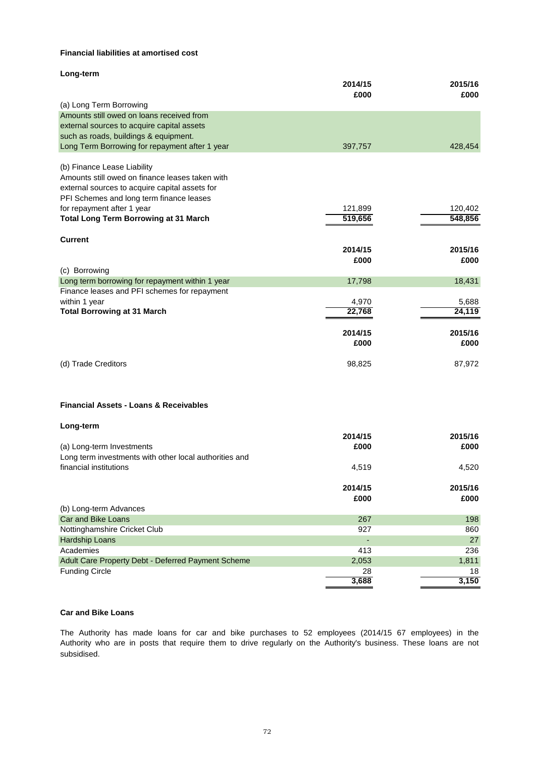# **Financial liabilities at amortised cost**

| Long-term                                              |         |         |
|--------------------------------------------------------|---------|---------|
|                                                        | 2014/15 | 2015/16 |
|                                                        | £000    | £000    |
| (a) Long Term Borrowing                                |         |         |
| Amounts still owed on loans received from              |         |         |
| external sources to acquire capital assets             |         |         |
| such as roads, buildings & equipment.                  |         |         |
| Long Term Borrowing for repayment after 1 year         | 397,757 | 428,454 |
| (b) Finance Lease Liability                            |         |         |
| Amounts still owed on finance leases taken with        |         |         |
| external sources to acquire capital assets for         |         |         |
| PFI Schemes and long term finance leases               |         |         |
| for repayment after 1 year                             | 121,899 | 120,402 |
| <b>Total Long Term Borrowing at 31 March</b>           | 519,656 | 548,856 |
|                                                        |         |         |
| <b>Current</b>                                         |         |         |
|                                                        | 2014/15 | 2015/16 |
|                                                        | £000    | £000    |
| (c) Borrowing                                          |         |         |
| Long term borrowing for repayment within 1 year        | 17,798  | 18,431  |
| Finance leases and PFI schemes for repayment           |         |         |
| within 1 year                                          | 4,970   | 5,688   |
| <b>Total Borrowing at 31 March</b>                     | 22,768  | 24,119  |
|                                                        |         |         |
|                                                        | 2014/15 | 2015/16 |
|                                                        | £000    | £000    |
|                                                        |         |         |
| (d) Trade Creditors                                    | 98,825  | 87,972  |
|                                                        |         |         |
|                                                        |         |         |
|                                                        |         |         |
| <b>Financial Assets - Loans &amp; Receivables</b>      |         |         |
| Long-term                                              |         |         |
|                                                        | 2014/15 | 2015/16 |
| (a) Long-term Investments                              | £000    | £000    |
| Long term investments with other local authorities and |         |         |
| financial institutions                                 | 4,519   | 4,520   |
|                                                        |         |         |
|                                                        | 2014/15 | 2015/16 |
|                                                        | £000    | £000    |
| (b) Long-term Advances                                 |         |         |
| <b>Car and Bike Loans</b>                              | 267     | 198     |
| Nottinghamshire Cricket Club                           | 927     | 860     |
| Hardship Loans                                         |         | 27      |
| Academies                                              | 413     | 236     |
| Adult Care Property Debt - Deferred Payment Scheme     | 2,053   | 1,811   |
| <b>Funding Circle</b>                                  | 28      | 18      |
|                                                        | 3,688   | 3,150   |

# **Car and Bike Loans**

subsidised. The Authority has made loans for car and bike purchases to 52 employees (2014/15 67 employees) in the Authority who are in posts that require them to drive regularly on the Authority's business. These loans are not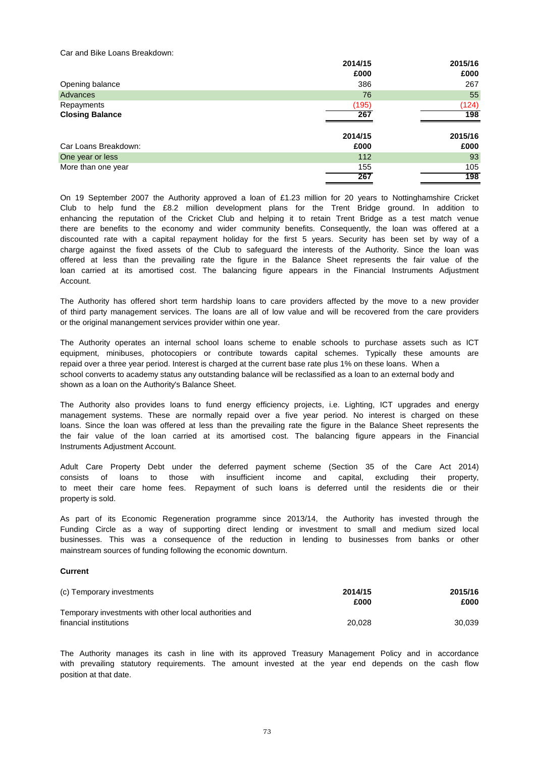Car and Bike Loans Breakdown:

|                        | 2014/15 | 2015/16 |
|------------------------|---------|---------|
|                        | £000    | £000    |
| Opening balance        | 386     | 267     |
| Advances               | 76      | 55      |
| Repayments             | (195)   | (124)   |
| <b>Closing Balance</b> | 267     | 198     |
|                        |         |         |
|                        | 2014/15 | 2015/16 |
| Car Loans Breakdown:   | £000    | £000    |
| One year or less       | 112     | 93      |
| More than one year     | 155     | 105     |
|                        | 267     | 198     |

Account. offered at less than the prevailing rate the figure in the Balance Sheet represents the fair value of the loan carried at its amortised cost. The balancing figure appears in the Financial Instruments Adjustment there are benefits to the economy and wider community benefits. Consequently, the loan was offered at a discounted rate with a capital repayment holiday for the first 5 years. Security has been set by way of a enhancing the reputation of the Cricket Club and helping it to retain Trent Bridge as a test match venue Club to help fund the £8.2 million development plans for the Trent Bridge ground. In addition to charge against the fixed assets of the Club to safeguard the interests of the Authority. Since the loan was On 19 September 2007 the Authority approved a loan of £1.23 million for 20 years to Nottinghamshire Cricket

or the original manangement services provider within one year. The Authority has offered short term hardship loans to care providers affected by the move to a new provider of third party management services. The loans are all of low value and will be recovered from the care providers

school converts to academy status any outstanding balance will be reclassified as a loan to an external body and shown as a loan on the Authority's Balance Sheet. The Authority operates an internal school loans scheme to enable schools to purchase assets such as ICT equipment, minibuses, photocopiers or contribute towards capital schemes. Typically these amounts are repaid over a three year period. Interest is charged at the current base rate plus 1% on these loans. When a

Instruments Adjustment Account. the fair value of the loan carried at its amortised cost. The balancing figure appears in the Financial management systems. These are normally repaid over a five year period. No interest is charged on these The Authority also provides loans to fund energy efficiency projects, i.e. Lighting, ICT upgrades and energy loans. Since the loan was offered at less than the prevailing rate the figure in the Balance Sheet represents the

property is sold. Adult Care Property Debt under the deferred payment scheme (Section 35 of the Care Act 2014) consists of loans to those with insufficient income and capital, excluding their property, to meet their care home fees. Repayment of such loans is deferred until the residents die or their

mainstream sources of funding following the economic downturn. As part of its Economic Regeneration programme since 2013/14, the Authority has invested through the Funding Circle as a way of supporting direct lending or investment to small and medium sized local businesses. This was a consequence of the reduction in lending to businesses from banks or other

### **Current**

| (c) Temporary investments                              | 2014/15 | 2015/16 |
|--------------------------------------------------------|---------|---------|
|                                                        | £000    | £000    |
| Temporary investments with other local authorities and |         |         |
| financial institutions                                 | 20.028  | 30.039  |

position at that date. The Authority manages its cash in line with its approved Treasury Management Policy and in accordance with prevailing statutory requirements. The amount invested at the year end depends on the cash flow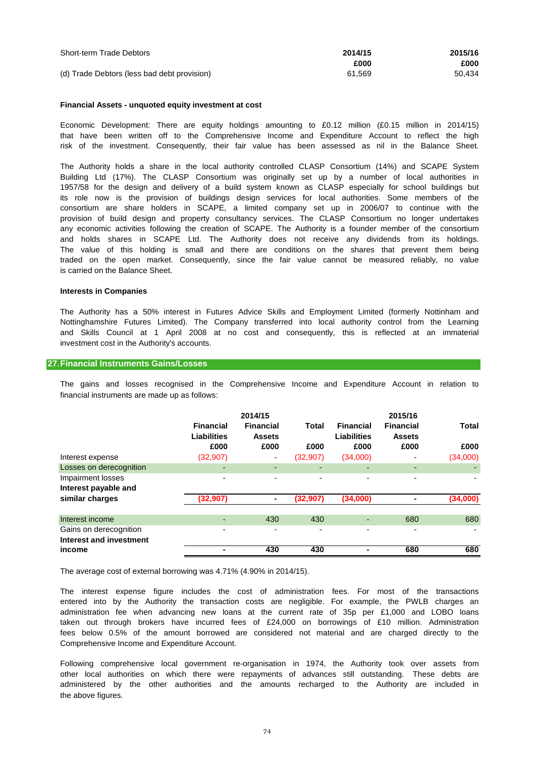| <b>Short-term Trade Debtors</b>             | 2014/15 | 2015/16 |
|---------------------------------------------|---------|---------|
|                                             | £000    | £000    |
| (d) Trade Debtors (less bad debt provision) | 61.569  | 50.434  |

#### **Financial Assets - unquoted equity investment at cost**

Economic Development: There are equity holdings amounting to £0.12 million (£0.15 million in 2014/15) that have been written off to the Comprehensive Income and Expenditure Account to reflect the high risk of the investment. Consequently, their fair value has been assessed as nil in the Balance Sheet.

is carried on the Balance Sheet. The value of this holding is small and there are conditions on the shares that prevent them being any economic activities following the creation of SCAPE. The Authority is a founder member of the consortium its role now is the provision of buildings design services for local authorities. Some members of the and holds shares in SCAPE Ltd. The Authority does not receive any dividends from its holdings. traded on the open market. Consequently, since the fair value cannot be measured reliably, no value consortium are share holders in SCAPE, a limited company set up in 2006/07 to continue with the The Authority holds a share in the local authority controlled CLASP Consortium (14%) and SCAPE System Building Ltd (17%). The CLASP Consortium was originally set up by a number of local authorities in 1957/58 for the design and delivery of a build system known as CLASP especially for school buildings but provision of build design and property consultancy services. The CLASP Consortium no longer undertakes

#### **Interests in Companies**

investment cost in the Authority's accounts. Nottinghamshire Futures Limited). The Company transferred into local authority control from the Learning and Skills Council at 1 April 2008 at no cost and consequently, this is reflected at an immaterial The Authority has a 50% interest in Futures Advice Skills and Employment Limited (formerly Nottinham and

#### **27.Financial Instruments Gains/Losses**

financial instruments are made up as follows: The gains and losses recognised in the Comprehensive Income and Expenditure Account in relation to

|                                                   | <b>Financial</b><br><b>Liabilities</b><br>£000 | 2014/15<br><b>Financial</b><br><b>Assets</b><br>£000 | Total<br>£000 | <b>Financial</b><br><b>Liabilities</b><br>£000 | 2015/16<br><b>Financial</b><br><b>Assets</b><br>£000 | <b>Total</b><br>£000 |
|---------------------------------------------------|------------------------------------------------|------------------------------------------------------|---------------|------------------------------------------------|------------------------------------------------------|----------------------|
| Interest expense                                  | (32, 907)                                      | ۰                                                    | (32,907)      | (34,000)                                       |                                                      | (34,000)             |
| Losses on derecognition                           | -                                              | ٠                                                    | ٠             |                                                |                                                      |                      |
| Impairment losses<br>Interest payable and         | -                                              | ۰                                                    | ۰             |                                                | $\overline{\phantom{0}}$                             |                      |
| similar charges                                   | (32, 907)                                      | ٠                                                    | (32, 907)     | (34,000)                                       |                                                      | (34,000)             |
|                                                   |                                                |                                                      |               |                                                |                                                      |                      |
| Interest income                                   |                                                | 430                                                  | 430           |                                                | 680                                                  | 680                  |
| Gains on derecognition<br>Interest and investment | -                                              | -                                                    | -             |                                                |                                                      |                      |
| income                                            | -                                              | 430                                                  | 430           |                                                | 680                                                  | 680                  |

The average cost of external borrowing was 4.71% (4.90% in 2014/15).

Comprehensive Income and Expenditure Account. taken out through brokers have incurred fees of £24,000 on borrowings of £10 million. Administration entered into by the Authority the transaction costs are negligible. For example, the PWLB charges an fees below 0.5% of the amount borrowed are considered not material and are charged directly to the The interest expense figure includes the cost of administration fees. For most of the transactions administration fee when advancing new loans at the current rate of 35p per £1,000 and LOBO loans

the above figures. Following comprehensive local government re-organisation in 1974, the Authority took over assets from other local authorities on which there were repayments of advances still outstanding. These debts are administered by the other authorities and the amounts recharged to the Authority are included in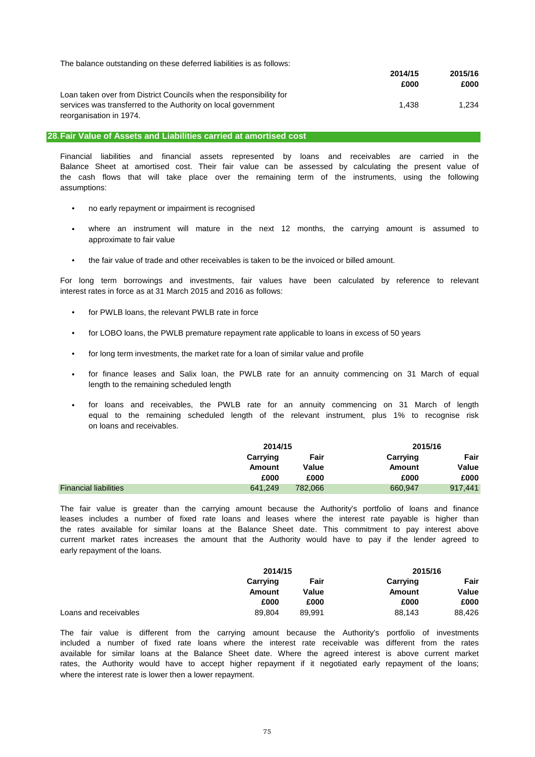| The balance outstanding on these deferred liabilities is as follows: |         |         |
|----------------------------------------------------------------------|---------|---------|
|                                                                      | 2014/15 | 2015/16 |
|                                                                      | £000    | £000    |
| Loan taken over from District Councils when the responsibility for   |         |         |
| services was transferred to the Authority on local government        | 1.438   | 1.234   |
| reorganisation in 1974.                                              |         |         |

#### **28.Fair Value of Assets and Liabilities carried at amortised cost**

assumptions: Balance Sheet at amortised cost. Their fair value can be assessed by calculating the present value of the cash flows that will take place over the remaining term of the instruments, using the following Financial liabilities and financial assets represented by loans and receivables are carried in the

- no early repayment or impairment is recognised
- approximate to fair value where an instrument will mature in the next 12 months, the carrying amount is assumed to
- the fair value of trade and other receivables is taken to be the invoiced or billed amount.

interest rates in force as at 31 March 2015 and 2016 as follows: For long term borrowings and investments, fair values have been calculated by reference to relevant

- for PWLB loans, the relevant PWLB rate in force
- for LOBO loans, the PWLB premature repayment rate applicable to loans in excess of 50 years
- for long term investments, the market rate for a loan of similar value and profile
- length to the remaining scheduled length for finance leases and Salix loan, the PWLB rate for an annuity commencing on 31 March of equal
- on loans and receivables. for loans and receivables, the PWLB rate for an annuity commencing on 31 March of length equal to the remaining scheduled length of the relevant instrument, plus 1% to recognise risk

|                              |          | 2014/15 |          | 2015/16 |
|------------------------------|----------|---------|----------|---------|
|                              | Carrying | Fair    | Carrying | Fair    |
|                              | Amount   | Value   | Amount   | Value   |
|                              | £000     | £000    | £000     | £000    |
| <b>Financial liabilities</b> | 641.249  | 782.066 | 660,947  | 917,441 |

early repayment of the loans. leases includes a number of fixed rate loans and leases where the interest rate payable is higher than The fair value is greater than the carrying amount because the Authority's portfolio of loans and finance the rates available for similar loans at the Balance Sheet date. This commitment to pay interest above current market rates increases the amount that the Authority would have to pay if the lender agreed to

|                       | 2014/15  |        | 2015/16  |        |
|-----------------------|----------|--------|----------|--------|
|                       | Carrying | Fair   | Carrying | Fair   |
|                       | Amount   | Value  | Amount   | Value  |
|                       | £000     | £000   | £000     | £000   |
| Loans and receivables | 89.804   | 89.991 | 88,143   | 88,426 |

where the interest rate is lower then a lower repayment. The fair value is different from the carrying amount because the Authority's portfolio of investments available for similar loans at the Balance Sheet date. Where the agreed interest is above current market included a number of fixed rate loans where the interest rate receivable was different from the rates rates, the Authority would have to accept higher repayment if it negotiated early repayment of the loans;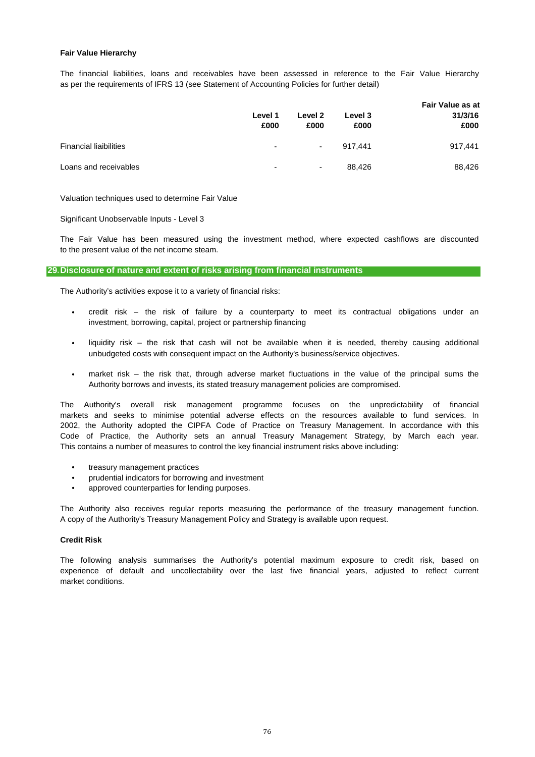### **Fair Value Hierarchy**

as per the requirements of IFRS 13 (see Statement of Accounting Policies for further detail) The financial liabilities, loans and receivables have been assessed in reference to the Fair Value Hierarchy

|                               | Level 1<br>£000 | Level 2<br>£000          | Level 3<br>£000 | <b>Fair Value as at</b><br>31/3/16<br>£000 |
|-------------------------------|-----------------|--------------------------|-----------------|--------------------------------------------|
| <b>Financial liaibilities</b> | ٠               | $\overline{\phantom{a}}$ | 917.441         | 917,441                                    |
| Loans and receivables         | ۰               | $\overline{\phantom{a}}$ | 88.426          | 88,426                                     |

Valuation techniques used to determine Fair Value

Significant Unobservable Inputs - Level 3

to the present value of the net income steam. The Fair Value has been measured using the investment method, where expected cashflows are discounted

### **29.Disclosure of nature and extent of risks arising from financial instruments**

The Authority's activities expose it to a variety of financial risks:

- investment, borrowing, capital, project or partnership financing credit risk – the risk of failure by a counterparty to meet its contractual obligations under an
- liquidity risk – the risk that cash will not be available when it is needed, thereby causing additional unbudgeted costs with consequent impact on the Authority's business/service objectives.
- Authority borrows and invests, its stated treasury management policies are compromised. market risk – the risk that, through adverse market fluctuations in the value of the principal sums the

This contains a number of measures to control the key financial instrument risks above including: 2002, the Authority adopted the CIPFA Code of Practice on Treasury Management. In accordance with this Code of Practice, the Authority sets an annual Treasury Management Strategy, by March each year. The Authority's overall risk management programme focuses on the unpredictability of financial markets and seeks to minimise potential adverse effects on the resources available to fund services. In

- treasury management practices
- prudential indicators for borrowing and investment
- approved counterparties for lending purposes.

A copy of the Authority's Treasury Management Policy and Strategy is available upon request. The Authority also receives regular reports measuring the performance of the treasury management function.

#### **Credit Risk**

market conditions. The following analysis summarises the Authority's potential maximum exposure to credit risk, based on experience of default and uncollectability over the last five financial years, adjusted to reflect current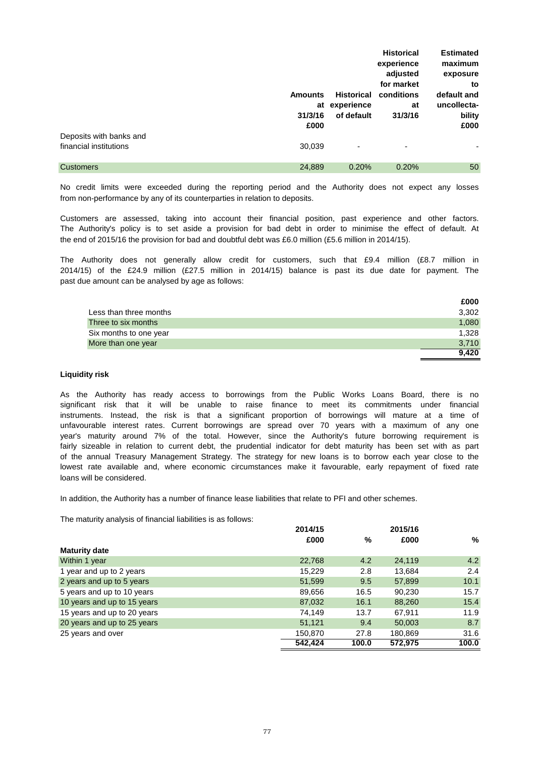|                         |                |                   | <b>Historical</b> | <b>Estimated</b> |
|-------------------------|----------------|-------------------|-------------------|------------------|
|                         |                |                   | experience        | maximum          |
|                         |                |                   | adjusted          | exposure         |
|                         |                |                   | for market        | to               |
|                         | <b>Amounts</b> | <b>Historical</b> | conditions        | default and      |
|                         | at             | experience        | at                | uncollecta-      |
|                         | 31/3/16        | of default        | 31/3/16           | bility           |
|                         | £000           |                   |                   | £000             |
| Deposits with banks and |                |                   |                   |                  |
| financial institutions  | 30,039         | ٠                 | ٠                 |                  |
|                         |                |                   |                   |                  |
| <b>Customers</b>        | 24,889         | 0.20%             | 0.20%             | 50               |

from non-performance by any of its counterparties in relation to deposits. No credit limits were exceeded during the reporting period and the Authority does not expect any losses

the end of 2015/16 the provision for bad and doubtful debt was £6.0 million (£5.6 million in 2014/15). Customers are assessed, taking into account their financial position, past experience and other factors. The Authority's policy is to set aside a provision for bad debt in order to minimise the effect of default. At

past due amount can be analysed by age as follows: 2014/15) of the £24.9 million (£27.5 million in 2014/15) balance is past its due date for payment. The The Authority does not generally allow credit for customers, such that £9.4 million (£8.7 million in

|                        | £000  |
|------------------------|-------|
| Less than three months | 3,302 |
| Three to six months    | 1.080 |
| Six months to one year | 1.328 |
| More than one year     | 3,710 |
|                        | 9.420 |

### **Liquidity risk**

loans will be considered. of the annual Treasury Management Strategy. The strategy for new loans is to borrow each year close to the lowest rate available and, where economic circumstances make it favourable, early repayment of fixed rate year's maturity around 7% of the total. However, since the Authority's future borrowing requirement is fairly sizeable in relation to current debt, the prudential indicator for debt maturity has been set with as part As the Authority has ready access to borrowings from the Public Works Loans Board, there is no significant risk that it will be unable to raise finance to meet its commitments under financial unfavourable interest rates. Current borrowings are spread over 70 years with a maximum of any one instruments. Instead, the risk is that a significant proportion of borrowings will mature at a time of

In addition, the Authority has a number of finance lease liabilities that relate to PFI and other schemes.

The maturity analysis of financial liabilities is as follows:

|                             | 2014/15 |       | 2015/16 |       |  |
|-----------------------------|---------|-------|---------|-------|--|
|                             | £000    | %     | £000    | %     |  |
| <b>Maturity date</b>        |         |       |         |       |  |
| Within 1 year               | 22,768  | 4.2   | 24,119  | 4.2   |  |
| 1 year and up to 2 years    | 15,229  | 2.8   | 13,684  | 2.4   |  |
| 2 years and up to 5 years   | 51,599  | 9.5   | 57,899  | 10.1  |  |
| 5 years and up to 10 years  | 89,656  | 16.5  | 90,230  | 15.7  |  |
| 10 years and up to 15 years | 87,032  | 16.1  | 88,260  | 15.4  |  |
| 15 years and up to 20 years | 74,149  | 13.7  | 67.911  | 11.9  |  |
| 20 years and up to 25 years | 51,121  | 9.4   | 50,003  | 8.7   |  |
| 25 years and over           | 150,870 | 27.8  | 180,869 | 31.6  |  |
|                             | 542.424 | 100.0 | 572.975 | 100.0 |  |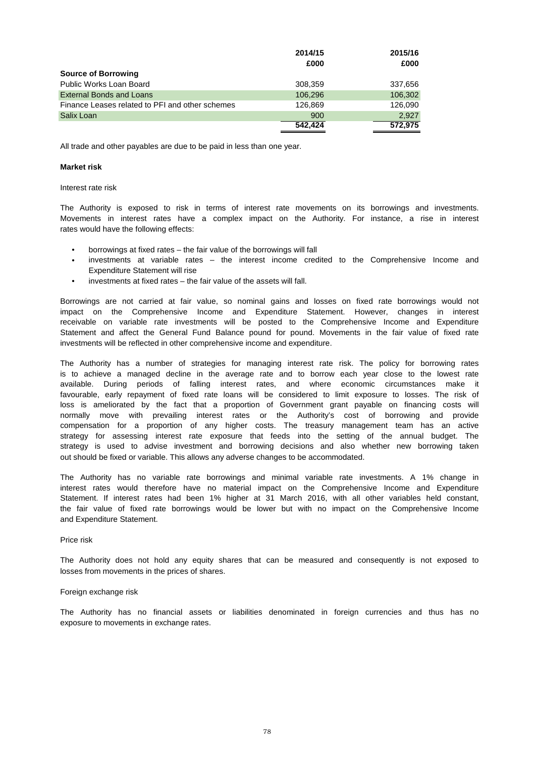|                                                 | 2014/15 | 2015/16 |
|-------------------------------------------------|---------|---------|
|                                                 | £000    | £000    |
| <b>Source of Borrowing</b>                      |         |         |
| Public Works Loan Board                         | 308,359 | 337,656 |
| <b>External Bonds and Loans</b>                 | 106.296 | 106,302 |
| Finance Leases related to PFI and other schemes | 126.869 | 126.090 |
| Salix Loan                                      | 900     | 2.927   |
|                                                 | 542.424 | 572,975 |

All trade and other payables are due to be paid in less than one year.

#### **Market risk**

#### Interest rate risk

rates would have the following effects: The Authority is exposed to risk in terms of interest rate movements on its borrowings and investments. Movements in interest rates have a complex impact on the Authority. For instance, a rise in interest

- borrowings at fixed rates the fair value of the borrowings will fall
- Expenditure Statement will rise investments at variable rates – the interest income credited to the Comprehensive Income and
- investments at fixed rates the fair value of the assets will fall.

investments will be reflected in other comprehensive income and expenditure. impact on the Comprehensive Income and Expenditure Statement. However, changes in interest receivable on variable rate investments will be posted to the Comprehensive Income and Expenditure Borrowings are not carried at fair value, so nominal gains and losses on fixed rate borrowings would not Statement and affect the General Fund Balance pound for pound. Movements in the fair value of fixed rate

out should be fixed or variable. This allows any adverse changes to be accommodated. compensation for a proportion of any higher costs. The treasury management team has an active strategy is used to advise investment and borrowing decisions and also whether new borrowing taken normally move with prevailing interest rates or the Authority's cost of borrowing and provide loss is ameliorated by the fact that a proportion of Government grant payable on financing costs will The Authority has a number of strategies for managing interest rate risk. The policy for borrowing rates is to achieve a managed decline in the average rate and to borrow each year close to the lowest rate favourable, early repayment of fixed rate loans will be considered to limit exposure to losses. The risk of available. During periods of falling interest rates, and where economic circumstances make it strategy for assessing interest rate exposure that feeds into the setting of the annual budget. The

and Expenditure Statement. the fair value of fixed rate borrowings would be lower but with no impact on the Comprehensive Income Statement. If interest rates had been 1% higher at 31 March 2016, with all other variables held constant, The Authority has no variable rate borrowings and minimal variable rate investments. A 1% change in interest rates would therefore have no material impact on the Comprehensive Income and Expenditure

#### Price risk

losses from movements in the prices of shares. The Authority does not hold any equity shares that can be measured and consequently is not exposed to

#### Foreign exchange risk

exposure to movements in exchange rates. The Authority has no financial assets or liabilities denominated in foreign currencies and thus has no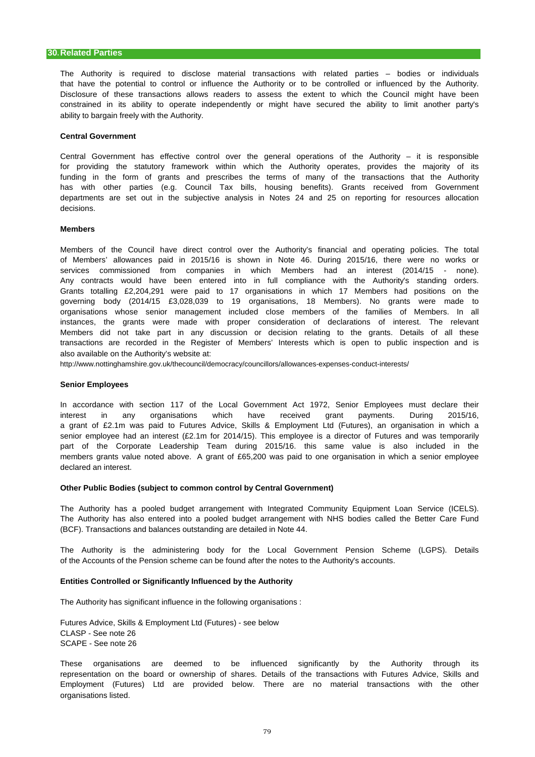ability to bargain freely with the Authority. Disclosure of these transactions allows readers to assess the extent to which the Council might have been that have the potential to control or influence the Authority or to be controlled or influenced by the Authority. The Authority is required to disclose material transactions with related parties – bodies or individuals constrained in its ability to operate independently or might have secured the ability to limit another party's

#### **Central Government**

decisions. for providing the statutory framework within which the Authority operates, provides the majority of its funding in the form of grants and prescribes the terms of many of the transactions that the Authority departments are set out in the subjective analysis in Notes 24 and 25 on reporting for resources allocation Central Government has effective control over the general operations of the Authority – it is responsible has with other parties (e.g. Council Tax bills, housing benefits). Grants received from Government

#### **Members**

also available on the Authority's website at: services commissioned from companies in which Members had an interest (2014/15 - none). Any contracts would have been entered into in full compliance with the Authority's standing orders. organisations whose senior management included close members of the families of Members. In all Grants totalling £2,204,291 were paid to 17 organisations in which 17 Members had positions on the governing body (2014/15 £3,028,039 to 19 organisations, 18 Members). No grants were made to of Members' allowances paid in 2015/16 is shown in Note 46. During 2015/16, there were no works or instances, the grants were made with proper consideration of declarations of interest. The relevant transactions are recorded in the Register of Members' Interests which is open to public inspection and is Members of the Council have direct control over the Authority's financial and operating policies. The total Members did not take part in any discussion or decision relating to the grants. Details of all these

http://www.nottinghamshire.gov.uk/thecouncil/democracy/councillors/allowances-expenses-conduct-interests/

#### **Senior Employees**

part of the Corporate Leadership Team during 2015/16. this same value is also included in the declared an interest. members grants value noted above. A grant of £65,200 was paid to one organisation in which a senior employee a grant of £2.1m was paid to Futures Advice, Skills & Employment Ltd (Futures), an organisation in which a interest in any organisations which have received grant payments. During 2015/16, In accordance with section 117 of the Local Government Act 1972, Senior Employees must declare their senior employee had an interest (£2.1m for 2014/15). This employee is a director of Futures and was temporarily

### **Other Public Bodies (subject to common control by Central Government)**

(BCF). Transactions and balances outstanding are detailed in Note 44. The Authority has also entered into a pooled budget arrangement with NHS bodies called the Better Care Fund The Authority has a pooled budget arrangement with Integrated Community Equipment Loan Service (ICELS).

of the Accounts of the Pension scheme can be found after the notes to the Authority's accounts. The Authority is the administering body for the Local Government Pension Scheme (LGPS). Details

#### **Entities Controlled or Significantly Influenced by the Authority**

The Authority has significant influence in the following organisations :

Futures Advice, Skills & Employment Ltd (Futures) - see below CLASP - See note 26 SCAPE - See note 26

organisations listed. Employment (Futures) Ltd are provided below. There are no material transactions with the other These organisations are deemed to be influenced significantly by the Authority through its representation on the board or ownership of shares. Details of the transactions with Futures Advice, Skills and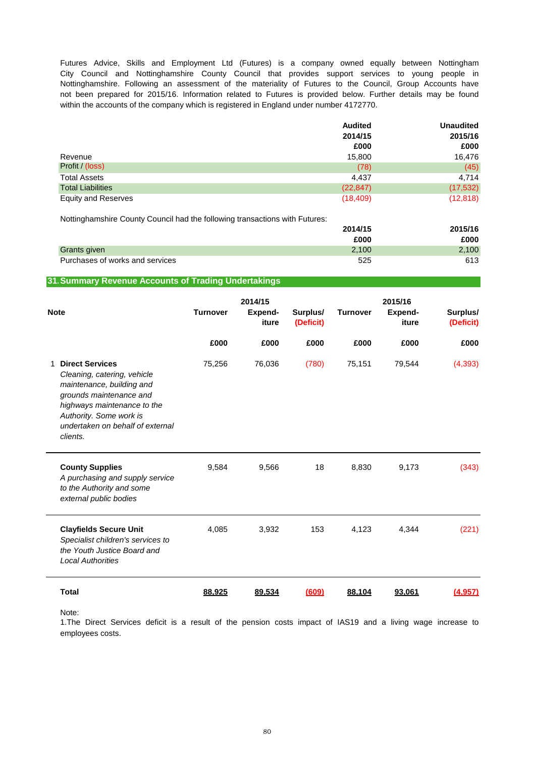within the accounts of the company which is registered in England under number 4172770. Futures Advice, Skills and Employment Ltd (Futures) is a company owned equally between Nottingham City Council and Nottinghamshire County Council that provides support services to young people in Nottinghamshire. Following an assessment of the materiality of Futures to the Council, Group Accounts have not been prepared for 2015/16. Information related to Futures is provided below. Further details may be found

|                            | <b>Audited</b> | <b>Unaudited</b> |
|----------------------------|----------------|------------------|
|                            | 2014/15        | 2015/16          |
|                            | £000           | £000             |
| Revenue                    | 15,800         | 16,476           |
| Profit / (loss)            | (78)           | (45)             |
| <b>Total Assets</b>        | 4.437          | 4,714            |
| <b>Total Liabilities</b>   | (22, 847)      | (17, 532)        |
| <b>Equity and Reserves</b> | (18, 409)      | (12, 818)        |

Nottinghamshire County Council had the following transactions with Futures:

|                                 | 2014/15 | 2015/16 |
|---------------------------------|---------|---------|
|                                 | £000    | £000    |
| Grants given                    | 2.100   | 2,100   |
| Purchases of works and services | 525     | 613     |

### **31.Summary Revenue Accounts of Trading Undertakings**

| <b>Note</b> |                                                                                                                                                                                                                         | <b>Turnover</b> | 2014/15<br>Expend-<br>iture | Surplus/<br>(Deficit) | <b>Turnover</b> | 2015/16<br><b>Expend-</b><br>iture | Surplus/<br>(Deficit) |
|-------------|-------------------------------------------------------------------------------------------------------------------------------------------------------------------------------------------------------------------------|-----------------|-----------------------------|-----------------------|-----------------|------------------------------------|-----------------------|
|             |                                                                                                                                                                                                                         | £000            | £000                        | £000                  | £000            | £000                               | £000                  |
| 1           | <b>Direct Services</b><br>Cleaning, catering, vehicle<br>maintenance, building and<br>grounds maintenance and<br>highways maintenance to the<br>Authority. Some work is<br>undertaken on behalf of external<br>clients. | 75,256          | 76,036                      | (780)                 | 75,151          | 79,544                             | (4,393)               |
|             | <b>County Supplies</b><br>A purchasing and supply service<br>to the Authority and some<br>external public bodies                                                                                                        | 9,584           | 9,566                       | 18                    | 8,830           | 9,173                              | (343)                 |
|             | <b>Clayfields Secure Unit</b><br>Specialist children's services to<br>the Youth Justice Board and<br><b>Local Authorities</b>                                                                                           | 4,085           | 3,932                       | 153                   | 4,123           | 4,344                              | (221)                 |
|             | <b>Total</b>                                                                                                                                                                                                            | 88,925          | 89,534                      | (609)                 | 88,104          | 93,061                             | (4,957)               |

Note:

employees costs. 1.The Direct Services deficit is a result of the pension costs impact of IAS19 and a living wage increase to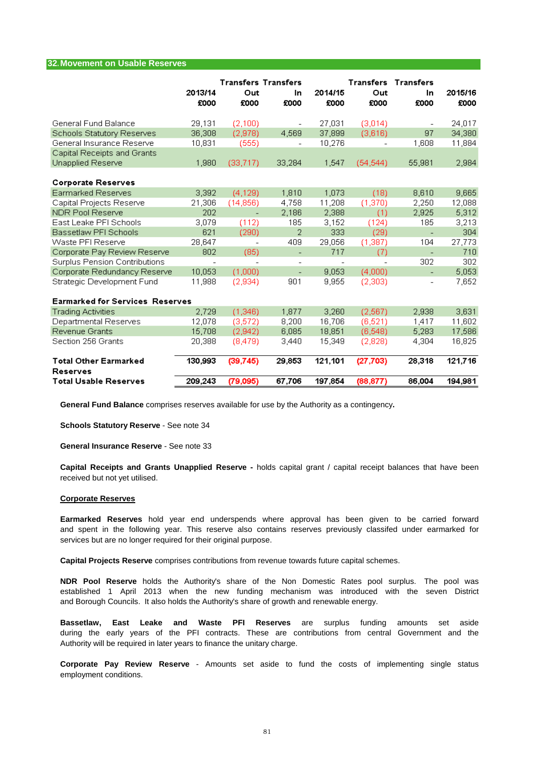### **32.Movement on Usable Reserves**

|                                                 | 2013/14<br>£000 | <b>Transfers Transfers</b><br>Out<br>£000 | In.<br>£000              | 2014/15<br>£000 | <b>Transfers Transfers</b><br>Out<br>£000 | In<br>£000               | 2015/16<br>£000 |
|-------------------------------------------------|-----------------|-------------------------------------------|--------------------------|-----------------|-------------------------------------------|--------------------------|-----------------|
| General Fund Balance                            | 29,131          | (2,100)                                   | $\overline{\phantom{a}}$ | 27,031          | (3,014)                                   |                          | 24,017          |
| Schools Statutory Reserves                      | 36,308          | (2,978)                                   | 4,569                    | 37,899          | (3,616)                                   | 97                       | 34,380          |
| General Insurance Reserve                       | 10,831          | (555)                                     | $\overline{a}$           | 10,276          |                                           | 1,608                    | 11,884          |
| Capital Receipts and Grants                     |                 |                                           |                          |                 |                                           |                          |                 |
| Unapplied Reserve                               | 1,980           | (33, 717)                                 | 33,284                   | 1,547           | (54, 544)                                 | 55,981                   | 2,984           |
| <b>Corporate Reserves</b>                       |                 |                                           |                          |                 |                                           |                          |                 |
| Earmarked Reserves                              | 3,392           | (4, 129)                                  | 1,810                    | 1,073           | (18)                                      | 8,610                    | 9,665           |
| Capital Projects Reserve                        | 21,306          | (14,856)                                  | 4,758                    | 11,208          | (1,370)                                   | 2.250                    | 12,088          |
| <b>NDR Pool Reserve</b>                         | 202             |                                           | 2,186                    | 2,388           | (1)                                       | 2,925                    | 5,312           |
| East Leake PFI Schools                          | 3,079           | (112)                                     | 185                      | 3,152           | (124)                                     | 185                      | 3,213           |
| Bassetlaw PFI Schools                           | 621             | (290)                                     | 2                        | 333             | (29)                                      | ÷,                       | 304             |
| Waste PFI Reserve                               | 28,647          | $\overline{\phantom{a}}$                  | 409                      | 29,056          | (1,387)                                   | 104                      | 27,773          |
| Corporate Pay Review Reserve                    | 802             | (85)                                      | $\overline{\phantom{a}}$ | 717             | (7)                                       | $\overline{a}$           | 710             |
| Surplus Pension Contributions                   |                 |                                           |                          |                 |                                           | 302                      | 302             |
| Corporate Redundancy Reserve                    | 10,053          | (1,000)                                   | $\overline{\phantom{0}}$ | 9,053           | (4,000)                                   | $\overline{\phantom{0}}$ | 5,053           |
| Strategic Development Fund                      | 11,988          | (2,934)                                   | 901                      | 9,955           | (2,303)                                   | $\overline{\phantom{a}}$ | 7,652           |
| <b>Earmarked for Services Reserves</b>          |                 |                                           |                          |                 |                                           |                          |                 |
| <b>Trading Activities</b>                       | 2.729           | (1,346)                                   | 1,877                    | 3,260           | (2, 567)                                  | 2,938                    | 3,631           |
| Departmental Reserves                           | 12,078          | (3, 572)                                  | 8,200                    | 16,706          | (6, 521)                                  | 1,417                    | 11,602          |
| Revenue Grants                                  | 15,708          | (2,942)                                   | 6,085                    | 18,851          | (6, 548)                                  | 5,283                    | 17,586          |
| Section 256 Grants                              | 20,388          | (8,479)                                   | 3,440                    | 15,349          | (2,828)                                   | 4,304                    | 16,825          |
| <b>Total Other Earmarked</b><br><b>Reserves</b> | 130,993         | (39.745)                                  | 29,853                   | 121,101         | (27, 703)                                 | 28,318                   | 121,716         |
| <b>Total Usable Reserves</b>                    | 209,243         | (79,095)                                  | 67,706                   | 197,854         | (88, 877)                                 | 86,004                   | 194,981         |

**General Fund Balance** comprises reserves available for use by the Authority as a contingency**.**

**Schools Statutory Reserve** - See note 34

**General Insurance Reserve** - See note 33

received but not yet utilised. **Capital Receipts and Grants Unapplied Reserve -** holds capital grant / capital receipt balances that have been

#### **Corporate Reserves**

services but are no longer required for their original purpose. **Earmarked Reserves** hold year end underspends where approval has been given to be carried forward and spent in the following year. This reserve also contains reserves previously classifed under earmarked for

**Capital Projects Reserve** comprises contributions from revenue towards future capital schemes.

and Borough Councils. It also holds the Authority's share of growth and renewable energy. **NDR Pool Reserve** holds the Authority's share of the Non Domestic Rates pool surplus. The pool was established 1 April 2013 when the new funding mechanism was introduced with the seven District

Authority will be required in later years to finance the unitary charge. **Bassetlaw, East Leake and Waste PFI Reserves** are surplus funding amounts set aside during the early years of the PFI contracts. These are contributions from central Government and the

employment conditions. **Corporate Pay Review Reserve** - Amounts set aside to fund the costs of implementing single status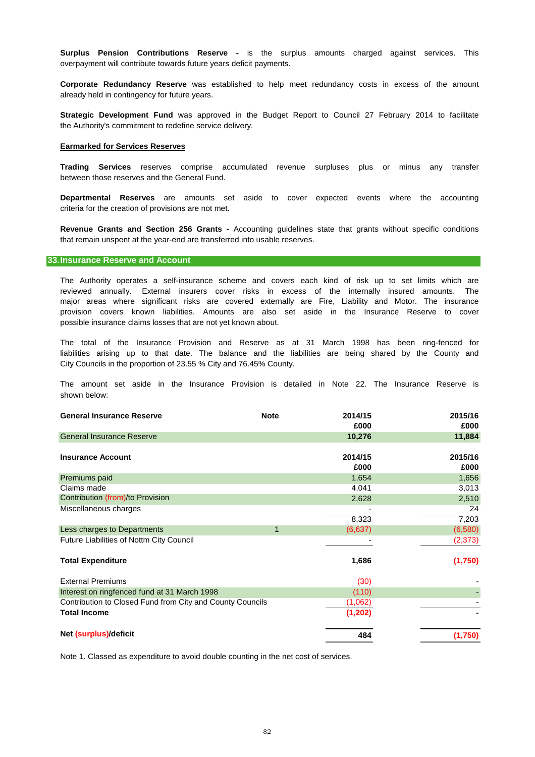**Surplus Pension Contributions Reserve -** is the surplus amounts charged against services. This overpayment will contribute towards future years deficit payments.

already held in contingency for future years. **Corporate Redundancy Reserve** was established to help meet redundancy costs in excess of the amount

the Authority's commitment to redefine service delivery. **Strategic Development Fund** was approved in the Budget Report to Council 27 February 2014 to facilitate

#### **Earmarked for Services Reserves**

between those reserves and the General Fund. **Trading Services** reserves comprise accumulated revenue surpluses plus or minus any transfer

criteria for the creation of provisions are not met. **Departmental Reserves** are amounts set aside to cover expected events where the accounting

that remain unspent at the year-end are transferred into usable reserves. **Revenue Grants and Section 256 Grants -** Accounting guidelines state that grants without specific conditions

### **33.Insurance Reserve and Account**

possible insurance claims losses that are not yet known about. provision covers known liabilities. Amounts are also set aside in the Insurance Reserve to cover major areas where significant risks are covered externally are Fire, Liability and Motor. The insurance The Authority operates a self-insurance scheme and covers each kind of risk up to set limits which are reviewed annually. External insurers cover risks in excess of the internally insured amounts. The

City Councils in the proportion of 23.55 % City and 76.45% County. The total of the Insurance Provision and Reserve as at 31 March 1998 has been ring-fenced for liabilities arising up to that date. The balance and the liabilities are being shared by the County and

shown below: The amount set aside in the Insurance Provision is detailed in Note 22. The Insurance Reserve is

| <b>General Insurance Reserve</b>                          | <b>Note</b> | 2014/15  | 2015/16  |
|-----------------------------------------------------------|-------------|----------|----------|
|                                                           |             | £000     | £000     |
| <b>General Insurance Reserve</b>                          |             | 10,276   | 11,884   |
|                                                           |             |          |          |
| <b>Insurance Account</b>                                  |             | 2014/15  | 2015/16  |
|                                                           |             | £000     | £000     |
| Premiums paid                                             |             | 1,654    | 1,656    |
| Claims made                                               |             | 4,041    | 3,013    |
| Contribution (from)/to Provision                          |             | 2,628    | 2,510    |
| Miscellaneous charges                                     |             |          | 24       |
|                                                           |             | 8,323    | 7,203    |
| Less charges to Departments                               | $\mathbf 1$ | (6,637)  | (6,580)  |
| Future Liabilities of Nottm City Council                  |             |          | (2, 373) |
| <b>Total Expenditure</b>                                  |             | 1,686    | (1,750)  |
| <b>External Premiums</b>                                  |             | (30)     |          |
| Interest on ringfenced fund at 31 March 1998              |             | (110)    |          |
| Contribution to Closed Fund from City and County Councils |             | (1,062)  |          |
| <b>Total Income</b>                                       |             | (1, 202) |          |
| Net (surplus)/deficit                                     |             | 484      | (1,750)  |

Note 1. Classed as expenditure to avoid double counting in the net cost of services.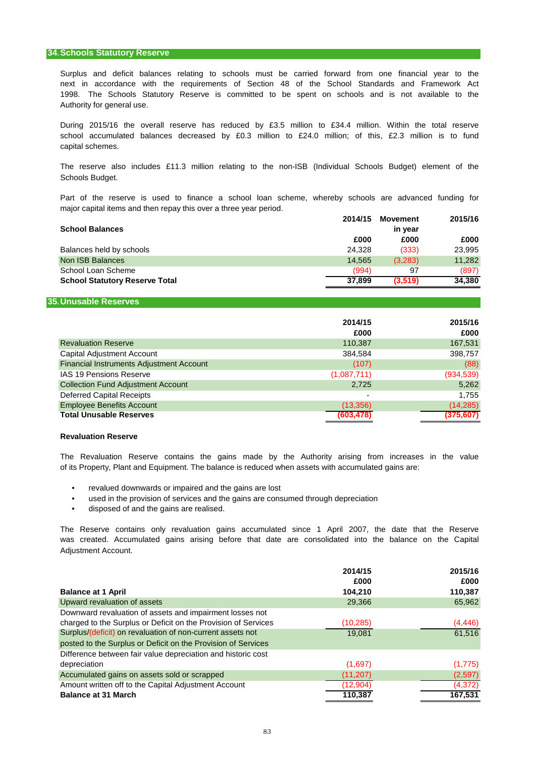### **34.Schools Statutory Reserve**

Authority for general use. Surplus and deficit balances relating to schools must be carried forward from one financial year to the 1998. The Schools Statutory Reserve is committed to be spent on schools and is not available to the next in accordance with the requirements of Section 48 of the School Standards and Framework Act

school accumulated balances decreased by £0.3 million to £24.0 million; of this, £2.3 million is to fund capital schemes. During 2015/16 the overall reserve has reduced by £3.5 million to £34.4 million. Within the total reserve

Schools Budget. The reserve also includes £11.3 million relating to the non-ISB (Individual Schools Budget) element of the

major capital items and then repay this over a three year period. Part of the reserve is used to finance a school loan scheme, whereby schools are advanced funding for

|                                       | 2014/15 | <b>Movement</b> | 2015/16 |
|---------------------------------------|---------|-----------------|---------|
| <b>School Balances</b>                |         | in year         |         |
|                                       | £000    | £000            | £000    |
| Balances held by schools              | 24.328  | (333)           | 23,995  |
| Non ISB Balances                      | 14.565  | (3,283)         | 11,282  |
| School Loan Scheme                    | (994)   | 97              | (897)   |
| <b>School Statutory Reserve Total</b> | 37.899  | (3.519)         | 34,380  |

#### **35.Unusable Reserves**

|                                           | 2014/15<br>£000 | 2015/16<br>£000 |
|-------------------------------------------|-----------------|-----------------|
| <b>Revaluation Reserve</b>                | 110,387         | 167,531         |
| Capital Adjustment Account                | 384,584         | 398,757         |
| Financial Instruments Adjustment Account  | (107)           | (88)            |
| <b>IAS 19 Pensions Reserve</b>            | (1,087,711)     | (934, 539)      |
| <b>Collection Fund Adjustment Account</b> | 2.725           | 5,262           |
| <b>Deferred Capital Receipts</b>          |                 | 1.755           |
| <b>Employee Benefits Account</b>          | (13, 356)       | (14, 285)       |
| <b>Total Unusable Reserves</b>            | (603,478)       | (375, 607)      |

#### **Revaluation Reserve**

of its Property, Plant and Equipment. The balance is reduced when assets with accumulated gains are: The Revaluation Reserve contains the gains made by the Authority arising from increases in the value

- revalued downwards or impaired and the gains are lost
- used in the provision of services and the gains are consumed through depreciation
- disposed of and the gains are realised.

The Reserve contains only revaluation gains accumulated since 1 April 2007, the date that the Reserve was created. Accumulated gains arising before that date are consolidated into the balance on the Capital Adjustment Account.

|                                                                | 2014/15   | 2015/16  |
|----------------------------------------------------------------|-----------|----------|
|                                                                | £000      | £000     |
| <b>Balance at 1 April</b>                                      | 104.210   | 110,387  |
| Upward revaluation of assets                                   | 29,366    | 65,962   |
| Downward revaluation of assets and impairment losses not       |           |          |
| charged to the Surplus or Deficit on the Provision of Services | (10, 285) | (4, 446) |
| Surplus/(deficit) on revaluation of non-current assets not     | 19.081    | 61,516   |
| posted to the Surplus or Deficit on the Provision of Services  |           |          |
| Difference between fair value depreciation and historic cost   |           |          |
| depreciation                                                   | (1,697)   | (1,775)  |
| Accumulated gains on assets sold or scrapped                   | (11, 207) | (2,597)  |
| Amount written off to the Capital Adjustment Account           | (12,904)  | (4,372)  |
| <b>Balance at 31 March</b>                                     | 110.387   | 167.531  |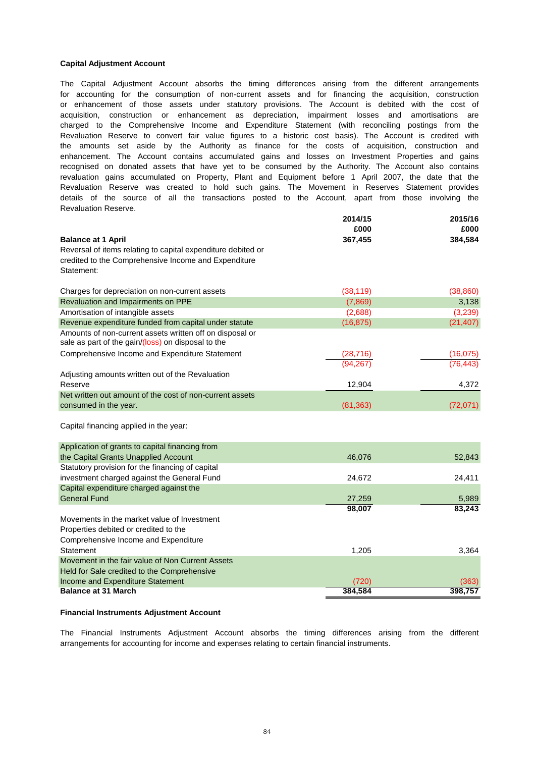#### **Capital Adjustment Account**

Revaluation Reserve. for accounting for the consumption of non-current assets and for financing the acquisition, construction enhancement. The Account contains accumulated gains and losses on Investment Properties and gains recognised on donated assets that have yet to be consumed by the Authority. The Account also contains Revaluation Reserve to convert fair value figures to a historic cost basis). The Account is credited with or enhancement of those assets under statutory provisions. The Account is debited with the cost of revaluation gains accumulated on Property, Plant and Equipment before 1 April 2007, the date that the Revaluation Reserve was created to hold such gains. The Movement in Reserves Statement provides details of the source of all the transactions posted to the Account, apart from those involving the the amounts set aside by the Authority as finance for the costs of acquisition, construction and The Capital Adjustment Account absorbs the timing differences arising from the different arrangements acquisition, construction or enhancement as depreciation, impairment losses and amortisations are charged to the Comprehensive Income and Expenditure Statement (with reconciling postings from the

|                                                                                                                | 2014/15   | 2015/16   |
|----------------------------------------------------------------------------------------------------------------|-----------|-----------|
|                                                                                                                | £000      | £000      |
| <b>Balance at 1 April</b>                                                                                      | 367,455   | 384,584   |
| Reversal of items relating to capital expenditure debited or                                                   |           |           |
| credited to the Comprehensive Income and Expenditure                                                           |           |           |
| Statement:                                                                                                     |           |           |
| Charges for depreciation on non-current assets                                                                 | (38, 119) | (38, 860) |
| Revaluation and Impairments on PPE                                                                             | (7,869)   | 3,138     |
| Amortisation of intangible assets                                                                              | (2,688)   | (3,239)   |
| Revenue expenditure funded from capital under statute                                                          | (16, 875) | (21, 407) |
| Amounts of non-current assets written off on disposal or<br>sale as part of the gain/(loss) on disposal to the |           |           |
| Comprehensive Income and Expenditure Statement                                                                 | (28, 716) | (16, 075) |
|                                                                                                                | (94.267)  | (76.443)  |
| Adjusting amounts written out of the Revaluation                                                               |           |           |
| Reserve                                                                                                        | 12,904    | 4,372     |
| Net written out amount of the cost of non-current assets                                                       |           |           |
| consumed in the year.                                                                                          | (81, 363) | (72, 071) |
| Capital financing applied in the year:                                                                         |           |           |
| Application of grants to capital financing from                                                                |           |           |
| the Capital Grants Unapplied Account                                                                           | 46,076    | 52,843    |
| Statutory provision for the financing of capital                                                               |           |           |
| investment charged against the General Fund                                                                    | 24,672    | 24,411    |
| Capital expenditure charged against the                                                                        |           |           |
| <b>General Fund</b>                                                                                            | 27,259    | 5,989     |
|                                                                                                                | 98,007    | 83,243    |
| Movements in the market value of Investment                                                                    |           |           |
| Properties debited or credited to the                                                                          |           |           |
| Comprehensive Income and Expenditure                                                                           |           |           |
| Statement                                                                                                      | 1,205     | 3,364     |
| Movement in the fair value of Non Current Assets                                                               |           |           |
| Held for Sale credited to the Comprehensive                                                                    |           |           |
| Income and Expenditure Statement                                                                               | (720)     | (363)     |
| <b>Balance at 31 March</b>                                                                                     | 384,584   | 398,757   |

#### **Financial Instruments Adjustment Account**

arrangements for accounting for income and expenses relating to certain financial instruments. The Financial Instruments Adjustment Account absorbs the timing differences arising from the different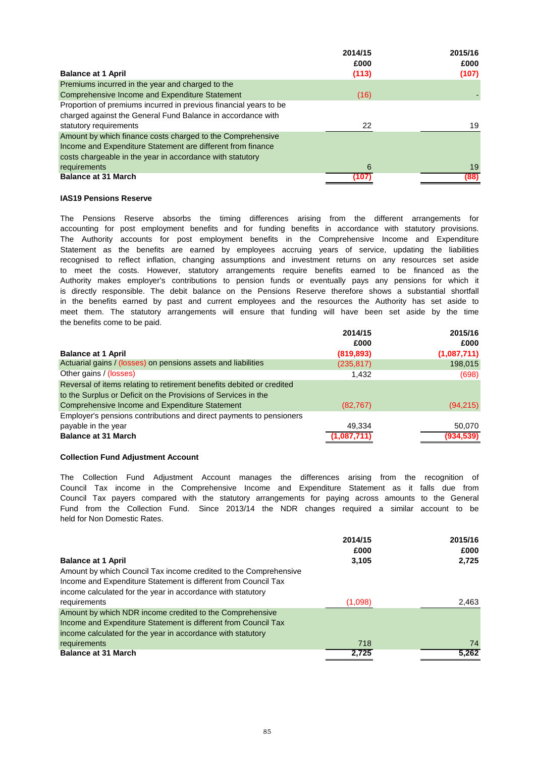| 2014/15 | 2015/16 |
|---------|---------|
| £000    | £000    |
| (113)   | (107)   |
|         |         |
| (16)    |         |
|         |         |
|         |         |
| 22      | 19      |
|         |         |
|         |         |
|         |         |
| 6       | 19      |
| (107)   | (88)    |
|         |         |

#### **IAS19 Pensions Reserve**

the benefits come to be paid. in the benefits earned by past and current employees and the resources the Authority has set aside to Authority makes employer's contributions to pension funds or eventually pays any pensions for which it recognised to reflect inflation, changing assumptions and investment returns on any resources set aside to meet the costs. However, statutory arrangements require benefits earned to be financed as the meet them. The statutory arrangements will ensure that funding will have been set aside by the time The Authority accounts for post employment benefits in the Comprehensive Income and Expenditure Statement as the benefits are earned by employees accruing years of service, updating the liabilities is directly responsible. The debit balance on the Pensions Reserve therefore shows a substantial shortfall The Pensions Reserve absorbs the timing differences arising from the different arrangements for accounting for post employment benefits and for funding benefits in accordance with statutory provisions.

|                                                                       | 2014/15    | 2015/16     |
|-----------------------------------------------------------------------|------------|-------------|
|                                                                       | £000       | £000        |
| <b>Balance at 1 April</b>                                             | (819, 893) | (1,087,711) |
| Actuarial gains / (losses) on pensions assets and liabilities         | (235, 817) | 198,015     |
| Other gains / (losses)                                                | 1.432      | (698)       |
| Reversal of items relating to retirement benefits debited or credited |            |             |
| to the Surplus or Deficit on the Provisions of Services in the        |            |             |
| Comprehensive Income and Expenditure Statement                        | (82, 767)  | (94, 215)   |
| Employer's pensions contributions and direct payments to pensioners   |            |             |
| payable in the year                                                   | 49.334     | 50.070      |
| <b>Balance at 31 March</b>                                            | 1.087.711  | (934,539)   |

### **Collection Fund Adjustment Account**

Fund from the Collection Fund. Since 2013/14 the NDR changes required a similar account to be held for Non Domestic Rates. Council Tax income in the Comprehensive Income and Expenditure Statement as it falls due from Council Tax payers compared with the statutory arrangements for paying across amounts to the General The Collection Fund Adjustment Account manages the differences arising from the recognition of

|                                                                  | 2014/15 | 2015/16 |
|------------------------------------------------------------------|---------|---------|
|                                                                  | £000    | £000    |
| <b>Balance at 1 April</b>                                        | 3,105   | 2,725   |
| Amount by which Council Tax income credited to the Comprehensive |         |         |
| Income and Expenditure Statement is different from Council Tax   |         |         |
| income calculated for the year in accordance with statutory      |         |         |
| requirements                                                     | (1,098) | 2,463   |
| Amount by which NDR income credited to the Comprehensive         |         |         |
| Income and Expenditure Statement is different from Council Tax   |         |         |
| income calculated for the year in accordance with statutory      |         |         |
| requirements                                                     | 718     | 74      |
| <b>Balance at 31 March</b>                                       | 2,725   | 5,262   |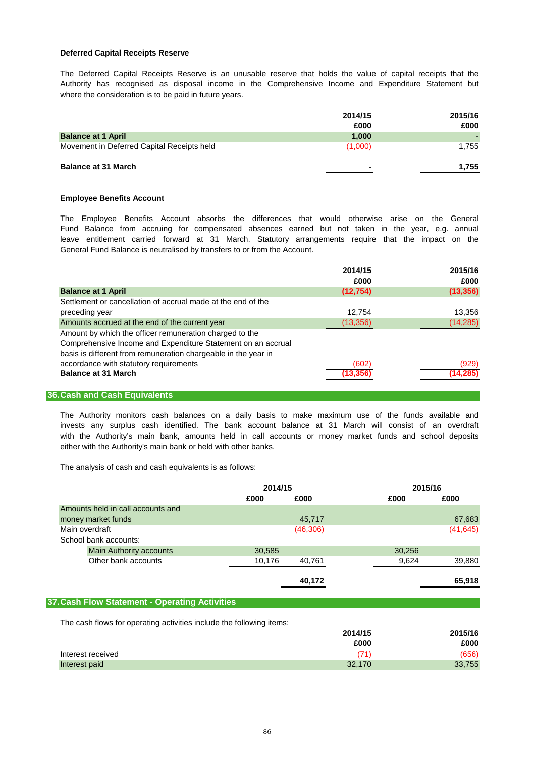### **Deferred Capital Receipts Reserve**

where the consideration is to be paid in future years. The Deferred Capital Receipts Reserve is an unusable reserve that holds the value of capital receipts that the Authority has recognised as disposal income in the Comprehensive Income and Expenditure Statement but

|                                            | 2014/15<br>£000 | 2015/16<br>£000 |
|--------------------------------------------|-----------------|-----------------|
| <b>Balance at 1 April</b>                  | 1.000           |                 |
| Movement in Deferred Capital Receipts held | (1,000)         | 1,755           |
| <b>Balance at 31 March</b>                 | $\blacksquare$  | .755            |

#### **Employee Benefits Account**

General Fund Balance is neutralised by transfers to or from the Account. Fund Balance from accruing for compensated absences earned but not taken in the year, e.g. annual leave entitlement carried forward at 31 March. Statutory arrangements require that the impact on the The Employee Benefits Account absorbs the differences that would otherwise arise on the General

|                                                                | 2014/15   | 2015/16   |
|----------------------------------------------------------------|-----------|-----------|
|                                                                | £000      | £000      |
| <b>Balance at 1 April</b>                                      | (12, 754) | (13, 356) |
| Settlement or cancellation of accrual made at the end of the   |           |           |
| preceding year                                                 | 12.754    | 13,356    |
| Amounts accrued at the end of the current year                 | (13, 356) | (14, 285) |
| Amount by which the officer remuneration charged to the        |           |           |
| Comprehensive Income and Expenditure Statement on an accrual   |           |           |
| basis is different from remuneration chargeable in the year in |           |           |
| accordance with statutory requirements                         | (602)     | (929)     |
| <b>Balance at 31 March</b>                                     | (13.356   | (14, 285) |
|                                                                |           |           |

### **36.Cash and Cash Equivalents**

with the Authority's main bank, amounts held in call accounts or money market funds and school deposits invests any surplus cash identified. The bank account balance at 31 March will consist of an overdraft either with the Authority's main bank or held with other banks. The Authority monitors cash balances on a daily basis to make maximum use of the funds available and

The analysis of cash and cash equivalents is as follows:

|                                   | 2014/15 |           |        | 2015/16   |
|-----------------------------------|---------|-----------|--------|-----------|
|                                   | £000    | £000      | £000   | £000      |
| Amounts held in call accounts and |         |           |        |           |
| money market funds                |         | 45,717    |        | 67,683    |
| Main overdraft                    |         | (46, 306) |        | (41, 645) |
| School bank accounts:             |         |           |        |           |
| <b>Main Authority accounts</b>    | 30,585  |           | 30,256 |           |
| Other bank accounts               | 10,176  | 40,761    | 9,624  | 39,880    |
|                                   |         |           |        |           |
|                                   |         | 40,172    |        | 65,918    |
|                                   |         |           |        |           |

# **37.Cash Flow Statement - Operating Activities**

The cash flows for operating activities include the following items:

|                   | 2014/15 | 2015/16 |
|-------------------|---------|---------|
|                   | £000    | £000    |
| Interest received | 71      | (656)   |
| Interest paid     | 32,170  | 33,755  |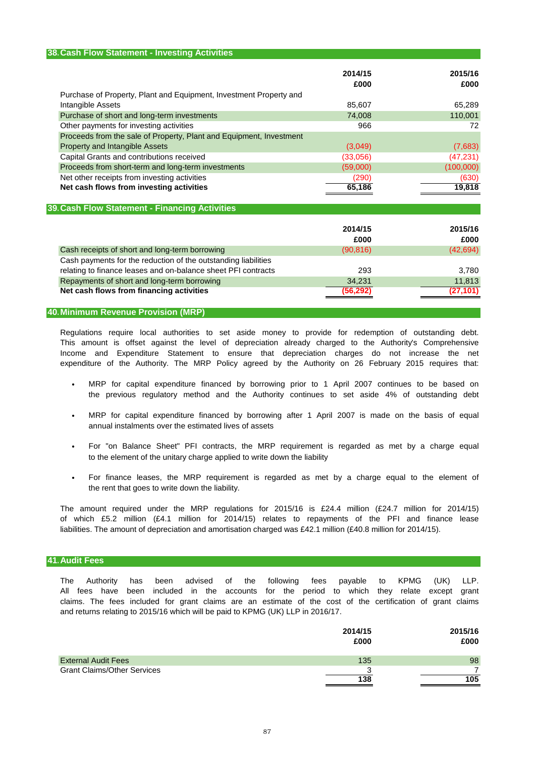# **38.Cash Flow Statement - Investing Activities 2014/15 2015/16 £000 £000** Purchase of Property, Plant and Equipment, Investment Property and Intangible Assets 85,607 65,289 Purchase of short and long-term investments **74,008** 110,001 Other payments for investing activities **866** 72 Proceeds from the sale of Property, Plant and Equipment, Investment Property and Intangible Assets (3,049) (7,683) Capital Grants and contributions received (33,056) (47,231) Proceeds from short-term and long-term investments (59,000) (100,000) (100,000) Net other receipts from investing activities (290) (630) (630) **Net cash flows from investing activities 19,818 19,818 19,818**

### **39.Cash Flow Statement - Financing Activities**

|                                                                | 2014/15<br>£000 | 2015/16<br>£000 |
|----------------------------------------------------------------|-----------------|-----------------|
| Cash receipts of short and long-term borrowing                 | (90, 816)       | (42, 694)       |
| Cash payments for the reduction of the outstanding liabilities |                 |                 |
| relating to finance leases and on-balance sheet PFI contracts  | 293             | 3.780           |
| Repayments of short and long-term borrowing                    | 34.231          | 11,813          |
| Net cash flows from financing activities                       | (56, 292)       | (27, 101)       |
|                                                                |                 |                 |

### **40.Minimum Revenue Provision (MRP)**

Regulations require local authorities to set aside money to provide for redemption of outstanding debt. This amount is offset against the level of depreciation already charged to the Authority's Comprehensive Income and Expenditure Statement to ensure that depreciation charges do not increase the net expenditure of the Authority. The MRP Policy agreed by the Authority on 26 February 2015 requires that:

- the previous regulatory method and the Authority continues to set aside 4% of outstanding debt MRP for capital expenditure financed by borrowing prior to 1 April 2007 continues to be based on
- annual instalments over the estimated lives of assets MRP for capital expenditure financed by borrowing after 1 April 2007 is made on the basis of equal
- to the element of the unitary charge applied to write down the liability For "on Balance Sheet" PFI contracts, the MRP requirement is regarded as met by a charge equal
- the rent that goes to write down the liability. For finance leases, the MRP requirement is regarded as met by a charge equal to the element of

liabilities. The amount of depreciation and amortisation charged was £42.1 million (£40.8 million for 2014/15). The amount required under the MRP regulations for 2015/16 is £24.4 million (£24.7 million for 2014/15) of which £5.2 million (£4.1 million for 2014/15) relates to repayments of the PFI and finance lease

### **41.Audit Fees**

and returns relating to 2015/16 which will be paid to KPMG (UK) LLP in 2016/17. The Authority has been advised of the following fees payable to KPMG (UK) LLP. claims. The fees included for grant claims are an estimate of the cost of the certification of grant claims All fees have been included in the accounts for the period to which they relate except grant

|                                    | 2014/15<br>£000 | 2015/16<br>£000 |
|------------------------------------|-----------------|-----------------|
| <b>External Audit Fees</b>         | 135             | 98              |
| <b>Grant Claims/Other Services</b> | າ               |                 |
|                                    | 138             | 105             |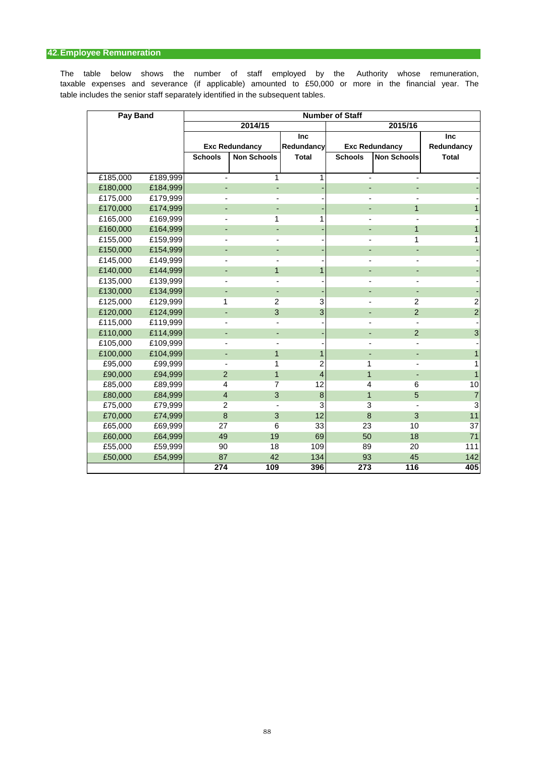# **42.Employee Remuneration**

table includes the senior staff separately identified in the subsequent tables. taxable expenses and severance (if applicable) amounted to £50,000 or more in the financial year. The The table below shows the number of staff employed by the Authority whose remuneration,

| Pay Band |          | <b>Number of Staff</b> |                       |                |                |                       |                |  |  |
|----------|----------|------------------------|-----------------------|----------------|----------------|-----------------------|----------------|--|--|
|          |          |                        | 2014/15               |                |                | 2015/16               |                |  |  |
|          |          |                        |                       | Inc            |                |                       | Inc            |  |  |
|          |          |                        | <b>Exc Redundancy</b> | Redundancy     |                | <b>Exc Redundancy</b> | Redundancy     |  |  |
|          |          | <b>Schools</b>         | <b>Non Schools</b>    | <b>Total</b>   | <b>Schools</b> | <b>Non Schools</b>    | <b>Total</b>   |  |  |
|          |          |                        |                       |                |                |                       |                |  |  |
| £185,000 | £189,999 |                        | 1                     | 1              |                |                       |                |  |  |
| £180,000 | £184,999 |                        |                       |                |                |                       |                |  |  |
| £175,000 | £179,999 |                        |                       |                |                |                       |                |  |  |
| £170,000 | £174,999 |                        |                       |                |                | 1                     | 1              |  |  |
| £165,000 | £169,999 |                        | 1                     | 1              |                |                       |                |  |  |
| £160,000 | £164,999 |                        |                       |                |                | $\mathbf{1}$          | 1              |  |  |
| £155,000 | £159,999 |                        |                       |                |                | 1                     | 1              |  |  |
| £150,000 | £154,999 |                        |                       |                |                |                       |                |  |  |
| £145,000 | £149,999 |                        |                       |                |                |                       |                |  |  |
| £140,000 | £144,999 |                        | 1                     | 1              |                |                       |                |  |  |
| £135,000 | £139,999 |                        |                       |                |                |                       |                |  |  |
| £130,000 | £134,999 |                        |                       |                |                |                       |                |  |  |
| £125,000 | £129,999 | 1                      | 2                     | 3              |                | 2                     | $\overline{2}$ |  |  |
| £120,000 | £124,999 |                        | 3                     | 3              |                | $\overline{2}$        | $\overline{2}$ |  |  |
| £115,000 | £119,999 |                        |                       |                |                |                       |                |  |  |
| £110,000 | £114,999 |                        |                       |                |                | $\overline{2}$        | 3              |  |  |
| £105,000 | £109,999 |                        |                       |                |                |                       |                |  |  |
| £100,000 | £104,999 |                        | 1                     | 1              |                |                       | $\overline{1}$ |  |  |
| £95,000  | £99,999  |                        | 1                     | 2              | 1              |                       | 1              |  |  |
| £90,000  | £94,999  | $\overline{2}$         | $\overline{1}$        | $\overline{4}$ | $\mathbf{1}$   |                       | $\overline{1}$ |  |  |
| £85,000  | £89,999  | 4                      | 7                     | 12             | 4              | 6                     | 10             |  |  |
| £80,000  | £84,999  | 4                      | 3                     | 8              | $\overline{1}$ | 5                     | $\overline{7}$ |  |  |
| £75,000  | £79,999  | 2                      |                       | 3              | 3              |                       | $\overline{3}$ |  |  |
| £70,000  | £74,999  | 8                      | 3                     | 12             | 8              | 3                     | 11             |  |  |
| £65,000  | £69,999  | 27                     | 6                     | 33             | 23             | 10                    | 37             |  |  |
| £60,000  | £64,999  | 49                     | 19                    | 69             | 50             | 18                    | 71             |  |  |
| £55,000  | £59,999  | 90                     | 18                    | 109            | 89             | 20                    | 111            |  |  |
| £50,000  | £54,999  | 87                     | 42                    | 134            | 93             | 45                    | 142            |  |  |
|          |          | 274                    | 109                   | 396            | 273            | 116                   | 405            |  |  |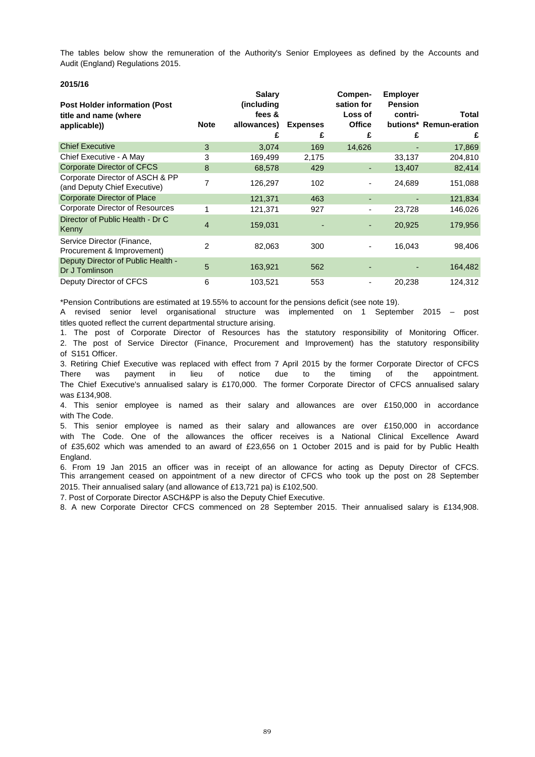Audit (England) Regulations 2015. The tables below show the remuneration of the Authority's Senior Employees as defined by the Accounts and

### **2015/16**

| <b>Post Holder information (Post</b><br>title and name (where   |                | <b>Salary</b><br>(including<br>fees & |                 | Compen-<br>sation for<br>Loss of | <b>Employer</b><br><b>Pension</b><br>contri- | <b>Total</b>           |
|-----------------------------------------------------------------|----------------|---------------------------------------|-----------------|----------------------------------|----------------------------------------------|------------------------|
| applicable))                                                    | <b>Note</b>    | allowances)                           | <b>Expenses</b> | <b>Office</b>                    |                                              | butions* Remun-eration |
|                                                                 |                | £                                     | £               | £                                | £                                            | £                      |
| <b>Chief Executive</b>                                          | 3              | 3,074                                 | 169             | 14,626                           |                                              | 17,869                 |
| Chief Executive - A May                                         | 3              | 169,499                               | 2,175           |                                  | 33,137                                       | 204,810                |
| <b>Corporate Director of CFCS</b>                               | 8              | 68,578                                | 429             | ٠                                | 13,407                                       | 82,414                 |
| Corporate Director of ASCH & PP<br>(and Deputy Chief Executive) | 7              | 126,297                               | 102             |                                  | 24,689                                       | 151,088                |
| <b>Corporate Director of Place</b>                              |                | 121,371                               | 463             |                                  |                                              | 121,834                |
| Corporate Director of Resources                                 |                | 121,371                               | 927             |                                  | 23,728                                       | 146,026                |
| Director of Public Health - Dr C<br>Kenny                       | $\overline{4}$ | 159,031                               |                 |                                  | 20,925                                       | 179,956                |
| Service Director (Finance,<br>Procurement & Improvement)        | $\overline{2}$ | 82,063                                | 300             | ۰                                | 16,043                                       | 98,406                 |
| Deputy Director of Public Health -<br>Dr J Tomlinson            | 5              | 163,921                               | 562             |                                  |                                              | 164,482                |
| Deputy Director of CFCS                                         | 6              | 103,521                               | 553             |                                  | 20,238                                       | 124,312                |

\*Pension Contributions are estimated at 19.55% to account for the pensions deficit (see note 19).

titles quoted reflect the current departmental structure arising. A revised senior level organisational structure was implemented on 1 September 2015 – post

1. The post of Corporate Director of Resources has the statutory responsibility of Monitoring Officer. 2. The post of Service Director (Finance, Procurement and Improvement) has the statutory responsibility of S151 Officer.

3. Retiring Chief Executive was replaced with effect from 7 April 2015 by the former Corporate Director of CFCS The Chief Executive's annualised salary is £170,000. The former Corporate Director of CFCS annualised salary was £134,908. There was payment in lieu of notice due to the timing of the appointment.

4. This senior employee is named as their salary and allowances are over £150,000 in accordance with The Code.

England. 5. This senior employee is named as their salary and allowances are over £150,000 in accordance with The Code. One of the allowances the officer receives is a National Clinical Excellence Award of £35,602 which was amended to an award of £23,656 on 1 October 2015 and is paid for by Public Health

6. From 19 Jan 2015 an officer was in receipt of an allowance for acting as Deputy Director of CFCS. This arrangement ceased on appointment of a new director of CFCS who took up the post on 28 September 2015. Their annualised salary (and allowance of £13,721 pa) is £102,500.

7. Post of Corporate Director ASCH&PP is also the Deputy Chief Executive.

8. A new Corporate Director CFCS commenced on 28 September 2015. Their annualised salary is £134,908.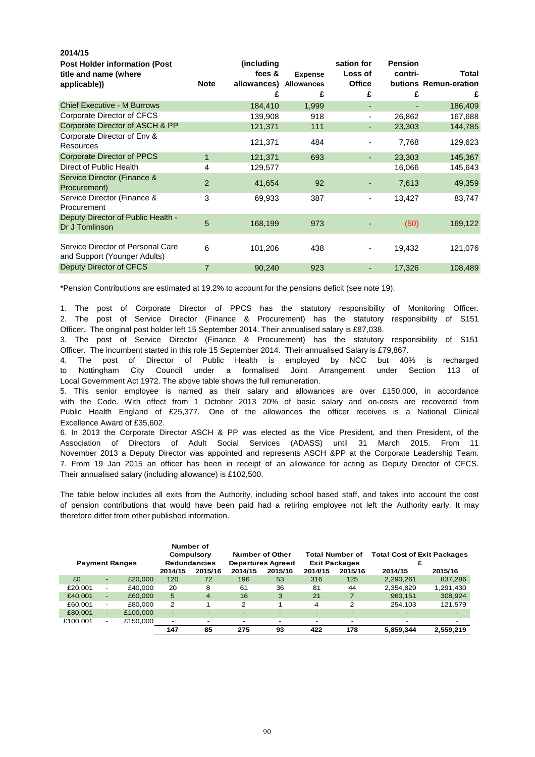| ZU14/13                                                                       |                |                                          |                                          |                                             |                                |                                     |
|-------------------------------------------------------------------------------|----------------|------------------------------------------|------------------------------------------|---------------------------------------------|--------------------------------|-------------------------------------|
| <b>Post Holder information (Post</b><br>title and name (where<br>applicable)) | <b>Note</b>    | (including<br>fees &<br>allowances)<br>£ | <b>Expense</b><br><b>Allowances</b><br>£ | sation for<br>Loss of<br><b>Office</b><br>£ | <b>Pension</b><br>contri-<br>£ | Total<br>butions Remun-eration<br>£ |
| <b>Chief Executive - M Burrows</b>                                            |                | 184,410                                  | 1,999                                    | ٠                                           |                                | 186,409                             |
| Corporate Director of CFCS<br>Corporate Director of ASCH & PP                 |                | 139,908<br>121,371                       | 918<br>111                               | ٠                                           | 26,862<br>23,303               | 167,688<br>144,785                  |
| Corporate Director of Env &<br><b>Resources</b>                               |                | 121,371                                  | 484                                      |                                             | 7,768                          | 129,623                             |
| Corporate Director of PPCS                                                    | $\mathbf{1}$   | 121,371                                  | 693                                      | ٠                                           | 23,303                         | 145,367                             |
| Direct of Public Health                                                       | 4              | 129,577                                  |                                          |                                             | 16,066                         | 145,643                             |
| Service Director (Finance &<br>Procurement)                                   | $\overline{2}$ | 41,654                                   | 92                                       |                                             | 7,613                          | 49,359                              |
| Service Director (Finance &<br>Procurement                                    | 3              | 69,933                                   | 387                                      | ٠                                           | 13,427                         | 83,747                              |
| Deputy Director of Public Health -<br>Dr J Tomlinson                          | 5              | 168,199                                  | 973                                      |                                             | (50)                           | 169,122                             |
| Service Director of Personal Care<br>and Support (Younger Adults)             | 6              | 101,206                                  | 438                                      |                                             | 19,432                         | 121,076                             |
| Deputy Director of CFCS                                                       | $\overline{7}$ | 90,240                                   | 923                                      |                                             | 17,326                         | 108,489                             |

\*Pension Contributions are estimated at 19.2% to account for the pensions deficit (see note 19).

**2014/15**

1. The post of Corporate Director of PPCS has the statutory responsibility of Monitoring Officer. 2. The post of Service Director (Finance & Procurement) has the statutory responsibility of S151 Officer. The original post holder left 15 September 2014. Their annualised salary is £87,038.

3. The post of Service Director (Finance & Procurement) has the statutory responsibility of S151 Officer. The incumbent started in this role 15 September 2014. Their annualised Salary is £79,867.

4. The post of Director of Public Health is employed by NCC but 40% is recharged to Nottingham City Council under a formalised Joint Arrangement under Section 113 of Local Government Act 1972. The above table shows the full remuneration.

Excellence Award of £35,602. with the Code. With effect from 1 October 2013 20% of basic salary and on-costs are recovered from 5. This senior employee is named as their salary and allowances are over £150,000, in accordance Public Health England of £25,377. One of the allowances the officer receives is a National Clinical

Their annualised salary (including allowance) is £102,500. 6. In 2013 the Corporate Director ASCH & PP was elected as the Vice President, and then President, of the Association of Directors of Adult Social Services (ADASS) until 31 March 2015. From 11 November 2013 a Deputy Director was appointed and represents ASCH &PP at the Corporate Leadership Team. 7. From 19 Jan 2015 an officer has been in receipt of an allowance for acting as Deputy Director of CFCS.

therefore differ from other published information. of pension contributions that would have been paid had a retiring employee not left the Authority early. It may The table below includes all exits from the Authority, including school based staff, and takes into account the cost

| <b>Payment Ranges</b> |                          |          | Number of                | Compulsory<br><b>Redundancies</b> |                          | Number of Other<br><b>Departures Agreed</b> |         | <b>Total Number of</b><br><b>Exit Packages</b> | <b>Total Cost of Exit Packages</b> |                          |
|-----------------------|--------------------------|----------|--------------------------|-----------------------------------|--------------------------|---------------------------------------------|---------|------------------------------------------------|------------------------------------|--------------------------|
|                       |                          |          | 2014/15                  | 2015/16                           | 2014/15                  | 2015/16                                     | 2014/15 | 2015/16                                        | 2014/15                            | 2015/16                  |
| £0                    | ٠                        | £20,000  | 120                      | 72                                | 196                      | 53                                          | 316     | 125                                            | 2,290,261                          | 837,286                  |
| £20.001               | $\blacksquare$           | £40.000  | 20                       | 8                                 | 61                       | 36                                          | 81      | 44                                             | 2,354,829                          | 1,291,430                |
| £40,001               | ٠                        | £60,000  | 5                        | $\overline{4}$                    | 16                       | 3                                           | 21      | 7                                              | 960.151                            | 308,924                  |
| £60.001               | $\overline{\phantom{a}}$ | £80,000  | $\overline{2}$           |                                   | 2                        |                                             | 4       | 2                                              | 254.103                            | 121,579                  |
| £80,001               | $\sim$                   | £100,000 | $\overline{\phantom{a}}$ |                                   | $\overline{\phantom{0}}$ |                                             |         | -                                              |                                    | $\overline{\phantom{0}}$ |
| £100,001              | $\overline{\phantom{a}}$ | £150,000 | $\overline{\phantom{a}}$ | $\overline{\phantom{0}}$          | -                        |                                             |         | ٠                                              | $\overline{\phantom{0}}$           |                          |
|                       |                          |          | 147                      | 85                                | 275                      | 93                                          | 422     | 178                                            | 5.859.344                          | 2.559.219                |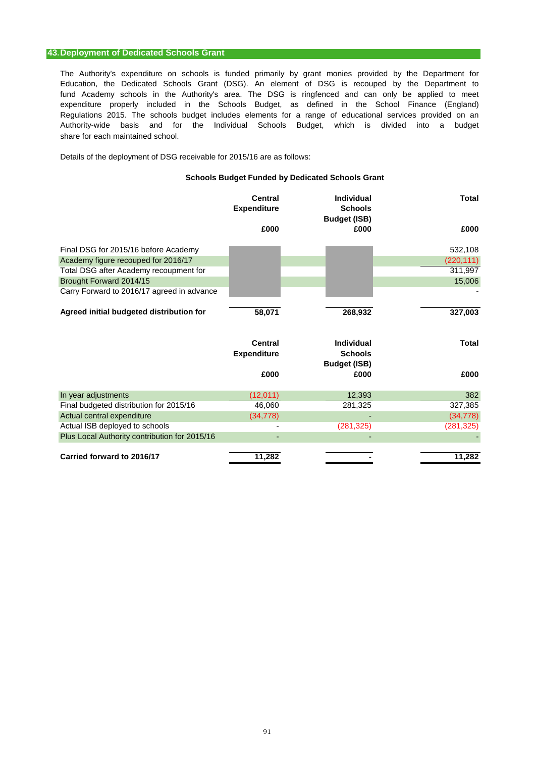### **43.Deployment of Dedicated Schools Grant**

The Authority's expenditure on schools is funded primarily by grant monies provided by the Department for Education, the Dedicated Schools Grant (DSG). An element of DSG is recouped by the Department to expenditure properly included in the Schools Budget, as defined in the School Finance (England) share for each maintained school. fund Academy schools in the Authority's area. The DSG is ringfenced and can only be applied to meet Regulations 2015. The schools budget includes elements for a range of educational services provided on an Authority-wide basis and for the Individual Schools Budget, which is divided into a budget

Details of the deployment of DSG receivable for 2015/16 are as follows:

### **Schools Budget Funded by Dedicated Schools Grant**

|                                               | <b>Central</b><br><b>Expenditure</b> | <b>Individual</b><br><b>Schools</b><br><b>Budget (ISB)</b> | <b>Total</b> |
|-----------------------------------------------|--------------------------------------|------------------------------------------------------------|--------------|
|                                               | £000                                 | £000                                                       | £000         |
| Final DSG for 2015/16 before Academy          |                                      |                                                            | 532,108      |
| Academy figure recouped for 2016/17           |                                      |                                                            | (220, 111)   |
| Total DSG after Academy recoupment for        |                                      |                                                            | 311,997      |
| Brought Forward 2014/15                       |                                      |                                                            | 15,006       |
| Carry Forward to 2016/17 agreed in advance    |                                      |                                                            |              |
| Agreed initial budgeted distribution for      | 58,071                               | 268,932                                                    | 327,003      |
|                                               | <b>Central</b><br><b>Expenditure</b> | <b>Individual</b><br><b>Schools</b><br><b>Budget (ISB)</b> | <b>Total</b> |
|                                               | £000                                 | £000                                                       | £000         |
| In year adjustments                           | (12,011)                             | 12,393                                                     | 382          |
| Final budgeted distribution for 2015/16       | 46,060                               | 281,325                                                    | 327,385      |
| Actual central expenditure                    | (34, 778)                            |                                                            | (34, 778)    |
| Actual ISB deployed to schools                |                                      | (281, 325)                                                 | (281, 325)   |
| Plus Local Authority contribution for 2015/16 |                                      |                                                            |              |
| Carried forward to 2016/17                    | 11,282                               |                                                            | 11,282       |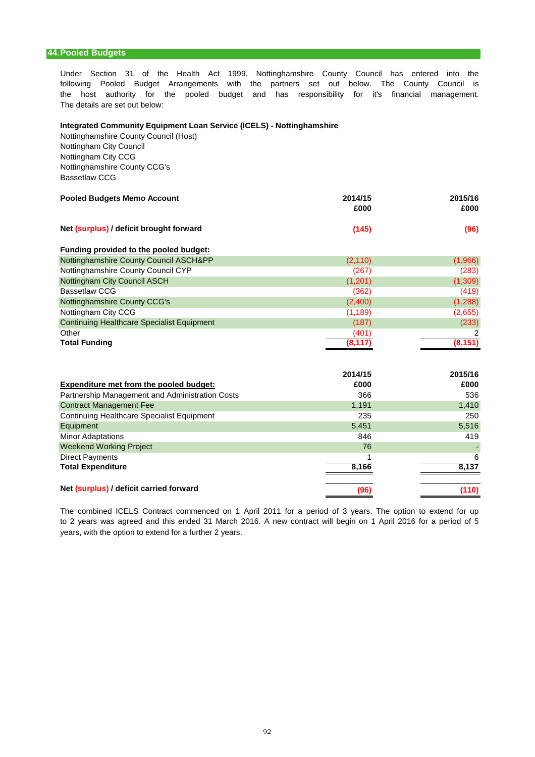### **44.Pooled Budgets**

Under Section 31 of the Health Act 1999, Nottinghamshire County Council has entered into the the host authority for the pooled budget and has responsibility for it's financial management. following Pooled Budget Arrangements with the partners set out below. The County Council is The details are set out below:

#### **Integrated Community Equipment Loan Service (ICELS) - Nottinghamshire**

Nottinghamshire County Council (Host) Nottingham City Council Nottingham City CCG Nottinghamshire County CCG's Bassetlaw CCG

| <b>Pooled Budgets Memo Account</b>      | 2014/15<br>£000 | 2015/16<br>£000 |
|-----------------------------------------|-----------------|-----------------|
|                                         |                 |                 |
| Net (surplus) / deficit brought forward | (145)           | (96)            |

| Funding provided to the pooled budget:            |          |          |
|---------------------------------------------------|----------|----------|
| Nottinghamshire County Council ASCH&PP            | (2, 110) | (1,966)  |
| Nottinghamshire County Council CYP                | (267)    | (283)    |
| Nottingham City Council ASCH                      | (1,201)  | (1,309)  |
| <b>Bassetlaw CCG</b>                              | (362)    | (419)    |
| Nottinghamshire County CCG's                      | (2,400)  | (1,288)  |
| Nottingham City CCG                               | (1, 189) | (2,655)  |
| <b>Continuing Healthcare Specialist Equipment</b> | (187)    | (233)    |
| Other                                             | (401)    |          |
| <b>Total Funding</b>                              | (8, 117) | (8, 151) |

|                                                   | 2014/15 | 2015/16 |
|---------------------------------------------------|---------|---------|
| <b>Expenditure met from the pooled budget:</b>    | £000    | £000    |
| Partnership Management and Administration Costs   | 366     | 536     |
| <b>Contract Management Fee</b>                    | 1,191   | 1,410   |
| <b>Continuing Healthcare Specialist Equipment</b> | 235     | 250     |
| Equipment                                         | 5,451   | 5,516   |
| <b>Minor Adaptations</b>                          | 846     | 419     |
| <b>Weekend Working Project</b>                    | 76      |         |
| <b>Direct Payments</b>                            |         | 6       |
| <b>Total Expenditure</b>                          | 8,166   | 8,137   |
| Net (surplus) / deficit carried forward           | (96)    | (110)   |

years, with the option to extend for a further 2 years. The combined ICELS Contract commenced on 1 April 2011 for a period of 3 years. The option to extend for up to 2 years was agreed and this ended 31 March 2016. A new contract will begin on 1 April 2016 for a period of 5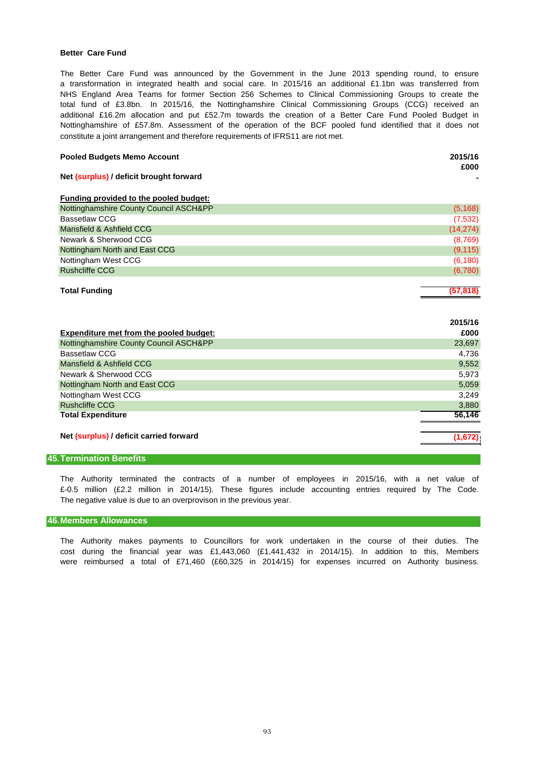### **Better Care Fund**

NHS England Area Teams for former Section 256 Schemes to Clinical Commissioning Groups to create the The Better Care Fund was announced by the Government in the June 2013 spending round, to ensure constitute a joint arrangement and therefore requirements of IFRS11 are not met. total fund of £3.8bn. In 2015/16, the Nottinghamshire Clinical Commissioning Groups (CCG) received an Nottinghamshire of £57.8m. Assessment of the operation of the BCF pooled fund identified that it does not a transformation in integrated health and social care. In 2015/16 an additional £1.1bn was transferred from additional £16.2m allocation and put £52.7m towards the creation of a Better Care Fund Pooled Budget in

| <b>Pooled Budgets Memo Account</b> | 2015/16 |
|------------------------------------|---------|
|------------------------------------|---------|

**£000**

| Net (surplus) / deficit brought forward |  |
|-----------------------------------------|--|
|-----------------------------------------|--|

| Funding provided to the pooled budget: |           |
|----------------------------------------|-----------|
| Nottinghamshire County Council ASCH&PP | (5, 168)  |
| <b>Bassetlaw CCG</b>                   | (7,532)   |
| Mansfield & Ashfield CCG               | (14, 274) |
| Newark & Sherwood CCG                  | (8,769)   |
| Nottingham North and East CCG          | (9, 115)  |
| Nottingham West CCG                    | (6, 180)  |
| <b>Rushcliffe CCG</b>                  | (6,780)   |
|                                        |           |
| <b>Total Funding</b>                   | (57.818)  |

|                                         | 2015/16 |
|-----------------------------------------|---------|
| Expenditure met from the pooled budget: | £000    |
| Nottinghamshire County Council ASCH&PP  | 23,697  |
| Bassetlaw CCG                           | 4,736   |
| Mansfield & Ashfield CCG                | 9,552   |
| Newark & Sherwood CCG                   | 5,973   |
| Nottingham North and East CCG           | 5,059   |
| Nottingham West CCG                     | 3,249   |
| <b>Rushcliffe CCG</b>                   | 3,880   |
| <b>Total Expenditure</b>                | 56,146  |
|                                         |         |
| Net (surplus) / deficit carried forward | (1,672) |

### **45.Termination Benefits**

The Authority terminated the contracts of a number of employees in 2015/16, with a net value of £-0.5 million (£2.2 million in 2014/15). These figures include accounting entries required by The Code. The negative value is due to an overprovison in the previous year.

#### **46.Members Allowances**

The Authority makes payments to Councillors for work undertaken in the course of their duties. The cost during the financial year was £1,443,060 (£1,441,432 in 2014/15). In addition to this, Members were reimbursed a total of £71,460 (£60,325 in 2014/15) for expenses incurred on Authority business.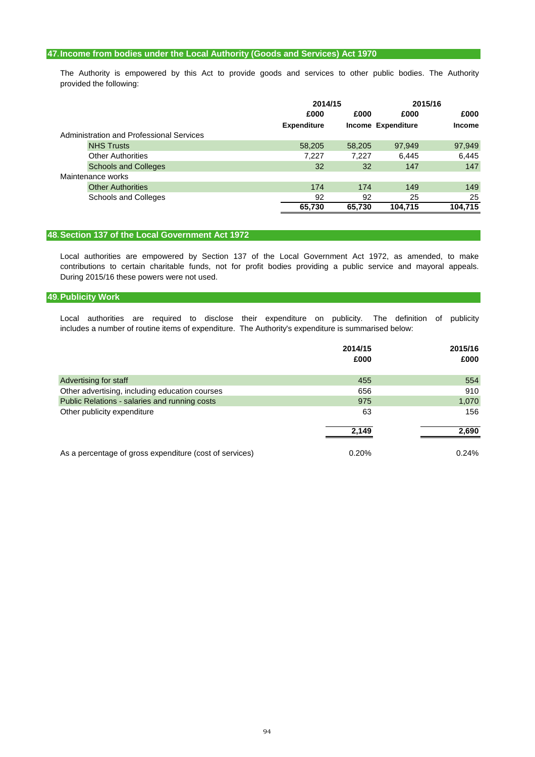# **47.Income from bodies under the Local Authority (Goods and Services) Act 1970**

provided the following: The Authority is empowered by this Act to provide goods and services to other public bodies. The Authority

|                                          |                    | 2014/15 |                           | 2015/16       |  |
|------------------------------------------|--------------------|---------|---------------------------|---------------|--|
|                                          | £000               | £000    | £000                      | £000          |  |
|                                          | <b>Expenditure</b> |         | <b>Income Expenditure</b> | <b>Income</b> |  |
| Administration and Professional Services |                    |         |                           |               |  |
| <b>NHS Trusts</b>                        | 58,205             | 58,205  | 97,949                    | 97,949        |  |
| <b>Other Authorities</b>                 | 7,227              | 7,227   | 6,445                     | 6,445         |  |
| <b>Schools and Colleges</b>              | 32                 | 32      | 147                       | 147           |  |
| Maintenance works                        |                    |         |                           |               |  |
| <b>Other Authorities</b>                 | 174                | 174     | 149                       | 149           |  |
| <b>Schools and Colleges</b>              | 92                 | 92      | 25                        | 25            |  |
|                                          | 65,730             | 65.730  | 104.715                   | 104,715       |  |

### **48.Section 137 of the Local Government Act 1972**

During 2015/16 these powers were not used. Local authorities are empowered by Section 137 of the Local Government Act 1972, as amended, to make contributions to certain charitable funds, not for profit bodies providing a public service and mayoral appeals.

# **49.Publicity Work**

Local authorities are required to disclose their expenditure on publicity. The definition of publicity includes a number of routine items of expenditure. The Authority's expenditure is summarised below:

|                                                         | 2014/15 | 2015/16 |
|---------------------------------------------------------|---------|---------|
|                                                         | £000    | £000    |
| Advertising for staff                                   | 455     | 554     |
| Other advertising, including education courses          | 656     | 910     |
| Public Relations - salaries and running costs           | 975     | 1,070   |
| Other publicity expenditure                             | 63      | 156     |
|                                                         | 2.149   | 2,690   |
| As a percentage of gross expenditure (cost of services) | 0.20%   | 0.24%   |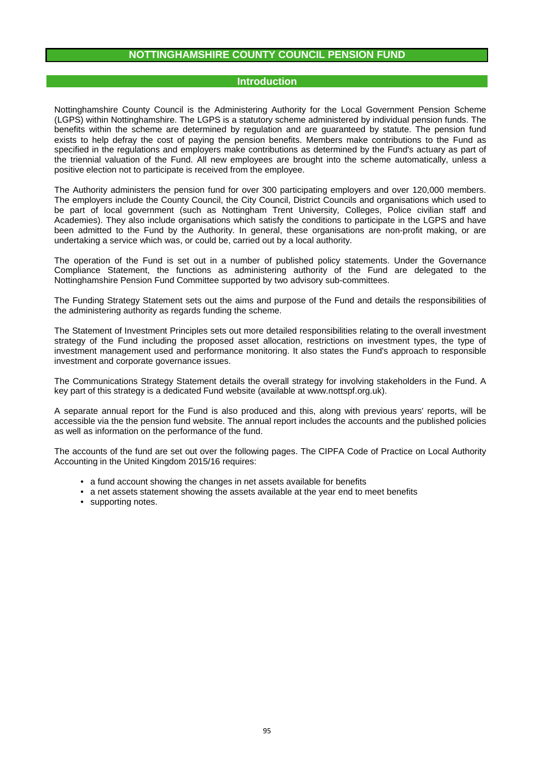# **NOTTINGHAMSHIRE COUNTY COUNCIL PENSION FUND**

### **Introduction**

Nottinghamshire County Council is the Administering Authority for the Local Government Pension Scheme (LGPS) within Nottinghamshire. The LGPS is a statutory scheme administered by individual pension funds. The benefits within the scheme are determined by regulation and are guaranteed by statute. The pension fund exists to help defray the cost of paying the pension benefits. Members make contributions to the Fund as specified in the regulations and employers make contributions as determined by the Fund's actuary as part of the triennial valuation of the Fund. All new employees are brought into the scheme automatically, unless a positive election not to participate is received from the employee.

The Authority administers the pension fund for over 300 participating employers and over 120,000 members. The employers include the County Council, the City Council, District Councils and organisations which used to be part of local government (such as Nottingham Trent University, Colleges, Police civilian staff and Academies). They also include organisations which satisfy the conditions to participate in the LGPS and have been admitted to the Fund by the Authority. In general, these organisations are non-profit making, or are undertaking a service which was, or could be, carried out by a local authority.

The operation of the Fund is set out in a number of published policy statements. Under the Governance Compliance Statement, the functions as administering authority of the Fund are delegated to the Nottinghamshire Pension Fund Committee supported by two advisory sub-committees.

The Funding Strategy Statement sets out the aims and purpose of the Fund and details the responsibilities of the administering authority as regards funding the scheme.

The Statement of Investment Principles sets out more detailed responsibilities relating to the overall investment strategy of the Fund including the proposed asset allocation, restrictions on investment types, the type of investment management used and performance monitoring. It also states the Fund's approach to responsible investment and corporate governance issues.

The Communications Strategy Statement details the overall strategy for involving stakeholders in the Fund. A key part of this strategy is a dedicated Fund website (available at www.nottspf.org.uk).

A separate annual report for the Fund is also produced and this, along with previous years' reports, will be accessible via the the pension fund website. The annual report includes the accounts and the published policies as well as information on the performance of the fund.

The accounts of the fund are set out over the following pages. The CIPFA Code of Practice on Local Authority Accounting in the United Kingdom 2015/16 requires:

- a fund account showing the changes in net assets available for benefits
- a net assets statement showing the assets available at the year end to meet benefits
- supporting notes.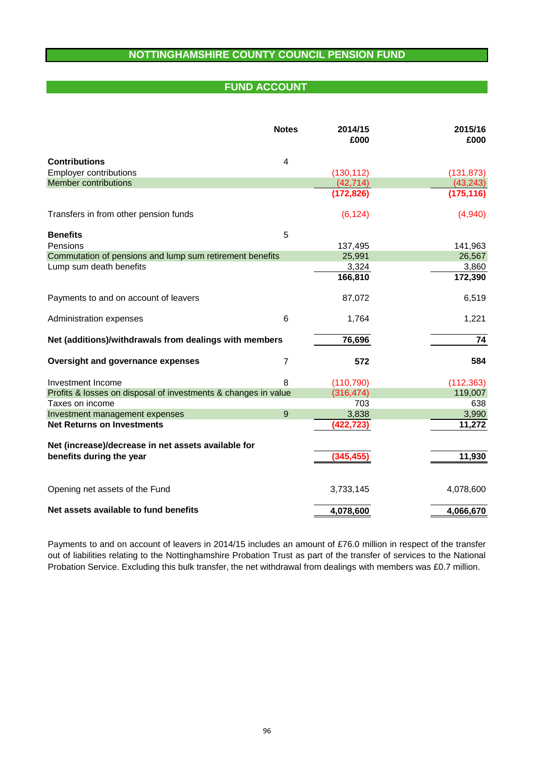# **NOTTINGHAMSHIRE COUNTY COUNCIL PENSION FUND**

# **FUND ACCOUNT**

|                                                                | <b>Notes</b>   | 2014/15<br>£000 | 2015/16<br>£000 |
|----------------------------------------------------------------|----------------|-----------------|-----------------|
| <b>Contributions</b>                                           | 4              |                 |                 |
| <b>Employer contributions</b>                                  |                | (130, 112)      | (131, 873)      |
| <b>Member contributions</b>                                    |                | (42, 714)       | (43, 243)       |
|                                                                |                | (172, 826)      | (175, 116)      |
| Transfers in from other pension funds                          |                | (6, 124)        | (4,940)         |
| <b>Benefits</b>                                                | 5              |                 |                 |
| Pensions                                                       |                | 137,495         | 141,963         |
| Commutation of pensions and lump sum retirement benefits       |                | 25,991          | 26,567          |
| Lump sum death benefits                                        |                | 3,324           | 3,860           |
|                                                                |                | 166,810         | 172,390         |
| Payments to and on account of leavers                          |                | 87,072          | 6,519           |
| Administration expenses                                        | 6              | 1,764           | 1,221           |
| Net (additions)/withdrawals from dealings with members         |                | 76,696          | 74              |
| Oversight and governance expenses                              | $\overline{7}$ | 572             | 584             |
| Investment Income                                              | 8              | (110, 790)      | (112, 363)      |
| Profits & losses on disposal of investments & changes in value |                | (316, 474)      | 119,007         |
| Taxes on income                                                |                | 703             | 638             |
| Investment management expenses                                 | 9              | 3,838           | 3,990           |
| <b>Net Returns on Investments</b>                              |                | (422,723)       | 11,272          |
| Net (increase)/decrease in net assets available for            |                |                 |                 |
| benefits during the year                                       |                | (345, 455)      | 11,930          |
| Opening net assets of the Fund                                 |                | 3,733,145       | 4,078,600       |
| Net assets available to fund benefits                          |                | 4,078,600       | 4,066,670       |

Payments to and on account of leavers in 2014/15 includes an amount of £76.0 million in respect of the transfer out of liabilities relating to the Nottinghamshire Probation Trust as part of the transfer of services to the National Probation Service. Excluding this bulk transfer, the net withdrawal from dealings with members was £0.7 million.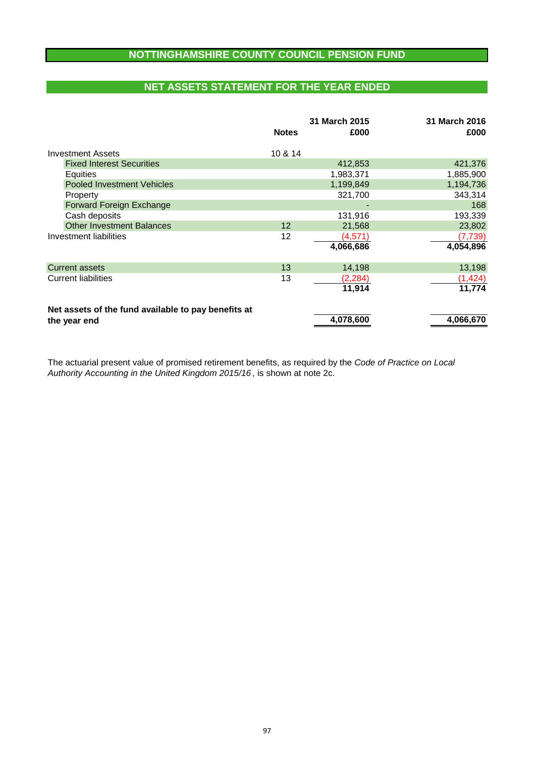# **NOTTINGHAMSHIRE COUNTY COUNCIL PENSION FUND**

# **NET ASSETS STATEMENT FOR THE YEAR ENDED**

|                                                     | <b>Notes</b> | 31 March 2015<br>£000 | 31 March 2016<br>£000 |
|-----------------------------------------------------|--------------|-----------------------|-----------------------|
| <b>Investment Assets</b>                            | 10 & 14      |                       |                       |
| <b>Fixed Interest Securities</b>                    |              | 412,853               | 421,376               |
| Equities                                            |              | 1,983,371             | 1,885,900             |
| <b>Pooled Investment Vehicles</b>                   |              | 1,199,849             | 1,194,736             |
| Property                                            |              | 321,700               | 343,314               |
| Forward Foreign Exchange                            |              |                       | 168                   |
| Cash deposits                                       |              | 131,916               | 193,339               |
| <b>Other Investment Balances</b>                    | 12           | 21,568                | 23,802                |
| Investment liabilities                              | 12           | (4,571)               | (7, 739)              |
|                                                     |              | 4,066,686             | 4,054,896             |
| <b>Current assets</b>                               | 13           | 14,198                | 13,198                |
| <b>Current liabilities</b>                          | 13           | (2, 284)              | (1, 424)              |
|                                                     |              | 11,914                | 11,774                |
| Net assets of the fund available to pay benefits at |              |                       |                       |
| the year end                                        |              | 4,078,600             | 4,066,670             |

Authority Accounting in the United Kingdom 2015/16 , is shown at note 2c. The actuarial present value of promised retirement benefits, as required by the Code of Practice on Local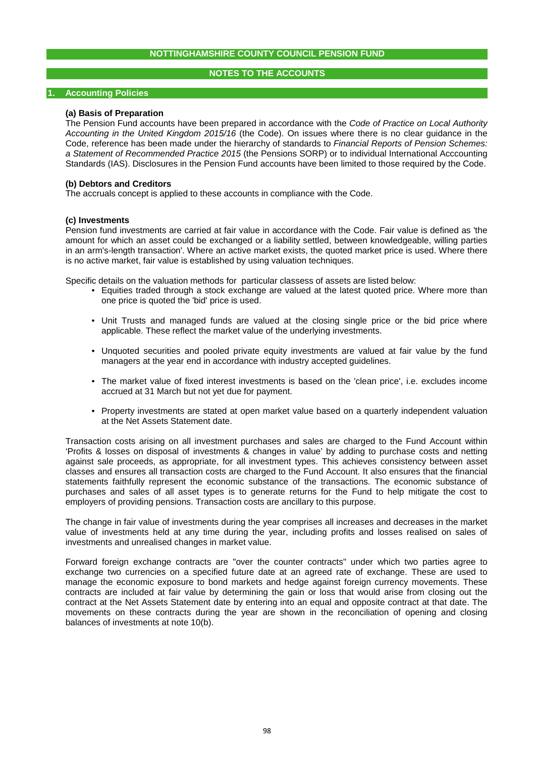# **NOTES TO THE ACCOUNTS**

#### **1. Accounting Policies**

### **(a) Basis of Preparation**

The Pension Fund accounts have been prepared in accordance with the Code of Practice on Local Authority Accounting in the United Kingdom 2015/16 (the Code). On issues where there is no clear guidance in the Code, reference has been made under the hierarchy of standards to Financial Reports of Pension Schemes: a Statement of Recommended Practice 2015 (the Pensions SORP) or to individual International Acccounting Standards (IAS). Disclosures in the Pension Fund accounts have been limited to those required by the Code.

### **(b) Debtors and Creditors**

The accruals concept is applied to these accounts in compliance with the Code.

### **(c) Investments**

Pension fund investments are carried at fair value in accordance with the Code. Fair value is defined as 'the amount for which an asset could be exchanged or a liability settled, between knowledgeable, willing parties in an arm's-length transaction'. Where an active market exists, the quoted market price is used. Where there is no active market, fair value is established by using valuation techniques.

Specific details on the valuation methods for particular classess of assets are listed below:

- Equities traded through a stock exchange are valued at the latest quoted price. Where more than one price is quoted the 'bid' price is used.
- Unit Trusts and managed funds are valued at the closing single price or the bid price where applicable. These reflect the market value of the underlying investments.
- Unquoted securities and pooled private equity investments are valued at fair value by the fund managers at the year end in accordance with industry accepted guidelines.
- The market value of fixed interest investments is based on the 'clean price', i.e. excludes income accrued at 31 March but not yet due for payment.
- Property investments are stated at open market value based on a quarterly independent valuation at the Net Assets Statement date.

Transaction costs arising on all investment purchases and sales are charged to the Fund Account within 'Profits & losses on disposal of investments & changes in value' by adding to purchase costs and netting against sale proceeds, as appropriate, for all investment types. This achieves consistency between asset classes and ensures all transaction costs are charged to the Fund Account. It also ensures that the financial statements faithfully represent the economic substance of the transactions. The economic substance of purchases and sales of all asset types is to generate returns for the Fund to help mitigate the cost to employers of providing pensions. Transaction costs are ancillary to this purpose.

The change in fair value of investments during the year comprises all increases and decreases in the market value of investments held at any time during the year, including profits and losses realised on sales of investments and unrealised changes in market value.

Forward foreign exchange contracts are "over the counter contracts" under which two parties agree to exchange two currencies on a specified future date at an agreed rate of exchange. These are used to manage the economic exposure to bond markets and hedge against foreign currency movements. These contracts are included at fair value by determining the gain or loss that would arise from closing out the contract at the Net Assets Statement date by entering into an equal and opposite contract at that date. The movements on these contracts during the year are shown in the reconciliation of opening and closing balances of investments at note 10(b).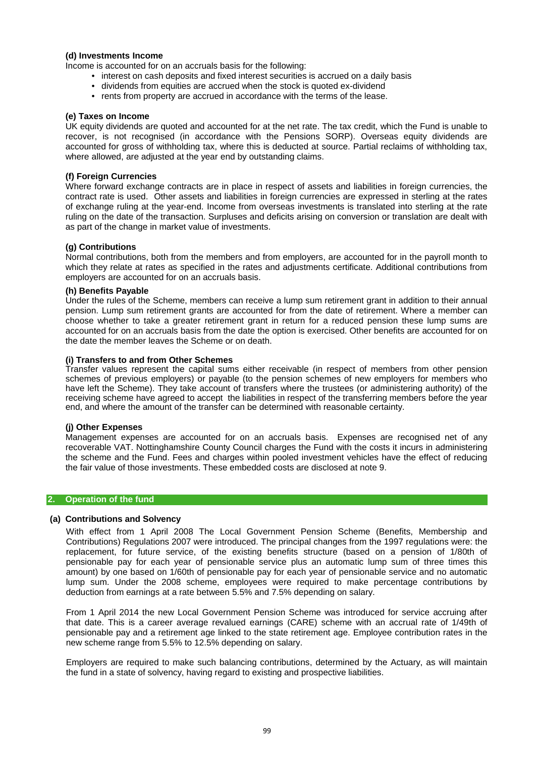# **(d) Investments Income**

Income is accounted for on an accruals basis for the following:

- interest on cash deposits and fixed interest securities is accrued on a daily basis
- dividends from equities are accrued when the stock is quoted ex-dividend
- rents from property are accrued in accordance with the terms of the lease.

### **(e) Taxes on Income**

UK equity dividends are quoted and accounted for at the net rate. The tax credit, which the Fund is unable to recover, is not recognised (in accordance with the Pensions SORP). Overseas equity dividends are accounted for gross of withholding tax, where this is deducted at source. Partial reclaims of withholding tax, where allowed, are adjusted at the year end by outstanding claims.

### **(f) Foreign Currencies**

Where forward exchange contracts are in place in respect of assets and liabilities in foreign currencies, the contract rate is used. Other assets and liabilities in foreign currencies are expressed in sterling at the rates of exchange ruling at the year-end. Income from overseas investments is translated into sterling at the rate ruling on the date of the transaction. Surpluses and deficits arising on conversion or translation are dealt with as part of the change in market value of investments.

### **(g) Contributions**

Normal contributions, both from the members and from employers, are accounted for in the payroll month to which they relate at rates as specified in the rates and adjustments certificate. Additional contributions from employers are accounted for on an accruals basis.

### **(h) Benefits Payable**

Under the rules of the Scheme, members can receive a lump sum retirement grant in addition to their annual pension. Lump sum retirement grants are accounted for from the date of retirement. Where a member can choose whether to take a greater retirement grant in return for a reduced pension these lump sums are accounted for on an accruals basis from the date the option is exercised. Other benefits are accounted for on the date the member leaves the Scheme or on death.

### **(i) Transfers to and from Other Schemes**

Transfer values represent the capital sums either receivable (in respect of members from other pension schemes of previous employers) or payable (to the pension schemes of new employers for members who have left the Scheme). They take account of transfers where the trustees (or administering authority) of the receiving scheme have agreed to accept the liabilities in respect of the transferring members before the year end, and where the amount of the transfer can be determined with reasonable certainty.

### **(j) Other Expenses**

Management expenses are accounted for on an accruals basis. Expenses are recognised net of any recoverable VAT. Nottinghamshire County Council charges the Fund with the costs it incurs in administering the scheme and the Fund. Fees and charges within pooled investment vehicles have the effect of reducing the fair value of those investments. These embedded costs are disclosed at note 9.

### **2. Operation of the fund**

### **(a) Contributions and Solvency**

With effect from 1 April 2008 The Local Government Pension Scheme (Benefits, Membership and Contributions) Regulations 2007 were introduced. The principal changes from the 1997 regulations were: the replacement, for future service, of the existing benefits structure (based on a pension of 1/80th of pensionable pay for each year of pensionable service plus an automatic lump sum of three times this amount) by one based on 1/60th of pensionable pay for each year of pensionable service and no automatic lump sum. Under the 2008 scheme, employees were required to make percentage contributions by deduction from earnings at a rate between 5.5% and 7.5% depending on salary.

From 1 April 2014 the new Local Government Pension Scheme was introduced for service accruing after that date. This is a career average revalued earnings (CARE) scheme with an accrual rate of 1/49th of pensionable pay and a retirement age linked to the state retirement age. Employee contribution rates in the new scheme range from 5.5% to 12.5% depending on salary.

Employers are required to make such balancing contributions, determined by the Actuary, as will maintain the fund in a state of solvency, having regard to existing and prospective liabilities.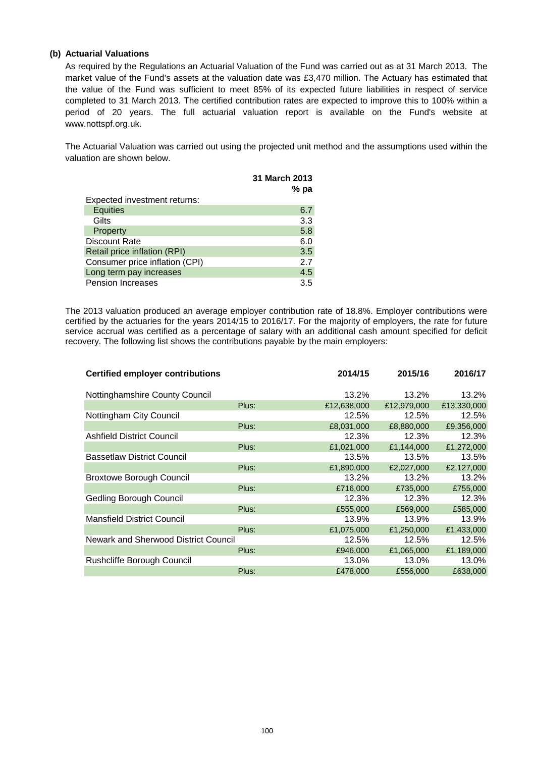# **(b) Actuarial Valuations**

As required by the Regulations an Actuarial Valuation of the Fund was carried out as at 31 March 2013. The market value of the Fund's assets at the valuation date was £3,470 million. The Actuary has estimated that the value of the Fund was sufficient to meet 85% of its expected future liabilities in respect of service completed to 31 March 2013. The certified contribution rates are expected to improve this to 100% within a period of 20 years. The full actuarial valuation report is available on the Fund's website at www.nottspf.org.uk.

The Actuarial Valuation was carried out using the projected unit method and the assumptions used within the valuation are shown below.

|                                | <b>31 March 2013</b> |
|--------------------------------|----------------------|
|                                | $%$ pa               |
| Expected investment returns:   |                      |
| <b>Equities</b>                | 6.7                  |
| Gilts                          | 3.3                  |
| Property                       | 5.8                  |
| Discount Rate                  | 6.0                  |
| Retail price inflation (RPI)   | 3.5                  |
| Consumer price inflation (CPI) | 2.7                  |
| Long term pay increases        | 4.5                  |
| <b>Pension Increases</b>       | 3.5                  |

The 2013 valuation produced an average employer contribution rate of 18.8%. Employer contributions were certified by the actuaries for the years 2014/15 to 2016/17. For the majority of employers, the rate for future service accrual was certified as a percentage of salary with an additional cash amount specified for deficit recovery. The following list shows the contributions payable by the main employers:

| <b>Certified employer contributions</b> |       | 2014/15     | 2015/16     | 2016/17     |
|-----------------------------------------|-------|-------------|-------------|-------------|
| Nottinghamshire County Council          |       | 13.2%       | 13.2%       | 13.2%       |
|                                         | Plus: | £12,638,000 | £12,979,000 | £13,330,000 |
| Nottingham City Council                 |       | 12.5%       | 12.5%       | 12.5%       |
|                                         | Plus: | £8,031,000  | £8,880,000  | £9,356,000  |
| <b>Ashfield District Council</b>        |       | 12.3%       | 12.3%       | 12.3%       |
|                                         | Plus: | £1,021,000  | £1,144,000  | £1,272,000  |
| <b>Bassetlaw District Council</b>       |       | 13.5%       | 13.5%       | 13.5%       |
|                                         | Plus: | £1.890,000  | £2.027.000  | £2,127,000  |
| <b>Broxtowe Borough Council</b>         |       | 13.2%       | 13.2%       | 13.2%       |
|                                         | Plus: | £716,000    | £735,000    | £755,000    |
| <b>Gedling Borough Council</b>          |       | 12.3%       | 12.3%       | 12.3%       |
|                                         | Plus: | £555,000    | £569,000    | £585,000    |
| <b>Mansfield District Council</b>       |       | 13.9%       | 13.9%       | 13.9%       |
|                                         | Plus: | £1,075,000  | £1,250,000  | £1,433,000  |
| Newark and Sherwood District Council    |       | 12.5%       | 12.5%       | 12.5%       |
|                                         | Plus: | £946,000    | £1,065,000  | £1,189,000  |
| Rushcliffe Borough Council              |       | 13.0%       | 13.0%       | 13.0%       |
|                                         | Plus: | £478,000    | £556,000    | £638,000    |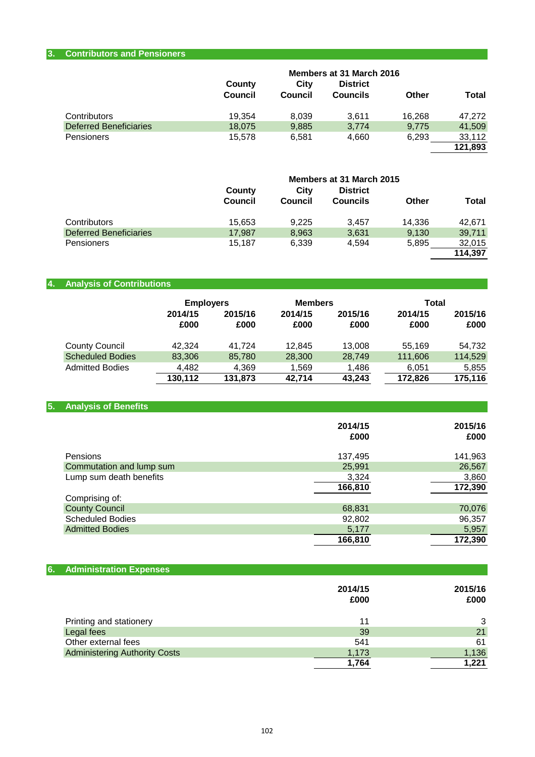# **3. Contributors and Pensioners**

|                               | Members at 31 March 2016 |         |                 |        |              |
|-------------------------------|--------------------------|---------|-----------------|--------|--------------|
|                               | County                   | City    | <b>District</b> |        |              |
|                               | <b>Council</b>           | Council | <b>Councils</b> | Other  | <b>Total</b> |
| Contributors                  | 19.354                   | 8,039   | 3.611           | 16.268 | 47.272       |
| <b>Deferred Beneficiaries</b> | 18,075                   | 9,885   | 3,774           | 9.775  | 41,509       |
| Pensioners                    | 15.578                   | 6.581   | 4,660           | 6.293  | 33,112       |
|                               |                          |         |                 |        | 121,893      |

|                               | Members at 31 March 2015 |                         |                 |        |              |
|-------------------------------|--------------------------|-------------------------|-----------------|--------|--------------|
|                               | County                   | City<br><b>District</b> |                 |        |              |
|                               | <b>Council</b>           | Council                 | <b>Councils</b> | Other  | <b>Total</b> |
| Contributors                  | 15,653                   | 9.225                   | 3.457           | 14.336 | 42.671       |
| <b>Deferred Beneficiaries</b> | 17.987                   | 8,963                   | 3,631           | 9,130  | 39,711       |
| <b>Pensioners</b>             | 15.187                   | 6,339                   | 4.594           | 5.895  | 32,015       |
|                               |                          |                         |                 |        | 114,397      |

# **4. Analysis of Contributions**

|                         | <b>Employers</b> |                 | <b>Members</b>  |                 | Total           |                 |
|-------------------------|------------------|-----------------|-----------------|-----------------|-----------------|-----------------|
|                         | 2014/15<br>£000  | 2015/16<br>£000 | 2014/15<br>£000 | 2015/16<br>£000 | 2014/15<br>£000 | 2015/16<br>£000 |
| <b>County Council</b>   | 42.324           | 41.724          | 12,845          | 13,008          | 55.169          | 54,732          |
| <b>Scheduled Bodies</b> | 83,306           | 85,780          | 28,300          | 28,749          | 111,606         | 114,529         |
| <b>Admitted Bodies</b>  | 4,482            | 4,369           | 1,569           | 1,486           | 6,051           | 5,855           |
|                         | 130,112          | 131.873         | 42,714          | 43,243          | 172.826         | 175,116         |

# **5. Analysis of Benefits**

|                          | 2014/15<br>£000 | 2015/16<br>£000 |
|--------------------------|-----------------|-----------------|
| Pensions                 | 137,495         | 141,963         |
| Commutation and lump sum | 25,991          | 26,567          |
| Lump sum death benefits  | 3,324           | 3,860           |
|                          | 166,810         | 172,390         |
| Comprising of:           |                 |                 |
| <b>County Council</b>    | 68,831          | 70,076          |
| <b>Scheduled Bodies</b>  | 92,802          | 96,357          |
| <b>Admitted Bodies</b>   | 5,177           | 5,957           |
|                          | 166,810         | 172,390         |

| 6. Administration Expenses           |         |         |
|--------------------------------------|---------|---------|
|                                      | 2014/15 | 2015/16 |
|                                      | £000    | £000    |
| Printing and stationery              | 11      | 3       |
| Legal fees                           | 39      | 21      |
| Other external fees                  | 541     | 61      |
| <b>Administering Authority Costs</b> | 1,173   | 1,136   |
|                                      | 1,764   | 1.221   |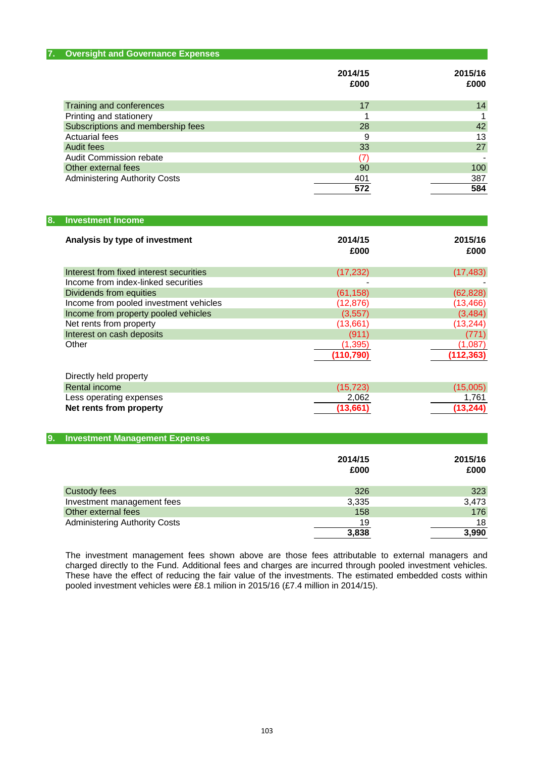| <b>Oversight and Governance Expenses</b><br>7. |                 |                 |
|------------------------------------------------|-----------------|-----------------|
|                                                | 2014/15<br>£000 | 2015/16<br>£000 |
| Training and conferences                       | 17              | 14              |
| Printing and stationery                        |                 |                 |
| Subscriptions and membership fees              | 28              | 42              |
| <b>Actuarial fees</b>                          | 9               | 13              |
| Audit fees                                     | 33              | 27              |
| Audit Commission rebate                        |                 |                 |
| Other external fees                            | 90              | 100             |
| <b>Administering Authority Costs</b>           | 401             | 387             |
|                                                | 572             | 584             |

| 8. | <b>Investment Income</b>                |                 |                 |
|----|-----------------------------------------|-----------------|-----------------|
|    | Analysis by type of investment          | 2014/15<br>£000 | 2015/16<br>£000 |
|    | Interest from fixed interest securities | (17, 232)       | (17, 483)       |
|    | Income from index-linked securities     |                 |                 |
|    | Dividends from equities                 | (61, 158)       | (62, 828)       |
|    | Income from pooled investment vehicles  | (12, 876)       | (13, 466)       |
|    | Income from property pooled vehicles    | (3, 557)        | (3, 484)        |
|    | Net rents from property                 | (13,661)        | (13, 244)       |
|    | Interest on cash deposits               | (911)           | (771)           |
|    | Other                                   | (1, 395)        | (1,087)         |
|    |                                         | (110, 790)      | (112, 363)      |
|    | Directly held property                  |                 |                 |
|    | Rental income                           | (15, 723)       | (15,005)        |
|    | Less operating expenses                 | 2,062           | 1,761           |
|    | Net rents from property                 | (13, 661)       | (13, 244)       |

# **9. Investment Management Expenses**

|                                      | 2014/15<br>£000 | 2015/16<br>£000 |
|--------------------------------------|-----------------|-----------------|
| <b>Custody fees</b>                  | 326             | 323             |
| Investment management fees           | 3,335           | 3,473           |
| Other external fees                  | 158             | 176             |
| <b>Administering Authority Costs</b> | 19              | 18              |
|                                      | 3,838           | 3,990           |

The investment management fees shown above are those fees attributable to external managers and charged directly to the Fund. Additional fees and charges are incurred through pooled investment vehicles. These have the effect of reducing the fair value of the investments. The estimated embedded costs within pooled investment vehicles were £8.1 milion in 2015/16 (£7.4 million in 2014/15).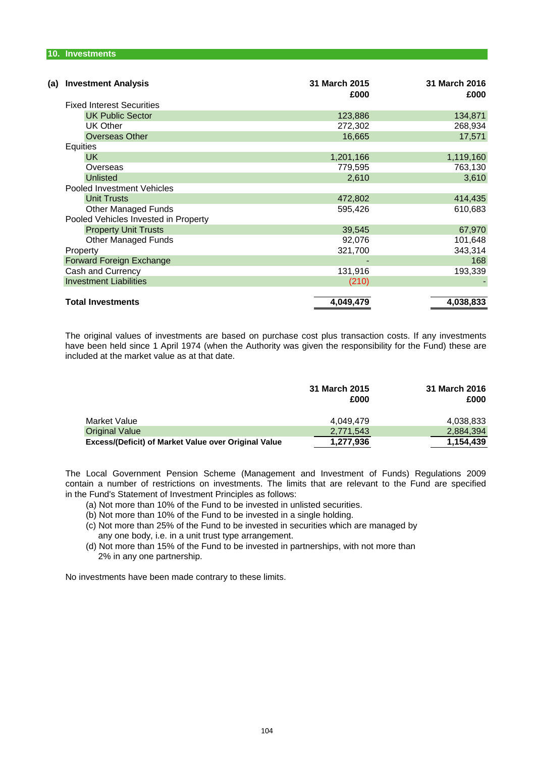| <b>Investment Analysis</b><br>(a)    | 31 March 2015<br>£000 | 31 March 2016<br>£000 |
|--------------------------------------|-----------------------|-----------------------|
| <b>Fixed Interest Securities</b>     |                       |                       |
| <b>UK Public Sector</b>              | 123,886               | 134,871               |
| <b>UK Other</b>                      | 272,302               | 268,934               |
| <b>Overseas Other</b>                | 16,665                | 17,571                |
| Equities                             |                       |                       |
| UK.                                  | 1,201,166             | 1,119,160             |
| Overseas                             | 779,595               | 763,130               |
| <b>Unlisted</b>                      | 2,610                 | 3,610                 |
| Pooled Investment Vehicles           |                       |                       |
| <b>Unit Trusts</b>                   | 472,802               | 414,435               |
| <b>Other Managed Funds</b>           | 595,426               | 610,683               |
| Pooled Vehicles Invested in Property |                       |                       |
| <b>Property Unit Trusts</b>          | 39,545                | 67,970                |
| <b>Other Managed Funds</b>           | 92,076                | 101,648               |
| Property                             | 321,700               | 343,314               |
| Forward Foreign Exchange             |                       | 168                   |
| Cash and Currency                    | 131,916               | 193,339               |
| <b>Investment Liabilities</b>        | (210)                 |                       |
|                                      |                       |                       |
| <b>Total Investments</b>             | 4,049,479             | 4,038,833             |

The original values of investments are based on purchase cost plus transaction costs. If any investments have been held since 1 April 1974 (when the Authority was given the responsibility for the Fund) these are included at the market value as at that date.

|                                                      | 31 March 2015<br>£000 | 31 March 2016<br>£000 |
|------------------------------------------------------|-----------------------|-----------------------|
| Market Value                                         | 4.049.479             | 4,038,833             |
| <b>Original Value</b>                                | 2.771.543             | 2,884,394             |
| Excess/(Deficit) of Market Value over Original Value | 1,277,936             | 1,154,439             |

in the Fund's Statement of Investment Principles as follows: contain a number of restrictions on investments. The limits that are relevant to the Fund are specified The Local Government Pension Scheme (Management and Investment of Funds) Regulations 2009

- (a) Not more than 10% of the Fund to be invested in unlisted securities.
- (b) Not more than 10% of the Fund to be invested in a single holding.
- (c) Not more than 25% of the Fund to be invested in securities which are managed by any one body, i.e. in a unit trust type arrangement.
- (d) Not more than 15% of the Fund to be invested in partnerships, with not more than 2% in any one partnership.

No investments have been made contrary to these limits.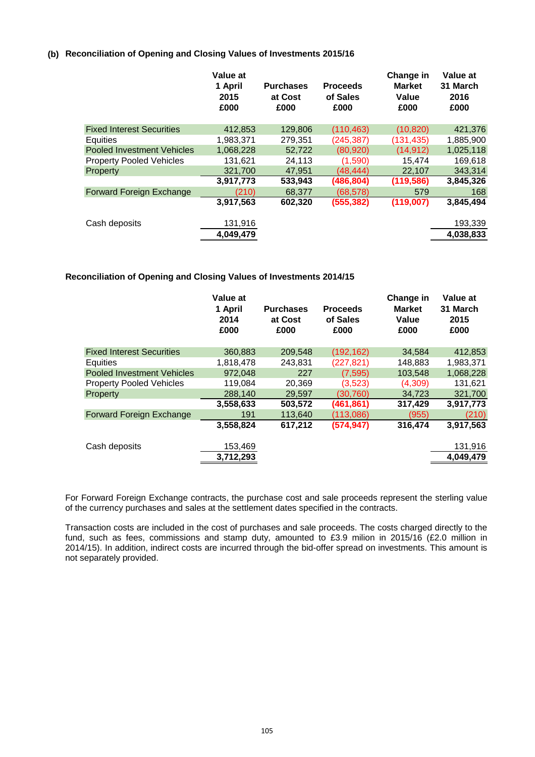# **(b) Reconciliation of Opening and Closing Values of Investments 2015/16**

|                                   | Value at<br>1 April<br>2015<br>£000 | <b>Purchases</b><br>at Cost<br>£000 | <b>Proceeds</b><br>of Sales<br>£000 | Change in<br><b>Market</b><br>Value<br>£000 | Value at<br>31 March<br>2016<br>£000 |
|-----------------------------------|-------------------------------------|-------------------------------------|-------------------------------------|---------------------------------------------|--------------------------------------|
| <b>Fixed Interest Securities</b>  | 412,853                             | 129,806                             | (110, 463)                          | (10, 820)                                   | 421,376                              |
| Equities                          | 1,983,371                           | 279,351                             | (245, 387)                          | (131, 435)                                  | 1,885,900                            |
| <b>Pooled Investment Vehicles</b> | 1.068.228                           | 52.722                              | (80, 920)                           | (14, 912)                                   | 1,025,118                            |
| <b>Property Pooled Vehicles</b>   | 131,621                             | 24,113                              | (1,590)                             | 15,474                                      | 169,618                              |
| Property                          | 321,700                             | 47.951                              | (48.444)                            | 22,107                                      | 343,314                              |
|                                   | 3,917,773                           | 533,943                             | (486,804)                           | (119, 586)                                  | 3,845,326                            |
| Forward Foreign Exchange          | (210)                               | 68,377                              | (68, 578)                           | 579                                         | 168                                  |
|                                   | 3,917,563                           | 602,320                             | (555, 382)                          | (119,007)                                   | 3,845,494                            |
| Cash deposits                     | 131,916                             |                                     |                                     |                                             | 193,339                              |
|                                   | 4,049,479                           |                                     |                                     |                                             | 4,038,833                            |

# **Reconciliation of Opening and Closing Values of Investments 2014/15**

|                                   | Value at<br>1 April<br>2014<br>£000 | <b>Purchases</b><br>at Cost<br>£000 | <b>Proceeds</b><br>of Sales<br>£000 | Change in<br><b>Market</b><br>Value<br>£000 | Value at<br>31 March<br>2015<br>£000 |
|-----------------------------------|-------------------------------------|-------------------------------------|-------------------------------------|---------------------------------------------|--------------------------------------|
| <b>Fixed Interest Securities</b>  | 360,883                             | 209,548                             | (192, 162)                          | 34.584                                      | 412,853                              |
| Equities                          | 1.818.478                           | 243,831                             | (227,821)                           | 148,883                                     | 1,983,371                            |
| <b>Pooled Investment Vehicles</b> | 972.048                             | 227                                 | (7, 595)                            | 103.548                                     | 1,068,228                            |
| <b>Property Pooled Vehicles</b>   | 119,084                             | 20,369                              | (3,523)                             | (4,309)                                     | 131,621                              |
| Property                          | 288,140                             | 29.597                              | (30.760)                            | 34.723                                      | 321,700                              |
|                                   | 3,558,633                           | 503,572                             | (461, 861)                          | 317,429                                     | 3,917,773                            |
| <b>Forward Foreign Exchange</b>   | 191                                 | 113.640                             | (113.086)                           | (955)                                       | (210)                                |
|                                   | 3,558,824                           | 617,212                             | (574, 947)                          | 316,474                                     | 3,917,563                            |
| Cash deposits                     | 153,469                             |                                     |                                     |                                             | 131,916                              |
|                                   | 3,712,293                           |                                     |                                     |                                             | 4,049,479                            |

For Forward Foreign Exchange contracts, the purchase cost and sale proceeds represent the sterling value of the currency purchases and sales at the settlement dates specified in the contracts.

Transaction costs are included in the cost of purchases and sale proceeds. The costs charged directly to the fund, such as fees, commissions and stamp duty, amounted to £3.9 milion in 2015/16 (£2.0 million in 2014/15). In addition, indirect costs are incurred through the bid-offer spread on investments. This amount is not separately provided.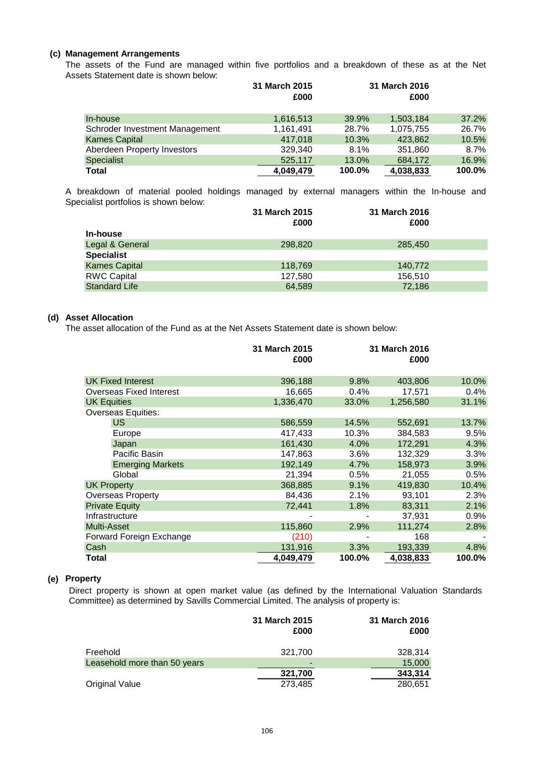# **(c) Management Arrangements**

Assets Statement date is shown below: The assets of the Fund are managed within five portfolios and a breakdown of these as at the Net

|                                | 31 March 2015<br>£000 |        | 31 March 2016<br>£000 |        |
|--------------------------------|-----------------------|--------|-----------------------|--------|
| In-house                       | 1,616,513             | 39.9%  | 1,503,184             | 37.2%  |
| Schroder Investment Management | 1,161,491             | 28.7%  | 1,075,755             | 26.7%  |
| <b>Kames Capital</b>           | 417.018               | 10.3%  | 423.862               | 10.5%  |
| Aberdeen Property Investors    | 329,340               | 8.1%   | 351,860               | 8.7%   |
| <b>Specialist</b>              | 525,117               | 13.0%  | 684,172               | 16.9%  |
| <b>Total</b>                   | 4,049,479             | 100.0% | 4,038,833             | 100.0% |

Specialist portfolios is shown below: A breakdown of material pooled holdings managed by external managers within the In-house and

|                      | 31 March 2015 | 31 March 2016 |  |
|----------------------|---------------|---------------|--|
|                      | £000          | £000          |  |
| In-house             |               |               |  |
| Legal & General      | 298,820       | 285,450       |  |
| <b>Specialist</b>    |               |               |  |
| <b>Kames Capital</b> | 118,769       | 140,772       |  |
| <b>RWC Capital</b>   | 127,580       | 156,510       |  |
| <b>Standard Life</b> | 64.589        | 72.186        |  |

### **(d) Asset Allocation**

The asset allocation of the Fund as at the Net Assets Statement date is shown below:

|                           | 31 March 2015<br>£000 | 31 March 2016<br>£000 |           |        |
|---------------------------|-----------------------|-----------------------|-----------|--------|
|                           |                       |                       |           |        |
| <b>UK Fixed Interest</b>  | 396,188               | 9.8%                  | 403,806   | 10.0%  |
| Overseas Fixed Interest   | 16,665                | 0.4%                  | 17,571    | 0.4%   |
| <b>UK Equities</b>        | 1,336,470             | 33.0%                 | 1,256,580 | 31.1%  |
| <b>Overseas Equities:</b> |                       |                       |           |        |
| <b>US</b>                 | 586,559               | 14.5%                 | 552,691   | 13.7%  |
| Europe                    | 417,433               | 10.3%                 | 384,583   | 9.5%   |
| Japan                     | 161,430               | 4.0%                  | 172,291   | 4.3%   |
| Pacific Basin             | 147,863               | 3.6%                  | 132,329   | 3.3%   |
| <b>Emerging Markets</b>   | 192,149               | 4.7%                  | 158,973   | 3.9%   |
| Global                    | 21,394                | 0.5%                  | 21,055    | 0.5%   |
| <b>UK Property</b>        | 368,885               | 9.1%                  | 419,830   | 10.4%  |
| <b>Overseas Property</b>  | 84,436                | 2.1%                  | 93.101    | 2.3%   |
| <b>Private Equity</b>     | 72,441                | 1.8%                  | 83,311    | 2.1%   |
| Infrastructure            |                       |                       | 37,931    | 0.9%   |
| Multi-Asset               | 115,860               | 2.9%                  | 111,274   | 2.8%   |
| Forward Foreign Exchange  | (210)                 |                       | 168       |        |
| Cash                      | 131,916               | 3.3%                  | 193,339   | 4.8%   |
| Total                     | 4,049,479             | 100.0%                | 4,038,833 | 100.0% |

## **(e) Property**

Direct property is shown at open market value (as defined by the International Valuation Standards Committee) as determined by Savills Commercial Limited. The analysis of property is:

|                              | 31 March 2015<br>£000 | 31 March 2016<br>£000 |
|------------------------------|-----------------------|-----------------------|
| Freehold                     | 321,700               | 328,314               |
| Leasehold more than 50 years | $\blacksquare$        | 15,000                |
|                              | 321,700               | 343,314               |
| <b>Original Value</b>        | 273,485               | 280,651               |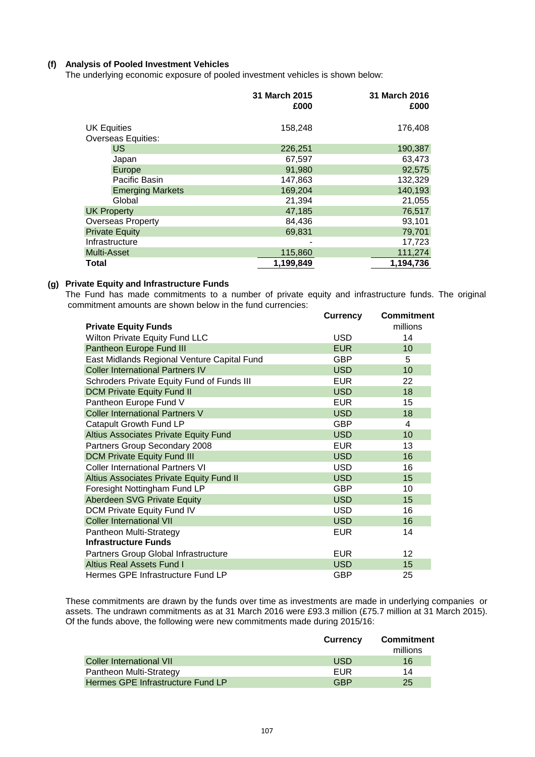# **(f) Analysis of Pooled Investment Vehicles**

The underlying economic exposure of pooled investment vehicles is shown below:

|                    |                           | 31 March 2015<br>£000 | 31 March 2016<br>£000 |
|--------------------|---------------------------|-----------------------|-----------------------|
| <b>UK Equities</b> | <b>Overseas Equities:</b> | 158,248               | 176,408               |
|                    | <b>US</b>                 | 226,251               | 190,387               |
|                    | Japan                     | 67,597                | 63,473                |
|                    | Europe                    | 91,980                | 92,575                |
|                    | Pacific Basin             | 147,863               | 132,329               |
|                    | <b>Emerging Markets</b>   | 169,204               | 140,193               |
|                    | Global                    | 21,394                | 21,055                |
| <b>UK Property</b> |                           | 47,185                | 76,517                |
|                    | Overseas Property         | 84,436                | 93,101                |
|                    | <b>Private Equity</b>     | 69,831                | 79,701                |
|                    | Infrastructure            |                       | 17,723                |
| <b>Multi-Asset</b> |                           | 115,860               | 111,274               |
| <b>Total</b>       |                           | 1,199,849             | 1,194,736             |

## **(g) Private Equity and Infrastructure Funds**

 commitment amounts are shown below in the fund currencies: The Fund has made commitments to a number of private equity and infrastructure funds. The original

|                                              | <b>Currency</b> | <b>Commitment</b> |
|----------------------------------------------|-----------------|-------------------|
| <b>Private Equity Funds</b>                  |                 | millions          |
| Wilton Private Equity Fund LLC               | <b>USD</b>      | 14                |
| Pantheon Europe Fund III                     | <b>EUR</b>      | 10                |
| East Midlands Regional Venture Capital Fund  | GBP             | 5                 |
| <b>Coller International Partners IV</b>      | <b>USD</b>      | 10                |
| Schroders Private Equity Fund of Funds III   | <b>EUR</b>      | 22                |
| <b>DCM Private Equity Fund II</b>            | <b>USD</b>      | 18                |
| Pantheon Europe Fund V                       | <b>EUR</b>      | 15                |
| <b>Coller International Partners V</b>       | <b>USD</b>      | 18                |
| Catapult Growth Fund LP                      | GBP             | 4                 |
| <b>Altius Associates Private Equity Fund</b> | <b>USD</b>      | 10                |
| Partners Group Secondary 2008                | <b>EUR</b>      | 13                |
| <b>DCM Private Equity Fund III</b>           | <b>USD</b>      | 16                |
| <b>Coller International Partners VI</b>      | <b>USD</b>      | 16                |
| Altius Associates Private Equity Fund II     | <b>USD</b>      | 15                |
| Foresight Nottingham Fund LP                 | <b>GBP</b>      | 10                |
| Aberdeen SVG Private Equity                  | <b>USD</b>      | 15                |
| DCM Private Equity Fund IV                   | <b>USD</b>      | 16                |
| <b>Coller International VII</b>              | <b>USD</b>      | 16                |
| Pantheon Multi-Strategy                      | <b>EUR</b>      | 14                |
| <b>Infrastructure Funds</b>                  |                 |                   |
| Partners Group Global Infrastructure         | <b>EUR</b>      | $12 \overline{ }$ |
| <b>Altius Real Assets Fund I</b>             | <b>USD</b>      | 15                |
| Hermes GPE Infrastructure Fund LP            | <b>GBP</b>      | 25                |

These commitments are drawn by the funds over time as investments are made in underlying companies or assets. The undrawn commitments as at 31 March 2016 were £93.3 million (£75.7 million at 31 March 2015). Of the funds above, the following were new commitments made during 2015/16:

|                                   | <b>Currency</b> | Commitment |
|-----------------------------------|-----------------|------------|
|                                   |                 | millions   |
| Coller International VII          | USD             | 16         |
| Pantheon Multi-Strategy           | FUR             | 14         |
| Hermes GPE Infrastructure Fund LP | GRP             | 25         |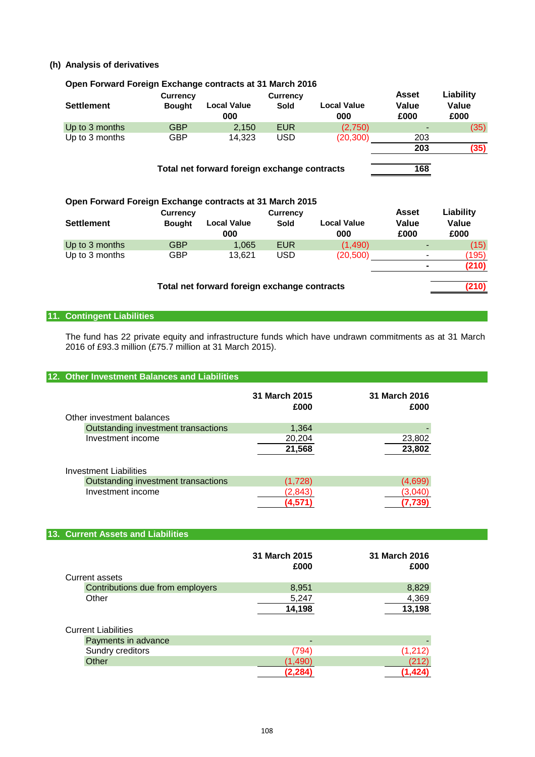# **(h) Analysis of derivatives**

| Open Forward Foreign Exchange contracts at 31 March 2016         |                 |                                              |                 |                           |               |                    |
|------------------------------------------------------------------|-----------------|----------------------------------------------|-----------------|---------------------------|---------------|--------------------|
|                                                                  | <b>Currency</b> |                                              | <b>Currency</b> |                           | <b>Asset</b>  | Liability          |
| <b>Settlement</b>                                                | <b>Bought</b>   | <b>Local Value</b><br>000                    | Sold            | <b>Local Value</b><br>000 | Value<br>£000 | Value<br>£000      |
| Up to 3 months                                                   | <b>GBP</b>      | 2.150                                        | <b>EUR</b>      | (2,750)                   |               | (35)               |
| Up to 3 months                                                   | <b>GBP</b>      | 14,323                                       | <b>USD</b>      | (20,300)                  | 203           |                    |
|                                                                  |                 |                                              |                 |                           | 203           | (35)               |
|                                                                  |                 | Total net forward foreign exchange contracts |                 |                           | 168           |                    |
| Open Forward Foreign Exchange contracts at 31 March 2015         |                 |                                              |                 |                           | <b>Asset</b>  |                    |
|                                                                  | <b>Currency</b> |                                              | <b>Currency</b> |                           |               | Liability          |
| <b>Settlement</b>                                                | <b>Bought</b>   | <b>Local Value</b><br>000                    | Sold            | <b>Local Value</b><br>000 | Value<br>£000 | Value<br>£000      |
| $\mathbf{1}$ $\mathbf{1}$ $\mathbf{0}$ $\mathbf{1}$ $\mathbf{1}$ | $\sim$          | $\lambda$ $\alpha$                           | $\blacksquare$  | $\mathbf{A}$ $\mathbf{A}$ |               | $I = \blacksquare$ |

|                |            | Total net forward foreign exchange contracts |     |           |                          | (210) |
|----------------|------------|----------------------------------------------|-----|-----------|--------------------------|-------|
|                |            |                                              |     |           | $\blacksquare$           |       |
| Up to 3 months | GBP        | 13.621                                       | USD | (20, 500) | -                        | 195)  |
| Up to 3 months | <b>GBP</b> | 1.065                                        | EUR | (1.490)   | $\overline{\phantom{a}}$ | (15)  |

# **11. Contingent Liabilities**

The fund has 22 private equity and infrastructure funds which have undrawn commitments as at 31 March 2016 of £93.3 million (£75.7 million at 31 March 2015).

### **12. Other Investment Balances and Liabilities**

|                                     | 31 March 2015<br>£000 | 31 March 2016<br>£000 |
|-------------------------------------|-----------------------|-----------------------|
| Other investment balances           |                       |                       |
| Outstanding investment transactions | 1,364                 |                       |
| Investment income                   | 20,204                | 23,802                |
|                                     | 21,568                | 23,802                |
| <b>Investment Liabilities</b>       |                       |                       |
| Outstanding investment transactions | (1,728)               | (4,699)               |
| Investment income                   | (2,843)               | (3.040                |
|                                     | (4.5)                 |                       |

### **13. Current Assets and Liabilities**

|                                  | 31 March 2015<br>£000 | 31 March 2016<br>£000 |
|----------------------------------|-----------------------|-----------------------|
| Current assets                   |                       |                       |
| Contributions due from employers | 8.951                 | 8,829                 |
| Other                            | 5,247                 | 4,369                 |
|                                  | 14,198                | 13,198                |

| <b>Current Liabilities</b> |        |  |
|----------------------------|--------|--|
| Payments in advance        | $\sim$ |  |
| Sundry creditors           | 794)   |  |
| Other                      |        |  |
|                            |        |  |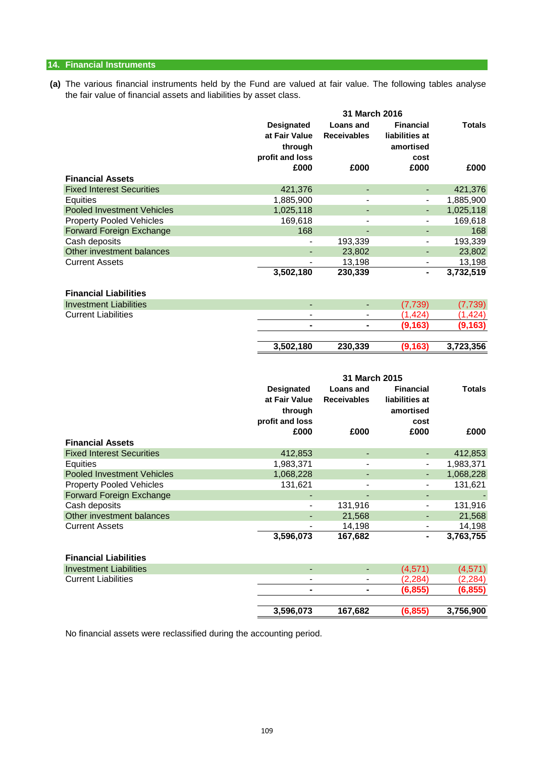# **14. Financial Instruments**

**(a)** The various financial instruments held by the Fund are valued at fair value. The following tables analyse the fair value of financial assets and liabilities by asset class.

|                                                               |                                    | 31 March 2016                          |                                    |                      |
|---------------------------------------------------------------|------------------------------------|----------------------------------------|------------------------------------|----------------------|
|                                                               | <b>Designated</b><br>at Fair Value | <b>Loans and</b><br><b>Receivables</b> | <b>Financial</b><br>liabilities at | <b>Totals</b>        |
|                                                               | through                            |                                        | amortised                          |                      |
|                                                               | profit and loss                    |                                        | cost                               |                      |
|                                                               | £000                               | £000                                   | £000                               | £000                 |
| <b>Financial Assets</b>                                       |                                    |                                        |                                    |                      |
| <b>Fixed Interest Securities</b>                              | 421,376                            | $\blacksquare$                         | $\blacksquare$                     | 421,376              |
| Equities                                                      | 1,885,900                          | $\overline{\phantom{a}}$               | $\overline{\phantom{a}}$           | 1,885,900            |
| <b>Pooled Investment Vehicles</b>                             | 1,025,118                          |                                        |                                    | 1,025,118            |
| <b>Property Pooled Vehicles</b>                               | 169,618                            |                                        |                                    | 169,618              |
| <b>Forward Foreign Exchange</b>                               | 168                                | 193,339                                |                                    | 168                  |
| Cash deposits<br>Other investment balances                    |                                    | 23,802                                 |                                    | 193,339<br>23,802    |
| <b>Current Assets</b>                                         |                                    | 13,198                                 | $\overline{\phantom{a}}$           | 13,198               |
|                                                               | 3,502,180                          | 230,339                                |                                    | 3,732,519            |
|                                                               |                                    |                                        |                                    |                      |
| <b>Financial Liabilities</b>                                  |                                    |                                        |                                    |                      |
| <b>Investment Liabilities</b>                                 | $\blacksquare$                     | $\blacksquare$                         | (7, 739)                           | (7, 739)             |
| <b>Current Liabilities</b>                                    | $\overline{a}$                     |                                        | (1, 424)                           | (1, 424)             |
|                                                               | ۰                                  | ۰                                      | (9, 163)                           | (9, 163)             |
|                                                               |                                    |                                        |                                    |                      |
|                                                               | 3,502,180                          | 230,339                                | (9, 163)                           | 3,723,356            |
|                                                               |                                    |                                        |                                    |                      |
|                                                               |                                    |                                        |                                    |                      |
|                                                               |                                    |                                        |                                    |                      |
|                                                               |                                    | 31 March 2015                          |                                    |                      |
|                                                               | <b>Designated</b>                  | <b>Loans and</b>                       | <b>Financial</b>                   | <b>Totals</b>        |
|                                                               | at Fair Value                      | <b>Receivables</b>                     | liabilities at                     |                      |
|                                                               | through                            |                                        | amortised                          |                      |
|                                                               | profit and loss                    |                                        | cost                               |                      |
|                                                               | £000                               | £000                                   | £000                               | £000                 |
| <b>Financial Assets</b>                                       |                                    |                                        |                                    |                      |
| <b>Fixed Interest Securities</b>                              | 412,853                            | $\blacksquare$                         | ٠                                  | 412,853              |
| Equities                                                      | 1,983,371                          | $\blacksquare$                         | $\overline{\phantom{m}}$           | 1,983,371            |
| <b>Pooled Investment Vehicles</b>                             | 1,068,228                          | $\blacksquare$                         | ۰.                                 | 1,068,228            |
| <b>Property Pooled Vehicles</b>                               | 131,621                            | $\overline{\phantom{0}}$               |                                    | 131,621              |
| <b>Forward Foreign Exchange</b>                               |                                    |                                        |                                    |                      |
| Cash deposits                                                 | $\blacksquare$                     | 131,916                                |                                    | 131,916              |
| Other investment balances                                     |                                    | 21,568                                 |                                    | 21,568               |
| <b>Current Assets</b>                                         |                                    | 14,198                                 |                                    | 14,198               |
|                                                               | 3,596,073                          | 167,682                                |                                    | 3,763,755            |
|                                                               |                                    |                                        |                                    |                      |
| <b>Financial Liabilities</b><br><b>Investment Liabilities</b> | ÷,                                 | $\blacksquare$                         |                                    |                      |
|                                                               |                                    |                                        | (4, 571)                           | (4, 571)             |
| <b>Current Liabilities</b>                                    |                                    |                                        | (2, 284)<br>(6, 855)               | (2, 284)<br>(6, 855) |

No financial assets were reclassified during the accounting period.

**3,596,073 167,682 (6,855) 3,756,900**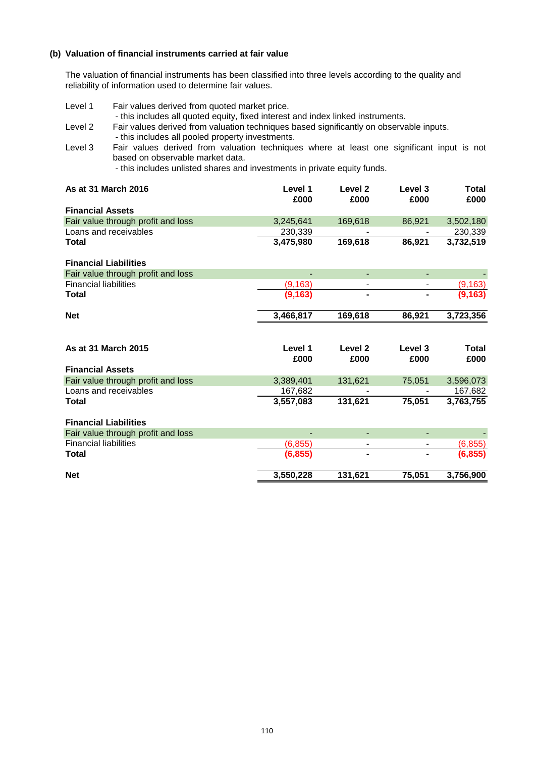## **(b) Valuation of financial instruments carried at fair value**

The valuation of financial instruments has been classified into three levels according to the quality and reliability of information used to determine fair values.

| Level 1                      | Fair values derived from quoted market price.<br>- this includes all quoted equity, fixed interest and index linked instruments.                                                                          |                 |                            |                    |                      |
|------------------------------|-----------------------------------------------------------------------------------------------------------------------------------------------------------------------------------------------------------|-----------------|----------------------------|--------------------|----------------------|
| Level 2                      | Fair values derived from valuation techniques based significantly on observable inputs.<br>- this includes all pooled property investments.                                                               |                 |                            |                    |                      |
| Level 3                      | Fair values derived from valuation techniques where at least one significant input is not<br>based on observable market data.<br>- this includes unlisted shares and investments in private equity funds. |                 |                            |                    |                      |
| As at 31 March 2016          |                                                                                                                                                                                                           | Level 1<br>£000 | Level <sub>2</sub><br>£000 | Level 3<br>£000    | <b>Total</b><br>£000 |
| <b>Financial Assets</b>      |                                                                                                                                                                                                           |                 |                            |                    |                      |
|                              | Fair value through profit and loss                                                                                                                                                                        | 3,245,641       | 169,618                    | 86,921             | 3,502,180            |
|                              | Loans and receivables                                                                                                                                                                                     | 230,339         |                            |                    | 230,339              |
| <b>Total</b>                 |                                                                                                                                                                                                           | 3,475,980       | 169,618                    | 86,921             | 3,732,519            |
| <b>Financial Liabilities</b> |                                                                                                                                                                                                           |                 |                            |                    |                      |
|                              | Fair value through profit and loss                                                                                                                                                                        |                 | ÷,                         |                    |                      |
| <b>Financial liabilities</b> |                                                                                                                                                                                                           | (9, 163)        | $\blacksquare$             | $\blacksquare$     | (9, 163)             |
| <b>Total</b>                 |                                                                                                                                                                                                           | (9, 163)        |                            |                    | (9, 163)             |
| <b>Net</b>                   |                                                                                                                                                                                                           | 3,466,817       | 169,618                    | 86,921             | 3,723,356            |
|                              |                                                                                                                                                                                                           |                 |                            |                    |                      |
| <b>As at 31 March 2015</b>   |                                                                                                                                                                                                           | Level 1         | Level <sub>2</sub>         | Level <sub>3</sub> | <b>Total</b>         |
| <b>Financial Assets</b>      |                                                                                                                                                                                                           | £000            | £000                       | £000               | £000                 |
|                              | Fair value through profit and loss                                                                                                                                                                        | 3,389,401       | 131,621                    | 75,051             | 3,596,073            |
|                              | Loans and receivables                                                                                                                                                                                     | 167,682         |                            |                    | 167,682              |
| <b>Total</b>                 |                                                                                                                                                                                                           | 3,557,083       | 131,621                    | 75,051             | 3,763,755            |
| <b>Financial Liabilities</b> |                                                                                                                                                                                                           |                 |                            |                    |                      |
|                              | Fair value through profit and loss                                                                                                                                                                        |                 | $\blacksquare$             | ٠                  |                      |
| <b>Financial liabilities</b> |                                                                                                                                                                                                           | (6, 855)        | $\overline{\phantom{0}}$   | -                  | (6, 855)             |
| <b>Total</b>                 |                                                                                                                                                                                                           | (6, 855)        |                            |                    | (6.855)              |
| <b>Net</b>                   |                                                                                                                                                                                                           | 3,550,228       | 131,621                    | 75,051             | 3,756,900            |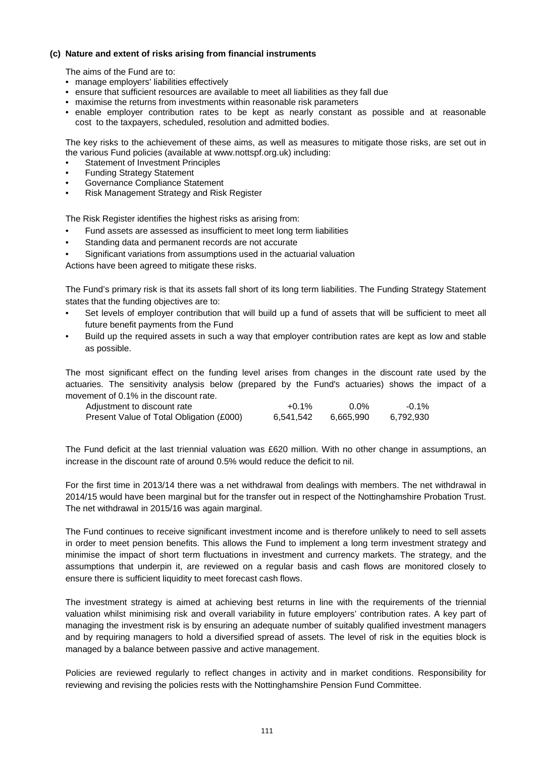## **(c) Nature and extent of risks arising from financial instruments**

The aims of the Fund are to:

- manage employers' liabilities effectively
- ensure that sufficient resources are available to meet all liabilities as they fall due
- maximise the returns from investments within reasonable risk parameters
- enable employer contribution rates to be kept as nearly constant as possible and at reasonable cost to the taxpayers, scheduled, resolution and admitted bodies.

The key risks to the achievement of these aims, as well as measures to mitigate those risks, are set out in the various Fund policies (available at www.nottspf.org.uk) including:

- Statement of Investment Principles
- Funding Strategy Statement
- Governance Compliance Statement
- Risk Management Strategy and Risk Register

The Risk Register identifies the highest risks as arising from:

- Fund assets are assessed as insufficient to meet long term liabilities
- Standing data and permanent records are not accurate
- Significant variations from assumptions used in the actuarial valuation

Actions have been agreed to mitigate these risks.

The Fund's primary risk is that its assets fall short of its long term liabilities. The Funding Strategy Statement states that the funding objectives are to:

- Set levels of employer contribution that will build up a fund of assets that will be sufficient to meet all future benefit payments from the Fund
- Build up the required assets in such a way that employer contribution rates are kept as low and stable as possible.

The most significant effect on the funding level arises from changes in the discount rate used by the actuaries. The sensitivity analysis below (prepared by the Fund's actuaries) shows the impact of a movement of 0.1% in the discount rate.

| Adjustment to discount rate              | +0.1%     | $0.0\%$   | $-0.1\%$  |
|------------------------------------------|-----------|-----------|-----------|
| Present Value of Total Obligation (£000) | 6,541,542 | 6,665,990 | 6.792.930 |

The Fund deficit at the last triennial valuation was £620 million. With no other change in assumptions, an increase in the discount rate of around 0.5% would reduce the deficit to nil.

For the first time in 2013/14 there was a net withdrawal from dealings with members. The net withdrawal in 2014/15 would have been marginal but for the transfer out in respect of the Nottinghamshire Probation Trust. The net withdrawal in 2015/16 was again marginal.

The Fund continues to receive significant investment income and is therefore unlikely to need to sell assets in order to meet pension benefits. This allows the Fund to implement a long term investment strategy and minimise the impact of short term fluctuations in investment and currency markets. The strategy, and the assumptions that underpin it, are reviewed on a regular basis and cash flows are monitored closely to ensure there is sufficient liquidity to meet forecast cash flows.

The investment strategy is aimed at achieving best returns in line with the requirements of the triennial valuation whilst minimising risk and overall variability in future employers' contribution rates. A key part of managing the investment risk is by ensuring an adequate number of suitably qualified investment managers and by requiring managers to hold a diversified spread of assets. The level of risk in the equities block is managed by a balance between passive and active management.

Policies are reviewed regularly to reflect changes in activity and in market conditions. Responsibility for reviewing and revising the policies rests with the Nottinghamshire Pension Fund Committee.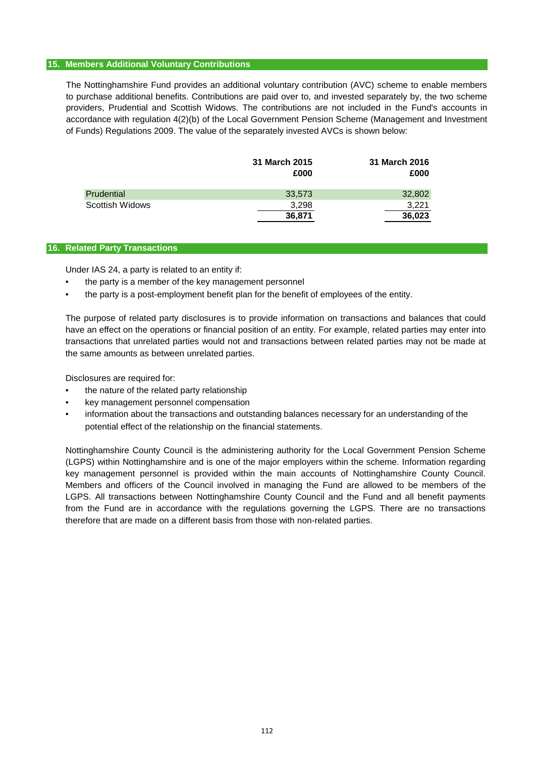#### **15. Members Additional Voluntary Contributions**

The Nottinghamshire Fund provides an additional voluntary contribution (AVC) scheme to enable members to purchase additional benefits. Contributions are paid over to, and invested separately by, the two scheme providers, Prudential and Scottish Widows. The contributions are not included in the Fund's accounts in accordance with regulation 4(2)(b) of the Local Government Pension Scheme (Management and Investment of Funds) Regulations 2009. The value of the separately invested AVCs is shown below:

|                        | 31 March 2015<br>£000 | 31 March 2016<br>£000 |
|------------------------|-----------------------|-----------------------|
| Prudential             | 33,573                | 32,802                |
| <b>Scottish Widows</b> | 3.298                 | 3.221                 |
|                        | 36,871                | 36,023                |

#### **16. Related Party Transactions**

Under IAS 24, a party is related to an entity if:

- the party is a member of the key management personnel
- the party is a post-employment benefit plan for the benefit of employees of the entity.

The purpose of related party disclosures is to provide information on transactions and balances that could have an effect on the operations or financial position of an entity. For example, related parties may enter into transactions that unrelated parties would not and transactions between related parties may not be made at the same amounts as between unrelated parties.

Disclosures are required for:

- the nature of the related party relationship
- key management personnel compensation
- information about the transactions and outstanding balances necessary for an understanding of the potential effect of the relationship on the financial statements.

Nottinghamshire County Council is the administering authority for the Local Government Pension Scheme (LGPS) within Nottinghamshire and is one of the major employers within the scheme. Information regarding key management personnel is provided within the main accounts of Nottinghamshire County Council. Members and officers of the Council involved in managing the Fund are allowed to be members of the LGPS. All transactions between Nottinghamshire County Council and the Fund and all benefit payments from the Fund are in accordance with the regulations governing the LGPS. There are no transactions therefore that are made on a different basis from those with non-related parties.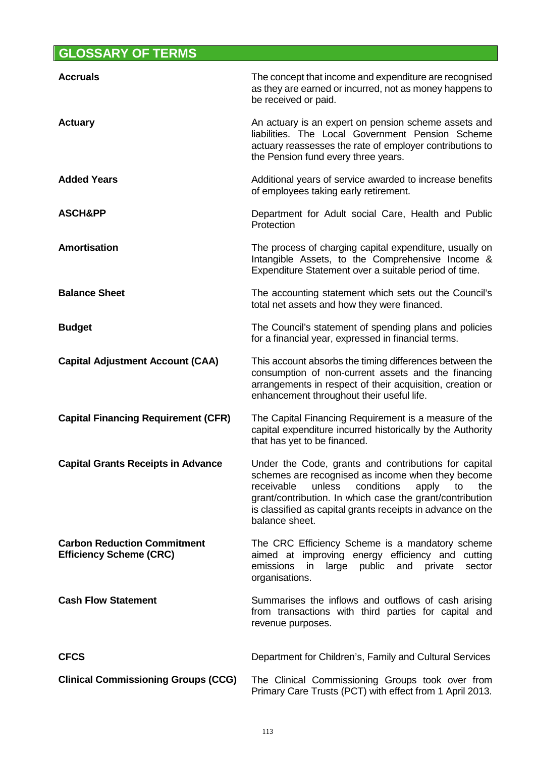# **GLOSSARY OF TERMS**

| <b>Accruals</b>                                                      | The concept that income and expenditure are recognised<br>as they are earned or incurred, not as money happens to<br>be received or paid.                                                                                                                                                                         |
|----------------------------------------------------------------------|-------------------------------------------------------------------------------------------------------------------------------------------------------------------------------------------------------------------------------------------------------------------------------------------------------------------|
| <b>Actuary</b>                                                       | An actuary is an expert on pension scheme assets and<br>liabilities. The Local Government Pension Scheme<br>actuary reassesses the rate of employer contributions to<br>the Pension fund every three years.                                                                                                       |
| <b>Added Years</b>                                                   | Additional years of service awarded to increase benefits<br>of employees taking early retirement.                                                                                                                                                                                                                 |
| <b>ASCH&amp;PP</b>                                                   | Department for Adult social Care, Health and Public<br>Protection                                                                                                                                                                                                                                                 |
| <b>Amortisation</b>                                                  | The process of charging capital expenditure, usually on<br>Intangible Assets, to the Comprehensive Income &<br>Expenditure Statement over a suitable period of time.                                                                                                                                              |
| <b>Balance Sheet</b>                                                 | The accounting statement which sets out the Council's<br>total net assets and how they were financed.                                                                                                                                                                                                             |
| <b>Budget</b>                                                        | The Council's statement of spending plans and policies<br>for a financial year, expressed in financial terms.                                                                                                                                                                                                     |
| <b>Capital Adjustment Account (CAA)</b>                              | This account absorbs the timing differences between the<br>consumption of non-current assets and the financing<br>arrangements in respect of their acquisition, creation or<br>enhancement throughout their useful life.                                                                                          |
| <b>Capital Financing Requirement (CFR)</b>                           | The Capital Financing Requirement is a measure of the<br>capital expenditure incurred historically by the Authority<br>that has yet to be financed.                                                                                                                                                               |
| <b>Capital Grants Receipts in Advance</b>                            | Under the Code, grants and contributions for capital<br>schemes are recognised as income when they become<br>receivable<br>unless<br>conditions<br>apply<br>to<br>the<br>grant/contribution. In which case the grant/contribution<br>is classified as capital grants receipts in advance on the<br>balance sheet. |
| <b>Carbon Reduction Commitment</b><br><b>Efficiency Scheme (CRC)</b> | The CRC Efficiency Scheme is a mandatory scheme<br>aimed at improving energy efficiency and cutting<br>in large public and private<br>emissions<br>sector<br>organisations.                                                                                                                                       |
| <b>Cash Flow Statement</b>                                           | Summarises the inflows and outflows of cash arising<br>from transactions with third parties for capital and<br>revenue purposes.                                                                                                                                                                                  |
| <b>CFCS</b>                                                          | Department for Children's, Family and Cultural Services                                                                                                                                                                                                                                                           |
| <b>Clinical Commissioning Groups (CCG)</b>                           | The Clinical Commissioning Groups took over from<br>Primary Care Trusts (PCT) with effect from 1 April 2013.                                                                                                                                                                                                      |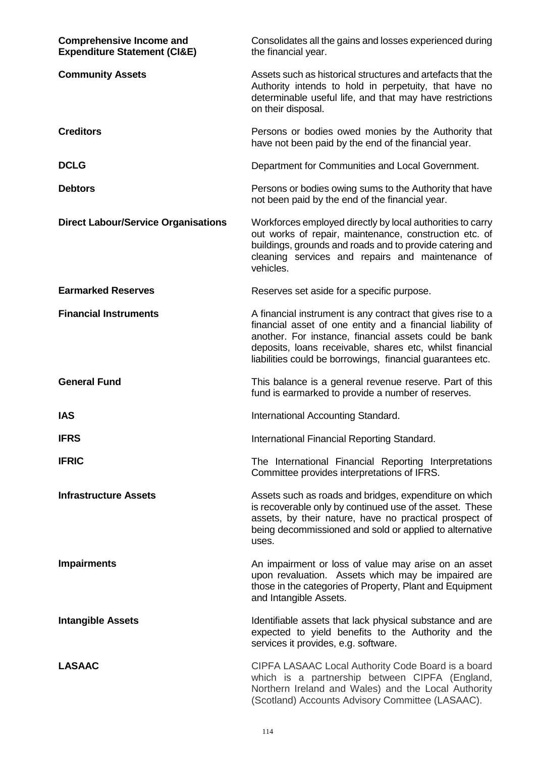| <b>Comprehensive Income and</b><br><b>Expenditure Statement (CI&amp;E)</b> | Consolidates all the gains and losses experienced during<br>the financial year.                                                                                                                                                                                                                              |
|----------------------------------------------------------------------------|--------------------------------------------------------------------------------------------------------------------------------------------------------------------------------------------------------------------------------------------------------------------------------------------------------------|
| <b>Community Assets</b>                                                    | Assets such as historical structures and artefacts that the<br>Authority intends to hold in perpetuity, that have no<br>determinable useful life, and that may have restrictions<br>on their disposal.                                                                                                       |
| <b>Creditors</b>                                                           | Persons or bodies owed monies by the Authority that<br>have not been paid by the end of the financial year.                                                                                                                                                                                                  |
| <b>DCLG</b>                                                                | Department for Communities and Local Government.                                                                                                                                                                                                                                                             |
| <b>Debtors</b>                                                             | Persons or bodies owing sums to the Authority that have<br>not been paid by the end of the financial year.                                                                                                                                                                                                   |
| <b>Direct Labour/Service Organisations</b>                                 | Workforces employed directly by local authorities to carry<br>out works of repair, maintenance, construction etc. of<br>buildings, grounds and roads and to provide catering and<br>cleaning services and repairs and maintenance of<br>vehicles.                                                            |
| <b>Earmarked Reserves</b>                                                  | Reserves set aside for a specific purpose.                                                                                                                                                                                                                                                                   |
| <b>Financial Instruments</b>                                               | A financial instrument is any contract that gives rise to a<br>financial asset of one entity and a financial liability of<br>another. For instance, financial assets could be bank<br>deposits, loans receivable, shares etc, whilst financial<br>liabilities could be borrowings, financial guarantees etc. |
| <b>General Fund</b>                                                        | This balance is a general revenue reserve. Part of this<br>fund is earmarked to provide a number of reserves.                                                                                                                                                                                                |
| <b>IAS</b>                                                                 | International Accounting Standard.                                                                                                                                                                                                                                                                           |
| <b>IFRS</b>                                                                | International Financial Reporting Standard.                                                                                                                                                                                                                                                                  |
| <b>IFRIC</b>                                                               | The International Financial Reporting Interpretations<br>Committee provides interpretations of IFRS.                                                                                                                                                                                                         |
| <b>Infrastructure Assets</b>                                               | Assets such as roads and bridges, expenditure on which<br>is recoverable only by continued use of the asset. These<br>assets, by their nature, have no practical prospect of<br>being decommissioned and sold or applied to alternative<br>uses.                                                             |
| <b>Impairments</b>                                                         | An impairment or loss of value may arise on an asset<br>upon revaluation. Assets which may be impaired are<br>those in the categories of Property, Plant and Equipment<br>and Intangible Assets.                                                                                                             |
| <b>Intangible Assets</b>                                                   | Identifiable assets that lack physical substance and are<br>expected to yield benefits to the Authority and the<br>services it provides, e.g. software.                                                                                                                                                      |
| <b>LASAAC</b>                                                              | CIPFA LASAAC Local Authority Code Board is a board<br>which is a partnership between CIPFA (England,<br>Northern Ireland and Wales) and the Local Authority<br>(Scotland) Accounts Advisory Committee (LASAAC).                                                                                              |